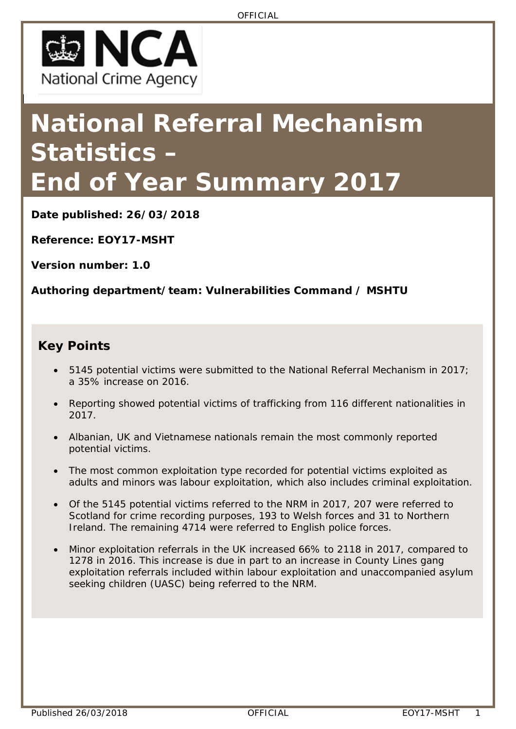

# **National Referral Mechanism Statistics – End of Year Summary 2017**

**Date published: 26/03/2018**

**Reference: EOY17-MSHT**

**Version number: 1.0**

**Authoring department/team: Vulnerabilities Command / MSHTU**

#### **Key Points**

- 5145 potential victims were submitted to the National Referral Mechanism in 2017; a 35% increase on 2016.
- Reporting showed potential victims of trafficking from 116 different nationalities in 2017.
- Albanian, UK and Vietnamese nationals remain the most commonly reported potential victims.
- The most common exploitation type recorded for potential victims exploited as adults and minors was labour exploitation, which also includes criminal exploitation.
- Of the 5145 potential victims referred to the NRM in 2017, 207 were referred to Scotland for crime recording purposes, 193 to Welsh forces and 31 to Northern Ireland. The remaining 4714 were referred to English police forces.
- Minor exploitation referrals in the UK increased 66% to 2118 in 2017, compared to 1278 in 2016. This increase is due in part to an increase in County Lines gang exploitation referrals included within labour exploitation and unaccompanied asylum seeking children (UASC) being referred to the NRM.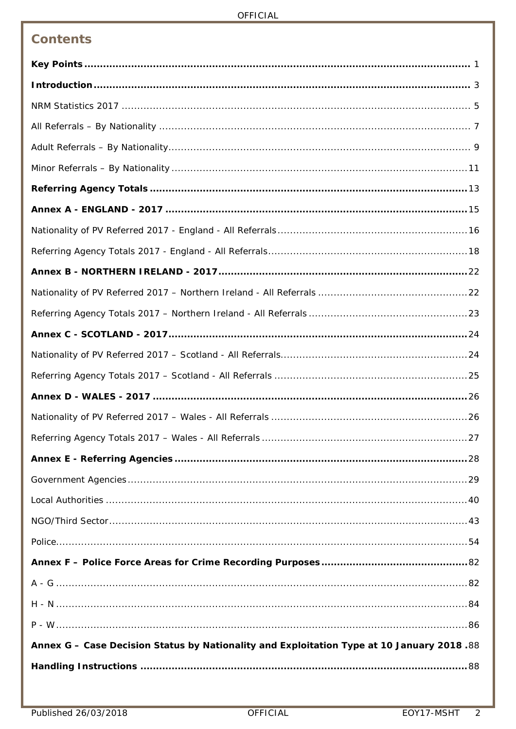| <b>Contents</b>                                                                           |
|-------------------------------------------------------------------------------------------|
|                                                                                           |
|                                                                                           |
|                                                                                           |
|                                                                                           |
|                                                                                           |
|                                                                                           |
|                                                                                           |
|                                                                                           |
|                                                                                           |
|                                                                                           |
|                                                                                           |
|                                                                                           |
|                                                                                           |
|                                                                                           |
|                                                                                           |
|                                                                                           |
|                                                                                           |
|                                                                                           |
|                                                                                           |
|                                                                                           |
|                                                                                           |
|                                                                                           |
|                                                                                           |
|                                                                                           |
|                                                                                           |
|                                                                                           |
|                                                                                           |
|                                                                                           |
| Annex G - Case Decision Status by Nationality and Exploitation Type at 10 January 2018.88 |
|                                                                                           |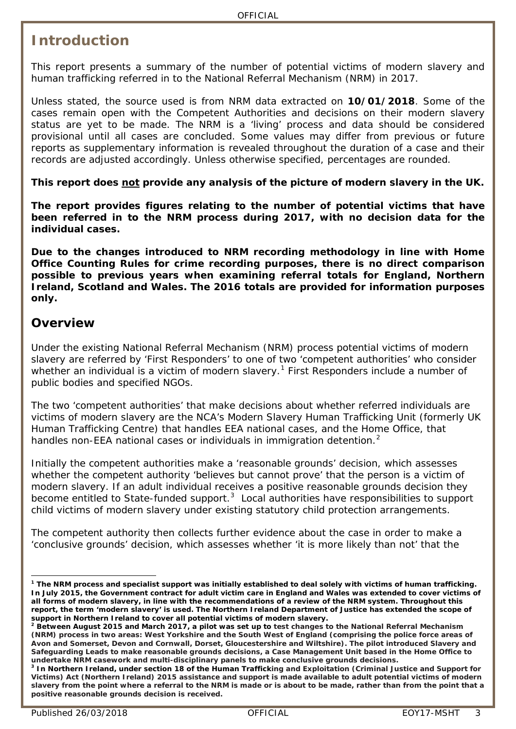### <span id="page-2-0"></span>**Introduction**

This report presents a summary of the number of potential victims of modern slavery and human trafficking referred in to the National Referral Mechanism (NRM) in 2017.

Unless stated, the source used is from NRM data extracted on **10/01/2018**. Some of the cases remain open with the Competent Authorities and decisions on their modern slavery status are yet to be made. The NRM is a 'living' process and data should be considered provisional until all cases are concluded. Some values may differ from previous or future reports as supplementary information is revealed throughout the duration of a case and their records are adjusted accordingly. Unless otherwise specified, percentages are rounded.

**This report does not provide any analysis of the picture of modern slavery in the UK.**

**The report provides figures relating to the number of potential victims that have been referred in to the NRM process during 2017, with no decision data for the individual cases.**

**Due to the changes introduced to NRM recording methodology in line with Home Office Counting Rules for crime recording purposes, there is no direct comparison possible to previous years when examining referral totals for England, Northern Ireland, Scotland and Wales. The 2016 totals are provided for information purposes only.**

#### **Overview**

Under the existing National Referral Mechanism (NRM) process potential victims of modern slavery are referred by 'First Responders' to one of two 'competent authorities' who consider whether an individual is a victim of modern slavery.<sup>[1](#page-2-1)</sup> First Responders include a number of public bodies and specified NGOs.

The two 'competent authorities' that make decisions about whether referred individuals are victims of modern slavery are the NCA's Modern Slavery Human Trafficking Unit (formerly UK Human Trafficking Centre) that handles EEA national cases, and the Home Office, that handles non-EEA national cases or individuals in immigration detention.<sup>[2](#page-2-2)</sup>

Initially the competent authorities make a 'reasonable grounds' decision, which assesses whether the competent authority 'believes but cannot prove' that the person is a victim of modern slavery. If an adult individual receives a positive reasonable grounds decision they become entitled to State-funded support. $3$  Local authorities have responsibilities to support child victims of modern slavery under existing statutory child protection arrangements.

The competent authority then collects further evidence about the case in order to make a 'conclusive grounds' decision, which assesses whether 'it is more likely than not' that the

<span id="page-2-1"></span>**<sup>1</sup> The NRM process and specialist support was initially established to deal solely with victims of human trafficking. In July 2015, the Government contract for adult victim care in England and Wales was extended to cover victims of all forms of modern slavery, in line with the recommendations of a review of the NRM system. Throughout this report, the term 'modern slavery' is used. The Northern Ireland Department of Justice has extended the scope of support in Northern Ireland to cover all potential victims of modern slavery.** -

<span id="page-2-2"></span>**<sup>2</sup> Between August 2015 and March 2017, a pilot was set up to test changes to the National Referral Mechanism (NRM) process in two areas: West Yorkshire and the South West of England (comprising the police force areas of Avon and Somerset, Devon and Cornwall, Dorset, Gloucestershire and Wiltshire). The pilot introduced Slavery and Safeguarding Leads to make reasonable grounds decisions, a Case Management Unit based in the Home Office to undertake NRM casework and multi-disciplinary panels to make conclusive grounds decisions.**

<span id="page-2-3"></span>**<sup>3</sup> In Northern Ireland, under section 18 of the Human Trafficking and Exploitation (Criminal Justice and Support for Victims) Act (Northern Ireland) 2015 assistance and support is made available to adult potential victims of modern slavery from the point where a referral to the NRM is made or is about to be made, rather than from the point that a positive reasonable grounds decision is received.**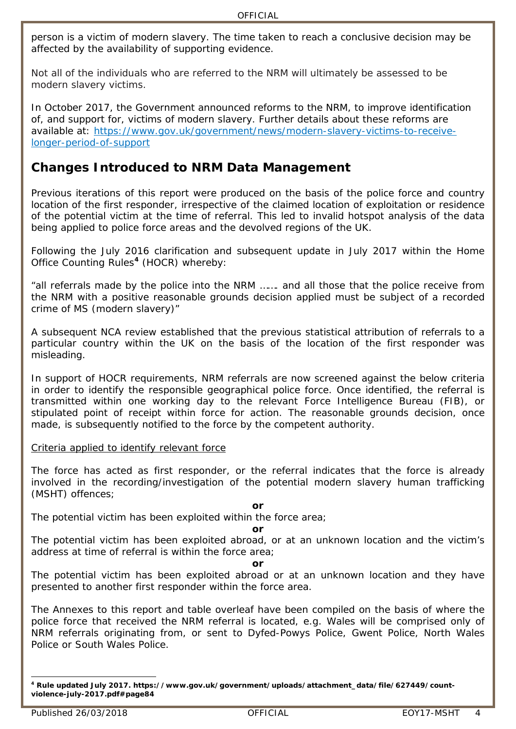person is a victim of modern slavery. The time taken to reach a conclusive decision may be affected by the availability of supporting evidence.

Not all of the individuals who are referred to the NRM will ultimately be assessed to be modern slavery victims.

In October 2017, the Government announced reforms to the NRM, to improve identification of, and support for, victims of modern slavery. Further details about these reforms are available at: [https://www.gov.uk/government/news/modern-slavery-victims-to-receive](https://www.gov.uk/government/news/modern-slavery-victims-to-receive-longer-period-of-support)[longer-period-of-support](https://www.gov.uk/government/news/modern-slavery-victims-to-receive-longer-period-of-support)

#### **Changes Introduced to NRM Data Management**

Previous iterations of this report were produced on the basis of the police force and country location of the first responder, irrespective of the claimed location of exploitation or residence of the potential victim at the time of referral. This led to invalid hotspot analysis of the data being applied to police force areas and the devolved regions of the UK.

Following the July 2016 clarification and subsequent update in July 2017 within the Home Office Counting Rules**[4](#page-3-0)** (HOCR) whereby:

*"all referrals made by the police into the NRM ……. and all those that the police receive from the NRM with a positive reasonable grounds decision applied must be subject of a recorded crime of MS (modern slavery)"*

A subsequent NCA review established that the previous statistical attribution of referrals to a particular country within the UK on the basis of the location of the first responder was misleading.

In support of HOCR requirements, NRM referrals are now screened against the below criteria in order to identify the responsible geographical police force. Once identified, the referral is transmitted within one working day to the relevant Force Intelligence Bureau (FIB), or stipulated point of receipt within force for action. The reasonable grounds decision, once made, is subsequently notified to the force by the competent authority.

Criteria applied to identify relevant force

*The force has acted as first responder, or the referral indicates that the force is already involved in the recording/investigation of the potential modern slavery human trafficking (MSHT) offences;* 

#### *or*

*The potential victim has been exploited within the force area;* 

#### *or*

*The potential victim has been exploited abroad, or at an unknown location and the victim's address at time of referral is within the force area;* 

#### *or*

*The potential victim has been exploited abroad or at an unknown location and they have presented to another first responder within the force area.*

The Annexes to this report and table overleaf have been compiled on the basis of where the police force that received the NRM referral is located, e.g. Wales will be comprised only of NRM referrals originating from, or sent to Dyfed-Powys Police, Gwent Police, North Wales Police or South Wales Police.

<span id="page-3-0"></span>**<sup>4</sup> Rule updated July 2017. https://www.gov.uk/government/uploads/attachment\_data/file/627449/countviolence-july-2017.pdf#page84** -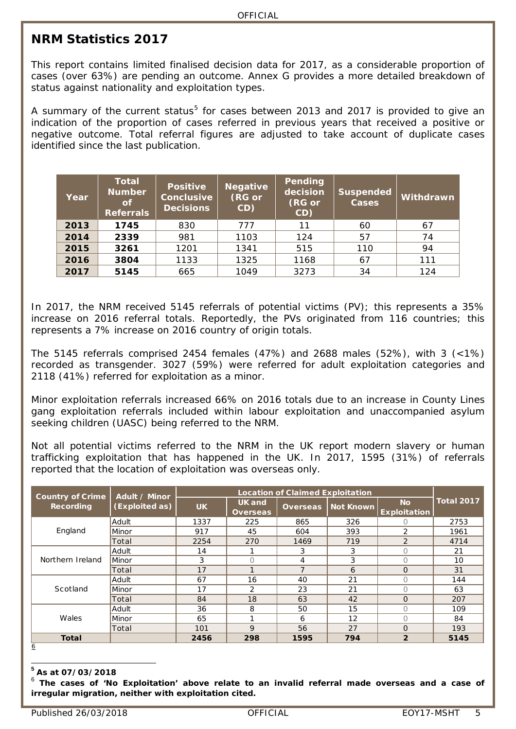#### <span id="page-4-0"></span>**NRM Statistics 2017**

This report contains limited finalised decision data for 2017, as a considerable proportion of cases (over 63%) are pending an outcome. Annex G provides a more detailed breakdown of status against nationality and exploitation types.

A summary of the current status<sup>[5](#page-4-1)</sup> for cases between 2013 and 2017 is provided to give an indication of the proportion of cases referred in previous years that received a positive or negative outcome. Total referral figures are adjusted to take account of duplicate cases identified since the last publication.

| Year | <b>Total</b><br><b>Number</b><br>of<br><b>Referrals</b> | <b>Positive</b><br>Conclusive<br><b>Decisions</b> | <b>Negative</b><br>(RG or<br>CD) | Pending<br>decision<br>(RG or<br>CD) | <b>Suspended</b><br>Cases | Withdrawn |
|------|---------------------------------------------------------|---------------------------------------------------|----------------------------------|--------------------------------------|---------------------------|-----------|
| 2013 | 1745                                                    | 830                                               | 777                              | 11                                   | 60                        | 67        |
| 2014 | 2339                                                    | 981                                               | 1103                             | 124                                  | 57                        | 74        |
| 2015 | 3261                                                    | 1201                                              | 1341                             | 515                                  | 110                       | 94        |
| 2016 | 3804                                                    | 1133                                              | 1325                             | 1168                                 | 67                        | 111       |
| 2017 | 5145                                                    | 665                                               | 1049                             | 3273                                 | 34                        | 124       |

In 2017, the NRM received 5145 referrals of potential victims (PV); this represents a 35% increase on 2016 referral totals. Reportedly, the PVs originated from 116 countries; this represents a 7% increase on 2016 country of origin totals.

The 5145 referrals comprised 2454 females (47%) and 2688 males (52%), with 3 (<1%) recorded as transgender. 3027 (59%) were referred for adult exploitation categories and 2118 (41%) referred for exploitation as a minor.

Minor exploitation referrals increased 66% on 2016 totals due to an increase in County Lines gang exploitation referrals included within labour exploitation and unaccompanied asylum seeking children (UASC) being referred to the NRM.

Not all potential victims referred to the NRM in the UK report modern slavery or human trafficking exploitation that has happened in the UK. In 2017, 1595 (31%) of referrals reported that the location of exploitation was overseas only.

| <b>Country of Crime</b> | Adult / Minor  |           |                                  | <b>Location of Claimed Exploitation</b> |           |                                  |                   |
|-------------------------|----------------|-----------|----------------------------------|-----------------------------------------|-----------|----------------------------------|-------------------|
| <b>Recording</b>        | (Exploited as) | <b>UK</b> | <b>UK</b> and<br><b>Overseas</b> | <b>Overseas</b>                         | Not Known | <b>No</b><br><b>Exploitation</b> | <b>Total 2017</b> |
| England                 | Adult          | 1337      | 225                              | 865                                     | 326       |                                  | 2753              |
|                         | Minor          | 917       | 45                               | 604                                     | 393       | $\mathcal{P}$                    | 1961              |
|                         | Total          | 2254      | 270                              | 1469                                    | 719       | $\overline{2}$                   | 4714              |
| Northern Ireland        | Adult          | 14        |                                  | 3                                       | 3         | $\bigcap$                        | 21                |
|                         | Minor          | 3         | $\Omega$                         | 4                                       | 3         | 0                                | 10                |
|                         | Total          | 17        |                                  | $\overline{7}$                          | 6         | $\Omega$                         | 31                |
|                         | Adult          | 67        | 16                               | 40                                      | 21        | ∩                                | 144               |
| Scotland                | Minor          | 17        | $\overline{2}$                   | 23                                      | 21        | ∩                                | 63                |
|                         | Total          | 84        | 18                               | 63                                      | 42        | $\Omega$                         | 207               |
|                         | Adult          | 36        | 8                                | 50                                      | 15        | ∩                                | 109               |
| Wales                   | Minor          | 65        |                                  | 6                                       | 12        | Ω                                | 84                |
|                         | Total          | 101       | 9                                | 56                                      | 27        | $\Omega$                         | 193               |
| <b>Total</b>            |                | 2456      | 298                              | 1595                                    | 794       | $\overline{2}$                   | 5145              |

 $\overline{6}$  $\overline{6}$  $\overline{6}$ 

**<sup>5</sup> As at 07/03/2018**  $\overline{a}$ 

<span id="page-4-2"></span><span id="page-4-1"></span><sup>6</sup> **The cases of 'No Exploitation' above relate to an invalid referral made overseas and a case of irregular migration, neither with exploitation cited.**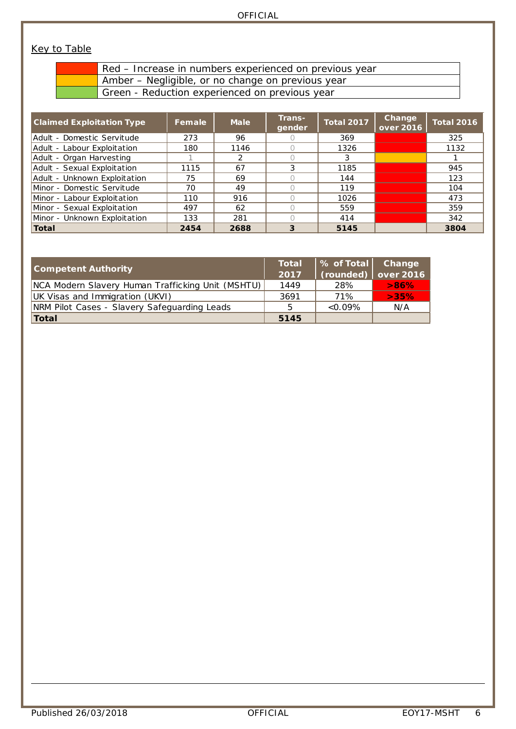#### **Key to Table**

| the contract of the contract of the |  |  |
|-------------------------------------|--|--|
|                                     |  |  |
|                                     |  |  |
|                                     |  |  |

Red – Increase in numbers experienced on previous year Amber – Negligible, or no change on previous year

Green - Reduction experienced on previous year

| <b>Claimed Exploitation Type</b> | Female | <b>Male</b> | Trans-<br>gender | <b>Total 2017</b> | Change<br>over 2016 | <b>Total 2016</b> |
|----------------------------------|--------|-------------|------------------|-------------------|---------------------|-------------------|
| Adult - Domestic Servitude       | 273    | 96          |                  | 369               |                     | 325               |
| Adult - Labour Exploitation      | 180    | 1146        |                  | 1326              |                     | 1132              |
| Adult - Organ Harvesting         |        | 2           |                  | 3                 |                     |                   |
| Adult - Sexual Exploitation      | 1115   | 67          |                  | 1185              |                     | 945               |
| Adult - Unknown Exploitation     | 75     | 69          |                  | 144               |                     | 123               |
| Minor - Domestic Servitude       | 70     | 49          |                  | 119               |                     | 104               |
| Minor - Labour Exploitation      | 110    | 916         |                  | 1026              |                     | 473               |
| Minor - Sexual Exploitation      | 497    | 62          |                  | 559               |                     | 359               |
| Minor - Unknown Exploitation     | 133    | 281         |                  | 414               |                     | 342               |
| $\sf Total$                      | 2454   | 2688        | 3                | 5145              |                     | 3804              |

| <b>Competent Authority</b>                        | Total<br>2017 | $\parallel$ % of Total Change<br>$\vert$ (rounded) $\vert$ over 2016 |      |
|---------------------------------------------------|---------------|----------------------------------------------------------------------|------|
| NCA Modern Slavery Human Trafficking Unit (MSHTU) | 1449          | 28%                                                                  | >86% |
| UK Visas and Immigration (UKVI)                   | 3691          | 71%                                                                  | >35% |
| NRM Pilot Cases - Slavery Safeguarding Leads      | 5             | $< 0.09\%$                                                           | N/A  |
| Total                                             | 5145          |                                                                      |      |

-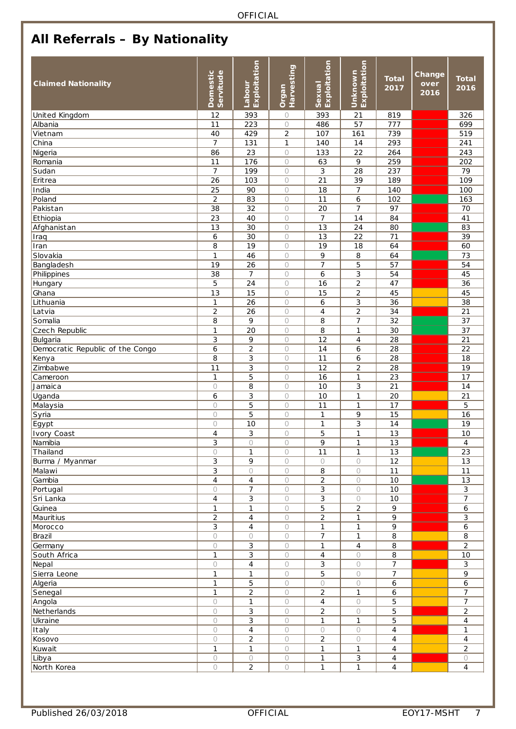## <span id="page-6-0"></span>**All Referrals – By Nationality**

| <b>Claimed Nationality</b>       | Domestic<br>Servitude | Exploitation<br>Labour | Harvesting<br>Organ | Exploitation<br>Sexua | Exploitation<br>Unknown | <b>Total</b><br>2017 | Change<br>over<br>2016 | <b>Total</b><br>2016 |
|----------------------------------|-----------------------|------------------------|---------------------|-----------------------|-------------------------|----------------------|------------------------|----------------------|
| United Kingdom                   | 12                    | 393                    | $\circ$             | 393                   | 21                      | 819                  |                        | 326                  |
| Albania                          | 11                    | 223                    | 0                   | 486                   | 57                      | 777                  |                        | 699                  |
| Vietnam                          | 40                    | 429                    | $\overline{2}$      | 107                   | 161                     | 739                  |                        | 519                  |
| China                            | $\overline{7}$        | 131                    | $\mathbf{1}$        | 140                   | 14                      | 293                  |                        | 241                  |
| Nigeria                          | 86                    | 23                     | $\bigcirc$          | 133                   | 22                      | 264                  |                        | 243                  |
| Romania                          | 11                    | 176                    | $\circ$             | 63                    | 9                       | 259                  |                        | 202                  |
| Sudan                            | $\overline{7}$        | 199                    | $\bigcirc$          | 3                     | 28                      | 237                  |                        | 79                   |
| Eritrea                          | 26                    | 103                    | $\bigcirc$          | $\overline{21}$       | $\overline{39}$         | 189                  |                        | 109                  |
| India                            | 25                    | 90                     | $\circ$             | 18                    | $\overline{7}$          | 140                  |                        | 100                  |
| Poland                           | $\overline{2}$        | 83                     | $\bigcirc$          | 11                    | 6                       | 102                  |                        | 163                  |
| Pakistan                         | 38                    | 32                     | $\circ$             | 20                    | $\overline{7}$          | 97                   |                        | 70                   |
| Ethiopia                         | 23                    | 40                     | $\bigcirc$          | $\overline{7}$        | 14                      | 84                   |                        | 41                   |
| Afghanistan                      | 13                    | 30                     | $\bigcirc$          | 13                    | 24                      | 80                   |                        | 83                   |
| Iraq                             | $\boldsymbol{6}$      | 30                     | $\bigcirc$          | 13                    | 22                      | 71                   |                        | 39                   |
| Iran                             | 8                     | 19                     | $\bigcirc$          | 19                    | 18                      | 64                   |                        | 60                   |
| Slovakia                         | $\mathbf{1}$          | 46                     | $\bigcirc$          | 9                     | 8                       | 64                   |                        | 73                   |
| Bangladesh                       | 19                    | 26                     | $\bigcirc$          | $\overline{7}$        | 5                       | 57                   |                        | 54                   |
| Philippines                      | 38                    | $\overline{7}$         | $\bigcirc$          | 6                     | 3                       | 54                   |                        | 45                   |
| Hungary                          | 5                     | 24                     | $\bigcirc$          | 16                    | $\overline{c}$          | 47                   |                        | 36                   |
| Ghana                            | $\overline{13}$       | 15                     | $\bigcirc$          | 15                    | $\overline{2}$          | $\overline{45}$      |                        | 45                   |
| Lithuania                        | $\mathbf{1}$          | 26                     | $\circ$             | 6                     | $\overline{3}$          | 36                   |                        | 38                   |
| Latvia                           | $\overline{c}$        | 26                     | $\bigcirc$          | $\overline{4}$        | $\overline{c}$          | 34                   |                        | 21                   |
| Somalia                          | 8                     | 9                      | $\bigcirc$          | 8                     | $\overline{7}$          | 32                   |                        | 37                   |
| Czech Republic                   | $\mathbf{1}$          | 20                     | $\circ$             | 8                     | $\mathbf{1}$            | 30                   |                        | 37                   |
| Bulgaria                         | 3                     | 9                      | $\bigcirc$          | $\overline{12}$       | $\overline{4}$          | $\overline{28}$      |                        | 21                   |
| Democratic Republic of the Congo | 6                     | $\overline{c}$         | $\bigcirc$          | 14                    | 6                       | 28                   |                        | 22                   |
| Kenya                            | $\overline{8}$        | 3                      | $\bigcirc$          | $\overline{11}$       | 6                       | $\overline{28}$      |                        | 18                   |
| Zimbabwe                         | 11                    | 3                      | $\bigcirc$          | 12                    | $\overline{2}$          | 28                   |                        | 19                   |
| Cameroon                         | $\mathbf{1}$          | 5                      | $\bigcirc$          | 16                    | $\mathbf{1}$            | 23                   |                        | 17                   |
| Jamaica                          | $\bigcirc$            | 8                      | $\bigcirc$          | 10                    | 3                       | 21                   |                        | 14                   |
| Uganda                           | 6                     | 3                      | $\bigcirc$          | 10                    | $\mathbf{1}$            | 20                   |                        | 21                   |
| Malaysia                         | $\bigcirc$            | 5                      | $\bigcirc$          | 11                    | $\mathbf{1}$            | 17                   |                        | 5                    |
| Syria                            | $\bigcirc$            | 5                      | $\bigcirc$          | 1                     | 9                       | 15                   |                        | 16                   |
| Egypt                            | $\circ$               | $\overline{10}$        | $\circ$             | 1                     | $\overline{3}$          | $\overline{14}$      |                        | $\overline{19}$      |
| <b>Ivory Coast</b>               | 4                     | 3                      | $\bigcirc$          | 5                     | $\mathbf{1}$            | 13                   |                        | 10                   |
| Namibia                          | 3                     | $\bigcirc$             | 0                   | 9                     | $\mathbf{1}$            | $\overline{13}$      |                        | 4                    |
| Thailand                         | $\circ$               | 1                      | $\bigcirc$          | 11                    | $\mathbf{1}$            | 13                   |                        | 23                   |
| Burma / Myanmar                  | 3                     | 9                      | $\bigcirc$          | $\circ$               | 0                       | 12                   |                        | 13                   |
| Malawi                           | 3                     | $\bigcirc$             | O                   | 8                     | $\bigcirc$              | 11                   |                        | 11                   |
| Gambia                           | $\overline{4}$        | $\overline{4}$         | $\bigcirc$          | $\overline{2}$        | $\bigcirc$              | $\overline{10}$      |                        | 13                   |
| Portugal                         | $\circ$               | $\overline{7}$         | $\bigcirc$          | 3                     | $\circ$                 | 10                   |                        | $\mathfrak{Z}$       |
| Sri Lanka                        | $\overline{4}$        | 3                      | $\bigcirc$          | 3                     | $\bigcirc$              | $10$                 |                        | $\overline{7}$       |
| Guinea                           | $\mathbf{1}$          | 1                      | $\bigcirc$          | 5                     | $\overline{c}$          | 9                    |                        | 6                    |
| Mauritius                        | $\overline{c}$        | 4                      | $\bigcirc$          | $\overline{a}$        | $\mathbf{1}$            | 9                    |                        | 3                    |
| Morocco                          | 3                     | 4                      | $\bigcirc$          | $\mathbf{1}$          | $\mathbf{1}$            | 9                    |                        | 6                    |
| Brazil                           | $\circ$               | $\bigcirc$             | $\bigcirc$          | $\overline{7}$        | $\mathbf{1}$            | 8                    |                        | 8                    |
| Germany                          | $\bigcirc$            | 3                      | $\bigcirc$          | 1                     | $\overline{4}$          | 8                    |                        | $\overline{2}$       |
| South Africa                     | $\mathbf{1}$          | 3                      | $\bigcirc$          | $\overline{4}$        | 0                       | 8                    |                        | 10                   |
| Nepal                            | $\bigcirc$            | 4                      | $\bigcirc$          | 3                     | $\bigcirc$              | 7                    |                        | $\mathfrak{Z}$       |
| Sierra Leone                     | $\mathbf{1}$          | 1                      | $\bigcirc$          | 5                     | $\bigcirc$              | $\overline{7}$       |                        | 9                    |
| Algeria                          | $\mathbf{1}$          | 5                      | $\bigcirc$          | $\bigcirc$            | $\circ$                 | 6                    |                        | 6                    |
| Senegal                          | $\mathbf{1}$          | $\overline{a}$         | $\bigcirc$          | $\overline{2}$        | $\mathbf{1}$            | 6                    |                        | $\overline{7}$       |
| Angola                           | $\bigcirc$            | 1                      | $\bigcirc$          | 4                     | $\bigcirc$              | 5                    |                        | $\overline{7}$       |
| Netherlands                      | $\bigcirc$            | 3                      | $\bigcirc$          | $\overline{c}$        | $\bigcirc$              | 5                    |                        | $\overline{c}$       |
| Ukraine                          | $\bigcirc$            | 3                      | $\bigcirc$          | 1                     | $\mathbf{1}$            | 5                    |                        | $\overline{4}$       |
| Italy                            | $\circ$               | 4                      | $\bigcirc$          | $\bigcirc$            | $\circ$                 | 4                    |                        | $\mathbf{1}$         |
| Kosovo                           | $\bigcirc$            | $\overline{2}$         | $\bigcirc$          | $\overline{2}$        | $\bigcirc$              | $\overline{4}$       |                        | $\overline{4}$       |
| Kuwait                           | $\mathbf{1}$          | 1                      | $\bigcirc$          | 1                     | 1                       | 4                    |                        | 2                    |
| Libya                            | $\bigcirc$            | $\bigcirc$             | $\bigcirc$          | 1                     | $\mathbf{3}$            | 4                    |                        | 0                    |
| North Korea                      | $\bigcirc$            | $\overline{2}$         | $\circ$             | 1                     | $\mathbf{1}$            | 4                    |                        | $\overline{4}$       |
|                                  |                       |                        |                     |                       |                         |                      |                        |                      |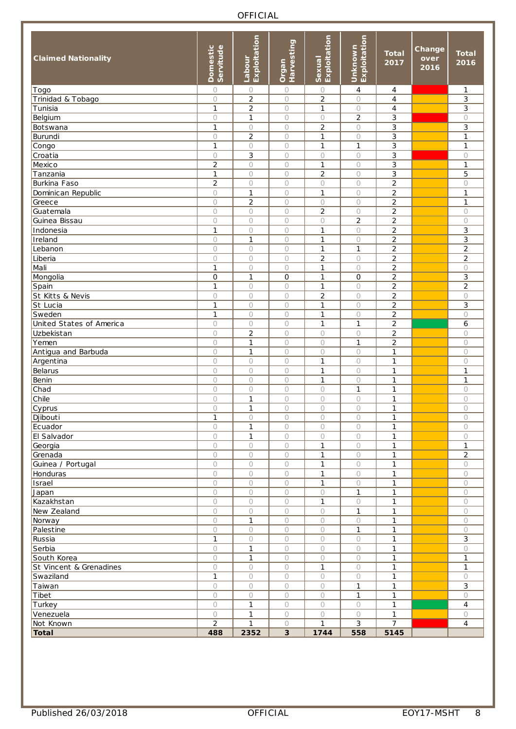| <b>Claimed Nationality</b> | Domestic<br>Servitude | Exploitation<br>Labour | Harvesting<br>Organ | Exploitation<br>Sexual | Exploitation<br>Unknown | <b>Total</b><br>2017 | Change<br>over<br>2016 | <b>Total</b><br>2016 |
|----------------------------|-----------------------|------------------------|---------------------|------------------------|-------------------------|----------------------|------------------------|----------------------|
| Togo                       | $\bigcirc$            | $\circ$                | $\bigcirc$          | 0                      | $\overline{4}$          | $\overline{4}$       |                        | 1                    |
| Trinidad & Tobago          | $\bigcirc$            | $\overline{2}$         | $\circ$             | $\overline{c}$         | $\circ$                 | 4                    |                        | 3                    |
| Tunisia                    | 1                     | 2                      | $\circ$             | 1                      | $\bigcirc$              | 4                    |                        | 3                    |
| Belgium                    | $\bigcirc$            | $\mathbf{1}$           | $\circ$             | 0                      | $\overline{c}$          | 3                    |                        | $\circ$              |
| Botswana                   | $\mathbf{1}$          | $\bigcirc$             | $\circ$             | $\overline{2}$         | $\circ$                 | 3                    |                        | 3                    |
| Burundi                    | $\circ$               | $\overline{2}$         | $\circ$             | $\mathbf{1}$           | $\circ$                 | 3                    |                        | $\mathbf{1}$         |
| Congo                      | $\mathbf{1}$          | $\circ$                | 0                   | $\mathbf{1}$           | $\mathbf{1}$            | 3                    |                        | 1                    |
| $\overline{C}$ roatia      | $\circ$               | 3                      | $\circ$             | 0                      | $\bigcirc$              | 3                    |                        | $\circ$              |
| Mexico                     | $\overline{c}$        | $\bigcirc$             | $\circ$             | 1                      | $\bigcirc$              | 3                    |                        | 1                    |
| Tanzania                   | $\mathbf{1}$          | $\bigcirc$             | $\circ$             | $\overline{2}$         | $\circ$                 | 3                    |                        | 5                    |
| Burkina Faso               | $\overline{2}$        | $\circ$                | $\circ$             | $\circ$                | $\circ$                 | $\overline{a}$       |                        | $\circ$              |
| Dominican Republic         | $\bigcirc$            | 1                      | 0                   | 1                      | $\circ$                 | $\overline{c}$       |                        | 1                    |
| Greece                     | $\circ$               | $\overline{c}$         | $\circ$             | 0                      | $\bigcirc$              | $\overline{c}$       |                        | 1                    |
| Guatemala                  | $\bigcirc$            | $\bigcirc$             | $\circ$             | $\overline{2}$         | $\bigcirc$              | $\overline{c}$       |                        | $\circ$              |
| Guinea Bissau              | $\circ$               | $\bigcirc$             | $\bigcirc$          | $\circ$                | $\overline{a}$          | $\overline{c}$       |                        | $\circ$              |
| Indonesia                  | $\mathbf{1}$          | $\circ$                | $\bigcirc$          | $\mathbf{1}$           | $\circ$                 | $\overline{c}$       |                        | 3                    |
| Ireland                    | $\bigcirc$            | $\mathbf{1}$           | 0                   | $\mathbf{1}$           | $\bigcirc$              | $\overline{c}$       |                        | 3                    |
| Lebanon                    | $\circ$               | $\bigcirc$             | $\circ$             | $\mathbf{1}$           | $\mathbf{1}$            | $\overline{c}$       |                        | $\overline{c}$       |
| Liberia                    | $\bigcirc$            | $\circ$                | $\circ$             | $\overline{c}$         | $\bigcirc$              | $\overline{c}$       |                        | $\overline{c}$       |
| Mali                       | $\mathbf{1}$          | $\bigcirc$             | $\circ$             | $\mathbf{1}$           | $\circ$                 | $\overline{2}$       |                        | $\circ$              |
| Mongolia                   | $\mathbf 0$           | $\mathbf{1}$           | $\mathsf O$         | $\mathbf{1}$           | $\mathsf{O}\xspace$     | $\overline{a}$       |                        | 3                    |
| Spain                      | $\mathbf{1}$          | $\bigcirc$             | $\circ$             | 1                      | $\circ$                 | $\overline{2}$       |                        | $\overline{c}$       |
| St Kitts & Nevis           | $\circ$               | $\bigcirc$             | $\bigcirc$          | $\overline{c}$         | $\bigcirc$              | $\overline{c}$       |                        | $\circ$              |
| St Lucia                   | $\mathbf{1}$          | $\bigcirc$             | $\circ$             | 1                      | $\bigcirc$              | $\overline{c}$       |                        | 3                    |
| Sweden                     | $\mathbf{1}$          | $\bigcirc$             | $\bigcirc$          | $\mathbf{1}$           | $\circ$                 | $\overline{a}$       |                        | $\circ$              |
| United States of America   | $\circ$               | $\circ$                | $\circ$             | $\mathbf{1}$           | $\mathbf{1}$            | $\overline{a}$       |                        | 6                    |
| Uzbekistan                 | $\circ$               | $\overline{2}$         | $\circ$             | 0                      | $\bigcirc$              | $\overline{c}$       |                        | 0                    |
| Yemen                      | $\circ$               | $\mathbf{1}$           | $\bigcirc$          | 0                      | $\mathbf{1}$            | $\overline{c}$       |                        | $\circ$              |
| Antigua and Barbuda        | $\bigcirc$            | $\mathbf{1}$           | $\circ$             | 0                      | $\bigcirc$              | $\mathbf{1}$         |                        | $\bigcirc$           |
| Argentina                  | $\circ$               | $\bigcirc$             | $\bigcirc$          | $\mathbf{1}$           | $\bigcirc$              | $\mathbf{1}$         |                        | $\circ$              |
| Belarus                    | $\circ$               | $\circ$                | $\circ$             | $\mathbf{1}$           | $\bigcirc$              | $\mathbf{1}$         |                        | 1                    |
| Benin                      | $\circ$               | $\bigcirc$             | $\circ$             | $\mathbf{1}$           | $\bigcirc$              | $\mathbf{1}$         |                        | 1                    |
| Chad                       | $\circ$               | $\bigcirc$             | $\circ$             | 0                      | $\mathbf{1}$            | 1                    |                        | $\circ$              |
| Chile                      | $\circ$               | $\mathbf{1}$           | $\circ$             | 0                      | $\bigcirc$              | $\mathbf{1}$         |                        | 0                    |
| Cyprus                     | $\bigcirc$            | 1                      | $\circ$             | 0                      | $\bigcirc$              | 1                    |                        | $\circ$              |
| Djibouti                   | $\mathbf{1}$          | $\bigcirc$             | $\bigcirc$          | $\bigcirc$             | $\bigcirc$              | $\mathbf{1}$         |                        | $\bigcirc$           |
| Ecuador                    | $\bigcirc$            | $\mathbf{1}$           | $\circ$             | $\circ$                | $\circ$                 | $\mathbf{1}$         |                        | $\circ$              |
| El Salvador                | 0<br>$\bigcirc$       | 1<br>$\circ$           | O<br>$\bigcirc$     | $\circ$<br>1           | $\circ$<br>$\bigcirc$   | 1<br>1               |                        | $\circ$<br>1         |
| Georgia<br>Grenada         |                       | $\circ$                |                     | $\mathbf{1}$           | $\bigcirc$              |                      |                        | $\overline{2}$       |
| Guinea / Portugal          | 0<br>$\circ$          | $\bigcirc$             | O<br>$\bigcirc$     | $\mathbf{1}$           | $\bigcirc$              | 1<br>$\mathbf{1}$    |                        | $\circ$              |
| Honduras                   | $\circ$               | $\bigcirc$             | $\bigcirc$          | $\mathbf{1}$           | $\bigcirc$              | $\mathbf{1}$         |                        | 0                    |
| Israel                     | $\circ$               | $\bigcirc$             | O                   | $\mathbf{1}$           | $\bigcirc$              | $\mathbf{1}$         |                        | $\circ$              |
| Japan                      | $\circ$               | $\bigcirc$             | $\bigcirc$          | $\bigcirc$             | $\mathbf{1}$            | $\mathbf{1}$         |                        | $\bigcirc$           |
| Kazakhstan                 | $\circ$               | $\bigcirc$             | O                   | 1                      | $\bigcirc$              | 1                    |                        | $\circ$              |
| New Zealand                | $\circ$               | $\bigcirc$             | $\bigcirc$          | $\bigcirc$             | $\mathbf{1}$            | $\mathbf{1}$         |                        | 0                    |
| Norway                     | $\circ$               | $\mathbf{1}$           | $\bigcirc$          | $\bigcirc$             | $\bigcirc$              | $\mathbf{1}$         |                        | 0                    |
| Palestine                  | $\circ$               | $\bigcirc$             | $\bigcirc$          | O                      | $\mathbf{1}$            | 1                    |                        | $\circ$              |
| Russia                     | $\mathbf{1}$          | $\bigcirc$             | $\bigcirc$          | $\bigcirc$             | $\bigcirc$              | 1                    |                        | 3                    |
| Serbia                     | 0                     | $\mathbf{1}$           | O                   | 0                      | 0                       | 1                    |                        | 0                    |
| South Korea                | $\bigcirc$            | $\mathbf{1}$           | $\bigcirc$          | $\bigcirc$             | $\bigcirc$              | $\mathbf{1}$         |                        | $\mathbf{1}$         |
| St Vincent & Grenadines    | $\bigcirc$            | $\circ$                | $\bigcirc$          | $\mathbf{1}$           | $\bigcirc$              | $\mathbf{1}$         |                        | 1                    |
| Swaziland                  | $\mathbf{1}$          | $\bigcirc$             | $\bigcirc$          | O                      | $\bigcirc$              | $\mathbf{1}$         |                        | $\circ$              |
| Taiwan                     | $\circ$               | $\bigcirc$             | $\bigcirc$          | $\bigcirc$             | $\mathbf{1}$            | 1                    |                        | 3                    |
| Tibet                      | 0                     | $\bigcirc$             | O                   | 0                      | $\mathbf{1}$            | 1                    |                        | 0                    |
| Turkey                     | $\bigcirc$            | $\mathbf{1}$           | $\bigcirc$          | 0                      | $\bigcirc$              | $\mathbf{1}$         |                        | $\overline{4}$       |
| Venezuela                  | $\circ$               | $\mathbf{1}$           | $\bigcirc$          | $\bigcirc$             | $\bigcirc$              | 1                    |                        | $\bigcirc$           |
| Not Known                  | $\overline{2}$        | $\mathbf{1}$           | $\bigcirc$          | $\mathbf{1}$           | 3                       | $\overline{7}$       |                        | 4                    |
| <b>Total</b>               | 488                   | 2352                   | $\mathbf{3}$        | 1744                   | 558                     | 5145                 |                        |                      |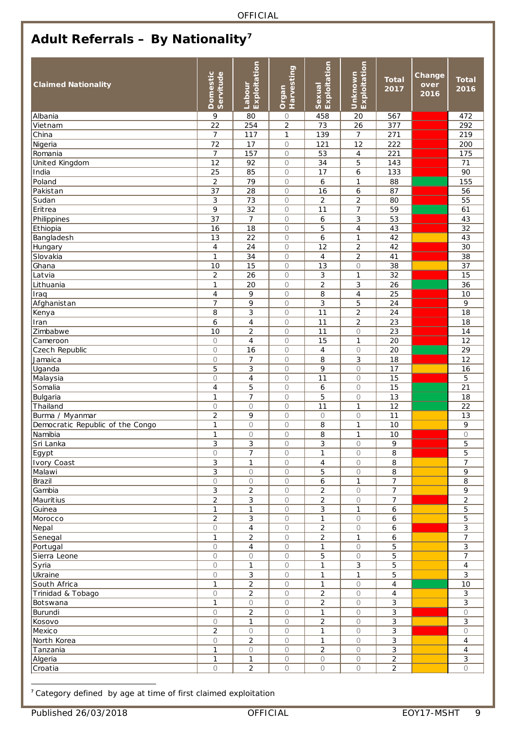## <span id="page-8-0"></span>**Adult Referrals – By Nationality[7](#page-8-1)**

| <b>Claimed Nationality</b>       | Domestic<br>Servitude   | Exploitation<br>Labour | Harvesting<br>Organ      | Sexual<br>Exploitation | Exploitation<br>Unknown          | <b>Total</b><br>2017 | Change<br>over<br>2016 | <b>Total</b><br>2016 |
|----------------------------------|-------------------------|------------------------|--------------------------|------------------------|----------------------------------|----------------------|------------------------|----------------------|
| Albania                          | 9                       | 80                     | $\circ$                  | 458                    | 20                               | 567                  |                        | 472                  |
| Vietnam                          | 22                      | 254                    | $\overline{c}$           | 73                     | 26                               | 377                  |                        | 292                  |
| China                            | $\overline{7}$          | 117                    | $\mathbf{1}$             | 139                    | $\overline{7}$                   | 271                  |                        | 219                  |
| Nigeria                          | 72                      | 17                     | $\bigcirc$               | 121                    | $\overline{12}$                  | 222                  |                        | 200                  |
| Romania                          | $\overline{7}$          | 157                    | $\bigcirc$               | 53                     | $\sqrt{4}$                       | 221                  |                        | 175                  |
| United Kingdom                   | 12                      | 92                     | $\bigcirc$               | 34                     | 5                                | 143                  |                        | 71                   |
| India                            | 25                      | 85                     | $\bigcirc$               | 17                     | 6                                | 133                  |                        | 90                   |
| Poland                           | $\overline{2}$          | 79                     | $\bigcirc$               | 6                      | $\mathbf{1}$                     | 88                   |                        | 155                  |
| Pakistan                         | 37                      | 28                     | $\bigcirc$               | 16                     | 6                                | 87                   |                        | 56                   |
| Sudan                            | 3                       | 73                     | $\bigcirc$               | $\overline{2}$         | $\overline{2}$                   | 80                   |                        | 55                   |
| Eritrea                          | 9                       | 32                     | $\bigcirc$               | 11                     | $\overline{7}$                   | 59                   |                        | 61                   |
| Philippines                      | 37                      | $\overline{7}$         | $\bigcirc$               | 6                      | 3                                | 53                   |                        | 43                   |
| Ethiopia                         | 16                      | 18                     | $\bigcirc$               | 5                      | $\sqrt{4}$                       | 43                   |                        | 32                   |
| Bangladesh                       | 13                      | 22                     | $\bigcirc$               | 6                      | $\mathbf{1}$                     | 42                   |                        | 43                   |
| Hungary                          | $\overline{4}$          | 24                     | $\bigcirc$               | 12                     | $\overline{2}$                   | 42                   |                        | 30                   |
| Slovakia                         | $\mathbf{1}$            | 34                     | $\bigcirc$               | $\overline{4}$         | $\overline{c}$                   | 41                   |                        | 38                   |
| Ghana                            | 10                      | 15                     | $\bigcirc$               | 13                     | $\circ$                          | 38                   |                        | 37                   |
| Latvia                           | $\overline{c}$          | 26                     | $\bigcirc$               | 3                      | $\mathbf{1}$                     | 32                   |                        | 15                   |
| Lithuania                        | $\mathbf{1}$            | 20                     | $\bigcirc$               | $\overline{c}$         | 3                                | 26                   |                        | 36                   |
| Iraq                             | $\overline{4}$          | 9                      | $\bigcirc$               | 8                      | $\overline{4}$                   | 25                   |                        | 10                   |
| Afghanistan                      | $\overline{7}$          | 9                      | $\bigcirc$               | 3                      | 5                                | 24                   |                        | 9                    |
| Kenya                            | 8<br>6                  | 3<br>$\sqrt{4}$        | $\bigcirc$<br>$\bigcirc$ | 11<br>11               | $\overline{c}$<br>$\overline{c}$ | 24<br>23             |                        | 18<br>18             |
| Iran<br>Zimbabwe                 | 10                      | $\overline{2}$         | $\bigcirc$               | $\overline{11}$        | $\bigcirc$                       | $\overline{23}$      |                        | 14                   |
| Cameroon                         | $\bigcirc$              | $\overline{4}$         | $\bigcirc$               | 15                     | $\mathbf{1}$                     | 20                   |                        | 12                   |
|                                  | $\bigcirc$              | 16                     | $\bigcirc$               | $\overline{4}$         | $\bigcirc$                       | 20                   |                        | 29                   |
| Czech Republic<br>Jamaica        | $\bigcirc$              | 7                      | $\bigcirc$               | 8                      | $\ensuremath{\mathsf{3}}$        | 18                   |                        | 12                   |
| Uganda                           | 5                       | 3                      | $\bigcirc$               | 9                      | $\circ$                          | 17                   |                        | 16                   |
| Malaysia                         | $\bigcirc$              | 4                      | $\bigcirc$               | $\overline{11}$        | $\circ$                          | $\overline{15}$      |                        | 5                    |
| Somalia                          | $\overline{\mathbf{4}}$ | 5                      | $\circ$                  | 6                      | $\circ$                          | $\overline{15}$      |                        | 21                   |
| Bulgaria                         | $\mathbf{1}$            | 7                      | $\bigcirc$               | 5                      | $\bigcirc$                       | 13                   |                        | 18                   |
| Thailand                         | $\bigcirc$              | $\bigcirc$             | $\bigcirc$               | 11                     | $\mathbf{1}$                     | 12                   |                        | 22                   |
| Burma / Myanmar                  | $\overline{c}$          | 9                      | $\bigcirc$               | $\circ$                | $\bigcirc$                       | 11                   |                        | 13                   |
| Democratic Republic of the Congo | $\mathbf{1}$            | $\bigcirc$             | 0                        | 8                      | $\mathbf{1}$                     | 10                   |                        | 9                    |
| Namibia                          | $\mathbf{1}$            | $\circ$                | $\bigcirc$               | 8                      | $\mathbf{1}$                     | $\overline{10}$      |                        | $\circ$              |
| Sri Lanka                        | 3                       | 3                      | $\overline{O}$           | 3                      | $\bigcirc$                       | 9                    |                        | 5                    |
| Egypt                            | 0                       | $\overline{7}$         | $\circ$                  | 1                      | $\circ$                          | 8                    |                        | 5                    |
| Ivory Coast                      | 3                       | 1                      | $\bigcirc$               | 4                      | $\circ$                          | 8                    |                        | $\overline{7}$       |
| Malawi                           | 3                       | $\bigcirc$             | $\bigcirc$               | 5                      | $\bigcirc$                       | 8                    |                        | 9                    |
| Brazil                           | $\bigcirc$              | $\bigcirc$             | $\bigcirc$               | 6                      | $\mathbf{1}$                     | $\overline{7}$       |                        | 8                    |
| Gambia                           | 3                       | $\overline{2}$         | $\bigcirc$               | $\overline{c}$         | $\bigcirc$                       | $\overline{7}$       |                        | 9                    |
| <b>Mauritius</b>                 | $\overline{c}$          | 3                      | $\bigcirc$               | $\overline{c}$         | $\bigcirc$                       | 7                    |                        | 2                    |
| Guinea                           | 1                       | 1                      | $\bigcirc$               | 3                      | $\mathbf{1}$                     | 6                    |                        | 5                    |
| Morocco                          | $\overline{2}$          | 3                      | $\bigcirc$               | $\mathbf{1}$           | $\bigcirc$                       | 6                    |                        | 5                    |
| Nepal                            | $\bigcirc$              | 4                      | $\bigcirc$               | $\overline{c}$         | $\circ$                          | 6                    |                        | 3                    |
| Senegal                          | $\mathbf{1}$            | $\overline{c}$         | $\bigcirc$               | $\overline{a}$         | $\mathbf{1}$                     | 6                    |                        | $\overline{7}$       |
| Portugal                         | $\bigcirc$              | 4                      | $\bigcirc$               | 1                      | $\circ$                          | 5                    |                        | $\mathbf{3}$         |
| Sierra Leone                     | $\bigcirc$              | $\bigcirc$             | $\bigcirc$               | 5                      | $\bigcirc$                       | 5                    |                        | $\overline{7}$       |
| Syria                            | $\bigcirc$              | $\mathbf{1}$           | $\bigcirc$               | 1                      | 3                                | 5                    |                        | $\overline{4}$       |
| Ukraine                          | $\bigcirc$              | 3                      | $\circ$                  | $\mathbf{1}$           | $\mathbf{1}$                     | 5                    |                        | 3                    |
| South Africa                     | $\mathbf{1}$            | $\overline{c}$         | $\bigcirc$               | 1                      | $\circ$                          | 4                    |                        | $10$                 |
| Trinidad & Tobago                | $\bigcirc$              | $\overline{c}$         | $\bigcirc$               | $\overline{a}$         | $\bigcirc$                       | 4                    |                        | $\mathbf{3}$         |
| Botswana                         | $\mathbf{1}$            | $\bigcirc$             | $\bigcirc$               | $\overline{c}$         | $\circ$                          | 3                    |                        | 3                    |
| Burundi                          | $\bigcirc$              | $\overline{2}$         | $\bigcirc$               | $\mathbf{1}$           | $\bigcirc$                       | 3                    |                        | $\bigcirc$           |
| Kosovo                           | $\bigcirc$              | $\mathbf{1}$           | $\bigcirc$               | $\overline{2}$         | $\circ$                          | 3                    |                        | 3                    |
| Mexico                           | $\overline{2}$          | $\circ$                | $\bigcirc$               | 1                      | $\circ$                          | 3                    |                        | $\circ$              |
| North Korea                      | $\bigcirc$              | $\overline{2}$         | $\bigcirc$               | 1                      | $\bigcirc$                       | 3                    |                        | $\overline{4}$       |
| Tanzania                         | 1                       | $\bigcirc$             | $\bigcirc$               | $\overline{c}$         | $\circ$                          | 3                    |                        | $\overline{4}$       |
| Algeria                          | $\mathbf{1}$            | $\mathbf{1}$           | $\bigcirc$               | $\bigcirc$             | $\bigcirc$                       | $\overline{c}$       |                        | $\mathbf{3}$         |
| Croatia                          | $\bigcirc$              | $\overline{2}$         | $\bigcirc$               | $\bigcirc$             | $\bigcirc$                       | $\overline{2}$       |                        | $\bigcirc$           |

<span id="page-8-1"></span>**<sup>7</sup>** Category defined by age at time of first claimed exploitation -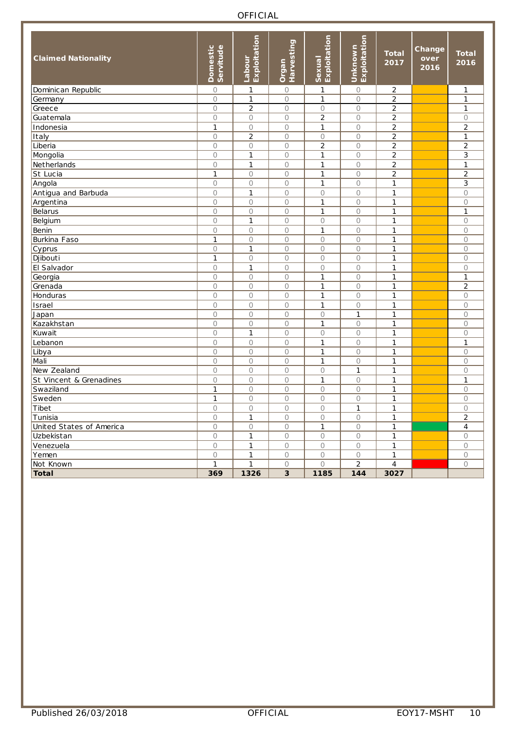| <b>Claimed Nationality</b> | <b>Domestic</b><br>Servitude | Exploitation<br>Labour | Harvesting<br>Organ | Exploitation<br>Sexual | Exploitation<br>Unknown | <b>Total</b><br>2017 | Change<br>over<br>2016 | <b>Total</b><br>2016 |
|----------------------------|------------------------------|------------------------|---------------------|------------------------|-------------------------|----------------------|------------------------|----------------------|
| Dominican Republic         | $\bigcirc$                   | 1                      | $\circ$             | 1                      | $\bigcirc$              | $\overline{c}$       |                        | $\mathbf{1}$         |
| Germany                    | $\circ$                      | $\mathbf{1}$           | $\circ$             | $\mathbf{1}$           | $\circ$                 | $\overline{c}$       |                        | $\mathbf{1}$         |
| Greece                     | $\circ$                      | $\overline{2}$         | $\circ$             | $\circ$                | $\circ$                 | $\overline{c}$       |                        | 1                    |
| Guatemala                  | $\circ$                      | $\circ$                | $\circ$             | $\overline{2}$         | $\bigcirc$              | $\overline{c}$       |                        | $\bigcirc$           |
| Indonesia                  | $\mathbf{1}$                 | $\bigcirc$             | $\bigcirc$          | $\mathbf{1}$           | $\bigcirc$              | $\overline{c}$       |                        | $\overline{c}$       |
| Italy                      | $\bigcirc$                   | $\overline{2}$         | $\bigcirc$          | $\bigcirc$             | $\circ$                 | $\overline{c}$       |                        | $\mathbf{1}$         |
| Liberia                    | $\circ$                      | $\bigcirc$             | $\circ$             | $\overline{2}$         | $\circ$                 | $\overline{2}$       |                        | $\overline{2}$       |
| Mongolia                   | $\bigcirc$                   | $\mathbf{1}$           | $\bigcirc$          | $\mathbf{1}$           | $\bigcirc$              | $\overline{c}$       |                        | 3                    |
| Netherlands                | $\circ$                      | $\mathbf{1}$           | $\circ$             | $\mathbf{1}$           | $\circ$                 | $\overline{2}$       |                        | $\mathbf{1}$         |
| St Lucia                   | $\mathbf{1}$                 | $\bigcirc$             | $\circ$             | 1                      | $\bigcirc$              | $\overline{c}$       |                        | $\overline{c}$       |
| Angola                     | $\bigcirc$                   | $\bigcirc$             | $\bigcirc$          | $\mathbf{1}$           | $\bigcirc$              | $\mathbf{1}$         |                        | 3                    |
| Antigua and Barbuda        | $\bigcirc$                   | $\mathbf{1}$           | $\circ$             | $\circ$                | $\bigcirc$              | $\mathbf{1}$         |                        | $\bigcirc$           |
| Argentina                  | $\circ$                      | $\bigcirc$             | $\circ$             | $\mathbf{1}$           | $\bigcirc$              | 1                    |                        | $\circ$              |
| Belarus                    | $\circ$                      | $\circ$                | $\circ$             | $\mathbf{1}$           | $\bigcirc$              | $\mathbf{1}$         |                        | $\mathbf{1}$         |
| Belgium                    | $\circ$                      | $\mathbf{1}$           | $\circ$             | $\circ$                | $\circ$                 | $\mathbf{1}$         |                        | $\circ$              |
| Benin                      | $\circ$                      | $\circ$                | $\circ$             | $\mathbf{1}$           | $\circ$                 | $\mathbf{1}$         |                        | $\circ$              |
| <b>Burkina Faso</b>        | $\mathbf{1}$                 | $\bigcirc$             | $\bigcirc$          | $\circ$                | $\circ$                 | $\mathbf{1}$         |                        | $\circ$              |
| Cyprus                     | $\circ$                      | $\mathbf{1}$           | $\circ$             | $\circ$                | $\circ$                 | $\mathbf{1}$         |                        | $\bigcirc$           |
| Djibouti                   | $\mathbf{1}$                 | $\circ$                | $\circ$             | $\circ$                | $\circ$                 | $\mathbf{1}$         |                        | $\bigcirc$           |
| El Salvador                | $\circ$                      | $\mathbf{1}$           | $\circ$             | $\circ$                | $\circ$                 | 1                    |                        | $\bigcirc$           |
| Georgia                    | $\circ$                      | $\bigcirc$             | $\circ$             | 1                      | $\circ$                 | $\mathbf{1}$         |                        | $\mathbf{1}$         |
| Grenada                    | $\circ$                      | $\bigcirc$             | 0                   | 1                      | $\bigcirc$              | $\mathbf{1}$         |                        | 2                    |
| Honduras                   | $\circ$                      | $\bigcirc$             | $\circ$             | $\mathbf{1}$           | $\circ$                 | 1                    |                        | $\bigcirc$           |
| Israel                     | $\bigcirc$                   | $\bigcirc$             | $\bigcirc$          | $\mathbf{1}$           | $\bigcirc$              | $\mathbf{1}$         |                        | $\bigcirc$           |
| Japan                      | $\bigcirc$                   | $\bigcirc$             | $\circ$             | $\bigcirc$             | $\mathbf 1$             | $\mathbf{1}$         |                        | $\bigcirc$           |
| Kazakhstan                 | $\bigcirc$                   | $\bigcirc$             | $\bigcirc$          | $\mathbf{1}$           | $\bigcirc$              | $\mathbf{1}$         |                        | $\bigcirc$           |
| Kuwait                     | $\circ$                      | $\mathbf{1}$           | $\bigcirc$          | $\bigcirc$             | $\circ$                 | $\mathbf{1}$         |                        | $\bigcirc$           |
| Lebanon                    | $\bigcirc$                   | $\bigcirc$             | $\circ$             | $\mathbf{1}$           | $\circ$                 | 1                    |                        | $\mathbf{1}$         |
| Libya                      | $\circ$                      | $\circ$                | $\circ$             | $\mathbf{1}$           | $\circ$                 | $\mathbf{1}$         |                        | $\bigcirc$           |
| Mali                       | $\bigcirc$                   | $\bigcirc$             | $\circ$             | $\mathbf{1}$           | $\bigcirc$              | $\mathbf{1}$         |                        | $\circ$              |
| New Zealand                | $\bigcirc$                   | $\bigcirc$             | $\bigcirc$          | $\bigcirc$             | $\mathbf{1}$            | $\mathbf{1}$         |                        | $\bigcirc$           |
| St Vincent & Grenadines    | $\circ$                      | $\circ$                | $\circ$             | $\mathbf{1}$           | $\bigcirc$              | $\mathbf{1}$         |                        | $\mathbf{1}$         |
| Swaziland                  | $\mathbf{1}$                 | $\bigcirc$             | $\circ$             | $\bigcirc$             | $\bigcirc$              | 1                    |                        | $\circ$              |
| Sweden                     | $\mathbf{1}$                 | $\bigcirc$             | $\circ$             | $\bigcirc$             | $\bigcirc$              | 1                    |                        | $\circ$              |
| Tibet                      | $\circ$                      | $\bigcirc$             | $\bigcirc$          | $\bigcirc$             | $\mathbf 1$             | $\mathbf{1}$         |                        | $\circ$              |
| Tunisia                    | $\circ$                      | $\mathbf{1}$           | $\circ$             | $\circ$                | $\circ$                 | 1                    |                        | $\overline{2}$       |
| United States of America   | $\circ$                      | $\bigcirc$             | $\bigcirc$          | $\mathbf{1}$           | $\circ$                 | $\mathbf{1}$         |                        | $\overline{4}$       |
| Uzbekistan                 | $\circ$                      | $\mathbf{1}$           | $\circ$             | $\circ$                | $\circ$                 | $\mathbf{1}$         |                        | $\bigcirc$           |
| Venezuela                  | $\circ$                      | $\mathbf{1}$           | $\circ$             | $\circ$                | $\circ$                 | 1                    |                        | $\bigcirc$           |
| Yemen                      | $\bigcirc$                   | $\mathbf{1}$           | $\circ$             | $\Omega$               | $\circ$                 | $\mathbf{1}$         |                        | $\bigcirc$           |
| Not Known                  | $\mathbf{1}$                 | $\mathbf{1}$           | $\circ$             | $\overline{O}$         | $\overline{2}$          | 4                    |                        | $\bigcirc$           |
| <b>Total</b>               | 369                          | 1326                   | 3                   | 1185                   | 144                     | 3027                 |                        |                      |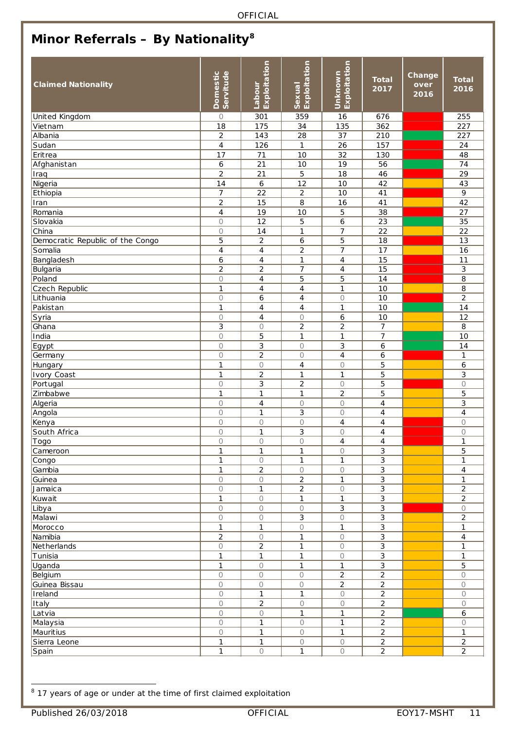## <span id="page-10-0"></span>**Minor Referrals – By Nationality[8](#page-10-1)**

| <b>Claimed Nationality</b>       | Domestic<br>Servitude | Exploitation<br>Labour   | Exploitation<br>Sexual | Exploitation<br>Unknown  | <b>Total</b><br>2017 | Change<br>over<br>2016 | <b>Total</b><br>2016             |
|----------------------------------|-----------------------|--------------------------|------------------------|--------------------------|----------------------|------------------------|----------------------------------|
| United Kingdom                   | $\bigcirc$            | 301                      | 359                    | 16                       | 676                  |                        | 255                              |
| Vietnam                          | 18                    | 175                      | 34                     | 135                      | 362                  |                        | 227                              |
| Albania                          | $\mathbf 2$           | 143                      | 28                     | 37                       | 210                  |                        | 227                              |
| Sudan                            | $\overline{4}$        | 126                      | 1                      | 26                       | 157                  |                        | 24                               |
| Eritrea                          | 17                    | 71                       | 10                     | 32                       | 130                  |                        | 48                               |
| Afghanistan                      | 6                     | $\overline{21}$          | 10                     | 19                       | 56                   |                        | 74                               |
| Iraq                             | $\overline{2}$        | 21                       | 5                      | 18                       | 46                   |                        | 29                               |
| Nigeria                          | 14                    | $\boldsymbol{6}$         | 12                     | 10                       | 42                   |                        | 43                               |
| Ethiopia                         | $\overline{7}$        | 22                       | $\overline{c}$         | 10                       | 41                   |                        | 9                                |
| Iran                             | $\overline{2}$        | 15                       | 8                      | 16                       | 41                   |                        | 42                               |
| Romania                          | $\overline{4}$        | 19                       | 10                     | 5                        | 38                   |                        | 27                               |
| Slovakia                         | $\circ$               | $\overline{12}$          | 5                      | $\boldsymbol{6}$         | $\overline{23}$      |                        | $\overline{35}$                  |
| China                            | $\bigcirc$            | 14                       | $\mathbf{1}$           | $\overline{7}$           | 22                   |                        | 22                               |
| Democratic Republic of the Congo | 5                     | $\overline{2}$           | 6                      | 5                        | 18                   |                        | 13                               |
| Somalia                          | $\overline{4}$        | $\overline{\mathcal{A}}$ | $\overline{c}$         | $\overline{7}$           | 17                   |                        | 16                               |
| Bangladesh                       | 6                     | $\overline{\mathcal{A}}$ | $\mathbf{1}$           | $\overline{4}$           | 15                   |                        | 11                               |
| Bulgaria                         | $\overline{c}$        | $\overline{2}$           | 7                      | 4                        | 15                   |                        | 3                                |
| Poland                           | $\bigcirc$            | $\overline{4}$           | 5                      | 5                        | 14                   |                        | 8                                |
| Czech Republic                   | $\mathbf{1}$          | $\overline{4}$           | 4                      | $\mathbf{1}$             | $\overline{10}$      |                        | $\overline{8}$                   |
|                                  | $\circ$               |                          | $\overline{4}$         | $\circ$                  | 10                   |                        | $\overline{2}$                   |
| Lithuania                        |                       | 6                        |                        |                          |                      |                        |                                  |
| Pakistan                         | $\mathbf{1}$          | $\overline{4}$           | $\overline{4}$         | $\mathbf{1}$             | 10                   |                        | 14                               |
| Syria                            | 0                     | 4                        | 0                      | $\boldsymbol{6}$         | 10                   |                        | 12                               |
| Ghana                            | 3                     | $\bigcirc$               | $\overline{2}$         | $\overline{2}$           | $\overline{7}$       |                        | 8                                |
| India                            | $\circ$               | 5                        | $\mathbf{1}$           | $\mathbf{1}$             | 7                    |                        | 10                               |
| Egypt                            | $\circ$               | 3                        | $\circ$                | 3                        | 6                    |                        | 14                               |
| Germany                          | $\circ$               | $\overline{2}$           | $\circ$                | $\overline{4}$           | 6                    |                        | $\mathbf{1}$                     |
| Hungary                          | $\mathbf{1}$          | $\bigcirc$               | $\overline{4}$         | $\circ$                  | 5                    |                        | $\boldsymbol{6}$                 |
| <b>Ivory Coast</b>               | 1                     | 2                        | 1                      | $\mathbf{1}$             | 5                    |                        | 3                                |
| Portugal                         | $\circ$               | 3                        | $\overline{2}$         | $\bigcirc$               | 5                    |                        | $\bigcirc$                       |
| Zimbabwe                         | $\mathbf{1}$          | $\mathbf{1}$             | $\mathbf{1}$           | $\overline{2}$           | 5                    |                        | 5                                |
| Algeria                          | $\circ$               | 4                        | 0                      | $\circ$                  | 4                    |                        | 3                                |
| Angola                           | $\circ$               | $\mathbf{1}$             | 3                      | $\circ$                  | $\overline{4}$       |                        | $\overline{4}$                   |
| Kenya                            | 0                     | $\bigcirc$               | $\bigcirc$             | $\overline{4}$           | 4                    |                        | $\bigcirc$                       |
| South Africa                     | $\circ$               | $\mathbf{1}$             | 3                      | 0                        | 4                    |                        | $\bigcirc$                       |
| Togo                             | $\circ$               | $\circ$                  | $\circ$                | $\overline{4}$           | $\overline{4}$       |                        | $\mathbf{1}$                     |
| Cameroon                         | 1                     | $\mathbf{1}$             | 1                      | $\bigcirc$               | 3                    |                        | 5                                |
| Congo                            | $\mathbf{1}$          | $\bigcirc$               | 1                      | $\mathbf{1}$             | 3                    |                        | 1                                |
| Gambia                           | $\mathbf{1}$          | $\overline{2}$           | $\circ$                | $\circ$                  | 3                    |                        | $\overline{4}$                   |
| Guinea                           | 0                     | $\bigcirc$               | 2                      | $\mathbf{1}$             | 3                    |                        | $\mathbf{1}$                     |
| Jamaica                          | 0                     | $\mathbf{1}$             | $\overline{2}$         | $\circ$                  | 3                    |                        | $\overline{a}$                   |
| Kuwait                           | $\mathbf{1}$          | $\bigcirc$               | 1                      | $\mathbf{1}$             | 3                    |                        | $\overline{a}$                   |
| Libya                            | $\bigcirc$            | $\bigcirc$               | $\circ$                | 3                        | 3                    |                        | $\bigcirc$                       |
| Malawi                           | $\bigcirc$            | $\bigcirc$               | 3                      | $\bigcirc$               | 3                    |                        | $\overline{2}$                   |
| Morocco                          | $\mathbf{1}$          | $\mathbf{1}$             | $\circ$                | $\mathbf{1}$             | 3                    |                        | $\mathbf{1}$                     |
| Namibia                          | $\overline{c}$        | $\bigcirc$               | $\mathbf{1}$           | $\circ$                  | 3                    |                        | $\overline{4}$                   |
| Netherlands                      | $\bigcirc$            | $\overline{c}$           | $\mathbf{1}$           | $\bigcirc$               | 3                    |                        | $\mathbf{1}$                     |
| Tunisia                          | 1                     | $\mathbf{1}$             | 1                      | $\circ$                  | 3                    |                        | $\mathbf{1}$                     |
| Uganda                           | 1                     | $\bigcirc$               | 1                      | $\mathbf{1}$             | 3                    |                        | 5                                |
| Belgium                          | $\bigcirc$            | $\bigcirc$               | $\circ$                | $\overline{2}$           | $\overline{2}$       |                        | $\bigcirc$                       |
| Guinea Bissau                    | $\bigcirc$            | $\bigcirc$               | $\bigcirc$             | $\overline{2}$           | $\overline{2}$       |                        | $\bigcirc$                       |
| Ireland                          | $\circ$               | $\mathbf{1}$             | $\mathbf{1}$           | $\bigcirc$               | $\overline{c}$       |                        | $\circ$                          |
| Italy                            | $\bigcirc$            | $\sqrt{2}$               | $\bigcirc$             | $\bigcirc$               | $\overline{a}$       |                        | $\circ$                          |
| Latvia                           | $\bigcirc$            | $\bigcirc$               | 1                      | 1                        | 2                    |                        | 6                                |
| Malaysia                         | $\bigcirc$            | 1                        | $\bigcirc$             | 1                        | $\overline{a}$       |                        | $\circ$                          |
| Mauritius                        | $\bigcirc$            | $\mathbf{1}$             | $\bigcirc$             | $\mathbf{1}$             | $\overline{2}$       |                        | $\mathbf{1}$                     |
|                                  |                       | $\mathbf{1}$             |                        |                          |                      |                        |                                  |
| Sierra Leone                     | 1<br>$\mathbf{1}$     |                          | $\bigcirc$             | $\bigcirc$<br>$\bigcirc$ | $\overline{c}$       |                        | $\overline{a}$<br>$\overline{2}$ |
| Spain                            |                       | $\bigcirc$               | $\mathbf{1}$           |                          | $\overline{a}$       |                        |                                  |

<span id="page-10-1"></span><sup>8</sup> 17 years of age or under at the time of first claimed exploitation -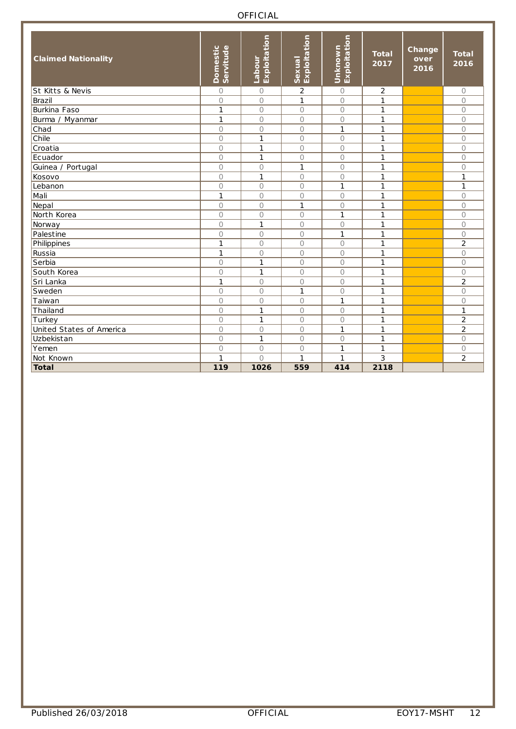| <b>Claimed Nationality</b>  | <b>Domestic</b><br>Servitude | Exploitation<br><b>Labour</b> | Exploitation<br><b>Sexual</b> | Exploitation<br>Unknown | <b>Total</b><br>2017 | Change<br>over<br>2016 | <b>Total</b><br>2016 |
|-----------------------------|------------------------------|-------------------------------|-------------------------------|-------------------------|----------------------|------------------------|----------------------|
| <b>St Kitts &amp; Nevis</b> | $\circ$                      | $\circ$                       | $\overline{2}$                | $\circ$                 | 2                    |                        | $\circ$              |
| Brazil                      | $\overline{O}$               | 0                             | $\mathbf{1}$                  | $\bigcirc$              | $\mathbf{1}$         |                        | $\bigcirc$           |
| Burkina Faso                | $\mathbf{1}$                 | 0                             | $\circ$                       | $\circ$                 | 1                    |                        | $\circ$              |
| Burma / Myanmar             | $\mathbf{1}$                 | 0                             | $\circ$                       | $\circ$                 | $\mathbf{1}$         |                        | $\circ$              |
| Chad                        | 0                            | 0                             | $\circ$                       | 1                       | 1                    |                        | $\circ$              |
| Chile                       | $\bigcirc$                   | 1                             | $\circ$                       | $\bigcirc$              | 1                    |                        | $\bigcirc$           |
| Croatia                     | $\circ$                      | 1                             | $\circ$                       | $\circ$                 | 1                    |                        | $\circ$              |
| Ecuador                     | $\overline{O}$               | 1                             | $\circ$                       | $\bigcirc$              | 1                    |                        | $\bigcirc$           |
| Guinea / Portugal           | $\circ$                      | $\circ$                       | $\mathbf{1}$                  | $\circ$                 | 1                    |                        | $\circ$              |
| Kosovo                      | $\bigcirc$                   | 1                             | $\circ$                       | $\bigcirc$              | $\mathbf{1}$         |                        | $\mathbf{1}$         |
| Lebanon                     | 0                            | 0                             | $\circ$                       | $\mathbf{1}$            | 1                    |                        | $\mathbf{1}$         |
| Mali                        | $\mathbf{1}$                 | 0                             | $\circ$                       | $\circ$                 | 1                    |                        | $\bigcirc$           |
| Nepal                       | 0                            | 0                             | $\mathbf{1}$                  | $\circ$                 | 1                    |                        | $\circ$              |
| North Korea                 | $\overline{O}$               | 0                             | $\circ$                       | $\mathbf{1}$            | 1                    |                        | $\bigcirc$           |
| Norway                      | $\bigcirc$                   | 1                             | $\bigcirc$                    | $\bigcirc$              | 1                    |                        | $\bigcirc$           |
| Palestine                   | $\overline{O}$               | 0                             | $\circ$                       | $\mathbf{1}$            | 1                    |                        | $\circ$              |
| Philippines                 | $\mathbf{1}$                 | 0                             | $\circ$                       | $\bigcirc$              | 1                    |                        | $\overline{2}$       |
| Russia                      | $\mathbf{1}$                 | 0                             | $\circ$                       | $\circ$                 | 1                    |                        | $\circ$              |
| Serbia                      | $\circ$                      | 1                             | $\circ$                       | $\circ$                 | 1                    |                        | $\circ$              |
| South Korea                 | $\overline{O}$               | 1                             | $\circ$                       | $\circ$                 | 1                    |                        | $\bigcirc$           |
| Sri Lanka                   | $\mathbf{1}$                 | 0                             | $\circ$                       | $\bigcirc$              | 1                    |                        | $\overline{2}$       |
| Sweden                      | $\circ$                      | 0                             | $\mathbf{1}$                  | $\circ$                 | 1                    |                        | $\circ$              |
| Taiwan                      | $\overline{O}$               | 0                             | $\circ$                       | 1                       | 1                    |                        | $\bigcirc$           |
| Thailand                    | $\bigcirc$                   | 1                             | $\circ$                       | $\bigcirc$              | $\mathbf{1}$         |                        | 1                    |
| Turkey                      | $\bigcirc$                   | 1                             | $\circ$                       | $\circ$                 | 1                    |                        | $\overline{2}$       |
| United States of America    | $\bigcirc$                   | $\bigcirc$                    | $\circ$                       | $\mathbf{1}$            | 1                    |                        | $\overline{a}$       |
| Uzbekistan                  | $\bigcirc$                   | 1                             | $\bigcirc$                    | $\bigcirc$              | 1                    |                        | $\bigcirc$           |
| Yemen                       | $\bigcirc$                   | $\circ$                       | $\circ$                       | 1                       | 1                    |                        | $\circ$              |
| Not Known                   | $\mathbf{1}$                 | $\overline{O}$                | $\mathbf{1}$                  | 1                       | 3                    |                        | $\overline{2}$       |
| Total                       | 119                          | 1026                          | 559                           | 414                     | 2118                 |                        |                      |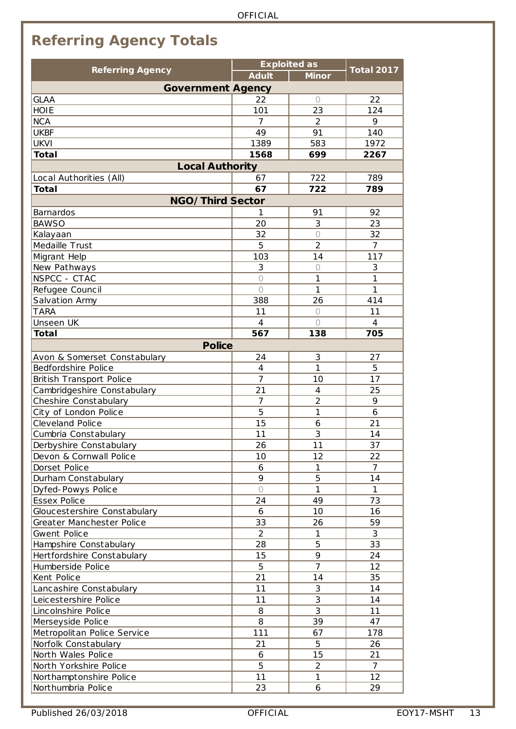## <span id="page-12-0"></span>**Referring Agency Totals**

| <b>Referring Agency</b>                                   |                | <b>Exploited as</b> | <b>Total 2017</b> |  |
|-----------------------------------------------------------|----------------|---------------------|-------------------|--|
|                                                           | <b>Adult</b>   | <b>Minor</b>        |                   |  |
| <b>Government Agency</b>                                  |                |                     |                   |  |
| <b>GLAA</b>                                               | 22             | $\bigcirc$          | 22                |  |
| <b>HOIE</b>                                               | 101            | 23                  | 124               |  |
| <b>NCA</b>                                                | 7              | 2                   | 9                 |  |
| <b>UKBF</b>                                               | 49             | 91                  | 140               |  |
| <b>UKVI</b>                                               | 1389           | 583                 | 1972              |  |
| <b>Total</b>                                              | 1568           | 699                 | 2267              |  |
| <b>Local Authority</b>                                    |                |                     |                   |  |
| Local Authorities (All)                                   | 67             | 722                 | 789               |  |
| <b>Total</b>                                              | 67             | 722                 | 789               |  |
| <b>NGO/Third Sector</b>                                   |                |                     |                   |  |
| <b>Barnardos</b>                                          | 1              | 91                  | 92                |  |
| <b>BAWSO</b>                                              | 20             | 3                   | 23                |  |
| Kalayaan                                                  | 32             | $\bigcirc$          | 32                |  |
| Medaille Trust                                            | 5              | $\overline{2}$      | $\overline{7}$    |  |
| Migrant Help                                              | 103            | 14                  | 117               |  |
| New Pathways                                              | 3              | $\bigcirc$          | 3                 |  |
| NSPCC - CTAC                                              | $\bigcirc$     | 1                   | $\mathbf{1}$      |  |
| Refugee Council                                           | $\bigcap$      | 1                   | 1                 |  |
| Salvation Army                                            | 388            | 26                  | 414               |  |
| <b>TARA</b>                                               | 11             | $\bigcirc$          | 11                |  |
| Unseen UK                                                 | $\overline{4}$ | $\bigcap$           | 4                 |  |
| <b>Total</b>                                              | 567            | 138                 | 705               |  |
| <b>Police</b>                                             |                |                     |                   |  |
| Avon & Somerset Constabulary                              | 24             | 3                   | 27                |  |
| Bedfordshire Police                                       | 4              | 1                   | 5                 |  |
|                                                           | $\overline{7}$ | 10                  | 17                |  |
| British Transport Police<br>Cambridgeshire Constabulary   | 21             | $\overline{4}$      | 25                |  |
| Cheshire Constabulary                                     | 7              | $\overline{2}$      | 9                 |  |
| City of London Police                                     | 5              | 1                   | 6                 |  |
| Cleveland Police                                          | 15             | 6                   | 21                |  |
| Cumbria Constabulary                                      | 11             | 3                   | 14                |  |
| Derbyshire Constabulary                                   | 26             | 11                  | 37                |  |
| Devon & Cornwall Police                                   | 10             | 12                  | 22                |  |
| Dorset Police                                             | 6              | 1                   | 7                 |  |
| Durham Constabulary                                       | 9              | 5                   | 14                |  |
| Dyfed-Powys Police                                        | $\bigcirc$     | 1                   | $\mathbf{1}$      |  |
| Essex Police                                              | 24             | 49                  | 73                |  |
|                                                           | 6              | 10                  | 16                |  |
| Gloucestershire Constabulary<br>Greater Manchester Police | 33             | 26                  | 59                |  |
| Gwent Police                                              | $\overline{2}$ | 1                   | 3                 |  |
|                                                           | 28             | 5                   | 33                |  |
| Hampshire Constabulary                                    |                | 9                   |                   |  |
| Hertfordshire Constabulary                                | 15             | $\overline{7}$      | 24                |  |
| Humberside Police                                         | 5              |                     | 12                |  |
| Kent Police                                               | 21             | 14                  | 35                |  |
| Lancashire Constabulary                                   | 11             | $\sqrt{3}$          | 14                |  |
| Leicestershire Police                                     | 11             | $\overline{3}$      | 14                |  |
| Lincolnshire Police                                       | 8              | 3                   | 11                |  |
| Merseyside Police                                         | 8              | 39                  | 47                |  |
| Metropolitan Police Service                               | 111            | 67                  | 178               |  |
| Norfolk Constabulary                                      | 21             | 5                   | 26                |  |
| North Wales Police                                        | 6              | 15                  | 21                |  |
| North Yorkshire Police                                    | 5              | $\overline{2}$      | $\overline{7}$    |  |
| Northamptonshire Police                                   | 11             | 1                   | $12 \overline{ }$ |  |
| Northumbria Police                                        | 23             | 6                   | 29                |  |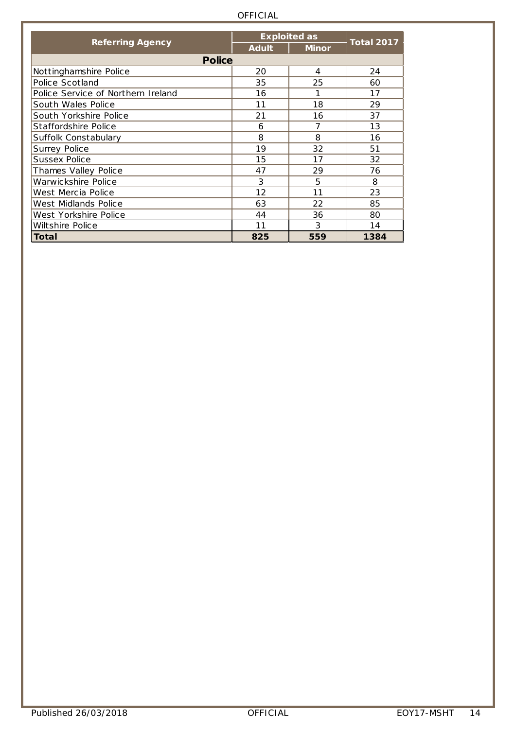|                                    |              | <b>Exploited as</b> | <b>Total 2017</b> |
|------------------------------------|--------------|---------------------|-------------------|
| <b>Referring Agency</b>            | <b>Adult</b> | <b>Minor</b>        |                   |
| <b>Police</b>                      |              |                     |                   |
| Nottinghamshire Police             | 20           | 4                   | 24                |
| Police Scotland                    | 35           | 25                  | 60                |
| Police Service of Northern Ireland | 16           | 1                   | 17                |
| South Wales Police                 | 11           | 18                  | 29                |
| South Yorkshire Police             | 21           | 16                  | 37                |
| Staffordshire Police               | 6            | 7                   | 13                |
| Suffolk Constabulary               | 8            | 8                   | 16                |
| Surrey Police                      | 19           | 32                  | 51                |
| Sussex Police                      | 15           | 17                  | 32                |
| Thames Valley Police               | 47           | 29                  | 76                |
| Warwickshire Police                | 3            | 5                   | 8                 |
| West Mercia Police                 | 12           | 11                  | 23                |
| West Midlands Police               | 63           | 22                  | 85                |
| West Yorkshire Police              | 44           | 36                  | 80                |
| Wiltshire Police                   | 11           | 3                   | 14                |
| <b>Total</b>                       | 825          | 559                 | 1384              |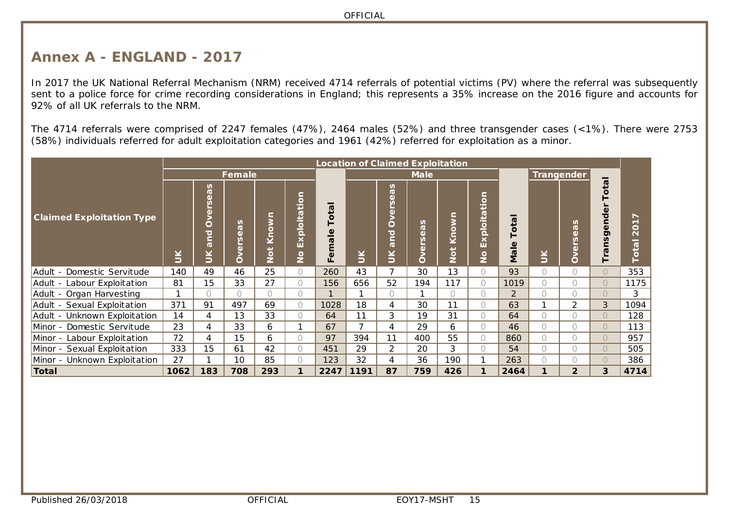#### **Annex A - ENGLAND - 2017**

In 2017 the UK National Referral Mechanism (NRM) received 4714 referrals of potential victims (PV) where the referral was subsequently sent to a police force for crime recording considerations in England; this represents a 35% increase on the 2016 figure and accounts for 92% of all UK referrals to the NRM.

The 4714 referrals were comprised of 2247 females (47%), 2464 males (52%) and three transgender cases (<1%). There were 2753 (58%) individuals referred for adult exploitation categories and 1961 (42%) referred for exploitation as a minor.

<span id="page-14-0"></span>

|                                  |        | <b>Location of Claimed Exploitation</b>                                            |                                           |                     |                                                                              |                                                                         |        |                                                                             |                                |                     |                                                  |                                               |            |                                                                           |            |                          |
|----------------------------------|--------|------------------------------------------------------------------------------------|-------------------------------------------|---------------------|------------------------------------------------------------------------------|-------------------------------------------------------------------------|--------|-----------------------------------------------------------------------------|--------------------------------|---------------------|--------------------------------------------------|-----------------------------------------------|------------|---------------------------------------------------------------------------|------------|--------------------------|
|                                  |        |                                                                                    | Female                                    |                     |                                                                              |                                                                         |        |                                                                             | <b>Male</b>                    |                     |                                                  |                                               |            | Trangender                                                                |            |                          |
| <b>Claimed Exploitation Type</b> | $\leq$ | n<br>$\sigma$<br>$\mathbf{d}$<br>(l)<br>O<br>$\overline{\bullet}$<br>$\sigma$<br>Š | n<br>$\overline{\sigma}$<br>Ф.<br>G)<br>റ | š<br>$\overline{S}$ | tio<br>$\sigma$<br>≝<br>$\circ$<br>ō<br>$\overline{\phantom{0}}$<br>ш<br>ιSΙ | σ<br>پ<br>O<br>$\overline{\mathsf{e}}$<br>$\overline{\mathbf{m}}$<br>Eē | $\leq$ | n<br>$\sigma$<br>$\omega$<br>n<br>$\omega$<br>Ò<br>ਹ<br>Ē.<br>$\sigma$<br>Š | n<br><b>D</b><br>$\omega$<br>O | Know<br>$rac{1}{2}$ | ation<br>ploit;<br>EX<br>$\overline{\mathsf{P}}$ | σ<br>$\circ$<br>$\overline{\mathsf{e}}$<br>Μa | $\leq$     | n<br>$\sigma$<br><sup>(1)</sup><br>$\boldsymbol{\omega}$<br>$\omega$<br>O | σ<br>o     | $\circ$<br><b>D</b><br>O |
| Adult - Domestic Servitude       | 140    | 49                                                                                 | 46                                        | 25                  | $\bigcap$                                                                    | 260                                                                     | 43     | 7                                                                           | 30                             | 13                  | $\bigcap$                                        | 93                                            | O          | $\bigcap$                                                                 | $\bigcap$  | 353                      |
| Adult - Labour Exploitation      | 81     | 15                                                                                 | 33                                        | 27                  | 0                                                                            | 156                                                                     | 656    | 52                                                                          | 194                            | 117                 | $\bigcirc$                                       | 1019                                          | $\bigcap$  | $\bigcap$                                                                 | $\bigcap$  | 1175                     |
| Adult - Organ Harvesting         |        | $\bigcap$                                                                          | $\bigcap$                                 | O.                  | $\bigcap$                                                                    | $\mathbf{1}$                                                            |        | $\bigcap$                                                                   |                                |                     | $\bigcap$                                        | 2                                             |            | $\bigcap$                                                                 | $\bigcap$  | 3                        |
| Adult - Sexual Exploitation      | 371    | 91                                                                                 | 497                                       | 69                  | $\bigcirc$                                                                   | 1028                                                                    | 18     | 4                                                                           | 30                             | 11                  | $\bigcirc$                                       | 63                                            |            | $\overline{2}$                                                            | 3          | 1094                     |
| Adult - Unknown Exploitation     | 14     | 4                                                                                  | 13                                        | 33                  | $\bigcirc$                                                                   | 64                                                                      | 11     | 3                                                                           | 19                             | 31                  | $\bigcap$                                        | 64                                            | $\bigcap$  | $\bigcap$                                                                 | $\bigcap$  | 128                      |
| Minor - Domestic Servitude       | 23     | 4                                                                                  | 33                                        | 6                   | 1                                                                            | 67                                                                      |        | 4                                                                           | 29                             | 6                   | $\bigcap$                                        | 46                                            | $\bigcirc$ | $\bigcap$                                                                 | $\bigcirc$ | 113                      |
| Minor - Labour Exploitation      | 72     | 4                                                                                  | 15                                        | 6                   | $\bigcirc$                                                                   | 97                                                                      | 394    | 11                                                                          | 400                            | 55                  | $\bigcirc$                                       | 860                                           | 0          | $\bigcap$                                                                 | $\bigcirc$ | 957                      |
| Minor - Sexual Exploitation      | 333    | 15                                                                                 | 61                                        | 42                  | $\bigcirc$                                                                   | 451                                                                     | 29     | 2                                                                           | 20                             | 3                   | $\bigcirc$                                       | 54                                            | $\bigcap$  | $\bigcirc$                                                                | $\bigcirc$ | 505                      |
| Minor - Unknown Exploitation     | 27     |                                                                                    | 10                                        | 85                  | $\bigcap$                                                                    | 123                                                                     | 32     | 4                                                                           | 36                             | 190                 |                                                  | 263                                           | $\bigcap$  |                                                                           | $\bigcap$  | 386                      |
| Total                            | 1062   | 183                                                                                | 708                                       | 293                 | 1                                                                            | 2247                                                                    | 1191   | 87                                                                          | 759                            | 426                 | 1                                                | 2464                                          | 1          | $\overline{2}$                                                            | 3          | 4714                     |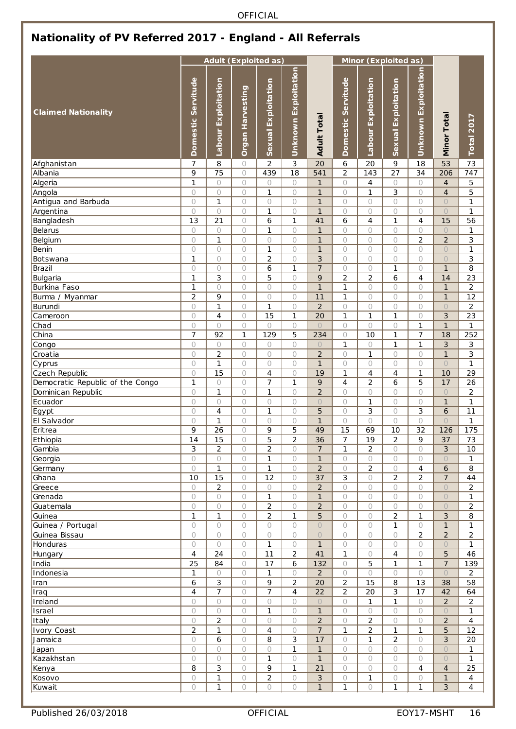### <span id="page-15-0"></span>**Nationality of PV Referred 2017 - England - All Referrals**

|                                                    |                         |                         |                          | <b>Adult (Exploited as)</b>   |                                |                              |                       |                           | Minor (Exploited as)           |                            |                                |                      |
|----------------------------------------------------|-------------------------|-------------------------|--------------------------|-------------------------------|--------------------------------|------------------------------|-----------------------|---------------------------|--------------------------------|----------------------------|--------------------------------|----------------------|
| <b>Claimed Nationality</b>                         | Servitude<br>Domestic   | Exploitation<br>Labour  | Harvesting<br>Organ      | Exploitation<br><b>Sexual</b> | Exploitation<br><b>Unknown</b> | <b>Adult Total</b>           | Servitude<br>Domestic | Exploitation<br>Labour    | Exploitation<br><b>Sexual</b>  | Unknown Exploitation       | Minor Total                    | Total 2017           |
| Afghanistan                                        | 7                       | 8                       | $\circ$                  | $\overline{2}$                | 3                              | 20                           | 6                     | 20                        | 9                              | 18                         | 53                             | 73                   |
| Albania                                            | 9                       | 75                      | $\circ$                  | 439                           | 18                             | 541                          | $\overline{2}$        | 143                       | 27                             | 34                         | 206                            | 747                  |
| Algeria                                            | 1                       | $\circ$                 | $\circ$                  | 0                             | $\circ$                        | $\mathbf{1}$                 | $\circ$               | $\overline{4}$            | $\circ$                        | $\circ$                    | $\overline{4}$                 | 5                    |
| Angola                                             | $\circ$                 | $\bigcirc$              | $\circ$                  | 1                             | $\bigcirc$                     | $\mathbf{1}$                 | $\bigcirc$            | 1                         | 3                              | 0                          | $\overline{4}$                 | 5                    |
| Antigua and Barbuda                                | $\circ$<br>$\circ$      | $\mathbf{1}$<br>$\circ$ | $\circ$                  | 0<br>1                        | $\circ$                        | $\mathbf{1}$<br>$\mathbf{1}$ | 0                     | $\circ$                   | $\circ$<br>$\bigcirc$          | 0<br>$\bigcirc$            | $\bigcirc$                     | 1                    |
| Argentina<br>Bangladesh                            | 13                      | 21                      | $\circ$<br>$\circ$       | 6                             | $\circ$<br>$\mathbf{1}$        | 41                           | $\circ$<br>6          | $\circ$<br>$\overline{4}$ | $\mathbf{1}$                   | $\overline{4}$             | $\bigcirc$<br>15               | 1<br>56              |
| Belarus                                            | $\bigcirc$              | $\circ$                 | 0                        | 1                             | $\bigcirc$                     | $\mathbf{1}$                 | 0                     | $\circ$                   | $\circ$                        | 0                          | $\bigcirc$                     | 1                    |
| Belgium                                            | $\circ$                 | $\mathbf{1}$            | $\bigcirc$               | 0                             | $\circ$                        | $\mathbf{1}$                 | $\circ$               | $\circ$                   | $\bigcirc$                     | $\overline{c}$             | $\overline{2}$                 | 3                    |
| Benin                                              | $\circ$                 | $\circ$                 | $\circ$                  | 1                             | $\circ$                        | $\mathbf{1}$                 | 0                     | $\circ$                   | $\circ$                        | 0                          | $\bigcirc$                     | 1                    |
| Botswana                                           | 1                       | $\circ$                 | $\circ$                  | $\overline{c}$                | $\circ$                        | 3                            | 0                     | $\circ$                   | $\circ$                        | 0                          | $\circ$                        | 3                    |
| Brazil                                             | $\circ$                 | $\circ$                 | $\circ$                  | 6                             | $\mathbf{1}$                   | $\overline{7}$               | 0                     | 0                         | 1                              | $\bigcirc$                 | $\mathbf{1}$                   | 8                    |
| Bulgaria                                           | $\mathbf{1}$            | 3                       | $\circ$                  | 5                             | $\bigcirc$                     | 9                            | $\overline{2}$        | $\overline{2}$            | 6                              | $\overline{4}$             | 14                             | 23                   |
| Burkina Faso                                       | $\mathbf{1}$            | $\circ$                 | $\circ$                  | 0                             | $\bigcirc$                     | $\mathbf{1}$                 | $\mathbf{1}$          | $\circ$                   | $\circ$                        | $\bigcirc$                 | $\mathbf{1}$                   | $\overline{c}$       |
| Burma / Myanmar                                    | $\overline{2}$          | 9                       | $\circ$                  | 0                             | $\circ$                        | 11                           | 1                     | $\circ$                   | $\circ$                        | $\circ$                    | $\mathbf{1}$                   | 12                   |
| Burundi                                            | $\circ$                 | $\mathbf{1}$            | $\circ$                  | 1                             | $\circ$                        | $\overline{2}$               | $\bigcirc$            | $\circ$                   | $\circ$                        | 0                          | $\bigcirc$                     | $\overline{c}$       |
| Cameroon                                           | $\circ$                 | $\overline{4}$          | $\circ$                  | 15                            | 1                              | 20                           | 1                     | $\mathbf{1}$              | 1                              | 0                          | 3                              | 23                   |
| Chad                                               | $\circ$                 | $\circ$                 | 0                        | 0                             | $\circ$                        | $\circ$                      | $\circ$               | 0                         | $\bigcirc$                     | 1                          | $\mathbf{1}$                   | 1                    |
| China                                              | $\overline{7}$          | 92                      | $\mathbf{1}$             | 129                           | 5                              | 234                          | 0                     | 10                        | $\mathbf{1}$                   | 7                          | 18                             | 252                  |
| Congo                                              | $\bigcirc$              | $\circ$                 | $\bigcirc$               | 0                             | $\circ$                        | $\circ$                      | $\mathbf{1}$          | $\circ$                   | $\mathbf{1}$                   | 1                          | 3                              | 3                    |
| Croatia                                            | $\circ$                 | $\overline{2}$          | $\bigcirc$               | $\circ$                       | $\bigcirc$                     | $\overline{2}$               | $\circ$               | 1                         | $\bigcirc$                     | $\bigcirc$                 | $\mathbf{1}$                   | 3                    |
| Cyprus                                             | $\circ$                 | $\mathbf{1}$<br>15      | $\circ$                  | 0<br>$\overline{4}$           | $\circ$                        | $\mathbf{1}$                 | 0                     | $\circ$<br>$\overline{4}$ | $\circ$                        | 0                          | $\bigcirc$<br>10               | 1<br>29              |
| Czech Republic<br>Democratic Republic of the Congo | $\circ$<br>$\mathbf{1}$ | $\circ$                 | 0<br>0                   | 7                             | $\bigcirc$<br>$\mathbf{1}$     | 19<br>9                      | 1<br>4                | $\overline{2}$            | 4<br>6                         | 1<br>5                     | 17                             | 26                   |
| Dominican Republic                                 | $\bigcirc$              | $\mathbf{1}$            | $\circ$                  | 1                             | $\circ$                        | $\overline{2}$               | 0                     | $\circ$                   | $\circ$                        | 0                          | $\bigcirc$                     | $\overline{2}$       |
| Ecuador                                            | $\bigcirc$              | $\circ$                 | 0                        | $\circ$                       | $\bigcirc$                     | $\circ$                      | 0                     | $\mathbf{1}$              | $\circ$                        | $\circ$                    | $\mathbf{1}$                   | 1                    |
| Egypt                                              | $\circ$                 | 4                       | $\circ$                  | 1                             | $\circ$                        | 5                            | $\circ$               | 3                         | $\circ$                        | 3                          | 6                              | 11                   |
| El Salvador                                        | $\circ$                 | 1                       | 0                        | 0                             | $\circ$                        | $\mathbf{1}$                 | $\circ$               | $\circ$                   | $\circ$                        | 0                          | $\overline{O}$                 | 1                    |
| Eritrea                                            | 9                       | 26                      | 0                        | 9                             | 5                              | 49                           | 15                    | 69                        | 10                             | 32                         | 126                            | 175                  |
| Ethiopia                                           | 14                      | 15                      | 0                        | 5                             | 2                              | 36                           | $\prime$              | 19                        | 2                              | 9                          | 37                             | 73                   |
| Gambia                                             | 3                       | $\overline{2}$          | $\bigcirc$               | $\overline{2}$                | $\bigcirc$                     | $\overline{7}$               | $\mathbf{1}$          | $\overline{2}$            | $\bigcirc$                     | 0                          | 3                              | 10                   |
| Georgia                                            | $\circ$                 | $\bigcirc$              | $\bigcirc$               | $\mathbf{1}$                  | $\circ$                        | $\mathbf{1}$                 | $\circ$               | $\circ$                   | $\bigcirc$                     | $\bigcirc$                 | $\bigcirc$                     | 1                    |
| Germany                                            | $\circ$                 | $\mathbf{1}$            | $\bigcirc$               | $\mathbf{1}$                  | $\circ$                        | $\overline{2}$               | $\circ$               | $\overline{2}$            | $\circ$                        | 4                          | 6                              | 8                    |
| Ghana                                              | 10                      | 15                      | $\circ$                  | 12                            | $\circ$                        | 37                           | 3                     | $\circ$                   | 2                              | 2                          | $\overline{7}$                 | 44                   |
| Greece                                             | $\circ$                 | $\overline{2}$          | $\bigcirc$               | 0                             | $\circ$                        | $\overline{c}$               | $\circ$               | 0                         | $\bigcirc$                     | 0                          | $\bigcirc$                     | 2                    |
| Grenada                                            | $\circ$                 | $\bigcirc$              | $\circ$                  | 1                             | $\circ$                        | $\mathbf{1}$                 | $\bigcirc$            | 0                         | $\circ$                        | $\bigcirc$                 | $\bigcirc$                     | 1                    |
| Guatemala                                          | $\bigcirc$              | $\bigcirc$              | 0                        | $\overline{2}$                | $\circ$                        | $\overline{2}$               | 0                     | $\circ$                   | $\circ$                        | 0                          | $\bigcirc$                     | $\overline{c}$       |
| Guinea<br>Guinea / Portugal                        | $\mathbf{1}$<br>$\circ$ | $\mathbf{1}$<br>$\circ$ | $\bigcirc$<br>$\bigcirc$ | $\overline{2}$                | $\mathbf{1}$<br>$\circ$        | 5<br>$\bigcirc$              | $\bigcirc$<br>$\circ$ | $\circ$<br>$\circ$        | $\overline{c}$<br>$\mathbf{1}$ | $\mathbf{1}$<br>$\bigcirc$ | $\sqrt{3}$<br>$\mathbf{1}$     | 8<br>1               |
| Guinea Bissau                                      | $\circ$                 | $\circ$                 | $\circ$                  | 0<br>0                        | $\circ$                        | $\circ$                      | $\circ$               | $\circ$                   | $\circ$                        | $\overline{2}$             | $\overline{2}$                 | $\overline{c}$       |
| Honduras                                           | $\circ$                 | $\circ$                 | 0                        | 1                             | $\circ$                        | $\mathbf{1}$                 | $\circ$               | 0                         | $\circ$                        | 0                          | $\bigcirc$                     | 1                    |
| Hungary                                            | 4                       | 24                      | $\bigcirc$               | 11                            | $\overline{2}$                 | 41                           | $\mathbf{1}$          | 0                         | 4                              | $\bigcirc$                 | 5                              | 46                   |
| India                                              | $\overline{25}$         | 84                      | $\circ$                  | 17                            | 6                              | 132                          | $\circ$               | 5                         | $\mathbf{1}$                   | 1                          | $\overline{7}$                 | 139                  |
| Indonesia                                          | $\mathbf{1}$            | $\circ$                 | $\bigcirc$               | $\mathbf{1}$                  | $\bigcirc$                     | $\overline{2}$               | $\bigcirc$            | $\circ$                   | $\circ$                        | $\bigcirc$                 | $\bigcirc$                     | $\overline{c}$       |
| Iran                                               | 6                       | 3                       | $\circ$                  | 9                             | $\overline{2}$                 | 20                           | $\overline{2}$        | 15                        | 8                              | 13                         | 38                             | 58                   |
| Iraq                                               | $\overline{4}$          | $\overline{7}$          | $\circ$                  | 7                             | $\overline{4}$                 | 22                           | $\overline{2}$        | 20                        | 3                              | 17                         | 42                             | 64                   |
| Ireland                                            | $\circ$                 | $\circ$                 | 0                        | 0                             | $\circ$                        | $\bigcirc$                   | $\circ$               | 1                         | 1                              | $\bigcirc$                 | $\overline{c}$                 | 2                    |
| Israel                                             | $\circ$                 | $\bigcirc$              | $\bigcirc$               | 1                             | $\circ$                        | $\mathbf{1}$                 | $\bigcirc$            | 0                         | $\circ$                        | $\bigcirc$                 | $\bigcirc$                     | 1                    |
| Italy                                              | $\circ$                 | $\overline{2}$          | $\circ$                  | $\circ$                       | $\circ$                        | $\overline{2}$               | 0                     | $\overline{2}$            | $\bigcirc$                     | 0                          | $\overline{2}$                 | 4                    |
| Ivory Coast                                        | $\overline{2}$          | $\mathbf{1}$            | $\bigcirc$               | 4                             | $\bigcirc$                     | $\overline{7}$               | $\mathbf{1}$          | $\overline{2}$            | $\mathbf{1}$                   | $\mathbf{1}$               | 5                              | 12                   |
| Jamaica                                            | $\circ$                 | 6                       | $\bigcirc$               | 8                             | 3                              | 17                           | $\circ$               | 1                         | $\overline{2}$                 | $\bigcirc$                 | $\mathfrak{Z}$                 | 20                   |
| Japan                                              | $\circ$                 | $\circ$                 | $\circ$                  | 0                             | 1                              | $\mathbf{1}$                 | $\circ$               | $\circ$                   | $\circ$                        | 0                          | $\bigcirc$                     | 1                    |
| Kazakhstan                                         | $\bigcirc$              | $\bigcirc$              | 0                        | 1                             | $\circ$                        | $\mathbf{1}$                 | $\circ$               | 0                         | $\bigcirc$                     | 0                          | $\bigcirc$                     | 1                    |
| Kenya                                              | 8<br>$\bigcirc$         | 3<br>$\mathbf{1}$       | $\bigcirc$               | 9<br>$\overline{c}$           | $\mathbf{1}$                   | 21                           | $\circ$<br>0          | 0<br>$\mathbf 1$          | $\circ$<br>$\bigcirc$          | 4                          | $\overline{4}$<br>$\mathbf{1}$ | 25<br>$\overline{4}$ |
| Kosovo<br>Kuwait                                   | $\bigcirc$              | $\mathbf{1}$            | 0<br>$\bigcirc$          | $\bigcirc$                    | $\bigcirc$<br>$\bigcirc$       | 3<br>$\mathbf{1}$            | $\mathbf{1}$          | $\bigcirc$                | $\mathbf{1}$                   | 0<br>$\mathbf{1}$          | $\mathfrak{S}$                 | $\overline{4}$       |
|                                                    |                         |                         |                          |                               |                                |                              |                       |                           |                                |                            |                                |                      |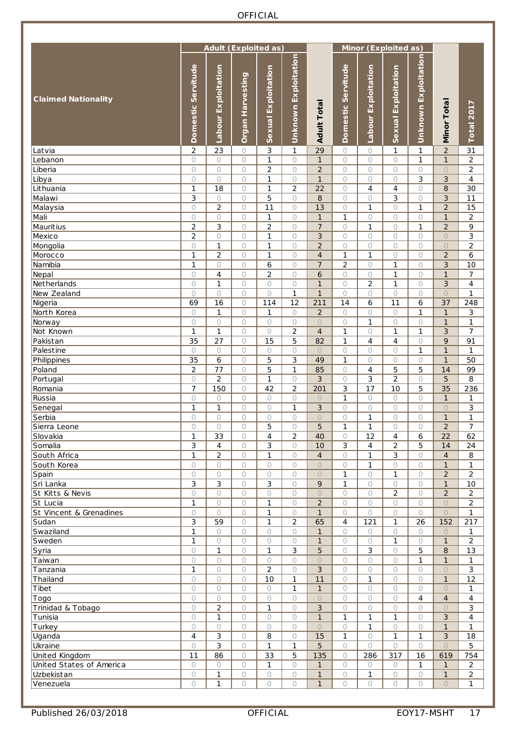|                                            |                       | <b>Adult (Exploited as)</b> |                    |                     |                         |                                |                       |                           | Minor (Exploited as) |                       |                         |                                  |
|--------------------------------------------|-----------------------|-----------------------------|--------------------|---------------------|-------------------------|--------------------------------|-----------------------|---------------------------|----------------------|-----------------------|-------------------------|----------------------------------|
| <b>Claimed Nationality</b>                 | Servitude<br>Domestic | Exploitation<br>Labour      | Organ Harvesting   | Sexual Exploitation | Unknown Exploitation    | <b>Adult Total</b>             | Domestic Servitude    | Exploitation<br>Labour    | Sexual Exploitation  | Unknown Exploitation  | <b>Minor Total</b>      | Total 2017                       |
| Latvia                                     | $\overline{2}$        | 23                          | 0                  | 3                   | 1                       | 29                             | 0                     | 0                         | 1                    | 1                     | $\overline{2}$          | 31                               |
| Lebanon                                    | $\bigcirc$            | $\circ$                     | $\circ$            | 1                   | $\circ$                 | $\mathbf{1}$                   | $\circ$               | $\circ$                   | $\circ$              | 1                     | $\mathbf{1}$            | $\overline{c}$                   |
| Liberia<br>Libya                           | $\circ$<br>$\bigcirc$ | $\circ$<br>$\bigcirc$       | $\circ$<br>$\circ$ | $\overline{2}$<br>1 | $\circ$<br>$\circ$      | $\overline{2}$<br>$\mathbf{1}$ | $\circ$<br>$\bigcirc$ | $\circ$<br>0              | $\circ$<br>0         | $\circ$<br>3          | $\circ$<br>3            | $\overline{c}$<br>$\overline{4}$ |
| Lithuania                                  | $\mathbf{1}$          | 18                          | 0                  | 1                   | $\overline{2}$          | 22                             | $\circ$               | $\overline{4}$            | $\overline{4}$       | $\circ$               | 8                       | 30                               |
| Malawi                                     | 3                     | $\circ$                     | $\bigcirc$         | 5                   | $\circ$                 | 8                              | $\bigcirc$            | $\circ$                   | 3                    | $\bigcirc$            | 3                       | 11                               |
| Malaysia                                   | $\circ$               | $\overline{2}$              | $\circ$            | 11                  | $\circ$                 | 13                             | $\bigcirc$            | $\mathbf{1}$              | 0                    | $\mathbf{1}$          | $\overline{2}$          | 15                               |
| Mali                                       | $\bigcirc$            | $\circ$                     | 0                  | 1                   | $\circ$                 | $\mathbf{1}$                   | 1                     | 0                         | $\circ$              | $\bigcirc$            | $\mathbf{1}$            | $\overline{2}$                   |
| <b>Mauritius</b>                           | $\overline{c}$        | 3                           | 0                  | $\overline{2}$      | $\circ$                 | $\overline{7}$                 | 0                     | $\mathbf{1}$              | 0                    | 1                     | $\overline{2}$          | 9                                |
| Mexico                                     | $\overline{2}$        | $\bigcirc$                  | $\circ$            | 1                   | $\circ$                 | 3                              | $\bigcirc$            | 0                         | 0                    | $\circ$               | $\bigcirc$              | 3                                |
| Mongolia                                   | $\bigcirc$            | 1                           | 0                  | 1                   | $\circ$                 | $\overline{2}$                 | $\circ$               | $\circ$                   | $\circ$              | $\bigcirc$            | $\overline{O}$          | $\overline{2}$                   |
| Morocco                                    | $\mathbf{1}$          | $\overline{2}$              | $\bigcirc$         | $\mathbf{1}$        | $\circ$                 | $\overline{4}$                 | $\mathbf{1}$          | $\mathbf{1}$              | $\circ$              | $\circ$               | $\overline{2}$          | 6                                |
| Namibia                                    | 1                     | $\circ$                     | $\circ$            | 6                   | $\circ$                 | $\overline{7}$                 | $\overline{2}$        | $\bigcirc$                | $\mathbf{1}$         | $\bigcirc$            | 3                       | 10<br>$\overline{7}$             |
| Nepal<br>Netherlands                       | $\circ$<br>$\circ$    | 4<br>1                      | $\circ$<br>0       | 2<br>$\circ$        | $\circ$<br>$\circ$      | 6<br>$\mathbf{1}$              | $\circ$<br>$\bigcirc$ | $\circ$<br>$\overline{2}$ | 1<br>$\mathbf{1}$    | $\bigcirc$<br>$\circ$ | $\mathbf{1}$<br>3       | $\overline{4}$                   |
| New Zealand                                | $\circ$               | $\bigcirc$                  | $\circ$            | $\circ$             | $\mathbf{1}$            | $\mathbf{1}$                   | $\bigcirc$            | 0                         | 0                    | $\circ$               | $\bigcirc$              | 1                                |
| Nigeria                                    | 69                    | 16                          | 0                  | 114                 | 12                      | 211                            | 14                    | 6                         | 11                   | 6                     | 37                      | 248                              |
| North Korea                                | $\circ$               | 1                           | $\bigcirc$         | 1                   | $\circ$                 | $\overline{2}$                 | $\circ$               | 0                         | $\circ$              | $\mathbf{1}$          | $\mathbf{1}$            | 3                                |
| Norway                                     | $\bigcirc$            | $\circ$                     | $\circ$            | $\circ$             | $\circ$                 | $\bigcirc$                     | $\bigcirc$            | $\mathbf{1}$              | 0                    | $\bigcirc$            | $\mathbf{1}$            | $\mathbf{1}$                     |
| Not Known                                  | 1                     | 1                           | 0                  | $\circ$             | $\overline{2}$          | $\overline{4}$                 | 1                     | 0                         | 1                    | 1                     | 3                       | $\overline{7}$                   |
| Pakistan                                   | 35                    | 27                          | $\bigcirc$         | 15                  | 5                       | 82                             | 1                     | $\overline{4}$            | $\overline{4}$       | $\circ$               | 9                       | 91                               |
| Palestine                                  | $\bigcirc$            | $\circ$                     | $\circ$            | 0                   | $\bigcirc$              | $\bigcirc$                     | $\bigcirc$            | 0                         | 0                    | $\mathbf{1}$          | $\mathbf{1}$            | 1                                |
| Philippines                                | 35                    | 6                           | 0                  | 5                   | 3                       | 49                             | $\mathbf{1}$          | $\circ$                   | $\circ$              | $\circ$               | $\mathbf{1}$            | 50                               |
| Poland                                     | $\overline{2}$        | 77                          | $\bigcirc$         | 5                   | $\mathbf{1}$            | 85                             | $\circ$               | $\overline{4}$            | 5                    | 5                     | 14                      | 99                               |
| Portugal                                   | $\circ$               | $\overline{2}$              | $\circ$            | 1                   | $\circ$                 | 3                              | $\bigcirc$            | 3                         | $\overline{2}$       | $\bigcirc$            | 5                       | 8                                |
| Romania                                    | 7                     | 150                         | $\circ$            | 42                  | $\overline{2}$          | 201                            | 3                     | 17                        | 10                   | 5                     | 35                      | 236                              |
| Russia                                     | $\circ$               | $\circ$                     | $\circ$            | 0                   | $\circ$                 | $\circ$                        | 1                     | $\circ$                   | $\circ$              | $\circ$               | $\mathbf{1}$            | 1                                |
| Senegal<br>Serbia                          | 1<br>$\bigcirc$       | 1<br>0                      | 0<br>0             | 0<br>$\circ$        | $\mathbf{1}$<br>$\circ$ | 3<br>$\bigcirc$                | 0<br>$\bigcirc$       | 0<br>$\mathbf{1}$         | 0<br>$\circ$         | $\circ$<br>$\circ$    | $\circ$<br>$\mathbf{1}$ | 3<br>1                           |
| Sierra Leone                               | $\circ$               | 0                           | $\circ$            | 5                   | $\circ$                 | 5                              | 1                     | 1                         | 0                    | $\circ$               | $\overline{2}$          | $\overline{7}$                   |
| Slovakia                                   | $\mathbf{1}$          | 33                          | $\bigcirc$         | 4                   | $\overline{2}$          | 40                             | $\circ$               | 12                        | 4                    | 6                     | 22                      | 62                               |
| Somalia                                    | 3                     | $\overline{4}$              | $\circ$            | 3                   | $\circ$                 | 10                             | 3                     | $\overline{4}$            | $\overline{c}$       | 5                     | 14                      | 24                               |
| South Africa                               | 1                     | $\overline{c}$              | $\circ$            | 1                   | $\circ$                 | $\overline{4}$                 | $\circ$               | $\mathbf{1}$              | 3                    | $\circ$               | $\overline{4}$          | 8                                |
| South Korea                                | $\circ$               | $\circ$                     | $\circ$            | 0                   | $\circ$                 | $\bigcirc$                     | 0                     | 1                         | 0                    | $\circ$               | $\mathbf{1}$            | 1                                |
| Spain                                      | $\circ$               | $\circ$                     | $\circ$            | 0                   | $\circ$                 | $\bigcirc$                     | 1                     | $\circ$                   | 1                    | $\circ$               | $\overline{2}$          | $\overline{2}$                   |
| Sri Lanka                                  | 3                     | 3                           | $\bigcirc$         | 3                   | $\circ$                 | 9                              | $\mathbf 1$           | $\circ$                   | $\circ$              | $\bigcirc$            | $\mathbf{1}$            | 10                               |
| St Kitts & Nevis                           | $\circ$               | $\circ$                     | $\bigcirc$         | 0                   | 0                       | $\bigcirc$                     | $\circ$               | 0                         | 2                    | $\circ$               | $\overline{c}$          | $\overline{2}$                   |
| St Lucia                                   | 1                     | $\circ$                     | $\circ$            | $\mathbf{1}$        | $\circ$                 | $\overline{c}$                 | $\circ$               | $\circ$                   | 0                    | $\circ$               | $\circ$                 | $\overline{2}$                   |
| St Vincent & Grenadines                    | $\circ$               | $\circ$                     | $\bigcirc$         | 1                   | $\circ$                 | $\mathbf{1}$                   | $\circ$               | $\circ$                   | $\circ$              | $\circ$               | $\circ$                 | $\mathbf{1}$                     |
| Sudan<br>Swaziland                         | 3<br>$\mathbf{1}$     | 59<br>$\circ$               | $\circ$<br>$\circ$ | $\mathbf{1}$        | $\overline{c}$          | 65<br>$\mathbf{1}$             | 4<br>$\circ$          | 121                       | 1<br>$\bigcirc$      | 26<br>$\bigcirc$      | 152<br>$\circ$          | 217                              |
| Sweden                                     | $\mathbf{1}$          | $\circ$                     | $\bigcirc$         | 0<br>$\bigcirc$     | $\circ$<br>$\circ$      | $\mathbf{1}$                   | $\circ$               | $\bigcirc$<br>$\circ$     | 1                    | $\bigcirc$            | $\mathbf{1}$            | 1<br>$\overline{c}$              |
| Syria                                      | $\circ$               | 1                           | $\bigcirc$         | 1                   | $\mathfrak{Z}$          | 5                              | $\circ$               | 3                         | 0                    | 5                     | 8                       | 13                               |
| Taiwan                                     | $\circ$               | $\circ$                     | $\circ$            | $\bigcirc$          | $\circ$                 | $\bigcirc$                     | $\circ$               | $\circ$                   | $\bigcirc$           | 1                     | $\mathbf{1}$            | 1                                |
| Tanzania                                   | 1                     | $\circ$                     | $\circ$            | $\overline{c}$      | $\bigcirc$              | 3                              | $\circ$               | $\circ$                   | $\bigcirc$           | $\circ$               | $\bigcirc$              | 3                                |
| Thailand                                   | $\circ$               | $\circ$                     | $\circ$            | 10                  | $\mathbf{1}$            | 11                             | 0                     | $\mathbf{1}$              | 0                    | $\circ$               | $\mathbf{1}$            | 12                               |
| Tibet                                      | $\circ$               | $\circ$                     | 0                  | 0                   | $\mathbf{1}$            | $\mathbf{1}$                   | $\circ$               | $\circ$                   | $\circ$              | $\circ$               | $\bigcirc$              | 1                                |
| Togo                                       | $\bigcirc$            | $\circ$                     | $\bigcirc$         | $\bigcirc$          | $\circ$                 | $\bigcirc$                     | $\circ$               | $\circ$                   | $\circ$              | $\overline{4}$        | $\overline{4}$          | $\overline{4}$                   |
| Trinidad & Tobago                          | $\circ$               | $\overline{c}$              | $\circ$            | 1                   | $\bigcirc$              | 3                              | $\circ$               | $\circ$                   | 0                    | $\circ$               | $\circ$                 | 3                                |
| Tunisia                                    | $\bigcirc$            | 1                           | 0                  | 0                   | $\circ$                 | $\mathbf{1}$                   | 1                     | 1                         | 1                    | $\circ$               | 3                       | $\overline{4}$                   |
| Turkey                                     | $\circ$               | $\circ$                     | $\bigcirc$         | 0                   | $\circ$                 | $\bigcirc$                     | $\circ$               | 1                         | $\bigcirc$           | $\circ$               | $\mathbf{1}$            | $\mathbf{1}$                     |
| Uganda                                     | $\overline{4}$        | 3                           | $\circ$            | 8                   | $\circ$                 | 15                             | 1                     | 0                         | 1                    | $\mathbf{1}$          | 3                       | 18                               |
| Ukraine                                    | $\circ$<br>11         | 3<br>86                     | 0<br>$\bigcirc$    | $\mathbf{1}$<br>33  | $\mathbf{1}$<br>5       | 5<br>135                       | $\circ$<br>$\circ$    | $\bigcirc$<br>286         | $\circ$<br>317       | $\circ$<br>16         | $\bigcirc$<br>619       | 5<br>754                         |
| United Kingdom<br>United States of America | $\bigcirc$            | $\circ$                     | $\bigcirc$         | 1                   | $\bigcirc$              | $\mathbf{1}$                   | $\circ$               | $\bigcirc$                | $\circ$              | $\mathbf{1}$          | $\mathbf{1}$            | $\overline{c}$                   |
| Uzbekistan                                 | $\bigcirc$            | 1                           | 0                  | 0                   | $\bigcirc$              | $\mathbf{1}$                   | 0                     | 1                         | $\bigcirc$           | $\bigcirc$            | $\mathbf{1}$            | $\overline{a}$                   |
| Venezuela                                  | $\bigcirc$            | 1                           | $\bigcirc$         | $\bigcirc$          | $\bigcirc$              | $\mathbf{1}$                   | $\circ$               | $\bigcirc$                | $\bigcirc$           | $\bigcirc$            | $\bigcirc$              | $\mathbf{1}$                     |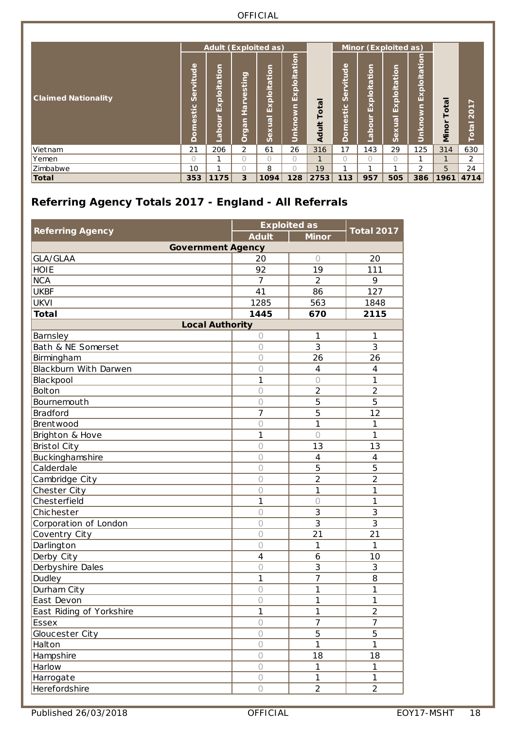| <b>Claimed Nationality</b> | itude<br>ω<br>Ŭ<br>tic<br>S<br>đ<br>٥<br>≏ | $\overline{5}$<br>پ<br>σ<br>≝<br>$\frac{1}{2}$<br>$\overline{K}$<br>ă<br>$\overline{\mathbf{o}}$<br>$\overline{a}$ | sting<br>ω<br>우<br>⊆<br>$\overline{\sigma}$<br>Ö<br>Ö | <b>Adult (Exploited as)</b><br>Ξ<br>tio<br>kploita<br>ш<br>-<br>exua<br>n | tion<br>5<br>Exploit<br>٥<br>Unkno | -<br>ota<br>Adult | Servitude<br>estic<br><b>SP</b><br>≏ | tion<br>ploita<br>$\overline{\mathbf{K}}$<br>jo<br>ِ<br>ه | Minor (Exploited as)<br>⊆<br>tio<br>Exploita<br>–<br><b>BD</b><br>Sex | Exploitation<br>Unknown | -<br>otal<br>Minor | ►<br><b>201</b><br>÷<br>Total |
|----------------------------|--------------------------------------------|--------------------------------------------------------------------------------------------------------------------|-------------------------------------------------------|---------------------------------------------------------------------------|------------------------------------|-------------------|--------------------------------------|-----------------------------------------------------------|-----------------------------------------------------------------------|-------------------------|--------------------|-------------------------------|
| Vietnam                    | 21                                         | 206                                                                                                                | $\overline{2}$                                        | 61                                                                        | 26                                 | 316               | 17                                   | 143                                                       | 29                                                                    | 125                     | 314                | 630                           |
| Yemen                      | $\bigcap$                                  |                                                                                                                    | Ω                                                     | $\cap$                                                                    | $\bigcap$                          | $\mathbf{I}$      | 0                                    | $\cap$                                                    | $\bigcap$                                                             | ٠                       | $\mathbf{1}$       | $\overline{2}$                |
| Zimbabwe                   | 10                                         |                                                                                                                    | n                                                     | 8                                                                         | ⌒<br>$\left( \quad \right)$        | 19                | ◢                                    | ◢                                                         |                                                                       | 2                       | 5                  | 24                            |
| <b>Total</b>               | 353                                        | 1175                                                                                                               | 3                                                     | 1094                                                                      | 128                                | 2753              | 113                                  | 957                                                       | 505                                                                   | 386                     | 1961               | 4714                          |

### <span id="page-17-0"></span>**Referring Agency Totals 2017 - England - All Referrals**

|                          |                | <b>Exploited as</b> | <b>Total 2017</b> |  |
|--------------------------|----------------|---------------------|-------------------|--|
| <b>Referring Agency</b>  | <b>Adult</b>   | <b>Minor</b>        |                   |  |
| <b>Government Agency</b> |                |                     |                   |  |
| GLA/GLAA                 | 20             | $\bigcirc$          | 20                |  |
| <b>HOIE</b>              | 92             | 19                  | 111               |  |
| <b>NCA</b>               | 7              | $\overline{2}$      | 9                 |  |
| <b>UKBF</b>              | 41             | 86                  | 127               |  |
| <b>UKVI</b>              | 1285           | 563                 | 1848              |  |
| <b>Total</b>             | 1445           | 670                 | 2115              |  |
| <b>Local Authority</b>   |                |                     |                   |  |
| Barnsley                 | $\bigcirc$     | 1                   | 1                 |  |
| Bath & NE Somerset       | $\bigcirc$     | 3                   | 3                 |  |
| Birmingham               | $\bigcirc$     | 26                  | 26                |  |
| Blackburn With Darwen    | $\bigcirc$     | $\overline{4}$      | $\overline{4}$    |  |
| <b>Blackpool</b>         | 1              | $\bigcirc$          | 1                 |  |
| Bolton                   | $\circ$        | $\overline{2}$      | $\overline{2}$    |  |
| Bournemouth              | $\circ$        | 5                   | 5                 |  |
| <b>Bradford</b>          | $\overline{7}$ | 5                   | 12                |  |
| Brentwood                | $\bigcirc$     | 1                   | 1                 |  |
| Brighton & Hove          | $\mathbf{1}$   | $\circ$             | 1                 |  |
| <b>Bristol City</b>      | $\circ$        | 13                  | 13                |  |
| <b>Buckinghamshire</b>   | $\bigcirc$     | $\overline{4}$      | $\overline{4}$    |  |
| Calderdale               | $\bigcirc$     | 5                   | 5                 |  |
| Cambridge City           | $\bigcirc$     | $\overline{2}$      | $\overline{2}$    |  |
| Chester City             | $\circ$        | 1                   | 1                 |  |
| Chesterfield             | 1              | $\bigcirc$          | 1                 |  |
| Chichester               | $\circ$        | 3                   | 3                 |  |
| Corporation of London    | $\bigcirc$     | 3                   | 3                 |  |
| Coventry City            | $\circ$        | 21                  | 21                |  |
| Darlington               | $\bigcirc$     | 1                   | 1                 |  |
| Derby City               | 4              | 6                   | 10                |  |
| Derbyshire Dales         | $\bigcirc$     | 3                   | 3                 |  |
| Dudley                   | 1              | $\overline{7}$      | 8                 |  |
| Durham City              | $\bigcirc$     | 1                   | 1                 |  |
| East Devon               | $\bigcirc$     | 1                   | 1                 |  |
| East Riding of Yorkshire | 1              | 1                   | $\sqrt{2}$        |  |
| Essex                    | $\bigcirc$     | $\overline{7}$      | $\overline{7}$    |  |
| Gloucester City          | $\bigcirc$     | 5                   | 5                 |  |
| Halton                   | $\bigcirc$     | $\mathbf{1}$        | 1                 |  |
| Hampshire                | $\bigcirc$     | 18                  | 18                |  |
| Harlow                   | $\bigcirc$     | $\mathbf{1}$        | 1                 |  |
| Harrogate                | $\bigcirc$     | $\mathbf{1}$        | $\mathbf{1}$      |  |
| Herefordshire            | $\bigcirc$     | $\overline{2}$      | $\overline{2}$    |  |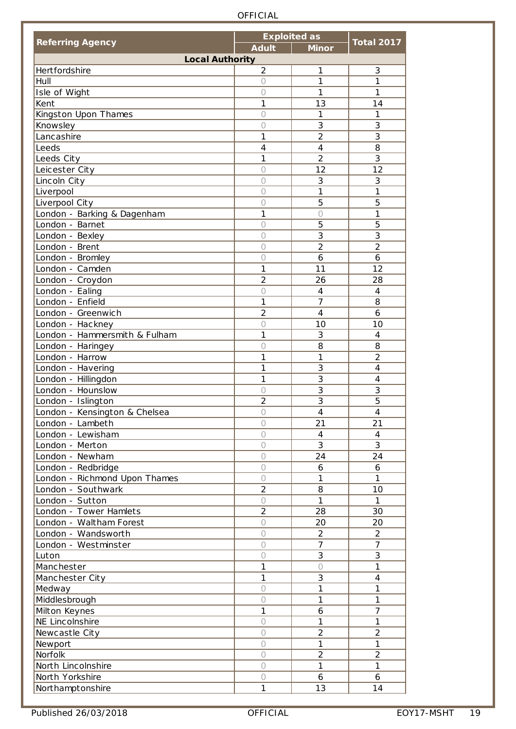|                               |                | <b>Exploited as</b> |                         |
|-------------------------------|----------------|---------------------|-------------------------|
| <b>Referring Agency</b>       | <b>Adult</b>   | <b>Minor</b>        | <b>Total 2017</b>       |
| <b>Local Authority</b>        |                |                     |                         |
| Hertfordshire                 | $\overline{2}$ | 1                   | 3                       |
| Hull                          | $\circ$        | 1                   | 1                       |
| Isle of Wight                 | $\bigcirc$     | 1                   | 1                       |
| Kent                          | 1              | 13                  | 14                      |
| Kingston Upon Thames          | $\circ$        | $\mathbf{1}$        | 1                       |
| Knowsley                      | $\bigcirc$     | 3                   | 3                       |
| Lancashire                    | 1              | $\overline{2}$      | 3                       |
| Leeds                         | $\overline{4}$ | $\overline{4}$      | 8                       |
| Leeds City                    | $\mathbf{1}$   | $\overline{2}$      | 3                       |
| Leicester City                | $\circ$        | 12                  | 12                      |
| Lincoln City                  | $\bigcirc$     | 3                   | 3                       |
| Liverpool                     | $\bigcirc$     | 1                   | 1                       |
| Liverpool City                | $\circ$        | 5                   | 5                       |
|                               | 1              | $\bigcirc$          | 1                       |
| London - Barking & Dagenham   |                |                     |                         |
| London - Barnet               | $\bigcirc$     | 5                   | 5                       |
| London - Bexley               | $\bigcirc$     | 3                   | 3                       |
| London - Brent                | $\bigcirc$     | $\overline{2}$      | $\overline{2}$          |
| London - Bromley              | $\circ$        | 6                   | 6                       |
| London - Camden               | 1              | 11                  | 12                      |
| London - Croydon              | $\overline{2}$ | 26                  | 28                      |
| London - Ealing               | $\circ$        | $\overline{4}$      | $\overline{4}$          |
| London - Enfield              | 1              | $\overline{7}$      | 8                       |
| London - Greenwich            | $\overline{2}$ | $\overline{4}$      | 6                       |
| London - Hackney              | $\bigcirc$     | 10                  | 10                      |
| London - Hammersmith & Fulham | 1              | 3                   | $\overline{4}$          |
| London - Haringey             | $\bigcirc$     | 8                   | 8                       |
| London - Harrow               | 1              | 1                   | $\overline{2}$          |
| London - Havering             | 1              | 3                   | $\overline{4}$          |
| London - Hillingdon           | $\mathbf{1}$   | 3                   | $\overline{\mathbf{4}}$ |
| London - Hounslow             | $\bigcirc$     | $\overline{3}$      | 3                       |
| London - Islington            | $\overline{2}$ | 3                   | 5                       |
| London - Kensington & Chelsea | $\bigcirc$     | $\overline{4}$      | $\overline{4}$          |
| London - Lambeth              | $\bigcirc$     | 21                  | 21                      |
| London - Lewisham             | $\bigcap$      | $\overline{4}$      | $\overline{4}$          |
| London - Merton               | $\bigcirc$     | 3                   | 3                       |
| London - Newham               | $\bigcirc$     | 24                  | 24                      |
|                               |                |                     |                         |
| London - Redbridge            | $\bigcirc$     | 6                   | 6                       |
| London - Richmond Upon Thames | $\bigcirc$     | 1                   | 1                       |
| London - Southwark            | $\overline{2}$ | 8                   | 10                      |
| London - Sutton               | $\bigcap$      | $\mathbf{1}$        | 1                       |
| London - Tower Hamlets        | $\overline{2}$ | 28                  | 30                      |
| London - Waltham Forest       | $\circ$        | 20                  | 20                      |
| London - Wandsworth           | $\bigcirc$     | $\overline{2}$      | $\overline{2}$          |
| London - Westminster          | $\bigcirc$     | $\overline{7}$      | $\overline{7}$          |
| Luton                         | $\bigcirc$     | 3                   | 3                       |
| Manchester                    | $\mathbf{1}$   | $\bigcirc$          | $\mathbf{1}$            |
| Manchester City               | $\mathbf{1}$   | 3                   | $\overline{4}$          |
| Medway                        | $\bigcirc$     | 1                   | 1                       |
| Middlesbrough                 | $\bigcirc$     | $\mathbf{1}$        | 1                       |
| Milton Keynes                 | $\mathbf{1}$   | 6                   | $\overline{7}$          |
| NE Lincolnshire               | $\bigcirc$     | $\mathbf{1}$        | 1                       |
| Newcastle City                | $\bigcirc$     | $\overline{2}$      | $\overline{2}$          |
| Newport                       | $\bigcirc$     | $\mathbf{1}$        | $\mathbf{1}$            |
| Norfolk                       | 0              | $\overline{2}$      | $\overline{2}$          |
| North Lincolnshire            | $\bigcirc$     | 1                   | 1                       |
| North Yorkshire               | $\bigcirc$     | 6                   | 6                       |
| Northamptonshire              | $\mathbf{1}$   | 13                  | 14                      |
|                               |                |                     |                         |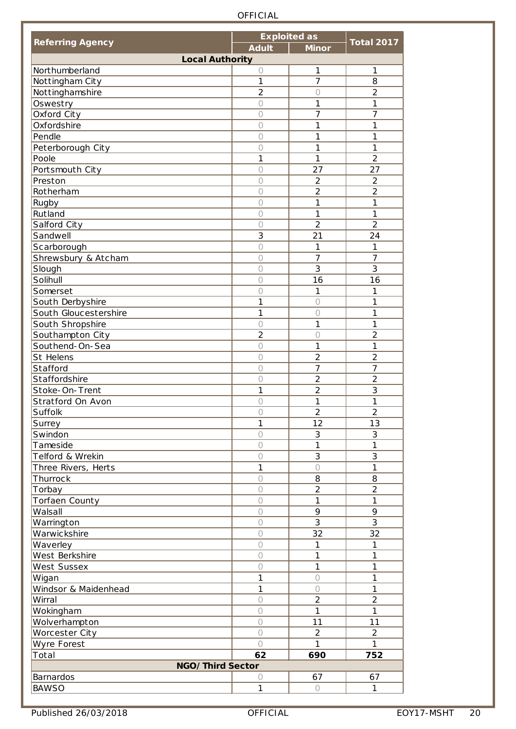|                         |                | <b>Exploited as</b> |                   |
|-------------------------|----------------|---------------------|-------------------|
| <b>Referring Agency</b> | <b>Adult</b>   | <b>Minor</b>        | <b>Total 2017</b> |
| <b>Local Authority</b>  |                |                     |                   |
| Northumberland          | 0              | $\mathbf{1}$        | 1                 |
| Nottingham City         | 1              | $\overline{7}$      | 8                 |
| Nottinghamshire         | $\overline{2}$ | $\bigcirc$          | $\overline{2}$    |
| Oswestry                | $\bigcirc$     | 1                   | 1                 |
| Oxford City             | 0              | 7                   | 7                 |
| Oxfordshire             | $\bigcirc$     | 1                   | 1                 |
| Pendle                  | $\bigcirc$     | 1                   | 1                 |
| Peterborough City       | $\bigcirc$     | 1                   | $\mathbf{1}$      |
| Poole                   | 1              | 1                   | $\overline{2}$    |
| Portsmouth City         | $\bigcirc$     | 27                  | 27                |
| Preston                 | 0              | $\overline{2}$      | $\overline{2}$    |
| Rotherham               | 0              | $\overline{2}$      | $\overline{2}$    |
|                         |                |                     | 1                 |
| Rugby                   | 0              | 1                   |                   |
| <b>Rutland</b>          | $\bigcirc$     | 1                   | $\mathbf{1}$      |
| Salford City            | 0              | $\overline{2}$      | $\overline{2}$    |
| Sandwell                | 3              | 21                  | 24                |
| Scarborough             | $\bigcirc$     | 1                   | 1                 |
| Shrewsbury & Atcham     | $\bigcirc$     | $\overline{7}$      | 7                 |
| Slough                  | $\circ$        | $\overline{3}$      | $\overline{3}$    |
| Solihull                | $\circ$        | 16                  | 16                |
| Somerset                | $\bigcirc$     | 1                   | 1                 |
| South Derbyshire        | 1              | $\bigcirc$          | 1                 |
| South Gloucestershire   | 1              | $\bigcirc$          | 1                 |
| South Shropshire        | $\bigcirc$     | 1                   | 1                 |
| Southampton City        | $\overline{2}$ | $\circ$             | $\overline{2}$    |
| Southend-On-Sea         | $\circ$        | 1                   | $\mathbf{1}$      |
| St Helens               | 0              | $\overline{2}$      | $\overline{2}$    |
| Stafford                | $\bigcirc$     | 7                   | 7                 |
| Staffordshire           | 0              | $\overline{2}$      | $\overline{2}$    |
| Stoke-On-Trent          | 1              | $\overline{2}$      | 3                 |
| Stratford On Avon       | 0              | 1                   | 1                 |
| Suffolk                 | 0              | $\overline{2}$      | $\overline{2}$    |
|                         | 1              | 12                  | 13                |
| Surrey<br>Swindon       | $\bigcirc$     | 3                   | 3                 |
|                         |                | 1                   | 1                 |
| Tameside                | $\bigcirc$     |                     |                   |
| Telford & Wrekin        | $\bigcirc$     | 3                   | 3                 |
| Three Rivers, Herts     | 1              | $\bigcirc$          | $\mathbf{1}$      |
| Thurrock                | $\bigcirc$     | 8                   | 8                 |
| Torbay                  | $\bigcirc$     | $\overline{2}$      | $\overline{2}$    |
| Torfaen County          | $\bigcirc$     | 1                   | 1                 |
| Walsall                 | $\bigcirc$     | 9                   | 9                 |
| Warrington              | $\circ$        | 3                   | 3                 |
| <b>Warwickshire</b>     | $\bigcirc$     | 32                  | 32                |
| Waverley                | $\bigcirc$     | 1                   | 1                 |
| West Berkshire          | $\bigcirc$     | 1                   | 1                 |
| <b>West Sussex</b>      | $\bigcirc$     | 1                   | 1                 |
| Wigan                   | 1              | $\bigcirc$          | 1                 |
| Windsor & Maidenhead    | 1              | $\bigcirc$          | 1                 |
| Wirral                  | $\bigcirc$     | $\overline{2}$      | $\overline{2}$    |
| Wokingham               | $\bigcirc$     | 1                   | $\mathbf{1}$      |
| Wolverhampton           | $\bigcirc$     | 11                  | 11                |
| Worcester City          | $\bigcirc$     | $\overline{2}$      | $\overline{2}$    |
| Wyre Forest             | $\bigcap$      | 1                   | 1                 |
| Total                   | 62             | 690                 | 752               |
| NGO/Third Sector        |                |                     |                   |
|                         |                |                     |                   |
| Barnardos               | 0              | 67                  | 67                |
| <b>BAWSO</b>            | $\mathbf{1}$   | $\bigcirc$          | 1                 |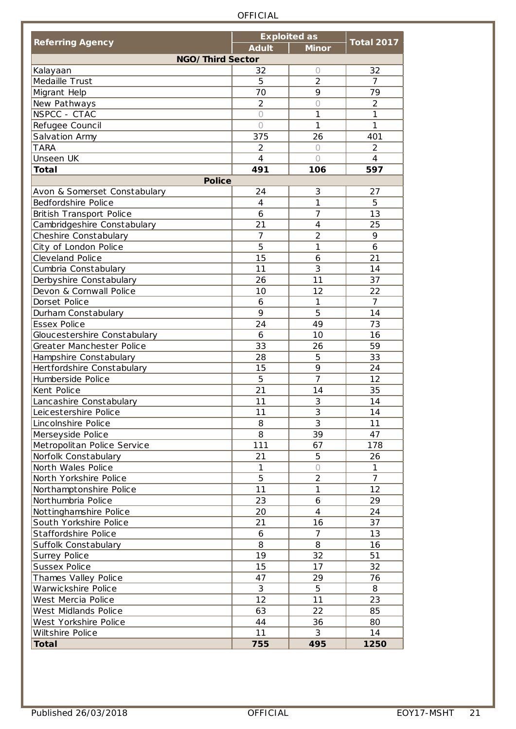|                              |                | <b>Exploited as</b> |                   |
|------------------------------|----------------|---------------------|-------------------|
| <b>Referring Agency</b>      | <b>Adult</b>   | <b>Minor</b>        | <b>Total 2017</b> |
| NGO/Third Sector             |                |                     |                   |
| Kalayaan                     | 32             | 0                   | 32                |
| Medaille Trust               | 5              | $\overline{2}$      | $\overline{7}$    |
| Migrant Help                 | 70             | 9                   | 79                |
| New Pathways                 | $\overline{2}$ | $\bigcirc$          | $\overline{2}$    |
| NSPCC - CTAC                 | $\bigcirc$     | 1                   | 1                 |
| Refugee Council              | $\bigcap$      | 1                   | 1                 |
| Salvation Army               | 375            | 26                  | 401               |
| <b>TARA</b>                  | $\overline{2}$ | $\bigcirc$          | $\overline{2}$    |
| Unseen UK                    | $\overline{4}$ | $\bigcap$           | 4                 |
| <b>Total</b>                 | 491            | 106                 | 597               |
| <b>Police</b>                |                |                     |                   |
| Avon & Somerset Constabulary | 24             | 3                   | 27                |
| Bedfordshire Police          | $\overline{4}$ | 1                   | 5                 |
| British Transport Police     | 6              | $\overline{7}$      | 13                |
| Cambridgeshire Constabulary  | 21             | 4                   | 25                |
| Cheshire Constabulary        | $\overline{7}$ | $\overline{2}$      | 9                 |
| City of London Police        | 5              | 1                   | 6                 |
| <b>Cleveland Police</b>      | 15             | 6                   | 21                |
| Cumbria Constabulary         | 11             | 3                   | 14                |
| Derbyshire Constabulary      | 26             | 11                  | 37                |
| Devon & Cornwall Police      | 10             | 12                  | 22                |
| Dorset Police                | 6              | 1                   | $\overline{7}$    |
| Durham Constabulary          | 9              | 5                   | 14                |
| Essex Police                 | 24             | 49                  | 73                |
| Gloucestershire Constabulary | 6              | 10                  | 16                |
| Greater Manchester Police    | 33             | 26                  | 59                |
| Hampshire Constabulary       | 28             | 5                   | 33                |
| Hertfordshire Constabulary   | 15             | 9                   | 24                |
| Humberside Police            | 5              | $\overline{7}$      | 12                |
| Kent Police                  | 21             | 14                  | 35                |
| Lancashire Constabulary      | 11             | 3                   | 14                |
| Leicestershire Police        | 11             | 3                   | 14                |
| Lincolnshire Police          | 8              | 3                   | 11                |
| Merseyside Police            | 8              | 39                  | 47                |
| Metropolitan Police Service  | 111            | 67                  | 178               |
| Norfolk Constabulary         | 21             | 5                   | 26                |
| North Wales Police           | 1              | $\bigcirc$          | 1                 |
| North Yorkshire Police       | 5              | $\overline{2}$      | $\overline{7}$    |
| Northamptonshire Police      | 11             | 1                   | 12                |
| Northumbria Police           | 23             | 6                   | 29                |
| Nottinghamshire Police       | 20             | $\overline{4}$      | 24                |
| South Yorkshire Police       | 21             | 16                  | 37                |
| Staffordshire Police         | 6              | $\overline{7}$      | 13                |
| Suffolk Constabulary         | 8              | 8                   | 16                |
| Surrey Police                | 19             | 32                  | 51                |
| Sussex Police                | 15             | 17                  | 32                |
| Thames Valley Police         | 47             | 29                  | 76                |
| Warwickshire Police          | 3              | 5                   | 8                 |
| West Mercia Police           | 12             | 11                  | 23                |
| West Midlands Police         | 63             | 22                  | 85                |
| West Yorkshire Police        | 44             | 36                  | 80                |
| Wiltshire Police             | 11             | 3                   | 14                |
| <b>Total</b>                 | 755            | 495                 | 1250              |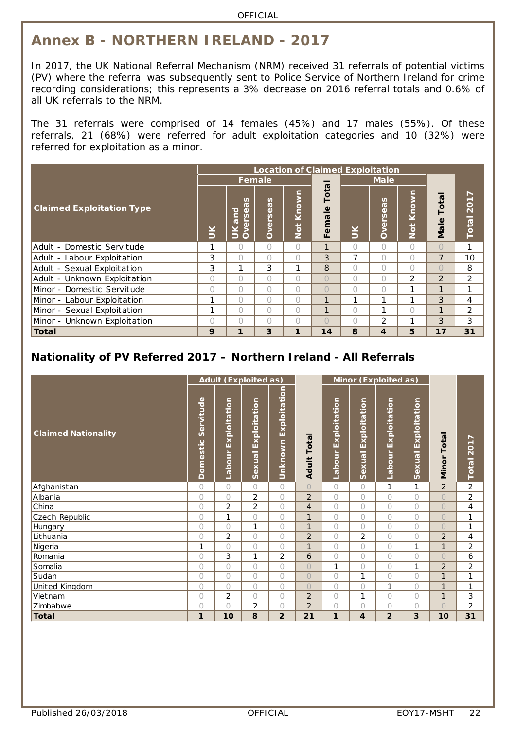## <span id="page-21-0"></span>**Annex B - NORTHERN IRELAND - 2017**

In 2017, the UK National Referral Mechanism (NRM) received 31 referrals of potential victims (PV) where the referral was subsequently sent to Police Service of Northern Ireland for crime recording considerations; this represents a 3% decrease on 2016 referral totals and 0.6% of all UK referrals to the NRM.

The 31 referrals were comprised of 14 females (45%) and 17 males (55%). Of these referrals, 21 (68%) were referred for adult exploitation categories and 10 (32%) were referred for exploitation as a minor.

|                                                                    |           |                                                        |              |             |                |           | <b>Location of Claimed Exploitation</b> |                      |                |                             |
|--------------------------------------------------------------------|-----------|--------------------------------------------------------|--------------|-------------|----------------|-----------|-----------------------------------------|----------------------|----------------|-----------------------------|
|                                                                    |           |                                                        | Female       |             |                |           | <b>Male</b>                             |                      |                |                             |
| <b>Claimed Exploitation Type</b>                                   | š         | n<br><b>G</b><br>loure<br>Φ<br>ۊ<br>$\leq$<br>$\delta$ | S<br>Dversea | Not Known   | otal<br>Female | $\leq$    | <b>Overseas</b>                         | Known<br><b>Doll</b> | Tota<br>Male   | $\overline{ }$<br>Total 201 |
| Adult - Domestic Servitude                                         |           | 0                                                      | $\bigcap$    | $\bigcap$   | 1              | $\bigcap$ | 0                                       | $\bigcap$            | $\bigcirc$     | 1                           |
| Adult - Labour Exploitation                                        | 3         | $\bigcap$                                              | $\bigcap$    | $\bigcap$   | 3              | 7         | 0                                       |                      | $\overline{7}$ | 10                          |
| Adult - Sexual Exploitation                                        | 3         | 1                                                      | 3            | 1           | 8              | $\bigcap$ | 0                                       | $\bigcap$            | $\bigcirc$     | 8                           |
| Adult - Unknown Exploitation                                       | $\bigcap$ | $\bigcap$                                              | $\bigcap$    | 0           | $\bigcap$      | $\bigcap$ | 0                                       | $\overline{2}$       | $\overline{2}$ | $\overline{2}$              |
| Minor - Domestic Servitude                                         | $\bigcap$ | $\bigcap$                                              | $\bigcap$    | $\bigcap$   | $\bigcap$      | $\bigcap$ | $\bigcap$                               | 1                    | 1              | 1                           |
| Minor - Labour Exploitation                                        | 1         | $\bigcap$                                              | $\bigcap$    | $\cap$      | $\mathbf{1}$   | 1         | 1                                       | ┑                    | 3              | 4                           |
| Minor - Sexual Exploitation                                        | 1         | $\bigcap$                                              | $\bigcap$    | $\cap$      | 1              | $\bigcap$ | 1                                       | $\bigcap$            | 1              | $\overline{2}$              |
| Minor - Unknown Exploitation                                       | $\bigcap$ | $\bigcap$                                              | $\bigcap$    | $\bigcap$   | $\bigcap$      | $\bigcap$ | $\overline{2}$                          | 1                    | 3              | 3                           |
| <b>Total</b>                                                       | 9         | 1                                                      | 3            | $\mathbf 1$ | 14             | 8         | $\overline{\mathbf{4}}$                 | 5                    | 17             | 31                          |
| Nationality of PV Referred 2017 - Northern Ireland - All Referrals |           |                                                        |              |             |                |           |                                         |                      |                |                             |

<span id="page-21-1"></span>

|                            |                              |                            | <b>Adult (Exploited as)</b>   |                                |                       |                     | Minor (Exploited as)          |                            |                               |                |                |
|----------------------------|------------------------------|----------------------------|-------------------------------|--------------------------------|-----------------------|---------------------|-------------------------------|----------------------------|-------------------------------|----------------|----------------|
| <b>Claimed Nationality</b> | Servitude<br><b>Domestic</b> | Exploitation<br>abour<br>Ľ | Exploitation<br><b>Sexual</b> | Exploitation<br><u>Unknown</u> | Total<br><b>Adult</b> | Labour Exploitation | Exploitation<br><b>Sexual</b> | Exploitation<br>abour<br>┙ | Exploitation<br><b>Sexual</b> | Total<br>Minor | Total 2017     |
| Afghanistan                | 0                            | $\bigcirc$                 | $\bigcap$                     | $\bigcirc$                     | $\bigcirc$            | $\overline{O}$      | $\overline{O}$                | 1                          | 1                             | $\overline{2}$ | $\overline{2}$ |
| Albania                    | 0                            | $\overline{O}$             | $\overline{2}$                | $\bigcirc$                     | 2                     | $\bigcirc$          | $\overline{O}$                | O                          | $\bigcirc$                    | $\bigcirc$     | 2              |
| China                      | $\bigcirc$                   | $\overline{2}$             | 2                             | $\bigcirc$                     | $\overline{4}$        | $\bigcirc$          | $\overline{O}$                | 0                          | $\bigcirc$                    | $\bigcirc$     | $\overline{4}$ |
| Czech Republic             | 0                            | $\mathbf{1}$               | $\bigcirc$                    | $\bigcirc$                     | $\mathbf{1}$          | 0                   | 0                             | 0                          | $\bigcirc$                    | $\bigcirc$     | 1              |
| Hungary                    | $\bigcirc$                   | $\bigcirc$                 | 1                             | $\bigcirc$                     | $\mathbf{1}$          | $\circ$             | 0                             | 0                          | $\bigcirc$                    | $\bigcirc$     | 1              |
| Lithuania                  | 0                            | $\overline{2}$             | $\bigcap$                     | $\bigcap$                      | $\overline{2}$        | $\circ$             | $\overline{2}$                | 0                          | $\bigcirc$                    | $\overline{2}$ | 4              |
| Nigeria                    | 1                            | 0                          | $\bigcirc$                    | $\bigcirc$                     | $\mathbf{1}$          | 0                   | 0                             | 0                          | 1                             | $\mathbf{1}$   | $\overline{2}$ |
| Romania                    | 0                            | 3                          | 1                             | 2                              | 6                     | 0                   | 0                             | O                          | $\bigcap$                     | $\bigcap$      | 6              |
| Somalia                    | 0                            | 0                          | $\bigcap$                     | $\bigcirc$                     | $\bigcirc$            | 1                   | 0                             | 0                          | 1                             | $\overline{2}$ | $\overline{c}$ |
| Sudan                      | 0                            | $\circ$                    | $\bigcap$                     | $\bigcap$                      | $\bigcirc$            | $\circ$             | 1                             | O                          | $\bigcap$                     | $\mathbf{1}$   | 1              |
| United Kingdom             | 0                            | $\bigcirc$                 | $\bigcirc$                    | $\bigcirc$                     | $\bigcirc$            | 0                   | 0                             | 1                          | $\bigcap$                     | $\mathbf{1}$   | 1              |
| Vietnam                    | 0                            | $\sqrt{2}$                 | $\bigcap$                     | $\bigcirc$                     | $\overline{2}$        | 0                   | 1                             | 0                          | $\bigcirc$                    | $\mathbf{1}$   | 3              |
| Zimbabwe                   | 0                            | $\overline{O}$             | $\overline{2}$                | $\bigcirc$                     | $\overline{2}$        | 0                   | $\bigcirc$                    | O                          | $\bigcap$                     | $\bigcirc$     | $\overline{c}$ |
| <b>Total</b>               | 1                            | 10                         | 8                             | $\overline{2}$                 | 21                    | 1                   | 4                             | $\overline{2}$             | 3                             | 10             | 31             |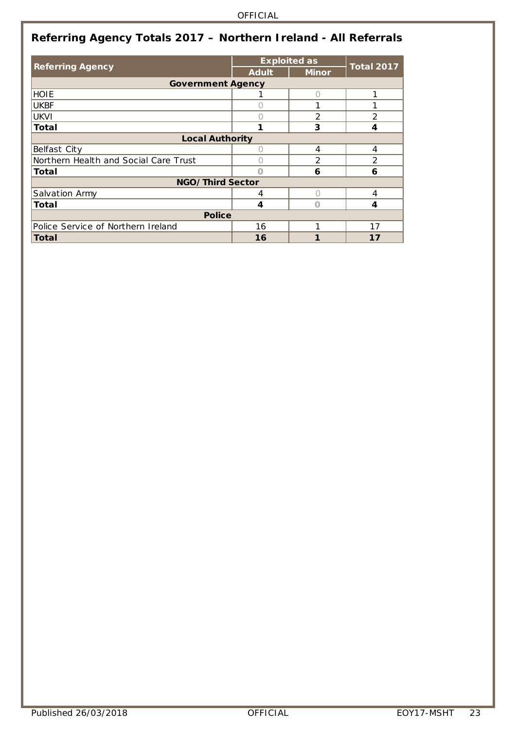<span id="page-22-0"></span>

|                                       |              | <b>Exploited as</b> | <b>Total 2017</b> |
|---------------------------------------|--------------|---------------------|-------------------|
| <b>Referring Agency</b>               | <b>Adult</b> | <b>Minor</b>        |                   |
| <b>Government Agency</b>              |              |                     |                   |
| <b>HOIE</b>                           |              |                     | 1                 |
| <b>UKBF</b>                           |              |                     |                   |
| <b>UKVI</b>                           |              | $\mathcal{P}$       | $\overline{2}$    |
| Total                                 | 1            | 3                   | 4                 |
| <b>Local Authority</b>                |              |                     |                   |
| Belfast City                          |              | 4                   | 4                 |
| Northern Health and Social Care Trust |              | $\mathcal{P}$       | 2                 |
| Total                                 |              | 6                   | 6                 |
| NGO/Third Sector                      |              |                     |                   |
| Salvation Army                        | 4            |                     | 4                 |
| Total                                 | 4            |                     | 4                 |
| <b>Police</b>                         |              |                     |                   |
| Police Service of Northern Ireland    | 16           | 1                   | 17                |
| Total                                 | 16           |                     | 17                |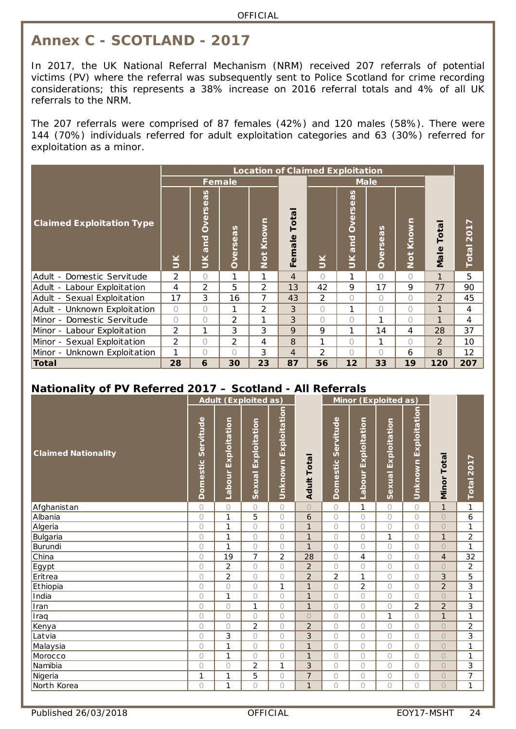## <span id="page-23-0"></span>**Annex C - SCOTLAND - 2017**

In 2017, the UK National Referral Mechanism (NRM) received 207 referrals of potential victims (PV) where the referral was subsequently sent to Police Scotland for crime recording considerations; this represents a 38% increase on 2016 referral totals and 4% of all UK referrals to the NRM.

The 207 referrals were comprised of 87 females (42%) and 120 males (58%). There were 144 (70%) individuals referred for adult exploitation categories and 63 (30%) referred for exploitation as a minor.

|                                                            |                | <b>Location of Claimed Exploitation</b>                     |                 |                |                        |                |                                                                |                 |            |               |                |  |  |  |
|------------------------------------------------------------|----------------|-------------------------------------------------------------|-----------------|----------------|------------------------|----------------|----------------------------------------------------------------|-----------------|------------|---------------|----------------|--|--|--|
|                                                            |                |                                                             | Female          |                |                        |                |                                                                | Male            |            |               |                |  |  |  |
| <b>Claimed Exploitation Type</b>                           | Š              | n<br>$\overline{v}$<br>$\omega$<br><b>Overs</b><br>and<br>K | <b>Overseas</b> | Not Known      | <b>Total</b><br>Female | $\leq$         | n<br>$\sigma$<br>$\mathbf 0$<br><b>Overs</b><br>pure<br>$\leq$ | <b>Overseas</b> | Not Known  | Total<br>Male | r<br>Total 201 |  |  |  |
| Adult - Domestic Servitude                                 | 2              | $\bigcap$                                                   | 1               | 1              | $\overline{4}$         | ∩              | 1                                                              | $\bigcap$       | $\bigcap$  | $\mathbf{1}$  | 5              |  |  |  |
| Adult - Labour Exploitation                                | $\overline{4}$ | $\overline{2}$                                              | 5               | 2              | 13                     | 42             | 9                                                              | 17              | 9          | 77            | 90             |  |  |  |
| Adult - Sexual Exploitation                                | 17             | 3                                                           | 16              | 7              | 43                     | 2              | $\bigcap$                                                      | $\bigcap$       | $\bigcirc$ | 2             | 45             |  |  |  |
| Adult - Unknown Exploitation                               | $\bigcap$      | $\bigcap$                                                   | 1               | $\overline{2}$ | 3                      | $\bigcap$      | 1                                                              | $\bigcap$       | $\bigcap$  | 1             | 4              |  |  |  |
| Minor - Domestic Servitude                                 | $\bigcap$      | $\bigcirc$                                                  | 2               | 1              | 3                      | 0              | $\bigcap$                                                      | 1               | $\bigcap$  | 1             | 4              |  |  |  |
| Minor - Labour Exploitation                                | 2              | 1                                                           | 3               | 3              | 9                      | 9              | 1                                                              | 14              | 4          | 28            | 37             |  |  |  |
| Minor - Sexual Exploitation                                | 2              | $\bigcirc$                                                  | 2               | 4              | 8                      | 1              | $\bigcap$                                                      | 1               | 0          | $\mathcal{P}$ | 10             |  |  |  |
| Minor - Unknown Exploitation                               | 1              | $\bigcap$                                                   | $\bigcap$       | 3              | 4                      | $\overline{2}$ | $\bigcap$                                                      | $\bigcap$       | 6          | 8             | 12             |  |  |  |
| Total                                                      | 28             | 6                                                           | 30              | 23             | 87                     | 56             | 12                                                             | 33              | 19         | 120           | 207            |  |  |  |
| Nationality of PV Referred 2017 - Scotland - All Referrals |                |                                                             |                 |                |                        |                |                                                                |                 |            |               |                |  |  |  |

<span id="page-23-1"></span>

|                            |                              | <b>Adult (Exploited as)</b> |                        |                             |                   |                    | Minor (Exploited as)   |                               |                      |                             |                |
|----------------------------|------------------------------|-----------------------------|------------------------|-----------------------------|-------------------|--------------------|------------------------|-------------------------------|----------------------|-----------------------------|----------------|
| <b>Claimed Nationality</b> | Servitude<br><b>Domestic</b> | Exploitation<br>Labour      | Exploitation<br>Sexual | <b>Unknown Exploitation</b> | <b>Adult Tota</b> | Domestic Servitude | Exploitation<br>Labour | Exploitation<br><b>Sexual</b> | Unknown Exploitation | Total<br>Minor <sup>-</sup> | Total 2017     |
| Afghanistan                | 0                            | $\circ$                     | 0                      | $\bigcirc$                  | $\bigcirc$        | $\circ$            | 1                      | 0                             | $\bigcirc$           | $\mathbf{1}$                | 1              |
| Albania                    | 0                            | $\mathbf{1}$                | 5                      | $\bigcirc$                  | 6                 | $\bigcirc$         | $\overline{O}$         | $\bigcirc$                    | $\bigcirc$           | $\overline{O}$              | 6              |
| Algeria                    | 0                            | $\mathbf{1}$                | $\bigcirc$             | $\bigcirc$                  | $\mathbf{1}$      | $\circ$            | 0                      | $\bigcirc$                    | $\bigcirc$           | $\overline{O}$              | 1              |
| Bulgaria                   | O                            | $\mathbf{1}$                | $\bigcirc$             | $\bigcirc$                  | $\mathbf{1}$      | $\bigcirc$         | $\circ$                | 1                             | $\bigcirc$           | $\mathbf{1}$                | $\overline{c}$ |
| Burundi                    | $\bigcirc$                   | $\mathbf{1}$                | $\circ$                | $\bigcirc$                  | $\mathbf{1}$      | $\circ$            | $\bigcirc$             | $\bigcirc$                    | $\bigcirc$           | $\bigcirc$                  | $\mathbf{1}$   |
| China                      | 0                            | 19                          | $\overline{7}$         | $\overline{2}$              | 28                | $\bigcirc$         | $\overline{4}$         | $\bigcirc$                    | $\bigcirc$           | $\overline{4}$              | 32             |
| Egypt                      | 0                            | 2                           | $\bigcirc$             | $\bigcirc$                  | $\overline{2}$    | $\circ$            | $\circ$                | $\bigcirc$                    | $\bigcirc$           | $\bigcirc$                  | $\overline{2}$ |
| Eritrea                    | 0                            | $\overline{2}$              | $\bigcirc$             | $\bigcirc$                  | $\overline{2}$    | $\overline{c}$     | 1                      | $\bigcirc$                    | $\bigcap$            | 3                           | 5              |
| Ethiopia                   | $\bigcirc$                   | $\circ$                     | $\bigcirc$             | 1                           | $\mathbf{1}$      | $\bigcirc$         | $\overline{2}$         | $\bigcirc$                    | $\bigcirc$           | $\overline{2}$              | $\overline{3}$ |
| India                      | 0                            | $\mathbf{1}$                | $\bigcirc$             | $\bigcirc$                  | $\mathbf{1}$      | $\bigcirc$         | 0                      | $\bigcirc$                    | $\bigcirc$           | $\bigcirc$                  | 1              |
| Iran                       | $\bigcirc$                   | $\bigcirc$                  | 1                      | $\bigcirc$                  | $\mathbf{1}$      | $\circ$            | $\bigcirc$             | $\bigcirc$                    | $\overline{2}$       | $\overline{2}$              | 3              |
| Iraq                       | $\bigcirc$                   | $\circ$                     | $\bigcirc$             | $\bigcirc$                  | $\bigcirc$        | 0                  | $\bigcirc$             | $\mathbf{1}$                  | $\bigcirc$           | $\mathbf{1}$                | $\mathbf{1}$   |
| Kenya                      | $\bigcirc$                   | $\bigcirc$                  | 2                      | $\bigcirc$                  | $\overline{2}$    | $\bigcirc$         | $\bigcirc$             | 0                             | $\bigcirc$           | $\bigcirc$                  | $\overline{2}$ |
| Latvia                     | 0                            | 3                           | $\bigcirc$             | $\bigcirc$                  | 3                 | $\circ$            | $\bigcirc$             | $\bigcirc$                    | $\bigcirc$           | $\bigcirc$                  | 3              |
| Malaysia                   | $\bigcirc$                   | $\mathbf{1}$                | $\bigcirc$             | $\bigcirc$                  | $\mathbf{1}$      | $\circ$            | $\bigcirc$             | $\bigcirc$                    | $\bigcirc$           | $\bigcirc$                  | $\mathbf{1}$   |
| Morocco                    | $\bigcirc$                   | $\mathbf{1}$                | $\bigcirc$             | $\circ$                     | $\mathbf{1}$      | 0                  | $\bigcirc$             | $\bigcirc$                    | $\bigcirc$           | $\circ$                     | $\mathbf{1}$   |
| Namibia                    | $\bigcirc$                   | $\bigcirc$                  | 2                      | 1                           | 3                 | $\circ$            | $\bigcirc$             | $\bigcirc$                    | $\bigcirc$           | $\overline{O}$              | 3              |
| Nigeria                    | 1                            | $\mathbf{1}$                | 5                      | $\circ$                     | $\overline{7}$    | $\circ$            | 0                      | 0                             | $\circ$              | $\circ$                     | $\overline{7}$ |
| North Korea                | $\bigcirc$                   | $\mathbf{1}$                | $\bigcirc$             | $\bigcirc$                  | $\mathbf{1}$      | 0                  | $\bigcirc$             | 0                             | $\bigcirc$           | $\bigcirc$                  | $\mathbf{1}$   |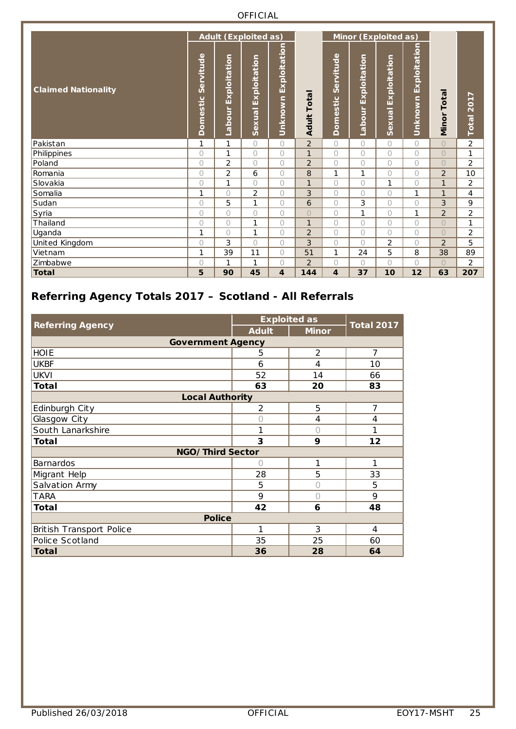|                            |                       | <b>Adult (Exploited as)</b> |                            |                      |                      |                         |                        | Minor (Exploited as)  |                         |                |                |
|----------------------------|-----------------------|-----------------------------|----------------------------|----------------------|----------------------|-------------------------|------------------------|-----------------------|-------------------------|----------------|----------------|
| <b>Claimed Nationality</b> | Servitude<br>Domestic | Exploitation<br>Labour      | Exploitation<br>-<br>Sexua | Unknown Exploitation | Tota<br><b>Adult</b> | Servitude<br>Domestic   | Exploitation<br>Labour | Exploitation<br>Sexua | Exploitation<br>Unknown | Total<br>Minor | Total 2017     |
| Pakistan                   | 1                     | 1                           | $\bigcap$                  | $\bigcirc$           | $\overline{2}$       | 0                       | $\bigcap$              | $\bigcap$             | $\bigcap$               | $\bigcirc$     | $\overline{2}$ |
| Philippines                | $\bigcap$             | 1                           | $\bigcap$                  | $\bigcirc$           | $\mathbf{1}$         | 0                       | 0                      | $\bigcap$             | $\bigcap$               | $\bigcirc$     | 1              |
| Poland                     | 0                     | 2                           | $\bigcirc$                 | $\bigcirc$           | $\overline{2}$       | 0                       | 0                      | $\bigcap$             | $\bigcirc$              | $\bigcirc$     | 2              |
| Romania                    | 0                     | $\overline{2}$              | 6                          | $\bigcirc$           | 8                    | 1                       | 1                      | $\bigcap$             | $\bigcirc$              | $\overline{2}$ | 10             |
| Slovakia                   | $\overline{O}$        | 1                           | $\bigcap$                  | $\bigcirc$           | $\mathbf{1}$         | 0                       | $\overline{O}$         | 1                     | $\bigcirc$              | $\mathbf{1}$   | 2              |
| Somalia                    | 1                     | $\bigcirc$                  | $\overline{2}$             | $\bigcirc$           | 3                    | 0                       | 0                      | $\bigcap$             | 1                       | $\mathbf{1}$   | 4              |
| Sudan                      | $\bigcap$             | 5                           | $\mathbf{1}$               | $\bigcirc$           | 6                    | 0                       | 3                      | $\bigcap$             | $\bigcap$               | 3              | 9              |
| Syria                      | 0                     | $\bigcirc$                  | $\bigcirc$                 | 0                    | $\overline{O}$       | 0                       | 1                      | $\bigcap$             | 1                       | $\overline{2}$ | $\overline{2}$ |
| Thailand                   | 0                     | $\bigcirc$                  | 1                          | $\bigcirc$           | $\mathbf{1}$         | 0                       | 0                      | $\bigcirc$            | $\bigcirc$              | $\bigcirc$     | 1              |
| Uganda                     | 1                     | $\bigcirc$                  | $\mathbf{1}$               | $\bigcirc$           | $\overline{2}$       | 0                       | $\overline{O}$         | $\bigcap$             | $\bigcirc$              | $\bigcirc$     | 2              |
| United Kingdom             | $\bigcap$             | 3                           | $\bigcap$                  | $\bigcirc$           | 3                    | 0                       | $\bigcap$              | $\overline{2}$        | $\bigcirc$              | $\overline{2}$ | 5              |
| Vietnam                    | $\mathbf{1}$          | 39                          | 11                         | $\bigcirc$           | 51                   | 1                       | 24                     | 5                     | 8                       | 38             | 89             |
| Zimbabwe                   | $\bigcap$             | 1                           | 1                          | $\bigcirc$           | $\overline{2}$       | 0                       | 0                      | $\bigcap$             | $\bigcap$               | $\bigcirc$     | 2              |
| Total                      | 5                     | 90                          | 45                         | 4                    | 144                  | $\overline{\mathbf{4}}$ | 37                     | 10                    | 12                      | 63             | 207            |

### <span id="page-24-0"></span>**Referring Agency Totals 2017 – Scotland - All Referrals**

|                          | <b>Exploited as</b> |              | <b>Total 2017</b> |  |
|--------------------------|---------------------|--------------|-------------------|--|
| <b>Referring Agency</b>  | <b>Adult</b>        | <b>Minor</b> |                   |  |
| <b>Government Agency</b> |                     |              |                   |  |
| <b>HOIE</b>              | 5                   | 2            | $\overline{7}$    |  |
| <b>UKBF</b>              | 6                   | 4            | 10                |  |
| <b>UKVI</b>              | 52                  | 14           | 66                |  |
| <b>Total</b>             | 63                  | 20           | 83                |  |
| <b>Local Authority</b>   |                     |              |                   |  |
| Edinburgh City           | $\overline{2}$      | 5            | $\overline{7}$    |  |
| Glasgow City             | 0                   | 4            | 4                 |  |
| South Lanarkshire        | 1                   | $\bigcap$    | 1                 |  |
| <b>Total</b>             | 3                   | 9            | 12                |  |
| NGO/Third Sector         |                     |              |                   |  |
| <b>Barnardos</b>         | Ω                   | 1            | 1                 |  |
| Migrant Help             | 28                  | 5            | 33                |  |
| Salvation Army           | 5                   |              | 5                 |  |
| <b>TARA</b>              | 9                   |              | 9                 |  |
| <b>Total</b>             | 42                  | 6            | 48                |  |
| <b>Police</b>            |                     |              |                   |  |
| British Transport Police | 1                   | 3            | 4                 |  |
| Police Scotland          | 35                  | 25           | 60                |  |
| <b>Total</b>             | 36                  | 28           | 64                |  |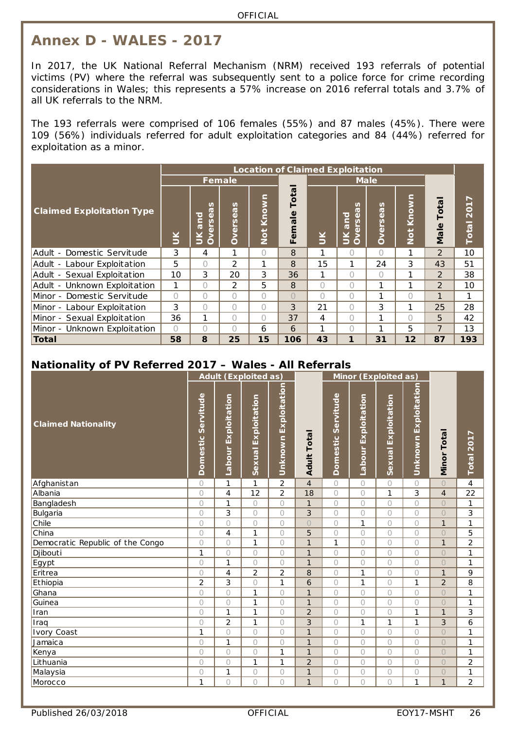## <span id="page-25-0"></span>**Annex D - WALES - 2017**

In 2017, the UK National Referral Mechanism (NRM) received 193 referrals of potential victims (PV) where the referral was subsequently sent to a police force for crime recording considerations in Wales; this represents a 57% increase on 2016 referral totals and 3.7% of all UK referrals to the NRM.

The 193 referrals were comprised of 106 females (55%) and 87 males (45%). There were 109 (56%) individuals referred for adult exploitation categories and 84 (44%) referred for exploitation as a minor.

|                                                         |            |                                                                 |                |            |                 |           | <b>Location of Claimed Exploitation</b>                                 |           |           |                |                          |
|---------------------------------------------------------|------------|-----------------------------------------------------------------|----------------|------------|-----------------|-----------|-------------------------------------------------------------------------|-----------|-----------|----------------|--------------------------|
|                                                         |            |                                                                 | <b>Female</b>  |            |                 |           | <b>Male</b>                                                             |           |           |                |                          |
| <b>Claimed Exploitation Type</b>                        | $\leq$     | n<br>ā<br>and<br>$\mathbf{\Omega}$<br>vers<br>$\leq$<br>$\circ$ | Overseas       | Not Known  | Total<br>Female | $\leq$    | n<br>$\overline{v}$<br>and<br>$\mathbf{\Omega}$<br>vers<br>Š<br>$\circ$ | Overseas  | Not Known | Total<br>Male  | ↖<br><b>201</b><br>Total |
| Adult - Domestic Servitude                              | 3          | 4                                                               | 1              | $\bigcirc$ | 8               |           | ∩                                                                       | $\bigcap$ |           | $\overline{2}$ | 10                       |
| Adult - Labour Exploitation                             | 5          | $\bigcap$                                                       | $\overline{2}$ | 1          | 8               | 15        | 1                                                                       | 24        | 3         | 43             | 51                       |
| Adult - Sexual Exploitation                             | 10         | 3                                                               | 20             | 3          | 36              | 1         | $\bigcap$                                                               | $\bigcap$ |           | 2              | 38                       |
| Adult - Unknown Exploitation                            | 1          | 0                                                               | $\overline{2}$ | 5          | 8               | $\bigcap$ | $\bigcap$                                                               | 1         | 1         | $\mathcal{P}$  | 10                       |
| Minor - Domestic Servitude                              | $\bigcirc$ | 0                                                               | 0              | $\bigcirc$ | $\bigcap$       | $\bigcap$ | $\bigcap$                                                               | 1         | $\bigcap$ | 1              | 1                        |
| Minor - Labour Exploitation                             | 3          | 0                                                               | $\bigcap$      | $\bigcap$  | 3               | 21        | $\bigcap$                                                               | 3         | 1         | 25             | 28                       |
| Minor - Sexual Exploitation                             | 36         | 1                                                               | $\bigcap$      | $\bigcap$  | 37              | 4         | $\bigcap$                                                               | 1         | $\bigcap$ | 5              | 42                       |
| Minor - Unknown Exploitation                            | $\bigcap$  | $\bigcap$                                                       | 0              | 6          | 6               |           | $\bigcap$                                                               | 1         | 5         | 7              | 13                       |
| Total                                                   | 58         | 8                                                               | 25             | 15         | 106             | 43        | 1                                                                       | 31        | 12        | 87             | 193                      |
| Nationality of PV Referred 2017 - Wales - All Referrals |            |                                                                 |                |            |                 |           |                                                                         |           |           |                |                          |

<span id="page-25-1"></span>

|                                  |                    | <b>Adult (Exploited as)</b> |                        |                      |                    |                    |                        | <b>Minor (Exploited as)</b> |                      |                |                |
|----------------------------------|--------------------|-----------------------------|------------------------|----------------------|--------------------|--------------------|------------------------|-----------------------------|----------------------|----------------|----------------|
| <b>Claimed Nationality</b>       | Domestic Servitude | Exploitation<br>Labour      | Exploitation<br>Sexual | Unknown Exploitation | <b>Adult Total</b> | Domestic Servitude | Exploitation<br>Labour | Exploitation<br>Sexual      | Unknown Exploitation | Minor Total    | Total 2017     |
| Afghanistan                      | 0                  | 1                           | 1                      | $\overline{2}$       | $\overline{4}$     | $\bigcirc$         | 0                      | $\bigcap$                   | $\bigcirc$           | $\circ$        | 4              |
| Albania                          | $\bigcirc$         | 4                           | 12                     | $\overline{2}$       | 18                 | $\bigcirc$         | $\bigcirc$             | 1                           | $\overline{3}$       | $\overline{4}$ | 22             |
| Bangladesh                       | 0                  | 1                           | $\bigcirc$             | $\circ$              | $\mathbf{1}$       | 0                  | $\bigcirc$             | $\bigcirc$                  | $\bigcirc$           | $\bigcirc$     | 1              |
| Bulgaria                         | 0                  | 3                           | $\bigcirc$             | $\bigcirc$           | 3                  | 0                  | $\circ$                | $\bigcap$                   | $\bigcirc$           | $\bigcirc$     | 3              |
| Chile                            | $\bigcirc$         | $\circ$                     | $\bigcap$              | $\bigcirc$           | $\overline{O}$     | 0                  | $\mathbf{1}$           | $\bigcap$                   | $\bigcap$            | $\mathbf{1}$   | 1              |
| China                            | $\circ$            | 4                           | $\mathbf{1}$           | $\circ$              | 5                  | 0                  | $\circ$                | $\bigcirc$                  | $\circ$              | $\bigcirc$     | 5              |
| Democratic Republic of the Congo | $\bigcirc$         | $\circ$                     | $\mathbf{1}$           | $\bigcirc$           | $\overline{1}$     | 1                  | $\bigcirc$             | $\bigcap$                   | $\bigcirc$           | $\mathbf{1}$   | $\overline{2}$ |
| Djibouti                         | 1                  | $\circ$                     | $\bigcirc$             | $\circ$              | $\mathbf{1}$       | 0                  | $\circ$                | $\bigcap$                   | $\bigcirc$           | $\overline{O}$ | $\mathbf{1}$   |
| Egypt                            | 0                  | 1                           | $\bigcirc$             | $\circ$              | $\mathbf{1}$       | $\circ$            | $\circ$                | $\bigcap$                   | $\bigcirc$           | $\overline{O}$ | 1              |
| Eritrea                          | $\bigcirc$         | 4                           | $\overline{2}$         | $\overline{2}$       | 8                  | 0                  | $\mathbf{1}$           | $\bigcap$                   | $\bigcirc$           | $\mathbf{1}$   | 9              |
| Ethiopia                         | $\overline{2}$     | 3                           | $\bigcirc$             | $\mathbf{1}$         | 6                  | 0                  | $\mathbf{1}$           | $\bigcap$                   | $\mathbf{1}$         | $\overline{2}$ | 8              |
| Ghana                            | $\circ$            | $\circ$                     | $\mathbf{1}$           | $\bigcirc$           | $\overline{1}$     | $\bigcirc$         | $\circ$                | $\bigcap$                   | $\bigcirc$           | $\circ$        | $\mathbf{1}$   |
| Guinea                           | 0                  | $\circ$                     | $\mathbf{1}$           | $\circ$              | $\mathbf{1}$       | 0                  | $\circ$                | $\bigcirc$                  | $\bigcirc$           | $\overline{O}$ | 1              |
| Iran                             | $\circ$            | 1                           | 1                      | $\circ$              | $\overline{2}$     | 0                  | $\bigcirc$             | $\bigcap$                   | $\mathbf{1}$         | $\mathbf{1}$   | 3              |
| Iraq                             | 0                  | $\overline{2}$              | $\mathbf{1}$           | $\bigcirc$           | 3                  | $\circ$            | $\mathbf{1}$           | 1                           | 1                    | 3              | 6              |
| <b>Ivory Coast</b>               | 1                  | $\circ$                     | $\bigcirc$             | $\circ$              | $\mathbf{1}$       | $\bigcirc$         | $\circ$                | $\bigcap$                   | $\bigcirc$           | $\circ$        | 1              |
| Jamaica                          | $\bigcirc$         | 1                           | $\bigcirc$             | $\circ$              | $\overline{1}$     | 0                  | $\bigcirc$             | $\bigcap$                   | $\bigcirc$           | $\circ$        | 1              |
| Kenya                            | $\circ$            | $\bigcirc$                  | $\bigcirc$             | $\mathbf{1}$         | $\mathbf{1}$       | 0                  | $\circ$                | $\bigcirc$                  | $\circ$              | $\overline{O}$ | $\mathbf{1}$   |
| Lithuania                        | $\bigcirc$         | $\bigcirc$                  | 1                      | $\mathbf{1}$         | $\overline{2}$     | 0                  | $\bigcirc$             | $\bigcirc$                  | $\bigcirc$           | $\bigcirc$     | $\overline{2}$ |
| Malaysia                         | 0                  | 1                           | $\bigcirc$             | $\circ$              | 1                  | 0                  | $\circ$                | $\bigcirc$                  | $\bigcirc$           | $\bigcirc$     | 1              |
| Morocco                          | 1                  | $\bigcirc$                  | $\bigcirc$             | $\bigcirc$           | $\mathbf{1}$       | $\bigcirc$         | $\bigcirc$             | $\bigcirc$                  | 1                    | $\mathbf{1}$   | $\overline{2}$ |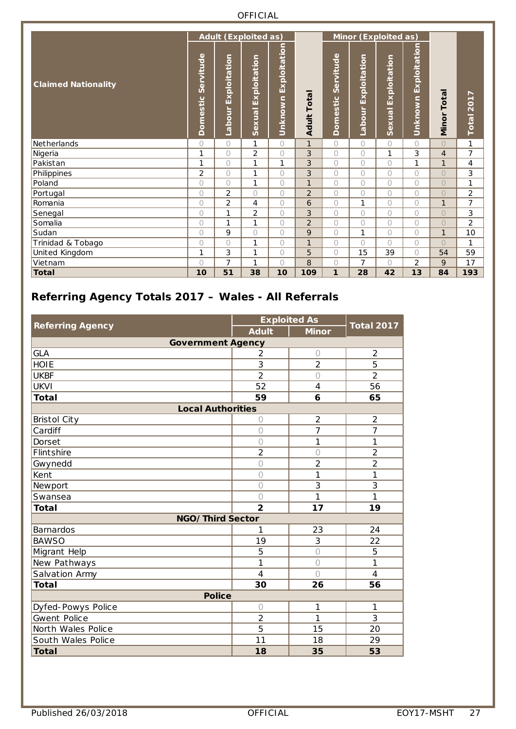|                              |                       |                        | <b>Adult (Exploited as)</b>   |                      |                   | Minor (Exploited as)  |                               |                               |                      |                |                |  |  |
|------------------------------|-----------------------|------------------------|-------------------------------|----------------------|-------------------|-----------------------|-------------------------------|-------------------------------|----------------------|----------------|----------------|--|--|
| <b>Claimed Nationality</b>   | Servitude<br>Domestic | Exploitation<br>Labour | Exploitation<br><b>Sexual</b> | Unknown Exploitation | <b>Adult Tota</b> | Servitude<br>Domestic | Exploitation<br><b>Labour</b> | Exploitation<br><b>Sexual</b> | Unknown Exploitation | Minor Total    | Total 2017     |  |  |
| Netherlands                  | $\bigcap$             | $\bigcirc$             | 1                             | $\circ$              | $\mathbf{1}$      | $\bigcap$             | $\bigcirc$                    | $\bigcirc$                    | $\bigcap$            | $\overline{O}$ | 1              |  |  |
| Nigeria                      | 1                     | $\bigcirc$             | $\overline{2}$                | $\circ$              | 3                 | $\bigcirc$            | $\bigcirc$                    | 1                             | 3                    | $\overline{4}$ | $\overline{7}$ |  |  |
| Pakistan                     | 1                     | $\circ$                | 1                             | 1                    | 3                 | 0                     | $\circ$                       | $\bigcirc$                    | 1                    | $\mathbf{1}$   | 4              |  |  |
| Philippines                  | $\overline{2}$        | $\bigcirc$             | 1                             | $\circ$              | 3                 | $\bigcirc$            | $\overline{O}$                | $\bigcap$                     | $\bigcap$            | $\bigcirc$     | 3              |  |  |
| Poland                       | $\bigcirc$            | $\bigcirc$             | 1                             | $\bigcirc$           | 1                 | $\bigcirc$            | $\bigcirc$                    | $\bigcirc$                    | $\bigcirc$           | $\bigcirc$     | 1              |  |  |
| Portugal                     | $\bigcirc$            | $\overline{2}$         | $\bigcirc$                    | $\bigcirc$           | $\overline{2}$    | 0                     | $\bigcirc$                    | $\bigcap$                     | $\bigcirc$           | $\overline{O}$ | $\overline{2}$ |  |  |
| Romania                      | $\bigcirc$            | $\overline{2}$         | $\overline{4}$                | $\bigcirc$           | 6                 | $\bigcirc$            | 1                             | $\bigcap$                     | $\bigcirc$           | $\mathbf{1}$   | 7              |  |  |
| Senegal                      | $\bigcap$             | 1                      | $\overline{2}$                | 0                    | 3                 | 0                     | $\bigcirc$                    | $\bigcap$                     | $\circ$              | $\bigcirc$     | 3              |  |  |
| Somalia                      | $\bigcirc$            | 1                      | 1                             | $\bigcirc$           | $\overline{2}$    | 0                     | $\bigcirc$                    | $\bigcap$                     | $\bigcirc$           | $\overline{O}$ | $\overline{c}$ |  |  |
| $\overline{\mathsf{S}}$ udan | $\bigcirc$            | 9                      | $\bigcirc$                    | $\circ$              | 9                 | $\bigcirc$            | 1                             | $\bigcirc$                    | $\bigcirc$           | $\mathbf{1}$   | 10             |  |  |
| Trinidad & Tobago            | $\bigcirc$            | $\bigcirc$             | 1                             | 0                    | $\mathbf{1}$      | $\bigcirc$            | $\bigcirc$                    | $\bigcap$                     | 0                    | $\bigcirc$     | 1              |  |  |
| United Kingdom               | 1                     | 3                      | 1                             | $\bigcirc$           | 5                 | 0                     | 15                            | 39                            | $\bigcirc$           | 54             | 59             |  |  |
| Vietnam                      | $\bigcap$             | 7                      | 1                             | $\bigcap$            | 8                 | 0                     | $\overline{7}$                | $\bigcap$                     | $\overline{2}$       | 9              | 17             |  |  |
| <b>Total</b>                 | 10                    | 51                     | 38                            | 10                   | 109               | $\mathbf{1}$          | 28                            | 42                            | 13                   | 84             | 193            |  |  |

<span id="page-26-0"></span>

|                          |                | <b>Exploited As</b> | <b>Total 2017</b> |
|--------------------------|----------------|---------------------|-------------------|
| <b>Referring Agency</b>  | <b>Adult</b>   | <b>Minor</b>        |                   |
| <b>Government Agency</b> |                |                     |                   |
| <b>GLA</b>               | 2              | $\bigcirc$          | $\overline{2}$    |
| <b>HOIE</b>              | 3              | $\overline{2}$      | 5                 |
| <b>UKBF</b>              | $\overline{2}$ | $\bigcap$           | $\overline{2}$    |
| <b>UKVI</b>              | 52             | 4                   | 56                |
| <b>Total</b>             | 59             | 6                   | 65                |
| <b>Local Authorities</b> |                |                     |                   |
| <b>Bristol City</b>      | 0              | $\overline{2}$      | $\overline{2}$    |
| Cardiff                  | 0              | 7                   | $\overline{7}$    |
| Dorset                   | $\circ$        | 1                   | 1                 |
| <b>Flintshire</b>        | $\overline{2}$ | $\bigcirc$          | $\overline{2}$    |
| Gwynedd                  | $\circ$        | $\overline{2}$      | $\overline{2}$    |
| Kent                     | $\bigcirc$     | 1                   | 1                 |
| Newport                  | $\bigcirc$     | 3                   | 3                 |
| Swansea                  | $\bigcirc$     | 1                   | 1                 |
| <b>Total</b>             | $\overline{2}$ | 17                  | 19                |
| NGO/Third Sector         |                |                     |                   |
| <b>Barnardos</b>         | 1              | 23                  | 24                |
| <b>BAWSO</b>             | 19             | 3                   | 22                |
| Migrant Help             | 5              | $\bigcirc$          | 5                 |
| New Pathways             | 1              | $\bigcirc$          | 1                 |
| Salvation Army           | 4              | $\bigcap$           | 4                 |
| <b>Total</b>             | 30             | 26                  | 56                |
| <b>Police</b>            |                |                     |                   |
| Dyfed-Powys Police       | $\bigcirc$     | 1                   | 1                 |
| Gwent Police             | $\overline{2}$ | 1                   | 3                 |
| North Wales Police       | 5              | 15                  | 20                |
| South Wales Police       | 11             | 18                  | 29                |
| <b>Total</b>             | 18             | 35                  | 53                |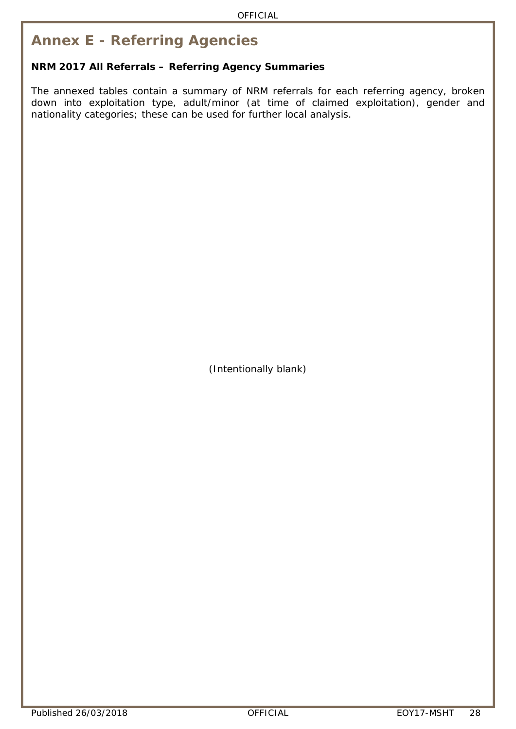## <span id="page-27-0"></span>**Annex E - Referring Agencies**

#### **NRM 2017 All Referrals – Referring Agency Summaries**

The annexed tables contain a summary of NRM referrals for each referring agency, broken down into exploitation type, adult/minor (at time of claimed exploitation), gender and nationality categories; these can be used for further local analysis.

(Intentionally blank)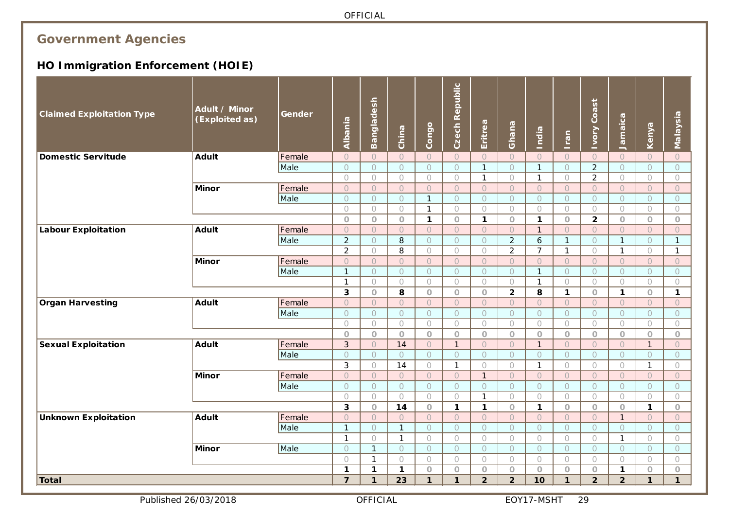## **Government Agencies**

## **HO Immigration Enforcement (HOIE)**

<span id="page-28-0"></span>

| <b>Claimed Exploitation Type</b> | Adult / Minor<br>(Exploited as) | Gender | Albania                      | Bangladesh                                 | China                    | Congo                        | <b>Czech Republic</b> | Eritrea               | Ghana                     | India                      | <u>Iran</u>           | Coast<br><b>Alon</b>  | Jamaica                           | Kenya                        | Malaysia                       |
|----------------------------------|---------------------------------|--------|------------------------------|--------------------------------------------|--------------------------|------------------------------|-----------------------|-----------------------|---------------------------|----------------------------|-----------------------|-----------------------|-----------------------------------|------------------------------|--------------------------------|
| <b>Domestic Servitude</b>        | <b>Adult</b>                    | Female | $\bigcirc$                   | $\circ$                                    | $\circ$                  | $\circ$                      | $\bigcap$             | $\overline{O}$        | $\overline{O}$            | $\overline{O}$             | $\circ$               | $\circ$               | $\circ$                           | $\circ$                      | $\circ$                        |
|                                  |                                 | Male   | $\circ$                      | $\circlearrowright$                        | $\circ$                  | $\bigcirc$                   | $\circ$               | $\mathbf{1}$          | $\circ$                   | $\mathbf{1}$               | $\bigcirc$            | $\overline{2}$        | $\bigcirc$                        | $\circ$                      | $\circ$                        |
|                                  |                                 |        | $\bigcirc$                   | $\bigcirc$                                 | $\bigcirc$               | $\bigcirc$                   | $\bigcirc$            | $\mathbf{1}$          | $\bigcirc$                | $\mathbf{1}$               | $\bigcirc$            | $\overline{2}$        | $\bigcirc$                        | $\bigcirc$                   | $\bigcirc$                     |
|                                  | <b>Minor</b>                    | Female | $\circ$                      | $\circlearrowright$                        | $\circ$                  | $\circ$                      | $\circ$               | $\overline{O}$        | $\bigcirc$                | $\circ$                    | $\circ$               | $\circ$               | $\circlearrowright$               | $\circ$                      | $\circ$                        |
|                                  |                                 | Male   | $\circ$                      | $\circlearrowright$                        | $\circ$                  | $\mathbf{1}$                 | $\bigcirc$            | $\circ$               | $\circ$                   | $\circ$                    | $\circ$               | $\circ$               | $\bigcirc$                        | $\circ$                      | $\circ$                        |
|                                  |                                 |        | $\bigcirc$                   | $\bigcirc$                                 | $\bigcirc$               | $\mathbf{1}$                 | $\bigcirc$            | $\bigcirc$            | $\circ$                   | $\bigcirc$                 | $\bigcirc$            | $\bigcirc$            | $\bigcirc$                        | $\bigcirc$                   | $\bigcirc$                     |
|                                  |                                 |        | $\circ$                      | $\circ$                                    | $\circ$                  | $\mathbf{1}$                 | $\circ$               | $\mathbf{1}$          | $\overline{O}$            | $\mathbf{1}$               | $\bigcirc$            | $\overline{2}$        | $\circ$                           | $\bigcirc$                   | $\bigcirc$                     |
| <b>Labour Exploitation</b>       | <b>Adult</b>                    | Female | $\overline{O}$               | $\circlearrowright$                        | $\bigcirc$               | $\circ$                      | $\circ$               | $\circ$               | $\circ$                   | $\mathbf{1}$               | $\circ$               | $\circ$               | $\circlearrowright$               | $\circ$                      | $\circ$                        |
|                                  |                                 | Male   | $\overline{2}$               | $\overline{O}$                             | 8                        | $\bigcirc$                   | $\overline{O}$        | $\overline{O}$        | $\overline{2}$            | 6                          | $\mathbf{1}$          | $\circ$               | $\mathbf{1}$                      | $\bigcirc$                   | $\mathbf{1}$                   |
|                                  | <b>Minor</b>                    | Female | $\overline{2}$               | $\bigcirc$                                 | 8                        | $\bigcirc$                   | $\bigcirc$            | $\bigcirc$<br>$\circ$ | $\overline{2}$<br>$\circ$ | $\overline{7}$             | $\mathbf{1}$          | $\bigcirc$<br>$\circ$ | $\mathbf{1}$                      | $\bigcirc$                   | $\mathbf{1}$                   |
|                                  |                                 | Male   | $\circ$<br>$\mathbf{1}$      | $\circlearrowright$<br>$\circlearrowright$ | $\circ$<br>$\bigcirc$    | $\circ$<br>$\circ$           | $\circ$<br>$\circ$    | $\circ$               | $\bigcirc$                | $\bigcirc$<br>$\mathbf{1}$ | $\bigcirc$<br>$\circ$ | $\circ$               | $\circlearrowright$<br>$\bigcirc$ | $\bigcirc$<br>$\circ$        | $\circ$<br>$\circlearrowright$ |
|                                  |                                 |        | $\mathbf{1}$                 | $\bigcirc$                                 | $\bigcirc$               | $\bigcirc$                   | $\bigcirc$            | $\bigcirc$            | $\bigcirc$                | $\mathbf{1}$               | $\bigcirc$            | $\bigcirc$            | $\bigcirc$                        | $\bigcirc$                   | $\bigcirc$                     |
|                                  |                                 |        | $\overline{\mathbf{3}}$      | $\circ$                                    | 8                        | $\circ$                      | $\circ$               | $\bigcirc$            | $\overline{2}$            | 8                          | $\mathbf{1}$          | $\circ$               | $\mathbf{1}$                      | $\circ$                      | $\mathbf{1}$                   |
| <b>Organ Harvesting</b>          | <b>Adult</b>                    | Female | $\overline{O}$               | $\circlearrowright$                        | $\bigcirc$               | $\circ$                      | $\overline{O}$        | $\circ$               | $\bigcirc$                | $\circ$                    | $\circ$               | $\circ$               | $\circlearrowright$               | $\bigcirc$                   | $\circ$                        |
|                                  |                                 | Male   | $\circlearrowright$          | $\circlearrowright$                        | $\bigcirc$               | $\circ$                      | $\bigcirc$            | $\circ$               | $\circ$                   | $\circ$                    | $\circ$               | $\circ$               | $\bigcirc$                        | $\bigcirc$                   | $\circlearrowright$            |
|                                  |                                 |        | $\bigcirc$                   | $\bigcirc$                                 | $\bigcirc$               | $\bigcirc$                   | $\bigcirc$            | $\bigcirc$            | $\bigcirc$                | $\bigcirc$                 | $\bigcirc$            | $\bigcirc$            | $\bigcirc$                        | $\bigcirc$                   | $\bigcirc$                     |
|                                  |                                 |        | $\circ$                      | $\circ$                                    | $\circ$                  | $\circ$                      | $\overline{O}$        | $\circ$               | $\overline{O}$            | $\bigcirc$                 | $\circ$               | $\circ$               | $\circ$                           | $\circ$                      | $\bigcirc$                     |
| <b>Sexual Exploitation</b>       | <b>Adult</b>                    | Female | 3                            | $\circlearrowright$                        | 14                       | $\circ$                      | $\mathbf{1}$          | $\circ$               | $\circ$                   | $\mathbf{1}$               | $\circ$               | $\circ$               | $\circlearrowright$               | $\mathbf{1}$                 | $\circ$                        |
|                                  |                                 | Male   | $\circ$                      | $\bigcirc$                                 | $\circ$                  | $\overline{O}$               | $\circ$               | $\overline{O}$        | $\circ$                   | $\circ$                    | $\circ$               | $\overline{O}$        | $\bigcirc$                        | $\bigcirc$                   | $\circ$                        |
|                                  |                                 |        | 3                            | $\bigcirc$                                 | 14                       | $\bigcirc$                   | $\mathbf{1}$          | $\bigcirc$            | $\bigcirc$                | $\mathbf{1}$               | $\bigcirc$            | $\bigcirc$            | $\bigcirc$                        | $\mathbf{1}$                 | $\bigcirc$                     |
|                                  | <b>Minor</b>                    | Female | $\circ$                      | $\circlearrowright$                        | $\bigcirc$               | $\bigcirc$                   | $\circ$               | $\mathbf{1}$          | $\circ$                   | $\circ$                    | $\circlearrowright$   | $\circ$               | $\circlearrowright$               | $\circ$                      | $\circ$                        |
|                                  |                                 | Male   | $\bigcirc$                   | $\bigcirc$                                 | $\bigcirc$               | $\bigcirc$                   | $\circ$               | $\circ$               | $\circ$                   | $\bigcirc$                 | $\circlearrowright$   | $\circlearrowright$   | $\bigcirc$                        | $\bigcirc$                   | $\bigcirc$                     |
|                                  |                                 |        | $\bigcirc$                   | $\bigcirc$                                 | $\bigcirc$               | $\bigcirc$                   | $\bigcirc$            | $\mathbf{1}$          | $\bigcirc$                | $\bigcirc$                 | $\circ$               | $\bigcirc$            | $\bigcirc$                        | $\bigcirc$                   | $\bigcirc$                     |
|                                  |                                 |        | 3                            | $\circ$                                    | 14                       | $\circlearrowright$          | $\mathbf{1}$          | $\mathbf{1}$          | $\overline{O}$            | $\mathbf{1}$               | $\circ$               | $\circ$               | $\circ$                           | $\mathbf{1}$                 | $\bigcirc$                     |
| <b>Unknown Exploitation</b>      | <b>Adult</b>                    | Female | $\overline{O}$               | $\circ$                                    | $\circ$                  | $\circ$                      | $\circ$               | $\circ$               | $\circ$                   | $\overline{O}$             | $\circ$               | $\circ$               | $\mathbf{1}$                      | $\bigcirc$                   | $\circ$                        |
|                                  |                                 | Male   | $\mathbf{1}$                 | $\circlearrowright$                        | $\mathbf{1}$             | $\circ$                      | $\overline{O}$        | $\overline{O}$        | $\circ$                   | $\circ$                    | $\circ$               | $\overline{O}$        | $\bigcirc$                        | $\circlearrowright$          | $\circ$                        |
|                                  |                                 |        | $\mathbf{1}$                 | $\bigcirc$<br>$\mathbf{1}$                 | $\mathbf{1}$             | $\bigcirc$                   | $\bigcirc$            | $\bigcirc$            | $\bigcirc$                | $\bigcirc$                 | $\bigcirc$            | $\bigcirc$            | $\mathbf{1}$                      | $\bigcirc$                   | $\bigcirc$                     |
|                                  | <b>Minor</b>                    | Male   | $\overline{O}$<br>$\bigcirc$ | $\mathbf{1}$                               | $\bigcirc$<br>$\bigcirc$ | $\overline{O}$<br>$\bigcirc$ | $\circ$<br>$\bigcirc$ | $\circ$<br>$\bigcirc$ | $\circ$<br>$\bigcirc$     | $\circ$<br>$\bigcirc$      | $\circ$<br>$\bigcirc$ | $\circ$<br>$\bigcirc$ | $\bigcirc$<br>$\bigcirc$          | $\overline{O}$<br>$\bigcirc$ | $\circ$                        |
|                                  |                                 |        | $\mathbf{1}$                 | $\mathbf{1}$                               | $\mathbf{1}$             | $\hbox{O}$                   | $\circlearrowright$   | $\bigcirc$            | $\overline{O}$            | $\circ$                    | $\hbox{O}$            | $\circlearrowright$   | $\mathbf{1}$                      | $\circ$                      | $\bigcirc$<br>$\hbox{O}$       |
| <b>Total</b>                     |                                 |        | $\overline{7}$               | $\mathbf{1}$                               | 23                       | $\mathbf{1}$                 | $\mathbf{1}$          | $\overline{2}$        | $\overline{2}$            | 10                         | $\mathbf{1}$          | $\overline{2}$        | $\overline{2}$                    | $\mathbf{1}$                 | $\mathbf{1}$                   |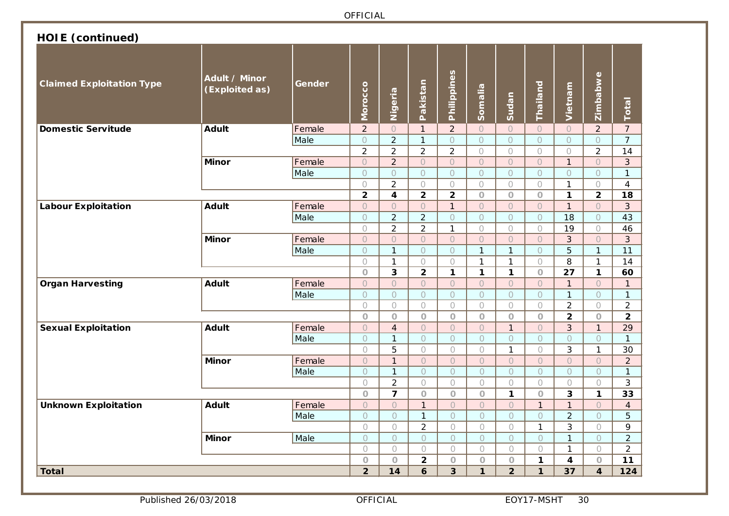| <b>HOIE</b> (continued)          |                                 |        |                |                         |                         |                |                     |                |                |                |                         |                |
|----------------------------------|---------------------------------|--------|----------------|-------------------------|-------------------------|----------------|---------------------|----------------|----------------|----------------|-------------------------|----------------|
| <b>Claimed Exploitation Type</b> | Adult / Minor<br>(Exploited as) | Gender | Morocco        | Nigeria                 | Pakistan                | Philippines    | Somalia             | Sudan          | Thailand       | Vietnam        | Zimbabwe                | Total          |
| <b>Domestic Servitude</b>        | <b>Adult</b>                    | Female | $\overline{2}$ | $\overline{O}$          | $\mathbf{1}$            | $\overline{2}$ | $\bigcirc$          | $\circ$        | $\bigcirc$     | $\circ$        | $\overline{2}$          | $\overline{7}$ |
|                                  |                                 | Male   | $\bigcirc$     | $\overline{2}$          | $\mathbf{1}$            | $\bigcirc$     | $\bigcirc$          | $\bigcirc$     | $\bigcirc$     | $\circ$        | $\bigcirc$              | $\overline{7}$ |
|                                  |                                 |        | $\overline{2}$ | $\overline{2}$          | $\overline{2}$          | $\overline{2}$ | $\bigcirc$          | $\bigcirc$     | $\bigcirc$     | $\bigcirc$     | $\overline{2}$          | 14             |
|                                  | <b>Minor</b>                    | Female | $\circ$        | $\overline{2}$          | $\circ$                 | $\circ$        | $\circ$             | $\circ$        | $\circ$        | $\mathbf{1}$   | $\overline{O}$          | $\overline{3}$ |
|                                  |                                 | Male   | $\bigcirc$     | $\bigcirc$              | $\bigcirc$              | $\circ$        | $\bigcirc$          | $\bigcirc$     | $\bigcirc$     | $\circ$        | $\bigcirc$              | $\mathbf{1}$   |
|                                  |                                 |        | $\bigcirc$     | $\overline{2}$          | $\bigcirc$              | $\bigcirc$     | $\bigcirc$          | $\bigcirc$     | $\bigcirc$     | $\mathbf{1}$   | $\bigcirc$              | $\overline{4}$ |
|                                  |                                 |        | $\overline{2}$ | $\overline{\mathbf{4}}$ | $\overline{2}$          | $\overline{2}$ | $\bigcirc$          | $\circ$        | $\circ$        | $\mathbf{1}$   | $\mathbf{2}$            | 18             |
| <b>Labour Exploitation</b>       | <b>Adult</b>                    | Female | $\bigcirc$     | $\circ$                 | $\bigcirc$              | $\mathbf{1}$   | $\circ$             | $\circ$        | $\circ$        | $\mathbf{1}$   | $\circ$                 | 3              |
|                                  |                                 | Male   | $\bigcirc$     | $\overline{2}$          | $\overline{2}$          | $\circ$        | $\circlearrowright$ | $\bigcirc$     | $\bigcirc$     | 18             | $\circ$                 | 43             |
|                                  |                                 |        | $\bigcirc$     | $\overline{2}$          | $\overline{2}$          | $\mathbf{1}$   | $\bigcirc$          | $\bigcirc$     | $\bigcirc$     | 19             | $\bigcirc$              | 46             |
|                                  | <b>Minor</b>                    | Female | $\bigcirc$     | $\circ$                 | $\overline{O}$          | $\circ$        | $\circ$             | $\overline{O}$ | $\overline{O}$ | $\overline{3}$ | $\circ$                 | 3              |
|                                  |                                 | Male   | $\bigcirc$     | $\mathbf{1}$            | $\bigcirc$              | $\bigcirc$     | $\mathbf{1}$        | $\mathbf{1}$   | $\bigcirc$     | 5              | $\mathbf{1}$            | 11             |
|                                  |                                 |        | $\bigcirc$     | $\mathbf{1}$            | $\bigcirc$              | $\bigcirc$     | $\mathbf{1}$        | $\mathbf{1}$   | $\bigcirc$     | 8              | $\mathbf{1}$            | 14             |
|                                  |                                 |        | $\overline{O}$ | 3                       | $\overline{2}$          | $\mathbf{1}$   | $\mathbf{1}$        | $\mathbf{1}$   | $\circ$        | 27             | $\mathbf 1$             | 60             |
| <b>Organ Harvesting</b>          | <b>Adult</b>                    | Female | $\bigcirc$     | $\bigcirc$              | $\bigcirc$              | $\bigcirc$     | $\bigcirc$          | $\bigcirc$     | $\circ$        | $\mathbf{1}$   | $\bigcirc$              | 1              |
|                                  |                                 | Male   | $\circ$        | $\bigcirc$              | $\bigcirc$              | $\bigcirc$     | $\circ$             | $\circ$        | $\circ$        | $\mathbf{1}$   | $\circ$                 | $\mathbf{1}$   |
|                                  |                                 |        | $\bigcirc$     | $\bigcirc$              | $\bigcirc$              | $\bigcirc$     | $\bigcirc$          | $\bigcirc$     | $\bigcirc$     | $\overline{2}$ | $\bigcirc$              | $\overline{2}$ |
|                                  |                                 |        | $\circ$        | $\circ$                 | $\circ$                 | $\circ$        | $\overline{O}$      | $\circ$        | $\circ$        | $\overline{2}$ | $\overline{O}$          | $\overline{2}$ |
| <b>Sexual Exploitation</b>       | <b>Adult</b>                    | Female | $\bigcirc$     | $\overline{4}$          | $\bigcirc$              | $\circ$        | $\circ$             | $\mathbf{1}$   | $\bigcirc$     | 3              | $\mathbf{1}$            | 29             |
|                                  |                                 | Male   | $\bigcirc$     | $\mathbf{1}$            | $\bigcirc$              | $\circ$        | $\circ$             | $\overline{O}$ | $\bigcirc$     | $\circ$        | $\circ$                 | $\mathbf{1}$   |
|                                  |                                 |        | $\bigcirc$     | 5                       | $\bigcirc$              | $\bigcirc$     | $\bigcirc$          | $\mathbf{1}$   | $\bigcirc$     | 3              | $\mathbf{1}$            | 30             |
|                                  | <b>Minor</b>                    | Female | $\bigcirc$     | $\mathbf{1}$            | $\bigcirc$              | $\bigcirc$     | $\circ$             | $\bigcirc$     | $\circ$        | $\circ$        | $\bigcirc$              | $\overline{a}$ |
|                                  |                                 | Male   | $\circ$        | $\mathbf{1}$            | $\circ$                 | $\circ$        | $\bigcirc$          | $\circ$        | $\circ$        | $\bigcirc$     | $\bigcirc$              | $\mathbf{1}$   |
|                                  |                                 |        | $\bigcirc$     | $\overline{2}$          | $\bigcirc$              | $\bigcirc$     | $\bigcirc$          | $\bigcirc$     | $\bigcirc$     | $\bigcirc$     | $\bigcirc$              | 3              |
|                                  |                                 |        | $\bigcirc$     | $\overline{7}$          | $\circ$                 | $\circ$        | $\bigcirc$          | $\mathbf{1}$   | $\circ$        | 3              | $\mathbf{1}$            | 33             |
| <b>Unknown Exploitation</b>      | <b>Adult</b>                    | Female | $\circ$        | $\overline{O}$          | $\mathbf{1}$            | $\circ$        | $\overline{O}$      | $\bigcirc$     | $\mathbf{1}$   | $\mathbf{1}$   | $\bigcirc$              | $\overline{4}$ |
|                                  |                                 | Male   | $\bigcirc$     | $\overline{O}$          | $\mathbf{1}$            | $\bigcirc$     | $\bigcirc$          | $\bigcirc$     | $\circ$        | $\overline{2}$ | $\bigcirc$              | 5              |
|                                  |                                 |        | $\bigcirc$     | $\bigcirc$              | $\overline{2}$          | $\bigcirc$     | $\bigcirc$          | $\bigcirc$     | $\mathbf{1}$   | $\mathfrak{Z}$ | $\bigcirc$              | 9              |
|                                  | <b>Minor</b>                    | Male   | $\bigcirc$     | $\circ$                 | $\circ$                 | $\bigcirc$     | $\bigcirc$          | $\circ$        | $\circ$        | $\mathbf{1}$   | $\bigcirc$              | $\overline{2}$ |
|                                  |                                 |        | $\bigcirc$     | $\bigcirc$              | $\bigcirc$              | $\bigcirc$     | $\bigcirc$          | $\bigcirc$     | $\bigcirc$     | $\mathbf{1}$   | $\bigcirc$              | $\overline{2}$ |
|                                  |                                 |        | $\bigcirc$     | $\circ$                 | $\overline{\mathbf{2}}$ | $\bigcirc$     | $\circ$             | $\bigcirc$     | $\mathbf 1$    | 4              | $\circ$                 | 11             |
| <b>Total</b>                     |                                 |        | $\overline{2}$ | 14                      | 6                       | $\overline{3}$ | $\mathbf{1}$        | 2 <sup>1</sup> | $\mathbf{1}$   | 37             | $\overline{\mathbf{4}}$ | 124            |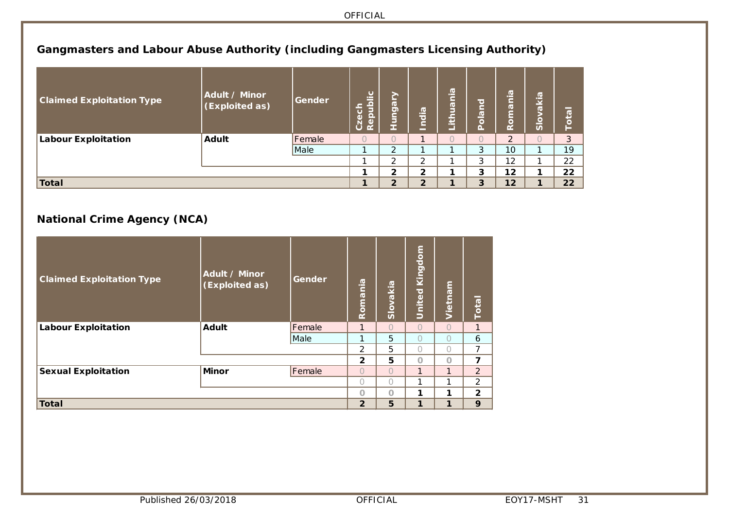### **Gangmasters and Labour Abuse Authority (including Gangmasters Licensing Authority)**

| <b>Claimed Exploitation Type</b> | Adult / Minor<br>(Exploited as) | Gender | <u>ublic</u><br>Czech<br>Repub | ↗<br>5<br><u>ත</u> | $\sigma$<br>œ<br>$\overline{\bullet}$<br>— | $\overline{\mathbf{e}}$<br>σ<br>≐<br>$\sim$<br>÷ | ਰ<br>$\overline{\omega}$<br>U | $\boldsymbol{\sigma}$<br>≔<br>$\overline{\sigma}$<br>œ | $\overline{\omega}$ .<br>ᆇ<br>$\overline{a}$<br>ခိ | _<br>$\mathbf{c}_1$ |
|----------------------------------|---------------------------------|--------|--------------------------------|--------------------|--------------------------------------------|--------------------------------------------------|-------------------------------|--------------------------------------------------------|----------------------------------------------------|---------------------|
| <b>Labour Exploitation</b>       | <b>Adult</b>                    | Female |                                |                    |                                            |                                                  |                               | າ                                                      |                                                    | 3                   |
|                                  |                                 | Male   |                                | ∍                  |                                            |                                                  | 3                             | 10                                                     |                                                    | 19                  |
|                                  |                                 |        |                                | $\sim$             | ◠                                          |                                                  | 3                             | 12                                                     |                                                    | 22                  |
|                                  |                                 |        |                                | $\mathbf{2}$       | $\overline{2}$                             |                                                  | 3                             | 12                                                     |                                                    | 22                  |
| <b>Total</b>                     |                                 |        |                                | $\overline{2}$     | $\overline{2}$                             |                                                  | 3                             | 12                                                     |                                                    | 22                  |

## **National Crime Agency (NCA)**

| <b>Claimed Exploitation Type</b> | Adult / Minor<br>(Exploited as) | Gender | Romania        | Slovakia  | Kingdom<br>United | Vietnam      | <b>Total</b>            |
|----------------------------------|---------------------------------|--------|----------------|-----------|-------------------|--------------|-------------------------|
| <b>Labour Exploitation</b>       | <b>Adult</b>                    | Female | 1              | $\bigcap$ | $\bigcap$         | $\bigcap$    | 1                       |
|                                  |                                 | Male   | 1              | 5         | $\bigcap$         | $\bigcap$    | 6                       |
|                                  |                                 |        | $\mathcal{P}$  | 5         | $\bigcap$         | $\bigcap$    | 7                       |
|                                  |                                 |        | $\overline{2}$ | 5         | $\Omega$          | $\Omega$     | $\overline{\mathbf{z}}$ |
| <b>Sexual Exploitation</b>       | Minor                           | Female | $\bigcap$      | $\bigcap$ | 1                 | $\mathbf{1}$ | $\overline{2}$          |
|                                  |                                 |        | $\bigcap$      | ∩         | 1                 | ⊣            | $\overline{2}$          |
|                                  |                                 |        | $\Omega$       | $\Omega$  | 1                 | 1            | $\overline{2}$          |
| Total                            |                                 |        | $\overline{2}$ | 5         | 1                 | 1            | 9                       |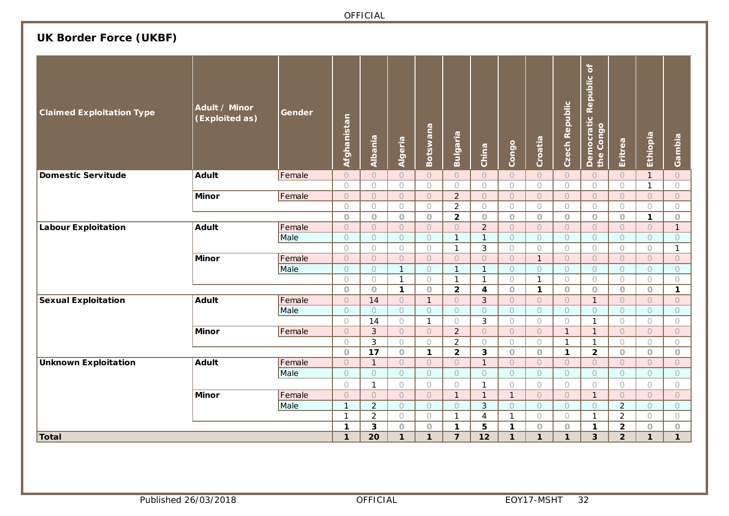## **UK Border Force (UKBF)**

| <b>Claimed Exploitation Type</b> | Adult / Minor<br>(Exploited as) | Gender | Afghanistan         | Albania        | Algeria             | Botswana            | Bulgaria       | China                   | Congo        | Croatia        | <b>Czech Republic</b> | $\mathbf{a}$<br>Democratic Republic<br>the Congo | Eritrea             | Ethiopia     | Gambia       |
|----------------------------------|---------------------------------|--------|---------------------|----------------|---------------------|---------------------|----------------|-------------------------|--------------|----------------|-----------------------|--------------------------------------------------|---------------------|--------------|--------------|
| <b>Domestic Servitude</b>        | Adult                           | Female | $\circ$             | $\overline{O}$ | $\circ$             | $\circ$             | $\circ$        | $\circ$                 | $\circ$      | $\overline{O}$ | $\circ$               | $\circ$                                          | $\circ$             | $\mathbf{1}$ | $\bigcirc$   |
|                                  |                                 |        | $\bigcirc$          | $\bigcirc$     | $\bigcirc$          | $\bigcirc$          | $\bigcirc$     | $\bigcirc$              | $\bigcirc$   | $\bigcirc$     | $\bigcirc$            | $\bigcirc$                                       | $\bigcirc$          | $\mathbf{1}$ | $\bigcirc$   |
|                                  | Minor                           | Female | $\circ$             | $\circ$        | $\circlearrowright$ | $\bigcirc$          | $\overline{2}$ | $\circ$                 | $\circ$      | $\circ$        | $\circ$               | $\circ$                                          | $\circ$             | $\bigcirc$   | $\circ$      |
|                                  |                                 |        | $\bigcirc$          | $\bigcirc$     | $\bigcirc$          | $\bigcirc$          | $\overline{2}$ | $\bigcirc$              | $\bigcirc$   | $\bigcirc$     | $\bigcirc$            | $\bigcirc$                                       | $\bigcirc$          | $\bigcirc$   | $\bigcirc$   |
|                                  |                                 |        | $\circ$             | $\bigcirc$     | $\circ$             | $\circlearrowright$ | $\overline{2}$ | $\bigcirc$              | $\circ$      | $\circ$        | $\circlearrowright$   | $\circ$                                          | $\bigcirc$          | 1            | $\bigcirc$   |
| <b>Labour Exploitation</b>       | <b>Adult</b>                    | Female | $\circ$             | $\circ$        | $\bigcirc$          | $\circ$             | $\circ$        | $\overline{2}$          | $\circ$      | $\circ$        | $\circ$               | $\circ$                                          | $\circlearrowright$ | $\bigcirc$   | $\mathbf{1}$ |
|                                  |                                 | Male   | $\circlearrowright$ | $\circ$        | $\circlearrowright$ | $\bigcirc$          | $\mathbf{1}$   | $\mathbf{1}$            | $\circ$      | $\circ$        | $\circ$               | $\circlearrowright$                              | $\circlearrowright$ | $\bigcirc$   | $\bigcirc$   |
|                                  |                                 |        | $\bigcirc$          | $\bigcirc$     | $\bigcirc$          | $\bigcirc$          | $\mathbf{1}$   | 3                       | $\bigcirc$   | $\bigcirc$     | $\circ$               | $\bigcirc$                                       | $\bigcirc$          | $\bigcirc$   | $\mathbf{1}$ |
|                                  | Minor                           | Female | $\circ$             | $\circ$        | $\circ$             | $\circ$             | $\circ$        | $\bigcirc$              | $\circ$      | $\mathbf{1}$   | $\circ$               | $\circ$                                          | $\circ$             | $\circ$      | $\bigcirc$   |
|                                  |                                 | Male   | $\bigcirc$          | $\bigcirc$     | $\mathbf{1}$        | $\bigcirc$          | $\mathbf{1}$   | $\mathbf{1}$            | $\circ$      | $\circ$        | $\bigcirc$            | $\circlearrowright$                              | $\bigcirc$          | $\circ$      | $\bigcirc$   |
|                                  |                                 |        | $\bigcirc$          | $\bigcirc$     | $\mathbf{1}$        | $\bigcirc$          | $\mathbf{1}$   | $\mathbf{1}$            | 0            | $\mathbf{1}$   | $\circ$               | $\bigcirc$                                       | $\circ$             | $\bigcirc$   | $\bigcirc$   |
|                                  |                                 |        | $\circ$             | $\circ$        | $\mathbf{1}$        | $\circ$             | $\overline{2}$ | $\overline{\mathbf{4}}$ | $\circ$      | $\mathbf{1}$   | $\circ$               | $\circ$                                          | $\circ$             | $\circ$      | $\mathbf 1$  |
| <b>Sexual Exploitation</b>       | <b>Adult</b>                    | Female | $\circ$             | 14             | $\bigcirc$          | $\mathbf{1}$        | $\bigcirc$     | $\overline{3}$          | $\circ$      | $\circ$        | $\circ$               | $\mathbf{1}$                                     | $\circ$             | $\bigcirc$   | $\bigcirc$   |
|                                  |                                 | Male   | $\circ$             | $\circ$        | $\circ$             | $\bigcirc$          | $\bigcirc$     | $\circ$                 | $\circ$      | $\overline{O}$ | $\circ$               | $\bigcirc$                                       | $\bigcirc$          | $\bigcirc$   | $\circ$      |
|                                  |                                 |        | $\bigcirc$          | 14             | $\bigcirc$          | $\mathbf{1}$        | $\bigcirc$     | 3                       | $\bigcirc$   | $\bigcirc$     | $\bigcirc$            | $\mathbf{1}$                                     | $\bigcirc$          | $\bigcirc$   | $\bigcirc$   |
|                                  | <b>Minor</b>                    | Female | $\bigcirc$          | $\mathfrak{Z}$ | $\bigcirc$          | $\bigcirc$          | $\overline{2}$ | $\circ$                 | $\bigcirc$   | $\circ$        | $\mathbf{1}$          | $\mathbf{1}$                                     | $\bigcirc$          | $\bigcirc$   | $\bigcirc$   |
|                                  |                                 |        | $\bigcirc$          | 3              | $\bigcirc$          | $\bigcirc$          | $\overline{2}$ | $\bigcirc$              | $\bigcirc$   | $\bigcirc$     | $\mathbf{1}$          | $\mathbf{1}$                                     | $\bigcirc$          | $\bigcirc$   | $\bigcirc$   |
|                                  |                                 |        | $\circlearrowright$ | 17             | $\bigcirc$          | $\mathbf 1$         | $\overline{2}$ | 3                       | $\bigcirc$   | $\circ$        | $\mathbf{1}$          | $\mathbf{2}$                                     | $\bigcirc$          | $\circ$      | $\bigcirc$   |
| <b>Unknown Exploitation</b>      | <b>Adult</b>                    | Female | $\circ$             | $\mathbf{1}$   | $\bigcirc$          | $\bigcirc$          | $\circ$        | $\mathbf{1}$            | $\circ$      | $\circ$        | $\bigcirc$            | $\circ$                                          | $\circ$             | $\bigcirc$   | $\bigcirc$   |
|                                  |                                 | Male   | $\circlearrowright$ | $\circ$        | $\bigcirc$          | $\bigcirc$          | $\circ$        | $\overline{O}$          | $\circ$      | $\circ$        | $\circ$               | $\circlearrowright$                              | $\circ$             | $\bigcirc$   | $\bigcirc$   |
|                                  |                                 |        | $\bigcirc$          | $\mathbf{1}$   | $\bigcirc$          | $\bigcirc$          | $\bigcirc$     | $\mathbf{1}$            | $\bigcirc$   | $\bigcirc$     | $\bigcirc$            | $\bigcirc$                                       | $\bigcirc$          | $\bigcirc$   | $\bigcirc$   |
|                                  | Minor                           | Female | $\bigcirc$          | $\bigcirc$     | $\bigcirc$          | $\bigcirc$          | $\overline{1}$ | $\mathbf{1}$            | $\mathbf{1}$ | $\circ$        | $\bigcirc$            | $\mathbf{1}$                                     | $\bigcirc$          | $\bigcirc$   | $\bigcirc$   |
|                                  |                                 | Male   | $\mathbf{1}$        | $\overline{2}$ | $\bigcirc$          | $\bigcirc$          | $\circ$        | 3                       | $\circ$      | $\circ$        | $\circ$               | $\circ$                                          | $\overline{2}$      | $\bigcirc$   | $\bigcirc$   |
|                                  |                                 |        | $\mathbf{1}$        | $\overline{2}$ | $\bigcirc$          | $\bigcirc$          | $\mathbf{1}$   | $\overline{4}$          | $\mathbf{1}$ | $\bigcirc$     | $\bigcirc$            | $\mathbf{1}$                                     | $\overline{2}$      | $\bigcirc$   | $\bigcirc$   |
|                                  |                                 |        | 1                   | 3              | $\circ$             | $\bigcirc$          | $\mathbf{1}$   | 5                       | $\mathbf 1$  | $\bigcirc$     | $\bigcirc$            | $\mathbf 1$                                      | $\mathbf{2}$        | $\circ$      | $\bigcirc$   |
| Total                            |                                 |        | $\mathbf{1}$        | 20             | $\mathbf{1}$        | $\mathbf{1}$        | $\overline{7}$ | 12                      | $\mathbf{1}$ | $\mathbf{1}$   | $\mathbf{1}$          | 3                                                | $\overline{2}$      | $\mathbf{1}$ | $\mathbf{1}$ |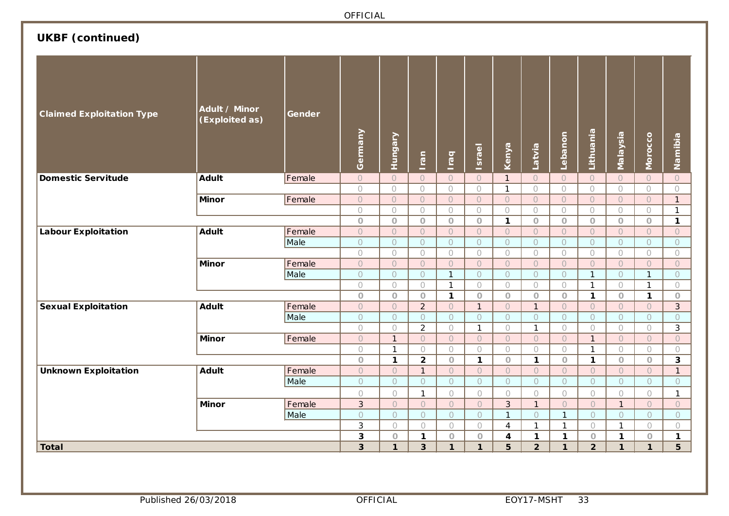|                                  |                                 |        | OFFICIAL                |                     |                           |                          |                         |                    |                         |                                |                           |                       |                       |                                     |
|----------------------------------|---------------------------------|--------|-------------------------|---------------------|---------------------------|--------------------------|-------------------------|--------------------|-------------------------|--------------------------------|---------------------------|-----------------------|-----------------------|-------------------------------------|
| <b>UKBF</b> (continued)          |                                 |        |                         |                     |                           |                          |                         |                    |                         |                                |                           |                       |                       |                                     |
| <b>Claimed Exploitation Type</b> | Adult / Minor<br>(Exploited as) | Gender | Germany                 | <b>Hungary</b>      | Iran                      | Iraq                     | <b>Israel</b>           | Kenya              | Latvia                  | Lebanon                        | Lithuania                 | Malaysia              | Morocco               | Namibia                             |
| <b>Domestic Servitude</b>        | <b>Adult</b>                    | Female | $\circ$                 | $\bigcirc$          | $\circ$                   | $\bigcirc$               | $\circlearrowright$     | $\mathbf{1}$       | $\bigcirc$              | $\circ$                        | $\bigcirc$                | $\circlearrowright$   | $\bigcirc$            | $\bigcirc$                          |
|                                  |                                 |        | $\bigcirc$              | $\bigcirc$          | $\bigcirc$                | $\bigcirc$               | $\bigcirc$              | $\mathbf{1}$       | $\bigcirc$              | $\bigcirc$                     | $\bigcirc$                | $\bigcirc$            | $\bigcirc$            | $\bigcirc$                          |
|                                  | <b>Minor</b>                    | Female | $\circ$                 | $\circlearrowright$ | $\circ$                   | $\bigcirc$               | $\circ$                 | $\circ$            | $\bigcirc$              | $\circ$                        | $\bigcirc$                | $\circ$               | $\circ$               | $\mathbf{1}$                        |
|                                  |                                 |        | $\bigcirc$              | $\bigcirc$          | $\bigcirc$                | $\bigcirc$               | $\bigcirc$              | $\bigcirc$         | $\bigcirc$              | $\bigcirc$                     | $\bigcirc$                | $\bigcirc$            | $\bigcirc$            | $\mathbf{1}$                        |
|                                  |                                 |        | $\circ$                 | $\circ$             | $\overline{O}$            | $\circ$                  | $\bigcirc$              | $\mathbf{1}$       | $\circ$                 | $\bigcirc$                     | $\circ$                   | $\circ$               | $\circ$               | $\mathbf{1}$                        |
| <b>Labour Exploitation</b>       | <b>Adult</b>                    | Female | $\circ$                 | $\circ$             | $\circ$                   | $\bigcirc$               | $\circlearrowright$     | $\bigcirc$         | $\bigcirc$              | $\circ$                        | $\bigcirc$                | $\circ$               | $\circ$               | $\circlearrowright$                 |
|                                  |                                 | Male   | $\circ$                 | $\circ$             | $\circ$                   | $\circ$                  | $\circ$                 | $\overline{O}$     | $\circlearrowright$     | $\circ$                        | $\circ$                   | $\circ$               | $\circ$               | $\circlearrowright$                 |
|                                  |                                 |        | $\bigcirc$              | $\bigcirc$          | $\bigcirc$                | $\bigcirc$               | $\bigcirc$              | $\bigcirc$         | $\bigcirc$              | $\bigcirc$                     | $\bigcirc$                | $\bigcirc$            | $\bigcirc$            | $\bigcirc$                          |
|                                  | <b>Minor</b>                    | Female | $\overline{O}$          | $\circ$             | $\circ$                   | $\circ$                  | $\circ$                 | $\circ$            | $\circlearrowright$     | $\overline{O}$                 | $\bigcirc$                | $\circ$               | $\overline{O}$        | $\circlearrowright$                 |
|                                  |                                 | Male   | $\circ$                 | $\circ$             | $\circ$                   | $\mathbf{1}$             | $\circ$                 | $\circ$            | $\circlearrowright$     | $\circ$                        | $\mathbf{1}$              | $\circ$               | $\mathbf{1}$          | $\circlearrowright$                 |
|                                  |                                 |        | $\bigcirc$              | $\bigcirc$          | $\bigcirc$                | $\mathbf{1}$             | $\bigcirc$              | $\bigcirc$         | $\bigcirc$              | $\bigcirc$                     | $\mathbf{1}$              | $\bigcirc$            | $\mathbf{1}$          | $\bigcirc$                          |
|                                  | <b>Adult</b>                    | Female | $\circ$<br>$\circ$      | $\circ$<br>$\circ$  | $\circ$<br>$\overline{2}$ | $\mathbf 1$              | $\circ$<br>$\mathbf{1}$ | $\circ$<br>$\circ$ | $\circ$<br>$\mathbf{1}$ | $\circ$<br>$\circlearrowright$ | $\mathbf 1$<br>$\bigcirc$ | $\bigcirc$<br>$\circ$ | $\mathbf{1}$          | $\circlearrowright$<br>$\mathbf{3}$ |
| <b>Sexual Exploitation</b>       |                                 | Male   | $\bigcirc$              | $\bigcirc$          | $\bigcirc$                | $\bigcirc$<br>$\bigcirc$ | $\bigcirc$              | $\bigcirc$         | $\bigcirc$              | $\bigcirc$                     | $\bigcirc$                | $\bigcirc$            | $\circ$<br>$\bigcirc$ | $\bigcirc$                          |
|                                  |                                 |        | $\bigcirc$              | $\bigcirc$          | $\overline{2}$            | $\bigcirc$               | $\mathbf{1}$            | $\bigcirc$         | $\mathbf{1}$            | $\bigcirc$                     | $\bigcirc$                | $\bigcirc$            | $\bigcirc$            | 3                                   |
|                                  | <b>Minor</b>                    | Female | $\circ$                 | $\mathbf{1}$        | $\bigcirc$                | $\bigcirc$               | $\bigcirc$              | $\circ$            | $\bigcirc$              | $\bigcirc$                     | $\mathbf{1}$              | $\bigcirc$            | $\circ$               | $\bigcirc$                          |
|                                  |                                 |        | $\bigcirc$              | $\mathbf{1}$        | $\bigcirc$                | $\bigcirc$               | $\bigcirc$              | $\bigcirc$         | $\bigcirc$              | $\bigcirc$                     | $\mathbf{1}$              | $\bigcirc$            | $\bigcirc$            | $\bigcirc$                          |
|                                  |                                 |        | $\circ$                 | $\mathbf{1}$        | $\overline{2}$            | $\circ$                  | $\mathbf{1}$            | $\bigcirc$         | $\mathbf{1}$            | $\circ$                        | $\mathbf{1}$              | $\circ$               | $\circ$               | 3                                   |
| <b>Unknown Exploitation</b>      | <b>Adult</b>                    | Female | $\circlearrowright$     | $\overline{O}$      | $\mathbf{1}$              | $\bigcirc$               | $\bigcirc$              | $\bigcirc$         | $\circlearrowright$     | $\overline{O}$                 | $\bigcirc$                | $\bigcirc$            | $\bigcirc$            | $\mathbf{1}$                        |
|                                  |                                 | Male   | $\circ$                 | $\circ$             | $\circ$                   | $\circlearrowright$      | $\circ$                 | $\circ$            | $\circ$                 | $\circ$                        | $\circ$                   | $\circ$               | $\bigcirc$            | $\bigcirc$                          |
|                                  |                                 |        | $\bigcirc$              | $\bigcirc$          | $\mathbf{1}$              | $\bigcirc$               | $\bigcirc$              | $\bigcirc$         | $\bigcirc$              | $\bigcirc$                     | $\bigcirc$                | $\bigcirc$            | $\bigcirc$            | $\mathbf{1}$                        |
|                                  | <b>Minor</b>                    | Female | $\overline{3}$          | $\circ$             | $\circ$                   | $\bigcirc$               | $\circ$                 | $\overline{3}$     | $\mathbf{1}$            | $\circ$                        | $\bigcirc$                | $\mathbf{1}$          | $\circ$               | $\circlearrowright$                 |
|                                  |                                 | Male   | $\overline{O}$          | $\circ$             | $\overline{O}$            | $\bigcirc$               | $\overline{O}$          | $\mathbf{1}$       | $\circ$                 | $\mathbf{1}$                   | $\circ$                   | $\circ$               | $\circ$               | $\circ$                             |
|                                  |                                 |        | 3                       | $\bigcirc$          | $\bigcirc$                | $\bigcirc$               | $\bigcirc$              | $\overline{4}$     | $\mathbf{1}$            | $\mathbf{1}$                   | $\bigcirc$                | $\mathbf{1}$          | $\bigcirc$            | $\bigcirc$                          |
|                                  |                                 |        | 3                       | $\bigcirc$          | $\mathbf 1$               | $\bigcirc$               | $\hbox{O}$              | $\boldsymbol{4}$   | $\mathbf 1$             | $\mathbf 1$                    | $\bigcirc$                | $\mathbf 1$           | $\hbox{O}$            | $\mathbf 1$                         |
| <b>Total</b>                     |                                 |        | $\overline{\mathbf{3}}$ | $\mathbf{1}$        | $\mathbf{3}$              | $\mathbf{1}$             | $\mathbf{1}$            | 5                  | $\overline{2}$          | $\mathbf 1$                    | $\overline{2}$            | $\mathbf{1}$          | $\mathbf{1}$          | 5                                   |
|                                  |                                 |        |                         |                     |                           |                          |                         |                    |                         |                                |                           |                       |                       |                                     |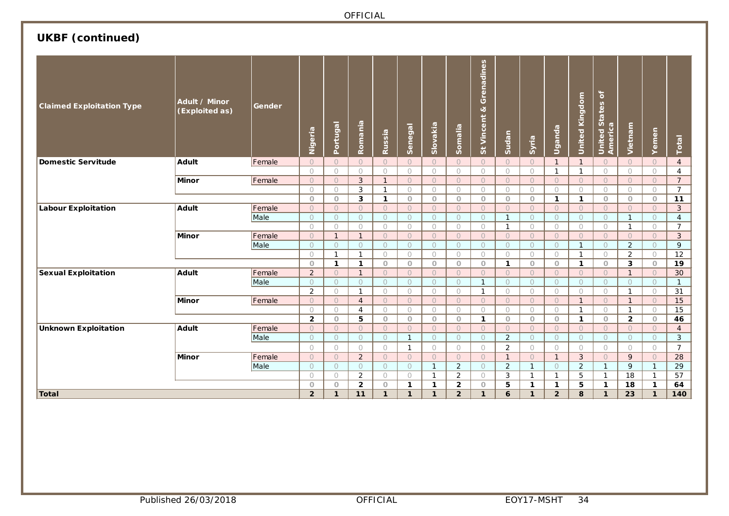## **UKBF (continued)**

| <b>Claimed Exploitation Type</b> | Adult / Minor<br>(Exploited as) | <b>Gender</b> | Nigeria        | Portugal     | Romania        | Russia              | Senegal      | Slovakia     | Somalia        | renadines<br>$\circ$<br>ಷ<br>Vincent<br>5 | Sudan          | Syria        | Uganda         | Kingdom<br><b>United</b> | United States of<br>America | Vietnam        | Yemen          | Total          |
|----------------------------------|---------------------------------|---------------|----------------|--------------|----------------|---------------------|--------------|--------------|----------------|-------------------------------------------|----------------|--------------|----------------|--------------------------|-----------------------------|----------------|----------------|----------------|
| <b>Domestic Servitude</b>        | Adult                           | Female        | $\bigcirc$     | $\circ$      | $\circ$        | $\circ$             | $\bigcirc$   | $\circ$      | $\circ$        | $\circ$                                   | $\circ$        | $\circ$      | $\mathbf{1}$   | $\mathbf{1}$             | $\Omega$                    | $\circ$        | $\circ$        | $\overline{4}$ |
|                                  |                                 |               | $\circ$        | $\circ$      | $\bigcirc$     | $\circ$             | $\circ$      | $\circ$      | $\bigcirc$     | $\circ$                                   | $\circ$        | $\circ$      | $\mathbf{1}$   | $\mathbf{1}$             | $\bigcirc$                  | $\bigcirc$     | $\circ$        | $\overline{4}$ |
|                                  | <b>Minor</b>                    | Female        | $\circ$        | $\bigcirc$   | $\mathbf{3}$   | $\mathbf{1}$        | $\circ$      | $\circ$      | $\circ$        | $\circ$                                   | $\circ$        | $\circ$      | $\circ$        | $\circ$                  | $\circ$                     | $\circ$        | $\circ$        | $\overline{7}$ |
|                                  |                                 |               | $\bigcirc$     | $\bigcirc$   | 3              | $\mathbf{1}$        | $\circ$      | $\circ$      | $\bigcirc$     | $\circ$                                   | $\circ$        | $\circ$      | $\bigcirc$     | $\circ$                  | $\circ$                     | $\circ$        | $\circ$        | $\overline{7}$ |
|                                  |                                 |               | $\circ$        | $\circ$      | $\mathbf{3}$   | $\mathbf{1}$        | $\circ$      | $\circ$      | $\circ$        | $\circ$                                   | $\circ$        | $\circ$      | $\mathbf{1}$   | $\mathbf{1}$             | $\circ$                     | $\circ$        | $\circ$        | 11             |
| <b>Labour Exploitation</b>       | <b>Adult</b>                    | Female        | $\bigcirc$     | $\bigcirc$   | $\bigcirc$     | $\bigcirc$          | $\bigcirc$   | $\bigcirc$   | $\circ$        | $\circ$                                   | $\bigcirc$     | $\bigcirc$   | $\bigcirc$     | $\Omega$                 | $\bigcirc$                  | $\bigcirc$     | $\overline{O}$ | 3              |
|                                  |                                 | Male          | $\bigcirc$     | $\bigcirc$   | $\bigcirc$     | $\bigcirc$          | $\bigcirc$   | $\bigcirc$   | $\circ$        | $\bigcirc$                                | $\mathbf{1}$   | $\bigcirc$   | $\bigcirc$     | $\bigcirc$               | $\bigcirc$                  | $\mathbf{1}$   | $\bigcirc$     | $\overline{4}$ |
|                                  |                                 |               | $\bigcirc$     | $\bigcirc$   | $\bigcirc$     | $\bigcirc$          | $\bigcirc$   | $\bigcirc$   | $\circ$        | $\bigcirc$                                | $\mathbf{1}$   | $\bigcirc$   | $\bigcirc$     | $\bigcirc$               | $\bigcirc$                  | $\mathbf{1}$   | $\bigcirc$     | $\overline{7}$ |
|                                  | <b>Minor</b>                    | Female        | $\bigcirc$     | $\mathbf{1}$ | $\mathbf{1}$   | $\circ$             | $\cup$       | $\bigcirc$   | $\circ$        | $\bigcirc$                                | $\bigcirc$     | $\Omega$     | $\circ$        | $\circ$                  | $\bigcirc$                  | $\bigcirc$     | $\overline{O}$ | $\mathbf{3}$   |
|                                  |                                 | Male          | $\circ$        | $\circ$      | $\circ$        | $\circ$             | $\circ$      | $\circ$      | $\circ$        | $\circ$                                   | $\circ$        | $\circ$      | $\circ$        | $\overline{1}$           | $\circ$                     | $\overline{2}$ | $\circ$        | 9              |
|                                  |                                 |               | $\bigcirc$     | $\mathbf{1}$ | $\mathbf{1}$   | $\bigcirc$          | $\bigcirc$   | $\bigcirc$   | $\circ$        | $\bigcirc$                                | $\circ$        | $\circ$      | $\bigcirc$     | $\mathbf{1}$             | $\bigcirc$                  | 2              | $\bigcirc$     | 12             |
|                                  |                                 |               | $\circ$        | $\mathbf{1}$ | $\mathbf{1}$   | $\circ$             | $\circ$      | $\circ$      | $\circ$        | $\circ$                                   | $\mathbf{1}$   | $\circ$      | $\circ$        | $\mathbf{1}$             | $\circ$                     | 3              | $\circ$        | 19             |
| <b>Sexual Exploitation</b>       | <b>Adult</b>                    | Female        | $\overline{2}$ | $\circ$      | $\mathbf{1}$   | $\circ$             | $\circ$      | $\circ$      | $\circ$        | $\circ$                                   | $\circ$        | $\circ$      | $\circ$        | $\circ$                  | $\circ$                     | $\mathbf{1}$   | $\circ$        | 30             |
|                                  |                                 | Male          | $\circ$        | $\circ$      | $\circ$        | $\circlearrowright$ | $\circ$      | $\circ$      | $\circ$        | $\overline{1}$                            | $\circ$        | $\circ$      | $\circ$        | $\circ$                  | $\circ$                     | $\circ$        | $\circ$        | $\mathbf{1}$   |
|                                  |                                 |               | 2              | $\bigcirc$   | $\mathbf{1}$   | $\bigcirc$          | $\bigcirc$   | $\bigcirc$   | $\bigcirc$     | $\mathbf{1}$                              | $\circ$        | $\circ$      | $\bigcirc$     | $\circ$                  | $\circ$                     | $\mathbf{1}$   | $\bigcirc$     | 31             |
|                                  | <b>Minor</b>                    | Female        | $\circ$        | $\circ$      | $\overline{4}$ | $\circ$             | $\circ$      | $\circ$      | $\circ$        | $\circ$                                   | $\circ$        | $\circ$      | $\circ$        | $\mathbf{1}$             | $\circ$                     | $\mathbf{1}$   | $\circ$        | 15             |
|                                  |                                 |               | $\bigcirc$     | $\bigcirc$   | $\overline{4}$ | $\bigcirc$          | $\bigcirc$   | $\bigcirc$   | $\bigcirc$     | $\bigcirc$                                | $\circ$        | $\circ$      | $\bigcirc$     | $\mathbf{1}$             | $\circ$                     | $\mathbf{1}$   | $\bigcirc$     | 15             |
|                                  |                                 |               | $\overline{2}$ | $\circ$      | 5              | $\circ$             | $\circ$      | $\circ$      | $\circ$        | $\overline{1}$                            | $\circ$        | $\circ$      | $\circ$        | $\mathbf{1}$             | $\circ$                     | $\overline{2}$ | $\circ$        | 46             |
| <b>Unknown Exploitation</b>      | <b>Adult</b>                    | Female        | $\circ$        | $\circ$      | $\circ$        | $\circ$             | $\circ$      | $\circ$      | $\circ$        | $\circ$                                   | $\circ$        | $\circ$      | $\circ$        | $\circ$                  | $\circ$                     | $\circ$        | $\circ$        | $\overline{4}$ |
|                                  |                                 | Male          | $\bigcirc$     | $\circ$      | $\circ$        | $\circ$             | $\mathbf{1}$ | $\circ$      | $\circ$        | $\circ$                                   | 2              | $\circ$      | $\circ$        | $\circ$                  | $\circ$                     | $\bigcirc$     | $\circ$        | 3              |
|                                  |                                 |               | $\bigcirc$     | $\bigcirc$   | $\circ$        | $\bigcirc$          | $\mathbf{1}$ | $\bigcirc$   | $\bigcirc$     | $\bigcirc$                                | $\overline{2}$ | $\circ$      | $\bigcirc$     | $\circ$                  | $\bigcirc$                  | $\bigcirc$     | $\circ$        | $\overline{7}$ |
|                                  | <b>Minor</b>                    | Female        | $\bigcirc$     | $\circ$      | $\overline{2}$ | $\circ$             | $\bigcirc$   | $\Omega$     | $\circ$        | $\circ$                                   | $\mathbf{1}$   | $\circ$      | $\overline{1}$ | $\mathfrak{S}$           | $\bigcirc$                  | 9              | $\circ$        | 28             |
|                                  |                                 | Male          | $\circ$        | $\circ$      | $\circ$        | $\circ$             | $\circ$      | $\mathbf{1}$ | $\overline{2}$ | $\circ$                                   | $\overline{2}$ | $\mathbf{1}$ | $\circ$        | 2                        | $\mathbf{1}$                | 9              | $\mathbf{1}$   | 29             |
|                                  |                                 |               | $\bigcirc$     | $\bigcirc$   | $\overline{2}$ | $\bigcirc$          | $\circ$      | $\mathbf{1}$ | $\overline{2}$ | $\bigcirc$                                | 3              | $\mathbf{1}$ | $\mathbf{1}$   | 5                        | $\mathbf{1}$                | 18             | $\mathbf{1}$   | 57             |
|                                  |                                 |               | $\circ$        | $\circ$      | $\overline{2}$ | $\circ$             | $\mathbf{1}$ | $\mathbf{1}$ | $\overline{2}$ | $\circ$                                   | 5              | $\mathbf{1}$ | $\mathbf{1}$   | 5                        | $\mathbf{1}$                | 18             | $\mathbf{1}$   | 64             |
| Total                            |                                 |               |                |              | 11             | $\mathbf{1}$        | $\mathbf{1}$ | $\mathbf{1}$ | $\overline{2}$ | 1                                         | 6              | $\mathbf{1}$ | $\overline{2}$ | 8                        | 1                           | 23             | $\mathbf{1}$   | 140            |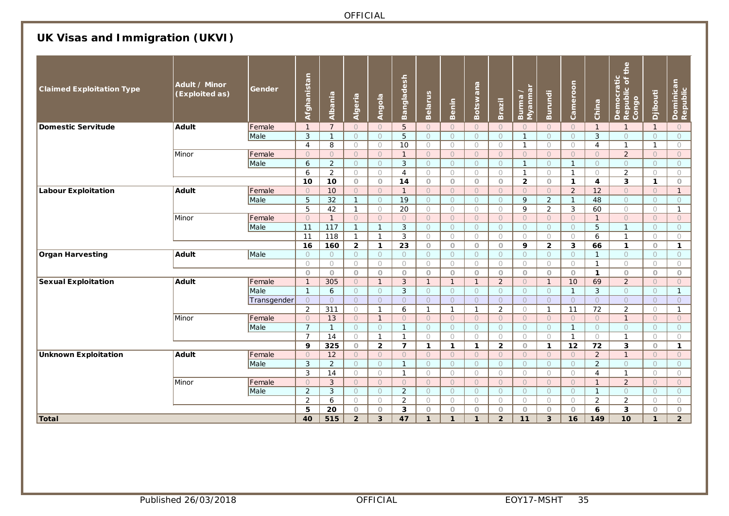## **UK Visas and Immigration (UKVI)**

| <b>Claimed Exploitation Type</b> | Adult / Minor<br>(Exploited as) | Gender      | Afghanistan               | Albania              | Algeria            | <b>Angola</b>           | Bangladesh                     | Belarus                 | <b>Benin</b>            | Botswana           | Brazil                | Burma /<br>Myanmar | <b>Burundi</b>     | Cameroon                   | China              | of the<br>Democratic<br>Republic of t<br>Congo | Djibouti           | Dominican<br>Republic |
|----------------------------------|---------------------------------|-------------|---------------------------|----------------------|--------------------|-------------------------|--------------------------------|-------------------------|-------------------------|--------------------|-----------------------|--------------------|--------------------|----------------------------|--------------------|------------------------------------------------|--------------------|-----------------------|
| <b>Domestic Servitude</b>        | Adult                           | Female      | $\mathbf{1}$              | $\overline{7}$       | $\circ$            | $\circ$                 | 5                              | $\circ$                 | $\circ$                 | $\circ$            | $\bigcirc$            | $\bigcirc$         | $\circ$            | $\circ$                    | $\mathbf{1}$       | $\mathbf{1}$                                   | $\mathbf{1}$       | $\circ$               |
|                                  |                                 | Male        | 3                         | $\overline{1}$       | $\bigcirc$         | $\circ$                 | 5                              | $\circ$                 | $\bigcirc$              | $\circ$            | $\bigcirc$            | $\mathbf{1}$       | $\bigcirc$         | $\bigcirc$                 | $\mathbf{3}$       | $\bigcirc$                                     | $\bigcirc$         | $\overline{O}$        |
|                                  |                                 |             | $\overline{4}$            | 8                    | $\bigcirc$         | $\bigcirc$              | $\overline{10}$                | $\bigcirc$              | $\bigcirc$              | $\bigcirc$         | $\bigcirc$            | $\mathbf{1}$       | $\bigcirc$         | $\bigcirc$                 | $\overline{4}$     | $\mathbf{1}$                                   | $\mathbf{1}$       | $\bigcirc$            |
|                                  | Minor                           | Female      | $\circ$                   | $\circ$              | $\circ$            | $\circ$                 | $\mathbf{1}$                   | $\circ$                 | $\circ$                 | $\circ$            | $\bigcirc$            | $\circ$            | $\circ$            | $\circ$                    | $\circ$            | $\overline{2}$                                 | $\circ$            | $\circ$               |
|                                  |                                 | Male        | 6                         | $\overline{2}$       | $\circ$            | $\circ$                 | $\mathbf{3}$                   | $\circ$                 | $\circ$                 | $\circ$            | $\circ$               | $\mathbf{1}$       | $\circ$            | $\mathbf{1}$               | $\circ$            | $\circ$                                        | $\circ$            | $\circ$               |
|                                  |                                 |             | 6                         | $\overline{2}$       | $\bigcirc$         | $\bigcirc$              | $\overline{4}$                 | $\bigcirc$              | $\bigcap$               | $\bigcirc$         | $\bigcirc$            | $\mathbf{1}$       | $\bigcirc$         | $\mathbf{1}$               | $\bigcirc$         | $\overline{2}$                                 | $\bigcirc$         | $\bigcirc$            |
|                                  |                                 |             | 10                        | 10                   | $\circ$            | $\circ$                 | 14                             | $\circ$                 | $\circ$                 | $\circ$            | $\circ$               | $\overline{2}$     | $\circ$            | $\mathbf{1}$               | 4                  | $\overline{\mathbf{3}}$                        | $\mathbf{1}$       | $\circ$               |
| <b>Labour Exploitation</b>       | <b>Adult</b>                    | Female      | $\circ$                   | 10                   | $\circ$            | $\circ$                 | $\mathbf{1}$                   | $\circ$                 | $\circ$                 | $\circ$            | $\circ$               | $\circ$            | $\circ$            | $\overline{2}$             | 12                 | $\circ$                                        | $\circ$            | $\mathbf{1}$          |
|                                  |                                 | Male        | $\overline{5}$            | $\overline{32}$      | $\mathbf{1}$       | $\circ$                 | $\overline{19}$                | $\circ$                 | $\circ$                 | $\circ$            | $\bigcirc$            | 9                  | $\overline{2}$     | $\mathbf{1}$               | 48                 | $\circ$                                        | $\circ$            | $\circ$               |
|                                  |                                 |             | 5                         | 42                   | $\mathbf{1}$       | $\circ$                 | 20                             | $\circ$                 | $\bigcirc$              | $\bigcirc$         | $\bigcirc$            | 9                  | 2                  | 3                          | 60                 | $\circ$                                        | $\bigcirc$         | $\mathbf{1}$          |
|                                  | Minor                           | Female      | $\circ$                   | $\overline{1}$       | $\circ$            | $\circ$                 | $\circ$                        | $\circ$                 | $\circ$                 | $\circ$            | $\circ$               | $\circ$            | $\circ$            | $\circ$                    | $\mathbf 1$        | $\circ$                                        | $\circ$            | $\circ$               |
|                                  |                                 | Male        | 11                        | 117                  | $\mathbf{1}$       | $\mathbf{1}$            | $\mathbf{3}$                   | $\circ$                 | $\circ$                 | $\circ$            | $\bigcirc$            | $\circ$            | $\bigcirc$         | $\circ$                    | 5                  | $\mathbf{1}$                                   | $\circ$            | $\circ$               |
|                                  |                                 |             | 11                        | 118                  | $\overline{1}$     | $\mathbf{1}$            | 3                              | $\bigcirc$              | $\circ$                 | $\bigcirc$         | $\bigcirc$            | $\bigcirc$         | $\circ$            | $\bigcirc$                 | 6                  | $\mathbf{1}$                                   | $\circ$            | $\circ$               |
|                                  |                                 |             | 16                        | 160                  | $\overline{2}$     | $\mathbf{1}$            | 23                             | $\circ$                 | $\circ$                 | $\circ$            | $\circ$               | 9                  | $\overline{2}$     | $\overline{\mathbf{3}}$    | 66                 | $\mathbf{1}$                                   | $\circ$            | $\mathbf{1}$          |
| <b>Organ Harvesting</b>          | Adult                           | Male        | $\circ$                   | $\bigcirc$           | $\circ$            | $\bigcirc$              | $\circ$                        | $\circ$                 | $\circ$                 | $\circ$            | $\bigcirc$            | $\circ$            | $\circ$            | $\bigcirc$                 | $\mathbf{1}$       | $\circ$                                        | $\bigcirc$         | $\circ$               |
|                                  |                                 |             | $\bigcirc$                | $\bigcirc$           | $\circ$            | $\bigcirc$              | $\bigcirc$                     | $\bigcirc$              | $\circ$                 | $\bigcirc$         | $\circ$               | $\bigcirc$         | $\bigcirc$         | $\bigcirc$                 | $\mathbf{1}$       | $\bigcirc$                                     | $\circ$            | $\circ$               |
|                                  |                                 |             | $\circ$                   | $\circ$              | $\circ$            | $\circ$                 | $\circ$                        | $\circ$                 | $\circ$                 | $\circ$            | $\circ$               | $\circ$            | $\circ$            | $\circ$                    | $\mathbf{1}$       | $\circ$                                        | $\circ$            | $\circ$               |
| <b>Sexual Exploitation</b>       | Adult                           | Female      | $\mathbf{1}$              | 305                  | $\bigcirc$         | $\mathbf{1}$            | $\mathbf{3}$                   | $\mathbf{1}$            | $\mathbf{1}$            | $\mathbf{1}$       | 2                     | $\overline{O}$     | $\overline{1}$     | 10                         | 69                 | $\overline{2}$                                 | $\circ$            | $\overline{O}$        |
|                                  |                                 | Male        | $\mathbf{1}$              | 6                    | $\circ$            | $\circ$                 | 3                              | $\circlearrowright$     | $\circ$                 | $\circ$            | $\circ$               | $\circ$            | $\circ$            | $\mathbf{1}$               | 3                  | $\circ$                                        | $\circ$            | $\mathbf{1}$          |
|                                  |                                 | Transgender | $\circ$                   | $\circ$              | $\circ$            | $\circ$                 | $\circ$                        | $\circ$<br>$\mathbf{1}$ | $\circ$<br>$\mathbf{1}$ | $\circ$            | $\circ$               | $\circ$            | $\circ$            | $\circ$                    | $\circ$            | $\circ$                                        | $\circ$            | $\circ$               |
|                                  |                                 |             | $\overline{2}$            | 311                  | $\bigcirc$         | $\mathbf{1}$            | 6                              |                         |                         | $\mathbf{1}$       | 2                     | $\bigcirc$         | $\mathbf{1}$       | 11                         | 72                 | $\overline{a}$                                 | $\bigcirc$         | $\mathbf{1}$          |
|                                  | Minor                           | Female      | $\circ$<br>$\overline{7}$ | 13<br>$\overline{1}$ | $\circ$<br>$\circ$ | $\mathbf{1}$            | $\overline{O}$<br>$\mathbf{1}$ | $\circ$<br>$\circ$      | $\circ$<br>$\circ$      | $\circ$<br>$\circ$ | $\circ$               | $\circ$<br>$\circ$ | $\circ$<br>$\circ$ | $\bigcirc$<br>$\mathbf{1}$ | $\circ$<br>$\circ$ | $\mathbf{1}$                                   | $\circ$<br>$\circ$ | $\circ$<br>$\circ$    |
|                                  |                                 | Male        | $\overline{7}$            | $\overline{14}$      | $\bigcirc$         | $\circ$<br>$\mathbf{1}$ | $\mathbf{1}$                   | $\bigcirc$              | $\bigcirc$              | $\bigcirc$         | $\circ$<br>$\bigcirc$ | $\bigcirc$         | $\circ$            | $\mathbf{1}$               | $\bigcirc$         | $\circ$<br>$\mathbf{1}$                        | $\bigcirc$         | $\bigcirc$            |
|                                  |                                 |             | 9                         | 325                  | $\circ$            | $\overline{2}$          | $\overline{7}$                 | $\mathbf{1}$            | $\mathbf{1}$            | $\mathbf{1}$       | $\overline{2}$        | $\circ$            | $\mathbf{1}$       | 12                         | 72                 | 3                                              | $\circ$            | $\mathbf{1}$          |
| <b>Unknown Exploitation</b>      | <b>Adult</b>                    | Female      | $\circ$                   | 12                   | $\circ$            | $\circ$                 | $\circ$                        | $\circ$                 | $\circ$                 | $\circ$            | $\bigcirc$            | $\circ$            | $\circ$            | $\circ$                    | $\overline{2}$     | $\mathbf{1}$                                   | $\circ$            | $\circ$               |
|                                  |                                 | Male        | $\mathfrak{Z}$            | 2                    | $\bigcirc$         | $\circ$                 | $\mathbf{1}$                   | $\circ$                 | $\circ$                 | $\circ$            | $\bigcirc$            | $\circ$            | $\circ$            | $\circ$                    | 2                  | $\circ$                                        | $\circ$            | $\circ$               |
|                                  |                                 |             | 3                         | 14                   | $\circ$            | $\bigcirc$              | $\mathbf{1}$                   | $\bigcirc$              | $\bigcirc$              | $\bigcirc$         | $\bigcirc$            | $\bigcirc$         | $\bigcirc$         | $\bigcirc$                 | $\overline{4}$     | $\mathbf{1}$                                   | $\bigcirc$         | $\bigcirc$            |
|                                  | Minor                           | Female      | $\circ$                   | 3                    | $\circ$            | $\circ$                 | $\circ$                        | $\circ$                 | $\circ$                 | $\circ$            | $\circ$               | $\circ$            | $\circ$            | $\circ$                    | $\mathbf{1}$       | $\overline{2}$                                 | $\circ$            | $\circ$               |
|                                  |                                 | Male        | $\overline{a}$            | 3                    | $\circ$            | $\circ$                 | $\overline{2}$                 | $\circ$                 | $\circ$                 | $\bigcirc$         | $\circ$               | $\bigcirc$         | $\bigcirc$         | $\circ$                    | $\mathbf{1}$       | $\circ$                                        | $\circ$            | $\circ$               |
|                                  |                                 |             | $\overline{a}$            | 6                    | $\bigcirc$         | $\circ$                 | $\overline{2}$                 | $\bigcirc$              | $\circ$                 | $\bigcirc$         | $\circ$               | $\bigcirc$         | $\circ$            | $\circ$                    | $\overline{2}$     | $\overline{2}$                                 | $\circ$            | $\bigcirc$            |
|                                  |                                 |             |                           | 20                   | $\circ$            | $\circ$                 | 3                              | $\circ$                 | $\circ$                 | $\circ$            | $\circ$               | $\circ$            | $\circ$            | $\circ$                    | 6                  | 3                                              | $\circ$            | $\circ$               |
| Total                            |                                 |             | 5<br>40                   | 515                  | $\overline{2}$     | 3                       | 47                             | $\mathbf{1}$            | $\mathbf{1}$            | $\mathbf{1}$       | $\overline{2}$        | 11                 | 3                  | 16                         | 149                | 10                                             | $\mathbf{1}$       | $\overline{2}$        |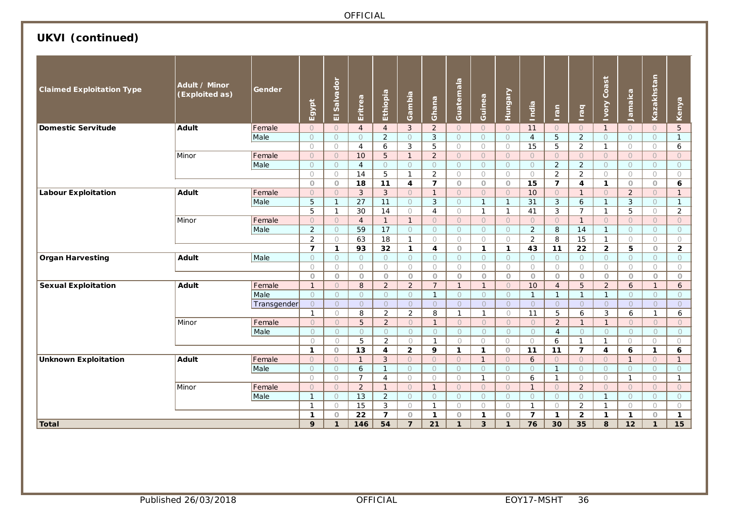## **UKVI (continued)**

| <b>Claimed Exploitation Type</b> | Adult / Minor<br>(Exploited as) | Gender       | Egypt             | Salvador<br>$\overline{\omega}$ | Eritrea        | Ethiopia       | Gambia         | Ghana                   | Guatemala      | Guinea         | <b>THUNBOY</b> | <b>Ripu</b><br>-        | Iran           | raq             | <b>Tvory Coast</b> | Jamaica      | Kazakhstan     | Kenya           |
|----------------------------------|---------------------------------|--------------|-------------------|---------------------------------|----------------|----------------|----------------|-------------------------|----------------|----------------|----------------|-------------------------|----------------|-----------------|--------------------|--------------|----------------|-----------------|
| <b>Domestic Servitude</b>        | Adult                           | Female       | $\circ$           | $\circ$                         | $\overline{4}$ | $\overline{4}$ | $\mathbf{3}$   | 2                       | $\circ$        | $\bigcirc$     | $\circ$        | 11                      | $\circ$        | $\circ$         | $\overline{1}$     | $\circ$      | $\cup$         | 5               |
|                                  |                                 | Male         | $\circ$           | $\circ$                         | $\circ$        | $\overline{2}$ | $\bigcirc$     | $\mathbf{3}$            | $\circ$        | $\circ$        | $\circ$        | $\overline{4}$          | 5              | $\overline{2}$  | $\circ$            | $\bigcirc$   | $\circ$        | $\mathbf{1}$    |
|                                  |                                 |              | $\bigcirc$        | $\bigcirc$                      | $\overline{4}$ | 6              | 3              | 5                       | $\bigcirc$     | $\bigcirc$     | $\circ$        | 15                      | 5              | $\overline{2}$  | $\mathbf{1}$       | $\bigcirc$   | $\bigcirc$     | 6               |
|                                  | Minor                           | Female       | $\overline{O}$    | $\bigcirc$                      | 10             | 5              | $\mathbf{1}$   | 2                       | $\bigcirc$     | $\bigcirc$     | $\bigcirc$     | $\bigcirc$              | $\circ$        | $\circ$         | $\bigcirc$         | $\bigcirc$   | $\overline{O}$ | $\Omega$        |
|                                  |                                 | Male         | $\circ$           | $\circ$                         | $\overline{4}$ | $\circ$        | $\circ$        | $\circ$                 | $\circ$        | $\circ$        | $\circ$        | $\circ$                 | $\overline{a}$ | $\overline{a}$  | $\circ$            | $\circ$      | $\circ$        | $\circ$         |
|                                  |                                 |              | $\bigcirc$        | $\bigcirc$                      | 14             | $\overline{5}$ | $\mathbf{1}$   | $\overline{2}$          | $\bigcirc$     | $\circ$        | $\circ$        | $\bigcirc$              | $\overline{2}$ | $\overline{2}$  | $\bigcirc$         | $\circ$      | $\circ$        | $\bigcirc$      |
|                                  |                                 |              | $\circ$           | $\circ$                         | 18             | 11             | 4              | $\overline{7}$          | $\circ$        | $\circ$        | $\circ$        | 15                      | $\overline{7}$ | 4               | $\mathbf{1}$       | $\circ$      | $\circ$        | 6               |
| <b>Labour Exploitation</b>       | <b>Adult</b>                    | Female       | $\bigcirc$        | $\circ$                         | $\mathbf{3}$   | $\mathbf{3}$   | $\bigcirc$     | $\mathbf{1}$            | $\circ$        | $\circ$        | $\circ$        | 10                      | $\circ$        | $\mathbf{1}$    | $\cup$             | 2            | $\overline{O}$ | $\mathbf{1}$    |
|                                  |                                 | Male         | 5                 | $\mathbf{1}$                    | 27             | 11             | $\circ$        | 3                       | $\circ$        | $\mathbf{1}$   | $\overline{1}$ | 31                      | 3              | 6               | $\mathbf{1}$       | 3            | $\circ$        | $\mathbf{1}$    |
|                                  |                                 |              | 5                 | $\mathbf{1}$                    | 30             | 14             | $\circ$        | $\overline{4}$          | $\circ$        | $\overline{1}$ | $\mathbf{1}$   | 41                      | 3              | $\overline{7}$  | $\mathbf{1}$       | 5            | $\bigcirc$     | $\overline{2}$  |
|                                  | Minor                           | Female       | $\bigcirc$        | $\circ$                         | $\overline{4}$ | $\mathbf{1}$   | $\mathbf{1}$   | $\circ$                 | $\circ$        | $\bigcirc$     | $\circ$        | $\circ$                 | $\overline{O}$ | $\mathbf{1}$    | $\circ$            | $\bigcirc$   | $\circ$        | $\overline{O}$  |
|                                  |                                 | Male         | 2                 | $\circ$                         | 59             | 17             | $\circ$        | $\circ$                 | $\circ$        | $\circ$        | $\circ$        | 2                       | 8              | 14              | $\mathbf{1}$       | $\bigcirc$   | $\circ$        | $\bigcirc$      |
|                                  |                                 |              | 2                 | $\bigcirc$                      | 63             | 18             | $\mathbf{1}$   | $\bigcirc$              | $\bigcirc$     | $\bigcirc$     | $\bigcirc$     | $\overline{2}$          | 8              | $\overline{15}$ | $\mathbf{1}$       | $\bigcirc$   | $\bigcirc$     | $\bigcirc$      |
|                                  |                                 |              | $\overline{7}$    | $\mathbf{1}$                    | 93             | 32             | $\mathbf{1}$   | $\overline{\mathbf{4}}$ | $\circ$        | $\mathbf{1}$   | $\mathbf{1}$   | 43                      | 11             | 22              | $\mathbf{2}$       | 5            | $\circ$        | $\overline{2}$  |
| <b>Organ Harvesting</b>          | <b>Adult</b>                    | Male         | $\circ$           | $\circ$                         | $\circ$        | $\circ$        | $\circ$        | $\circ$                 | $\circ$        | $\circ$        | $\circ$        | $\circ$                 | $\circ$        | $\circ$         | $\circ$            | $\circ$      | $\circ$        | $\circ$         |
|                                  |                                 |              | $\bigcirc$        | $\circ$                         | 0              | $\bigcirc$     | $\circ$        | $\bigcirc$              | 0              | $\circ$        | $\circ$        | $\circ$                 | $\circ$        | $\circ$         | $\circ$            | $\bigcirc$   | $\bigcirc$     | $\bigcirc$      |
|                                  |                                 |              | $\circ$           | $\circ$                         | $\overline{O}$ | $\circ$        | $\circ$        | $\circ$                 | $\overline{O}$ | $\circ$        | $\circ$        | $\circ$                 | $\circ$        | $\circ$         | $\circ$            | $\circ$      | $\circ$        | $\circ$         |
| <b>Sexual Exploitation</b>       | <b>Adult</b>                    | Female       | $\mathbf{1}$      | $\circ$                         | 8              | $\overline{2}$ | $\overline{2}$ | $\overline{7}$          | $\mathbf{1}$   | $\mathbf{1}$   | $\circ$        | 10                      | $\overline{4}$ | 5               | $\overline{2}$     | 6            | $\mathbf{1}$   | $\epsilon$      |
|                                  |                                 | Male         | $\circ$           | $\circ$                         | $\circ$        | $\circ$        | $\circ$        | $\mathbf{1}$            | $\circ$        | $\circ$        | $\circ$        | $\mathbf{1}$            | $\mathbf{1}$   | $\mathbf{1}$    | $\mathbf{1}$       | $\circ$      | $\circ$        | $\circ$         |
|                                  |                                 | Transgender  | $\circ$           | $\circ$                         | $\circ$        | $\circ$        | $\circ$        | $\circ$                 | $\overline{O}$ | $\circ$        | $\circ$        | $\circ$                 | $\circ$        | $\overline{O}$  | $\circ$            | $\circ$      | $\circ$        | $\overline{O}$  |
|                                  |                                 |              | $\mathbf{1}$      | $\bigcirc$                      | 8              | $\overline{2}$ | $\overline{2}$ | 8                       | $\mathbf{1}$   | $\mathbf{1}$   | $\circ$        | 11                      | 5              | 6               | 3                  | 6            | $\mathbf{1}$   | 6               |
|                                  | Minor                           | Female       | $\bigcirc$        | $\bigcirc$                      | 5              | $\overline{2}$ | $\bigcirc$     | $\mathbf{1}$            | $\overline{O}$ | $\circ$        | $\bigcirc$     | $\bigcirc$              | 2              | $\mathbf{1}$    | $\mathbf{1}$       | $\bigcirc$   | $\overline{O}$ | $\circ$         |
|                                  |                                 | Male         | $\circ$           | $\circ$                         | $\circ$        | $\circ$        | $\circ$        | $\circ$                 | $\circ$        | $\circ$        | $\circ$        | $\circ$                 | $\overline{4}$ | $\circ$         | $\circ$            | $\circ$      | $\circ$        | $\circ$         |
|                                  |                                 |              | $\bigcirc$        | $\bigcirc$                      | 5              | $\overline{2}$ | $\bigcirc$     | $\mathbf{1}$            | $\circ$        | $\bigcirc$     | $\bigcirc$     | $\bigcirc$              | 6              | $\mathbf{1}$    | $\mathbf{1}$       | $\bigcirc$   | $\bigcirc$     | $\bigcirc$      |
|                                  |                                 |              | $\mathbf{1}$      | $\circ$                         | 13             | 4              | $\overline{2}$ | 9                       | $\mathbf{1}$   | $\mathbf{1}$   | $\circ$        | 11                      | 11             | $\overline{7}$  | 4                  | 6            | $\mathbf{1}$   | 6               |
| <b>Unknown Exploitation</b>      | <b>Adult</b>                    | Female       | $\bigcirc$        | $\circ$                         | $\mathbf{1}$   | $\mathbf{3}$   | $\bigcirc$     | $\circ$                 | $\circ$        | $\mathbf{1}$   | $\circ$        | 6                       | $\bigcirc$     | $\circ$         | $\circ$            | $\mathbf{1}$ | $\circ$        | $\mathbf{1}$    |
|                                  |                                 | Male         | $\circ$           | $\circ$                         | 6              | $\mathbf{1}$   | $\bigcirc$     | $\circ$                 | $\circ$        | $\circ$        | $\bigcirc$     | $\circ$                 | $\mathbf{1}$   | $\circ$         | $\circ$            | $\bigcirc$   | $\circ$        | $\bigcirc$      |
|                                  |                                 |              | $\circ$           | $\circ$                         | $\overline{7}$ | $\overline{4}$ | $\circ$        | $\circ$                 | $\bigcirc$     | $\mathbf{1}$   | $\circ$        | 6                       | $\mathbf{1}$   | $\bigcirc$      | $\bigcirc$         | $\mathbf{1}$ | $\circ$        | $\mathbf{1}$    |
|                                  | Minor                           | Female       | $\circ$           | $\circ$                         | $\overline{2}$ | $\mathbf{1}$   | $\circ$        | $\mathbf{1}$            | $\circ$        | $\circ$        | $\circ$        | $\mathbf{1}$            | $\circ$        | $\overline{2}$  | $\circ$            | $\circ$      | $\circ$        | $\overline{O}$  |
|                                  |                                 | Male         | $\mathbf{1}$      | $\bigcirc$                      | 13             | $\overline{2}$ | $\bigcirc$     | $\bigcirc$              | $\bigcirc$     | $\bigcirc$     | $\bigcirc$     | $\bigcirc$              | $\circ$        | $\circ$         | $\mathbf{1}$       | $\bigcirc$   | $\bigcirc$     | $\bigcirc$      |
|                                  |                                 | $\mathbf{1}$ | $\circ$           | 15                              | 3              | $\circ$        | $\mathbf{1}$   | $\bigcirc$              | $\circ$        | $\bigcirc$     | $\mathbf{1}$   | $\bigcirc$              | $\overline{2}$ | $\mathbf{1}$    | $\bigcirc$         | $\circ$      | $\bigcirc$     |                 |
|                                  |                                 |              | $\mathbf{1}$<br>9 | $\circ$                         | 22             | $\overline{7}$ | $\circ$        | $\mathbf{1}$            | $\circ$        | $\mathbf{1}$   | $\circ$        | $\overline{\mathbf{z}}$ | $\mathbf{1}$   | $\overline{2}$  | $\mathbf{1}$       | $\mathbf{1}$ | $\circ$        | $\mathbf{1}$    |
| Total                            |                                 |              |                   | $\mathbf{1}$                    | 146            | 54             | $\overline{7}$ | 21                      | $\mathbf{1}$   | 3              | $\mathbf{1}$   | 76                      | 30             | 35              | 8                  | 12           | $\mathbf{1}$   | $\overline{15}$ |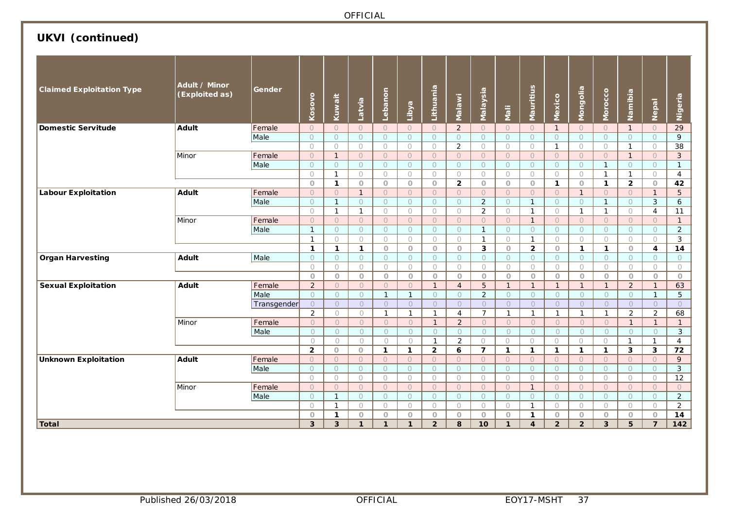# **UKVI (continued)**

| <b>Claimed Exploitation Type</b> | Adult / Minor<br>(Exploited as) | Gender      | Kosovo         | Kuwait         | Latvia         | Lebanon      | Libya          | Lithuania      | <b>Malawi</b>       | Malaysia                | <b>Mali</b>  | Mauritius               | Mexico         | Mongolia       | Morocco                 | Namibia        | Nepal                   | Nigeria         |
|----------------------------------|---------------------------------|-------------|----------------|----------------|----------------|--------------|----------------|----------------|---------------------|-------------------------|--------------|-------------------------|----------------|----------------|-------------------------|----------------|-------------------------|-----------------|
| <b>Domestic Servitude</b>        | Adult                           | Female      | $\bigcirc$     | $\bigcirc$     | $\bigcirc$     | $\circ$      | $\circ$        | $\bigcirc$     | $\overline{2}$      | $\bigcirc$              | $\circ$      | $\circ$                 | $\mathbf{1}$   | $\Omega$       | $\Omega$                | $\mathbf{1}$   | $\circ$                 | $\overline{29}$ |
|                                  |                                 | Male        | $\circ$        | $\circ$        | $\circ$        | $\circ$      | $\circ$        | $\circ$        | $\circ$             | $\circ$                 | $\circ$      | $\circ$                 | $\circ$        | $\circ$        | $\circ$                 | $\Omega$       | $\circ$                 | 9               |
|                                  |                                 |             | $\bigcirc$     | $\bigcirc$     | $\bigcirc$     | $\circ$      | $\circ$        | $\circ$        | $\overline{2}$      | $\bigcirc$              | $\circ$      | $\bigcirc$              | $\mathbf{1}$   | $\circ$        | $\bigcirc$              | $\mathbf{1}$   | $\bigcirc$              | 38              |
|                                  | Minor                           | Female      | $\bigcirc$     | $\mathbf{1}$   | $\overline{O}$ | $\bigcirc$   | $\overline{O}$ | $\bigcirc$     | $\circ$             | $\overline{O}$          | $\Omega$     | $\circ$                 | $\overline{O}$ | $\circ$        | $\bigcirc$              | $\mathbf{1}$   | $\circ$                 | $\mathbf{3}$    |
|                                  |                                 | Male        | $\circ$        | $\circ$        | $\circ$        | $\circ$      | $\circ$        | $\circ$        | $\circlearrowright$ | $\circ$                 | $\circ$      | $\circ$                 | $\circ$        | $\circ$        | $\mathbf{1}$            | $\circ$        | $\circ$                 | $\mathbf{1}$    |
|                                  |                                 |             | $\bigcirc$     | $\mathbf{1}$   | $\bigcirc$     | $\circ$      | $\bigcirc$     | $\bigcirc$     | $\bigcirc$          | $\circ$                 | $\circ$      | $\circ$                 | $\bigcirc$     | $\bigcirc$     | $\mathbf{1}$            | $\mathbf{1}$   | $\bigcirc$              | $\overline{4}$  |
|                                  |                                 |             | $\circ$        | $\mathbf{1}$   | $\circ$        | $\circ$      | $\circ$        | $\circ$        | $\overline{2}$      | $\circ$                 | $\circ$      | $\circ$                 | $\mathbf{1}$   | $\circ$        | $\mathbf{1}$            | $\overline{2}$ | $\circ$                 | 42              |
| <b>Labour Exploitation</b>       | <b>Adult</b>                    | Female      | $\circ$        | $\circ$        | $\mathbf{1}$   | $\circ$      | $\circ$        | $\circ$        | $\circ$             | $\circ$                 | $\circ$      | $\circ$                 | $\circ$        | $\mathbf{1}$   | $\circ$                 | $\circ$        | $\mathbf{1}$            | 5               |
|                                  |                                 | Male        | $\circ$        | $\mathbf{1}$   | $\circ$        | $\circ$      | $\circ$        | $\circ$        | $\circ$             | $\overline{2}$          | $\circ$      | $\mathbf{1}$            | $\circ$        | $\circ$        | $\mathbf{1}$            | $\circ$        | $\mathbf{3}$            | 6               |
|                                  |                                 |             | $\bigcirc$     | $\mathbf{1}$   | $\mathbf{1}$   | $\bigcirc$   | $\bigcirc$     | $\bigcirc$     | $\bigcirc$          | $\overline{2}$          | $\bigcirc$   | $\mathbf{1}$            | $\bigcirc$     | $\mathbf{1}$   | $\mathbf{1}$            | $\bigcirc$     | $\overline{4}$          | 11              |
|                                  | Minor                           | Female      | $\circ$        | $\circ$        | $\overline{O}$ | $\circ$      | $\bigcirc$     | $\bigcirc$     | $\overline{O}$      | $\cup$                  | $\circ$      | $\mathbf{1}$            | $\overline{O}$ | $\circ$        | $\circ$                 | $\circ$        | $\circ$                 | $\mathbf{1}$    |
|                                  |                                 | Male        | $\mathbf{1}$   | $\circ$        | $\circ$        | $\circ$      | $\circ$        | $\circ$        | $\circ$             | $\mathbf{1}$            | $\circ$      | $\circ$                 | $\circ$        | $\circ$        | $\circ$                 | $\circ$        | $\circ$                 | $\overline{2}$  |
|                                  |                                 |             | $\overline{1}$ | $\bigcirc$     | $\bigcirc$     | $\bigcirc$   | $\bigcirc$     | $\bigcirc$     | $\bigcirc$          | $\mathbf{1}$            | $\bigcirc$   | $\mathbf{1}$            | $\bigcirc$     | $\bigcirc$     | $\bigcirc$              | $\bigcirc$     | $\bigcirc$              | $\overline{3}$  |
|                                  |                                 |             | $\mathbf{1}$   | $\mathbf{1}$   | $\mathbf{1}$   | $\circ$      | $\circ$        | $\circ$        | $\circ$             | $\overline{\mathbf{3}}$ | $\circ$      | $\overline{2}$          | $\circ$        | $\mathbf{1}$   | $\mathbf{1}$            | $\circ$        | $\overline{\mathbf{4}}$ | $\overline{14}$ |
| <b>Organ Harvesting</b>          | Adult                           | Male        | $\circ$        | $\bigcirc$     | $\bigcirc$     | $\circ$      | $\bigcirc$     | $\bigcirc$     | $\circ$             | $\bigcirc$              | $\circ$      | $\bigcirc$              | $\bigcirc$     | $\circ$        | $\circ$                 | $\circ$        | $\circ$                 | $\circ$         |
|                                  |                                 |             | $\bigcirc$     | $\circ$        | $\bigcirc$     | $\circ$      | $\bigcirc$     | $\circ$        | $\circ$             | $\bigcirc$              | $\bigcirc$   | $\circ$                 | $\bigcirc$     | $\bigcirc$     | $\bigcirc$              | $\circ$        | $\bigcirc$              | $\bigcirc$      |
|                                  |                                 |             | $\circ$        | $\circ$        | $\circ$        | $\circ$      | $\circ$        | $\circ$        | $\circ$             | $\circ$                 | $\circ$      | $\circ$                 | $\circ$        | $\circ$        | $\circ$                 | $\circ$        | $\circ$                 | $\circ$         |
| <b>Sexual Exploitation</b>       | Adult                           | Female      | $\overline{2}$ | $\circ$        | $\overline{O}$ | $\circ$      | $\circ$        | $\mathbf{1}$   | $\overline{4}$      | 5                       | $\mathbf{1}$ | $\mathbf{1}$            | $\mathbf{1}$   | $\mathbf{1}$   | $\mathbf{1}$            | 2              | $\mathbf{1}$            | 63              |
|                                  |                                 | Male        | $\bigcirc$     | $\bigcirc$     | $\overline{O}$ | $\mathbf{1}$ | $\mathbf{1}$   | $\bigcirc$     | $\bigcirc$          | $\overline{2}$          | $\bigcirc$   | $\bigcirc$              | $\bigcirc$     | $\bigcirc$     | $\bigcirc$              | $\bigcirc$     | $\mathbf{1}$            | 5               |
|                                  |                                 | Transgender | $\circ$        | $\circ$        | $\circ$        | $\circ$      | $\circ$        | $\circ$        | $\circlearrowright$ | $\overline{O}$          | $\bigcirc$   | $\circ$                 | $\circ$        | $\bigcirc$     | $\circlearrowright$     | $\circ$        | $\circlearrowright$     | $\circ$         |
|                                  |                                 |             | $\overline{2}$ | $\bigcirc$     | $\bigcirc$     | $\mathbf{1}$ | $\mathbf{1}$   | $\mathbf{1}$   | $\overline{4}$      | $\overline{7}$          | $\mathbf{1}$ | $\mathbf{1}$            | $\mathbf{1}$   | $\mathbf{1}$   | $\mathbf{1}$            | 2              | $\overline{2}$          | 68              |
|                                  | Minor                           | Female      | $\bigcirc$     | $\bigcirc$     | $\overline{O}$ | $\circ$      | $\cup$         | $\mathbf{1}$   | $\overline{2}$      | $\overline{O}$          | $\circ$      | $\circ$                 | $\circ$        | $\circ$        | $\circ$                 | $\mathbf{1}$   | $\mathbf{1}$            | $\mathbf{1}$    |
|                                  |                                 | Male        | $\bigcirc$     | $\bigcirc$     | $\bigcirc$     | $\circ$      | $\bigcirc$     | $\circ$        | $\circ$             | $\bigcirc$              | $\circ$      | $\bigcirc$              | $\bigcirc$     | $\circ$        | $\circ$                 | $\circ$        | $\circ$                 | 3               |
|                                  |                                 |             | $\circ$        | $\bigcirc$     | $\bigcirc$     | $\bigcirc$   | $\bigcirc$     | $\mathbf{1}$   | $\overline{2}$      | $\bigcirc$              | $\bigcirc$   | $\bigcirc$              | 0              | $\bigcirc$     | $\bigcirc$              | $\mathbf{1}$   | $\mathbf{1}$            | $\overline{4}$  |
|                                  |                                 |             | $\overline{2}$ | $\circ$        | $\circ$        | $\mathbf{1}$ | $\mathbf{1}$   | $\overline{2}$ | 6                   | $\overline{7}$          | $\mathbf{1}$ | $\mathbf{1}$            | $\mathbf{1}$   | $\mathbf{1}$   | $\mathbf{1}$            | 3              | $\mathbf{3}$            | $\overline{72}$ |
| <b>Unknown Exploitation</b>      | <b>Adult</b>                    | Female      | $\bigcirc$     | $\circ$        | $\circ$        | $\circ$      | $\circ$        | $\circ$        | $\circ$             | $\bigcirc$              | $\circ$      | $\bigcirc$              | $\bigcirc$     | $\circ$        | $\circ$                 | $\Omega$       | $\circ$                 | 9               |
|                                  |                                 | Male        | $\bigcirc$     | $\bigcirc$     | $\bigcirc$     | $\bigcirc$   | $\bigcirc$     | $\bigcirc$     | $\circ$             | $\bigcirc$              | $\bigcirc$   | $\bigcirc$              | $\bigcirc$     | $\bigcirc$     | $\bigcirc$              | $\bigcap$      | $\circ$                 | $\overline{3}$  |
|                                  |                                 |             | $\circ$        | $\bigcirc$     | $\circ$        | $\bigcirc$   | $\circ$        | $\bigcirc$     | $\bigcirc$          | $\bigcirc$              | $\bigcirc$   | $\circ$                 | 0              | $\bigcirc$     | $\bigcirc$              | $\circ$        | $\bigcirc$              | $\overline{12}$ |
|                                  | Minor                           | Female      | $\circ$        | $\circ$        | $\circ$        | $\circ$      | $\circ$        | $\circ$        | $\circ$             | $\circ$                 | $\circ$      | $\mathbf{1}$            | $\overline{O}$ | $\circ$        | $\circ$                 | $\circ$        | $\circ$                 | $\circ$         |
|                                  |                                 | Male        | $\circ$        | $\mathbf{1}$   | $\bigcirc$     | $\bigcirc$   | $\circ$        | $\bigcirc$     | $\circ$             | $\bigcirc$              | $\bigcirc$   | $\circ$                 | $\circ$        | $\overline{O}$ | $\bigcirc$              | $\circ$        | $\bigcirc$              | $\overline{2}$  |
|                                  |                                 |             | $\bigcirc$     | $\mathbf{1}$   | $\bigcirc$     | $\circ$      | $\circ$        | $\bigcirc$     | $\bigcirc$          | $\circ$                 | $\circ$      | $\mathbf{1}$            | $\circ$        | $\bigcirc$     | $\circ$                 | $\bigcirc$     | $\circ$                 | $\overline{2}$  |
|                                  |                                 |             | $\circ$        | $\mathbf{1}$   | $\circ$        | $\circ$      | $\circ$        | $\circ$        | $\circ$             | $\circ$                 | $\circ$      | $\mathbf{1}$            | $\circ$        | $\circ$        | $\circ$                 | $\circ$        | $\circ$                 | 14              |
| <b>Total</b>                     |                                 |             | 3              | $\overline{3}$ | $\mathbf{1}$   | $\mathbf{1}$ | $\mathbf{1}$   | $\overline{2}$ | 8                   | 10                      | $\mathbf{1}$ | $\overline{\mathbf{4}}$ | $\overline{2}$ | $\overline{2}$ | $\overline{\mathbf{3}}$ | 5              | $\overline{7}$          | 142             |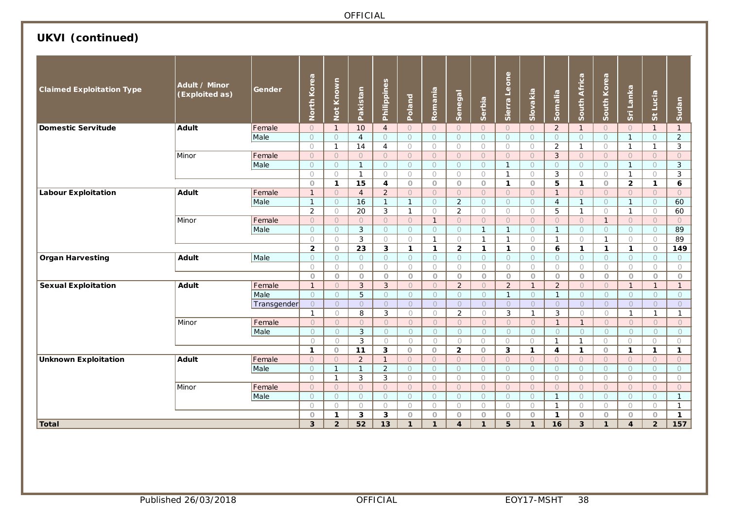# **UKVI (continued)**

| <b>Claimed Exploitation Type</b> | Adult / Minor<br>(Exploited as) | <b>Gender</b> | North Korea              | Not Known             | Pakistan                       | Philippines         | Poland             | Romania               | Senegal                 | Serbia                | Sierra Leone        | Slovakia                   | Somalia                               | South Africa               | South Korea           | Sri Lanka                  | St Lucia                | Sudan                 |
|----------------------------------|---------------------------------|---------------|--------------------------|-----------------------|--------------------------------|---------------------|--------------------|-----------------------|-------------------------|-----------------------|---------------------|----------------------------|---------------------------------------|----------------------------|-----------------------|----------------------------|-------------------------|-----------------------|
| <b>Domestic Servitude</b>        | <b>Adult</b>                    | Female        | $\overline{O}$           | $\mathbf{1}$          | 10                             | $\overline{4}$      | $\bigcirc$         | $\circ$               | $\circ$                 | $\bigcirc$            | $\circ$             | $\bigcirc$                 | $\overline{2}$                        | $\mathbf{1}$               | $\bigcirc$            | $\bigcirc$                 | $\mathbf{1}$            | $\mathbf{1}$          |
|                                  |                                 | Male          | $\circ$                  | $\circ$               | $\overline{4}$                 | $\circ$             | $\circ$            | $\circ$               | $\circ$                 | $\circ$               | $\circ$             | $\circ$                    | $\circ$                               | $\circ$                    | $\circ$               | $\mathbf{1}$               | $\circ$                 | $\overline{2}$        |
|                                  |                                 |               | $\bigcirc$               | $\mathbf{1}$          | 14                             | $\overline{4}$      | $\circ$            | $\circ$               | $\circ$                 | $\circ$               | $\circ$             | $\circ$                    | $\overline{2}$                        | $\mathbf{1}$               | $\circ$               | $\mathbf{1}$               | $\mathbf{1}$            | $\mathbf{3}$          |
|                                  | Minor                           | Female        | $\overline{O}$           | $\circ$               | $\circ$                        | $\bigcirc$          | $\bigcirc$         | $\bigcirc$            | $\Omega$                | $\circ$               | $\bigcirc$          | $\circ$                    | 3                                     | $\circ$                    | $\bigcirc$            | $\circ$                    | $\bigcirc$              | $\overline{O}$        |
|                                  |                                 | Male          | $\circ$                  | $\circ$               | $\mathbf{1}$                   | $\circ$             | $\circ$            | $\circ$               | $\circ$                 | $\circ$               | $\overline{1}$      | $\circ$                    | $\circ$                               | $\circ$                    | $\circ$               | $\mathbf{1}$               | $\circ$                 | 3                     |
|                                  |                                 |               | $\bigcirc$               | $\circ$               | $\mathbf{1}$                   | $\circ$             | $\bigcirc$         | $\bigcirc$            | $\bigcirc$              | $\circ$               | $\mathbf{1}$        | $\circ$                    | 3                                     | $\bigcirc$                 | $\bigcirc$            | $\mathbf{1}$               | $\bigcirc$              | $\mathbf{3}$          |
|                                  |                                 |               | $\circ$                  | $\mathbf{1}$          | 15                             | 4                   | $\circ$            | $\circ$               | $\circ$                 | $\circ$               | $\mathbf{1}$        | $\circ$                    | 5                                     | $\mathbf{1}$               | $\circ$               | $\overline{2}$             | $\mathbf{1}$            | 6                     |
| <b>Labour Exploitation</b>       | Adult                           | Female        | $\mathbf{1}$             | $\circ$               | $\overline{4}$                 | $\overline{2}$      | $\circ$            | $\bigcirc$            | $\circ$                 | $\circ$               | $\circ$             | $\circ$                    | $\mathbf{1}$                          | $\circ$                    | $\circ$               | $\bigcirc$                 | $\circ$                 | $\circ$               |
|                                  |                                 | Male          | $\mathbf{1}$             | $\circ$               | 16                             | $\mathbf{1}$        | $\mathbf{1}$       | $\circ$               | $\overline{2}$          | $\circ$               | $\circlearrowright$ | $\circ$                    | $\overline{4}$                        | $\mathbf{1}$               | $\circ$               | $\mathbf{1}$               | $\circ$                 | 60                    |
|                                  |                                 |               | $\overline{2}$           | $\circ$               | 20                             | $\mathbf{3}$        | $\mathbf{1}$       | $\bigcirc$            | $\overline{2}$          | $\bigcirc$            | $\bigcirc$          | $\bigcirc$                 | 5                                     | $\mathbf{1}$               | $\bigcirc$            | $\mathbf{1}$               | $\circ$                 | 60                    |
|                                  | Minor                           | Female        | $\circ$                  | $\circ$               | $\bigcirc$                     | $\bigcirc$          | $\bigcirc$         | $\overline{1}$        | $\overline{O}$          | $\overline{O}$        | $\Omega$            | $\circ$                    | $\overline{O}$                        | $\circ$                    | $\mathbf{1}$          | $\circ$                    | $\circ$                 | $\overline{O}$        |
|                                  |                                 | Male          | $\circ$                  | $\bigcirc$            | $\mathbf{3}$                   | $\circ$             | $\Omega$           | $\circ$               | $\circ$                 | $\mathbf{1}$          | $\mathbf{1}$        | $\bigcirc$                 | $\mathbf{1}$                          | $\circ$                    | $\circ$               | $\bigcirc$                 | $\circ$                 | 89                    |
|                                  |                                 |               | $\bigcirc$               | $\bigcirc$            | 3                              | $\bigcirc$          | $\bigcirc$         | $\mathbf{1}$          | $\bigcirc$              | $\mathbf{1}$          | $\mathbf{1}$        | $\bigcirc$                 | $\mathbf{1}$                          | $\bigcirc$                 | $\mathbf{1}$          | $\bigcirc$                 | $\bigcirc$              | 89                    |
|                                  |                                 |               | $\overline{2}$           | $\circ$               | 23                             | 3                   | $\mathbf{1}$       | $\mathbf{1}$          | $\overline{2}$          | $\mathbf{1}$          | $\mathbf{1}$        | $\circ$                    | 6                                     | $\mathbf{1}$               | $\mathbf{1}$          | $\mathbf{1}$               | $\circ$                 | 149                   |
| <b>Organ Harvesting</b>          | <b>Adult</b>                    | Male          | $\circ$                  | $\circ$               | $\circ$                        | $\circ$             | $\circ$            | $\circ$               | $\circ$                 | $\circ$               | $\circ$             | $\circ$                    | $\circ$                               | $\circ$                    | $\circ$               | $\circ$                    | $\circ$                 | $\circ$               |
|                                  |                                 |               | $\bigcirc$               | $\bigcirc$            | $\bigcirc$                     | $\bigcirc$          | $\bigcirc$         | $\bigcirc$            | $\bigcirc$              | $\bigcirc$            | $\bigcirc$          | $\bigcirc$                 | $\bigcirc$                            | $\bigcirc$                 | $\bigcirc$            | $\bigcirc$                 | $\bigcirc$              | $\bigcirc$            |
|                                  |                                 |               | $\circ$                  | $\circ$               | $\circ$                        | $\circ$             | $\circ$            | $\circ$               | $\circ$                 | $\circ$               | $\circ$             | $\circ$                    | $\circ$                               | $\circ$                    | $\circ$               | $\circ$                    | $\circ$                 | $\circ$               |
| <b>Sexual Exploitation</b>       | <b>Adult</b>                    | Female        | $\mathbf{1}$             | $\circ$               | 3                              | $\mathbf{3}$        | $\circ$            | $\circ$               | $\overline{2}$          | $\circ$               | $\overline{2}$      | $\mathbf{1}$               | $\overline{2}$                        | $\circ$                    | $\circ$               | $\mathbf{1}$               | $\mathbf{1}$            | $\mathbf{1}$          |
|                                  |                                 | Male          | $\circ$                  | $\circ$               | $\overline{5}$                 | $\circ$             | $\circ$            | $\circ$               | $\circ$                 | $\circ$               | $\overline{1}$      | $\circ$                    | $\mathbf{1}$                          | $\circ$                    | $\circ$               | $\circ$                    | $\circ$                 | $\circ$               |
|                                  |                                 | Transgender   | $\circ$                  | $\circ$               | $\overline{O}$                 | $\circ$             | $\circ$            | $\circ$               | $\circlearrowright$     | $\overline{O}$        | $\circ$             | $\circ$                    | $\circ$                               | $\bigcirc$                 | $\circ$               | $\circ$                    | $\circlearrowright$     | $\circ$               |
|                                  |                                 |               | $\mathbf{1}$             | $\bigcirc$            | 8                              | 3                   | $\bigcirc$         | $\bigcirc$            | $\overline{2}$          | $\bigcirc$            | 3                   | $\mathbf{1}$               | 3                                     | $\bigcirc$                 | $\bigcirc$            | $\mathbf{1}$               | $\mathbf{1}$            | $\mathbf{1}$          |
|                                  | Minor                           | Female        | $\bigcirc$               | $\circ$               | $\overline{O}$                 | $\bigcirc$          | $\bigcirc$         | $\circ$               | $\bigcirc$              | $\bigcirc$            | $\bigcirc$          | $\Omega$                   | $\mathbf{1}$                          | $\mathbf{1}$               | $\circ$               | $\overline{O}$             | $\circ$                 | $\overline{O}$        |
|                                  |                                 | Male          | $\circ$                  | $\circ$               | 3                              | $\circ$             | $\circ$            | $\circ$               | $\circ$                 | $\circ$               | $\circ$             | $\circ$                    | $\circ$                               | $\circ$                    | $\circ$               | $\circ$                    | $\circ$                 | $\circ$               |
|                                  |                                 |               | $\bigcirc$               | $\bigcirc$            | $\mathbf{3}$                   | $\bigcirc$          | $\circ$            | $\bigcirc$            | $\bigcirc$              | $\bigcirc$            | $\bigcirc$          | $\bigcirc$                 | $\mathbf{1}$                          | $\mathbf{1}$               | $\bigcirc$            | $\bigcirc$                 | $\bigcirc$              | $\circ$               |
|                                  | <b>Adult</b>                    | Female        | $\mathbf{1}$<br>$\Omega$ | $\circ$<br>$\bigcirc$ | 11                             | 3<br>$\mathbf{1}$   | $\circ$<br>$\circ$ | $\circ$<br>$\bigcirc$ | $\overline{2}$          | $\circ$<br>$\bigcirc$ | 3<br>$\circ$        | $\mathbf{1}$<br>$\bigcirc$ | $\overline{\mathbf{4}}$<br>$\bigcirc$ | $\mathbf{1}$<br>$\bigcirc$ | $\circ$<br>$\bigcirc$ | $\mathbf{1}$<br>$\bigcirc$ | $\mathbf{1}$<br>$\circ$ | $\mathbf{1}$          |
| <b>Unknown Exploitation</b>      |                                 |               | $\circ$                  | $\mathbf{1}$          | $\overline{2}$<br>$\mathbf{1}$ |                     | $\bigcirc$         | $\bigcirc$            | $\circ$<br>$\circ$      | $\circ$               | $\circ$             | $\circ$                    | $\circ$                               | $\circ$                    | $\bigcirc$            | $\bigcirc$                 | $\circ$                 | $\circ$<br>$\bigcirc$ |
|                                  |                                 | Male          | $\circ$                  | $\mathbf{1}$          | 3                              | $\overline{2}$<br>3 | $\circ$            | $\bigcirc$            | $\bigcirc$              | $\circ$               | $\bigcirc$          | $\bigcirc$                 | $\bigcirc$                            | $\bigcirc$                 | $\bigcirc$            | $\circ$                    | $\bigcirc$              | $\circ$               |
|                                  | Minor                           | Female        | $\circ$                  | $\circ$               | $\circ$                        | $\circ$             | $\circ$            | $\bigcirc$            | $\overline{O}$          | $\circ$               | $\circ$             | $\circ$                    | $\overline{O}$                        | $\circ$                    | $\circ$               | $\circ$                    | $\circ$                 | $\circ$               |
|                                  |                                 | Male          | $\circ$                  | $\circ$               | $\circ$                        | $\bigcirc$          | $\bigcirc$         | $\bigcirc$            | $\circ$                 | $\bigcirc$            | $\bigcirc$          | $\bigcirc$                 | $\mathbf{1}$                          | $\bigcirc$                 | $\bigcirc$            | $\bigcirc$                 | $\bigcirc$              | $\mathbf{1}$          |
|                                  |                                 |               | $\bigcirc$               | $\bigcirc$            | $\bigcirc$                     | $\circ$             | $\circ$            | $\circ$               | $\circ$                 | $\bigcirc$            | $\circ$             | $\circ$                    | $\mathbf{1}$                          | $\circ$                    | $\circ$               | $\bigcirc$                 | $\circ$                 | $\mathbf{1}$          |
|                                  |                                 |               | $\circ$                  | $\mathbf{1}$          | 3                              | 3                   | $\circ$            | $\circ$               | $\circ$                 | $\circ$               | $\circ$             | $\circ$                    | $\mathbf{1}$                          | $\circ$                    | $\circ$               | $\circ$                    | $\circ$                 | $\mathbf{1}$          |
| Total                            |                                 |               | 3                        | $\overline{2}$        | 52                             | 13                  | 1                  | $\mathbf{1}$          | $\overline{\mathbf{4}}$ | $\mathbf{1}$          | 5                   | $\mathbf{1}$               | 16                                    | 3 <sup>1</sup>             | $\mathbf{1}$          | $\overline{\mathbf{4}}$    | $\overline{2}$          | $\overline{157}$      |
|                                  |                                 |               |                          |                       |                                |                     |                    |                       |                         |                       |                     |                            |                                       |                            |                       |                            |                         |                       |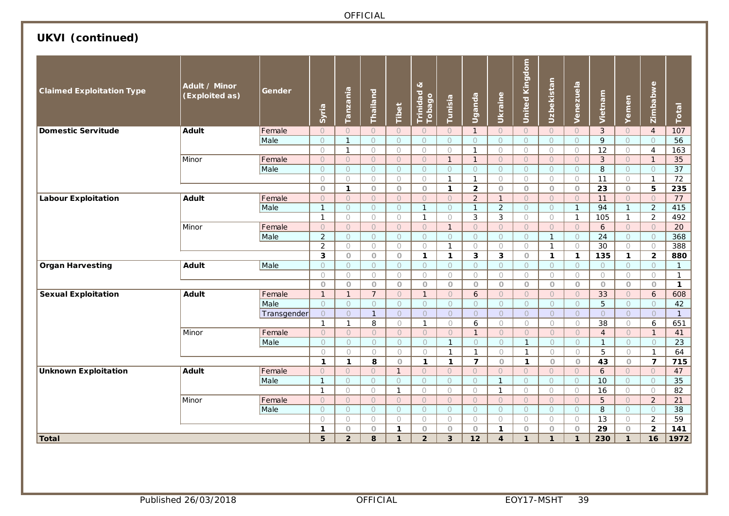# **UKVI (continued)**

| <b>Claimed Exploitation Type</b> | Adult / Minor<br>(Exploited as) | Gender      | Syria          | Tanzania            | Thailand       | Tibet        | ಷ<br>Trinidad<br>Tobago | Tunisia        | Uganda         | Ukraine             | <b>United Kingdom</b> | Uzbekistan     | Venezuela    | Vietnam         | Yemen          | Zimbabwe                | Total           |
|----------------------------------|---------------------------------|-------------|----------------|---------------------|----------------|--------------|-------------------------|----------------|----------------|---------------------|-----------------------|----------------|--------------|-----------------|----------------|-------------------------|-----------------|
| <b>Domestic Servitude</b>        | <b>Adult</b>                    | Female      | $\circ$        | $\circ$             | $\circ$        | $\circ$      | $\circ$                 | $\circ$        | $\mathbf{1}$   | $\circ$             | $\circ$               | $\circ$        | $\circ$      | 3               | $\circ$        | $\overline{4}$          | 107             |
|                                  |                                 | Male        | $\circ$        | $\overline{1}$      | $\circ$        | $\circ$      | $\circ$                 | $\circ$        | $\circ$        | $\circ$             | $\circ$               | $\bigcirc$     | $\circ$      | 9               | $\circ$        | $\circ$                 | 56              |
|                                  |                                 |             | $\bigcirc$     | $\mathbf{1}$        | $\bigcirc$     | $\circ$      | $\circ$                 | $\circ$        | $\mathbf{1}$   | $\circ$             | $\bigcirc$            | $\bigcirc$     | $\circ$      | $\overline{12}$ | 0              | $\overline{4}$          | 163             |
|                                  | Minor                           | Female      | $\bigcirc$     | $\circ$             | $\overline{O}$ | $\circ$      | $\bigcirc$              | $\mathbf{1}$   | $\mathbf{1}$   | $\circlearrowright$ | $\bigcirc$            | $\cup$         | $\bigcirc$   | $\mathbf{3}$    | $\circ$        | $\mathbf{1}$            | 35              |
|                                  |                                 | Male        | $\circ$        | $\circ$             | $\circ$        | $\circ$      | $\circ$                 | $\circ$        | $\circ$        | $\circ$             | $\circ$               | $\circ$        | $\circ$      | 8               | $\circ$        | $\circ$                 | 37              |
|                                  |                                 |             | $\circ$        | $\circ$             | $\circ$        | $\circ$      | $\circ$                 | $\mathbf{1}$   | $\mathbf{1}$   | $\bigcirc$          | $\circ$               | $\circ$        | $\bigcirc$   | 11              | $\bigcirc$     | $\mathbf{1}$            | $\overline{72}$ |
|                                  |                                 |             | $\circ$        | $\mathbf{1}$        | $\circ$        | $\circ$      | $\circ$                 | $\mathbf{1}$   | $\overline{2}$ | $\circ$             | $\circ$               | $\circ$        | $\circ$      | 23              | $\overline{O}$ | 5                       | 235             |
| <b>Labour Exploitation</b>       | <b>Adult</b>                    | Female      | $\overline{O}$ | $\cup$              | $\circ$        | $\circ$      | $\circ$                 | $\bigcirc$     | $\overline{2}$ | $\mathbf{1}$        | $\circ$               | $\circ$        | $\circ$      | 11              | $\circ$        | $\circ$                 | 77              |
|                                  |                                 | Male        | $\mathbf{1}$   | $\bigcirc$          | $\bigcirc$     | $\circ$      | $\mathbf{1}$            | $\circ$        | $\mathbf{1}$   | $\overline{2}$      | $\bigcirc$            | $\circ$        | $\mathbf{1}$ | 94              | $\mathbf{1}$   | $\overline{2}$          | 415             |
|                                  |                                 |             | $\mathbf{1}$   | $\bigcirc$          | $\bigcirc$     | $\bigcirc$   | $\mathbf{1}$            | $\circ$        | 3              | 3                   | $\circ$               | $\circ$        | $\mathbf{1}$ | 105             | $\mathbf{1}$   | $\overline{2}$          | 492             |
|                                  | Minor                           | Female      | $\circ$        | $\circlearrowright$ | $\circ$        | $\bigcirc$   | $\circ$                 | $\mathbf{1}$   | $\circ$        | $\bigcirc$          | $\circlearrowright$   | $\circ$        | $\circ$      | 6               | $\circ$        | $\circ$                 | $\overline{20}$ |
|                                  |                                 | Male        | $\overline{2}$ | $\circ$             | $\circ$        | $\circ$      | $\circ$                 | $\circ$        | $\circ$        | $\circ$             | $\circ$               | $\overline{1}$ | $\circ$      | 24              | $\bigcirc$     | $\circ$                 | 368             |
|                                  |                                 |             | $\overline{2}$ | $\circ$             | $\circ$        | $\circ$      | $\bigcirc$              | $\mathbf{1}$   | $\circ$        | $\circ$             | $\circ$               | $\mathbf{1}$   | $\circ$      | 30              | $\circ$        | $\bigcirc$              | 388             |
|                                  |                                 |             | $\mathbf{3}$   | $\circ$             | $\circ$        | $\circ$      | $\mathbf 1$             | $\mathbf{1}$   | 3              | 3                   | $\bigcirc$            | $\mathbf{1}$   | $\mathbf{1}$ | 135             | $\mathbf{1}$   | $\overline{\mathbf{2}}$ | 880             |
| <b>Organ Harvesting</b>          | Adult                           | Male        | $\circ$        | $\bigcirc$          | $\circ$        | $\bigcirc$   | $\circ$                 | $\circ$        | $\circ$        | $\circ$             | $\circ$               | $\bigcirc$     | $\bigcirc$   | $\circ$         | $\circ$        | $\circ$                 | $\mathbf{1}$    |
|                                  |                                 |             | $\circ$        | $\bigcirc$          | $\bigcirc$     | $\bigcirc$   | $\circ$                 | $\circ$        | $\circ$        | $\circ$             | $\circ$               | $\bigcirc$     | $\bigcirc$   | $\circ$         | $\circ$        | $\circ$                 | $\mathbf{1}$    |
|                                  |                                 |             | $\circ$        | $\circ$             | $\circ$        | $\circ$      | $\circ$                 | $\overline{O}$ | $\circ$        | $\circ$             | $\circ$               | $\circ$        | $\circ$      | $\circ$         | $\circ$        | $\circ$                 | $\mathbf{1}$    |
| <b>Sexual Exploitation</b>       | <b>Adult</b>                    | Female      | $\mathbf{1}$   | $\mathbf{1}$        | $\overline{7}$ | $\circ$      | $\mathbf{1}$            | $\circ$        | 6              | $\circ$             | $\circ$               | $\circ$        | $\circ$      | 33              | $\circ$        | $\epsilon$              | 608             |
|                                  |                                 | Male        | $\circ$        | $\circ$             | $\circ$        | $\circ$      | $\circ$                 | $\circ$        | $\circ$        | $\circ$             | $\circ$               | $\circ$        | $\circ$      | 5               | $\circ$        | $\circ$                 | 42              |
|                                  |                                 | Transgender | $\circ$        | $\circ$             | $\mathbf{1}$   | $\circ$      | $\overline{O}$          | $\circ$        | $\overline{O}$ | $\circ$             | $\circ$               | $\circ$        | $\circ$      | $\circ$         | $\circ$        | $\circ$                 | $\mathbf{1}$    |
|                                  |                                 |             | $\mathbf{1}$   | $\mathbf{1}$        | 8              | $\circ$      | $\mathbf{1}$            | $\circ$        | 6              | $\bigcirc$          | $\bigcirc$            | $\circ$        | $\circ$      | 38              | $\circ$        | 6                       | 651             |
|                                  | Minor                           | Female      | $\circ$        | $\bigcirc$          | $\overline{O}$ | $\circ$      | $\circ$                 | $\overline{O}$ | $\mathbf{1}$   | $\circ$             | $\circ$               | $\bigcirc$     | $\circ$      | $\overline{4}$  | $\circ$        | $\mathbf{1}$            | 41              |
|                                  |                                 | Male        | $\circ$        | $\circ$             | $\circ$        | $\bigcirc$   | $\circ$                 | $\mathbf{1}$   | $\circ$        | $\circ$             | $\mathbf{1}$          | $\circ$        | $\circ$      | $\overline{1}$  | $\circ$        | $\bigcirc$              | 23              |
|                                  |                                 |             | $\circ$        | $\bigcirc$          | $\circ$        | $\bigcirc$   | $\bigcirc$              | $\mathbf{1}$   | $\mathbf{1}$   | $\circ$             | $\mathbf{1}$          | $\bigcirc$     | $\circ$      | 5               | $\bigcirc$     | $\mathbf{1}$            | 64              |
|                                  |                                 |             | $\mathbf{1}$   | $\mathbf{1}$        | 8              | $\circ$      | $\mathbf{1}$            | $\mathbf{1}$   | $\overline{7}$ | $\circ$             | $\mathbf{1}$          | $\circ$        | $\circ$      | 43              | $\circ$        | $\overline{7}$          | 715             |
| <b>Unknown Exploitation</b>      | <b>Adult</b>                    | Female      | $\circ$        | $\circ$             | $\circ$        | $\mathbf{1}$ | $\bigcirc$              | $\circ$        | $\overline{O}$ | $\circ$             | $\circ$               | $\circ$        | $\circ$      | 6               | $\overline{O}$ | $\bigcirc$              | 47              |
|                                  |                                 | Male        | $\mathbf{1}$   | $\bigcirc$          | $\circ$        | $\circ$      | $\circ$                 | $\overline{O}$ | $\bigcirc$     | $\mathbf{1}$        | $\bigcirc$            | $\circ$        | $\bigcirc$   | 10              | $\overline{O}$ | $\circ$                 | $\overline{35}$ |
|                                  |                                 |             | $\mathbf{1}$   | $\circ$             | $\circ$        | $\mathbf{1}$ | $\bigcirc$              | $\circ$        | $\bigcirc$     | $\mathbf{1}$        | $\bigcirc$            | $\circ$        | $\bigcirc$   | 16              | $\bigcirc$     | $\bigcirc$              | $\overline{82}$ |
|                                  | Minor                           | Female      | $\circ$        | $\circ$             | $\circ$        | $\circ$      | $\overline{O}$          | $\circ$        | $\circ$        | $\circ$             | $\circ$               | $\circ$        | $\circ$      | 5               | $\overline{O}$ | $\overline{2}$          | 21              |
|                                  |                                 | Male        | $\circ$        | $\circ$             | $\bigcirc$     | $\circ$      | $\circ$                 | $\circ$        | $\circ$        | $\circ$             | $\circ$               | $\bigcirc$     | $\circ$      | 8               | $\circ$        | $\circ$                 | $\overline{38}$ |
|                                  |                                 |             | $\circ$        | $\circ$             | $\circ$        | $\circ$      | $\bigcirc$              | $\circ$        | $\circ$        | $\circ$             | $\circ$               | $\circ$        | $\circ$      | 13              | 0              | $\overline{2}$          | 59              |
|                                  |                                 |             | $\mathbf{1}$   | $\circ$             | $\circ$        | $\mathbf{1}$ | $\circ$                 | $\circ$        | $\circ$        | $\mathbf{1}$        | $\circ$               | $\circ$        | $\circ$      | 29              | $\circ$        | $\overline{2}$          | 141             |
| <b>Total</b>                     |                                 |             | 5              | $\overline{2}$      | 8              | $\mathbf{1}$ | $\overline{2}$          | 3              | 12             | 4                   | $\mathbf{1}$          | $\mathbf{1}$   | $\mathbf{1}$ | 230             | $\mathbf{1}$   | 16                      | 1972            |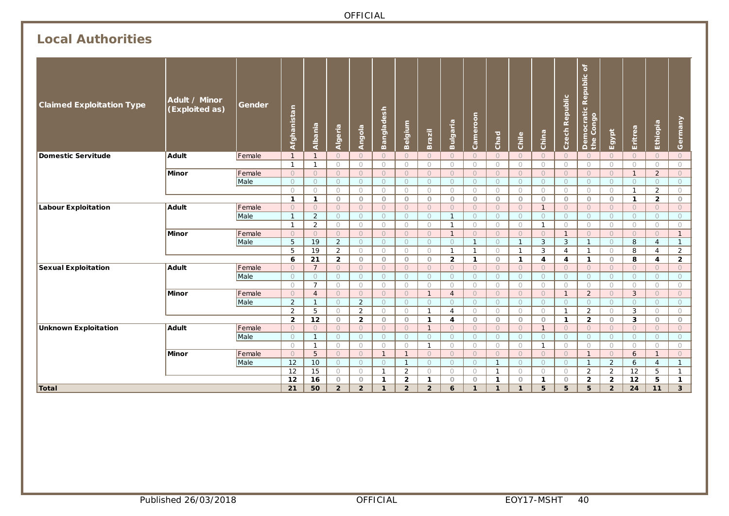# **Local Authorities**

| <b>Claimed Exploitation Type</b> | Adult / Minor<br>(Exploited as) | Gender | Afghanistan             | Albania                  | Algeria             | <b>Angola</b>         | <b>Bangladesh</b>   | Belgium            | Brazil                | <b>Bulgaria</b>     | Cameroon           | Chad                  | Chile               | China                   | Czech Republic          | $\mathbf{a}$<br>epublic<br>œ.<br>Democratic I<br>the Congo | Egypt                 | Eritrea                 | Ethiopia            | Germany               |
|----------------------------------|---------------------------------|--------|-------------------------|--------------------------|---------------------|-----------------------|---------------------|--------------------|-----------------------|---------------------|--------------------|-----------------------|---------------------|-------------------------|-------------------------|------------------------------------------------------------|-----------------------|-------------------------|---------------------|-----------------------|
| Domestic Servitude               | Adult                           | Female | $\mathbf{1}$            | $\mathbf 1$              | $\circ$             | $\circ$               | $\circ$             | $\circ$            | $\circ$               | $\circ$             | $\circ$            | $\circ$               | $\circ$             | $\circ$                 | $\circ$                 | $\circ$                                                    | $\circ$               | $\circ$                 | $\circ$             | $\circ$               |
|                                  |                                 |        | $\overline{1}$          | 1                        | $\bigcirc$          | $\bigcirc$            | $\bigcirc$          | $\circ$            | $\circ$               | $\bigcirc$          | $\bigcirc$         | $\bigcirc$            | $\bigcirc$          | $\bigcirc$              | $\bigcirc$              | $\bigcirc$                                                 | $\bigcirc$            | $\bigcirc$              | $\bigcirc$          | $\circ$               |
|                                  | <b>Minor</b>                    | Female | $\circ$                 | $\circ$                  | $\circ$             | $\circ$               | $\Omega$            | $\circ$            | $\circ$               | $\circ$             | $\circ$            | $\circ$               | $\circ$             | $\circ$                 | $\circ$                 | $\circ$                                                    | $\circ$               | $\mathbf{1}$            | 2                   | $\circ$               |
|                                  |                                 | Male   | $\circ$                 | $\circ$                  | $\circ$             | $\circ$               | $\circ$             | $\circ$            | $\circ$               | $\circ$             | $\circ$            | $\circ$               | $\circ$             | $\circ$                 | $\circ$                 | $\circ$                                                    | $\circ$               | $\circ$                 | $\circ$             | $\circ$               |
|                                  |                                 |        | $\circ$<br>$\mathbf{1}$ | $\circ$                  | $\bigcirc$          | $\bigcirc$<br>$\circ$ | $\circ$             | $\bigcirc$         | $\bigcirc$            | $\bigcirc$          | $\bigcirc$         | $\circ$               | $\bigcirc$          | $\circ$                 | $\bigcirc$              | $\bigcirc$                                                 | $\bigcirc$            | $\mathbf{1}$            | 2<br>$\overline{2}$ | $\bigcirc$<br>$\circ$ |
|                                  | Adult                           | Female | $\circ$                 | $\mathbf{1}$<br>$\Omega$ | $\circ$<br>$\Omega$ | $\bigcirc$            | $\circ$<br>$\Omega$ | $\circ$<br>$\circ$ | $\circ$<br>$\bigcirc$ | $\circ$<br>$\Omega$ | $\circ$<br>$\circ$ | $\circ$<br>$\bigcirc$ | $\circ$<br>$\Omega$ | $\circ$<br>$\mathbf{1}$ | $\circ$<br>$\circ$      | $\circ$<br>$\bigcirc$                                      | $\circ$<br>$\bigcirc$ | $\mathbf{1}$<br>$\circ$ | $\Omega$            | $\overline{O}$        |
| <b>Labour Exploitation</b>       |                                 | Male   | $\mathbf{1}$            | $\overline{2}$           | $\circ$             | $\circ$               | $\circ$             | $\circ$            | $\circ$               | $\mathbf{1}$        | $\circ$            | $\circ$               | $\circ$             | $\circ$                 | $\circ$                 | $\circ$                                                    | $\circ$               | $\circ$                 | $\circ$             | $\circ$               |
|                                  |                                 |        | $\mathbf{1}$            | $\overline{2}$           | $\circ$             | $\bigcirc$            | $\bigcirc$          | $\bigcirc$         | $\bigcirc$            | $\mathbf{1}$        | $\bigcirc$         | $\bigcirc$            | $\circ$             | $\mathbf{1}$            | $\circ$                 | $\bigcirc$                                                 | $\bigcirc$            | $\bigcirc$              | $\circ$             | $\bigcirc$            |
|                                  | Minor                           | Female | $\circ$                 | $\Omega$                 | $\circ$             | $\circ$               | $\bigcirc$          | $\circ$            | $\circ$               | $\mathbf{1}$        | $\circ$            | $\circ$               | $\circ$             | $\Omega$                | $\mathbf{1}$            | $\circ$                                                    | $\bigcirc$            | $\circ$                 | $\bigcirc$          | $\mathbf{1}$          |
|                                  |                                 | Male   | 5                       | 19                       | 2                   | $\bigcirc$            | $\bigcirc$          | $\circ$            | $\bigcirc$            | $\Omega$            | $\mathbf{1}$       | $\bigcirc$            | $\mathbf{1}$        | 3                       | 3                       | $\mathbf{1}$                                               | $\bigcirc$            | 8                       | $\overline{4}$      | $\mathbf{1}$          |
|                                  |                                 |        | 5                       | 19                       | 2                   | $\circ$               | $\circ$             | $\bigcirc$         | $\bigcirc$            | $\mathbf{1}$        | $\mathbf{1}$       | $\circ$               | $\overline{1}$      | 3                       | $\overline{4}$          | $\mathbf{1}$                                               | $\circ$               | 8                       | 4                   | $\overline{2}$        |
|                                  |                                 |        | 6                       | 21                       | $\overline{2}$      | $\circ$               | $\circ$             | $\circ$            | $\circ$               | $\overline{2}$      | $\mathbf{1}$       | $\circ$               | $\mathbf{1}$        | 4                       | $\overline{\mathbf{4}}$ | $\mathbf{1}$                                               | $\circ$               | 8                       | 4                   | $\overline{2}$        |
| <b>Sexual Exploitation</b>       | Adult                           | Female | $\circ$                 | $\overline{7}$           | $\circ$             | $\circ$               | $\circ$             | $\circ$            | $\circ$               | $\circ$             | $\circ$            | $\circ$               | $\circ$             | $\Omega$                | $\circ$                 | $\circ$                                                    | $\circ$               | $\circ$                 | $\circ$             | $\circ$               |
|                                  |                                 | Male   | $\Omega$                | $\bigcirc$               | $\bigcirc$          | $\bigcirc$            | $\bigcirc$          | $\circ$            | $\bigcirc$            | $\Omega$            | $\bigcirc$         | $\bigcirc$            | $\bigcirc$          | $\bigcirc$              | $\circ$                 | $\bigcirc$                                                 | $\bigcirc$            | $\circ$                 | $\Omega$            | $\bigcirc$            |
|                                  |                                 |        | $\circ$                 | $\overline{7}$           | $\circ$             | $\circ$               | $\circ$             | $\bigcirc$         | $\circ$               | $\bigcirc$          | $\circ$            | $\circ$               | $\circ$             | $\circ$                 | $\circ$                 | $\circ$                                                    | $\circ$               | $\circ$                 | $\circ$             | $\circ$               |
|                                  | Minor                           | Female | $\circ$                 | $\overline{4}$           | $\circ$             | $\circ$               | $\bigcirc$          | $\circ$            | $\mathbf{1}$          | $\overline{4}$      | $\circ$            | $\circ$               | $\circ$             | $\circ$                 | $\mathbf{1}$            | $\overline{2}$                                             | $\circ$               | $\mathbf{3}$            | $\circ$             | $\circ$               |
|                                  |                                 | Male   | 2                       | $\mathbf{1}$             | $\bigcirc$          | $\overline{2}$        | $\bigcirc$          | $\circ$            | $\circ$               | $\Omega$            | $\circ$            | $\bigcirc$            | $\circ$             | $\bigcirc$              | $\circ$                 | $\circ$                                                    | $\bigcirc$            | $\circ$                 | $\bigcirc$          | $\circ$               |
|                                  |                                 |        | 2                       | 5                        | $\bigcirc$          | 2                     | $\circ$             | $\bigcirc$         | $\mathbf{1}$          | $\overline{4}$      | $\circ$            | $\circ$               | $\circ$             | $\circ$                 | $\mathbf{1}$            | $\overline{2}$                                             | $\circ$               | 3                       | $\circ$             | $\bigcirc$            |
|                                  |                                 |        | $\overline{2}$          | 12                       | $\circ$             | $\overline{2}$        | $\circ$             | $\circ$            | $\mathbf{1}$          | 4                   | $\circ$            | $\circ$               | $\circ$             | $\circ$                 | $\mathbf{1}$            | $\mathbf{2}$                                               | $\circ$               | 3                       | $\circ$             | $\circ$               |
| <b>Unknown Exploitation</b>      | <b>Adult</b>                    | Female | $\circ$                 | $\bigcirc$               | $\circ$             | $\circ$               | $\Omega$            | $\circ$            | $\mathbf{1}$          | $\circ$             | $\circ$            | $\circ$               | $\circ$             | $\mathbf{1}$            | $\circ$                 | $\circ$                                                    | $\circ$               | $\circ$                 | $\circ$             | $\circ$               |
|                                  |                                 | Male   | $\bigcirc$              | $\mathbf{1}$             | $\bigcirc$          | $\bigcirc$            | $\bigcirc$          | $\circ$            | $\bigcirc$            | $\circ$             | $\bigcirc$         | $\bigcirc$            | $\bigcirc$          | $\Omega$                | $\circ$                 | $\bigcirc$                                                 | $\bigcirc$            | $\circ$                 | $\bigcirc$          | $\bigcirc$            |
|                                  |                                 |        | $\circ$                 | $\mathbf{1}$             | $\bigcirc$          | $\bigcirc$            | $\circ$             | $\bigcirc$         | $\mathbf{1}$          | $\bigcirc$          | $\bigcirc$         | $\bigcirc$            | $\bigcirc$          | $\mathbf{1}$            | $\bigcirc$              | $\bigcirc$                                                 | $\circ$               | $\bigcirc$              | $\circ$             | $\bigcirc$            |
|                                  | <b>Minor</b>                    | Female | $\bigcirc$              | 5                        | $\circ$             | $\circ$               | $\mathbf{1}$        | $\mathbf{1}$       | $\Omega$              | $\bigcirc$          | $\circ$            | $\bigcirc$            | $\circ$             | $\Omega$                | $\circ$                 | $\mathbf{1}$                                               | $\overline{O}$        | $6\overline{6}$         | $\mathbf{1}$        | $\overline{O}$        |
|                                  |                                 | Male   | 12                      | 10                       | $\circ$             | $\bigcirc$            | $\bigcirc$          | $\mathbf{1}$       | $\circ$               | $\Omega$            | $\circ$            | $\overline{1}$        | $\circ$             | $\circ$                 | $\circ$                 | $\overline{1}$                                             | 2                     | 6                       | $\overline{4}$      | $\mathbf{1}$          |
|                                  |                                 |        | 12                      | 15                       | $\bigcirc$          | $\circ$               | $\mathbf{1}$        | $\overline{2}$     | $\circ$               | $\circ$             | $\circ$            | $\mathbf{1}$          | $\circ$             | $\circ$                 | $\circ$                 | $\overline{2}$                                             | 2                     | 12                      | 5                   | $\mathbf{1}$          |
|                                  |                                 |        | 12                      | 16                       | $\circ$             | $\circ$               | $\mathbf{1}$        | $\overline{2}$     | 1                     | $\circ$             | $\circ$            | $\mathbf{1}$          | $\circ$             | $\mathbf{1}$            | $\circ$                 | $\mathbf{2}$                                               | $\overline{2}$        | 12                      | 5                   | $\mathbf{1}$          |
| Total                            |                                 |        | 21                      | 50                       | $\overline{2}$      | $\overline{2}$        | $\mathbf{1}$        | $\overline{2}$     | $\overline{2}$        | 6                   | $\mathbf{1}$       | $\mathbf{1}$          | $\mathbf{1}$        | 5                       | 5                       | 5                                                          | $\overline{2}$        | 24                      | 11                  | 3 <sup>1</sup>        |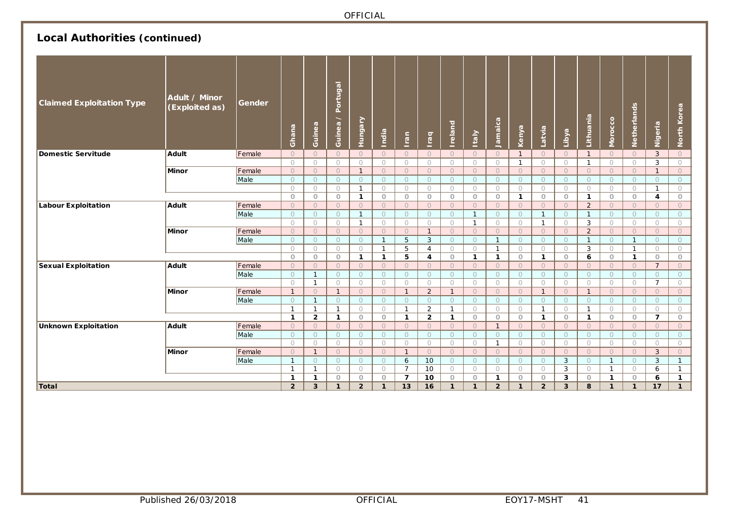# **Local Authorities (continued)**

| <b>Claimed Exploitation Type</b> | Adult / Minor<br>(Exploited as) | Gender | Ghana                      | Guinea                       | Portugal<br>Guinea /         | Hungary            | India              | Iran                         | raq                          | <b>Ireland</b>             | <b>Italy</b>          | Jamaica            | Kenya                 | Latvia                  | Libya                   | Lithuania                    | Morocco            | Netherlands           | Nigeria                   | North Korea           |
|----------------------------------|---------------------------------|--------|----------------------------|------------------------------|------------------------------|--------------------|--------------------|------------------------------|------------------------------|----------------------------|-----------------------|--------------------|-----------------------|-------------------------|-------------------------|------------------------------|--------------------|-----------------------|---------------------------|-----------------------|
| Domestic Servitude               | Adult                           | Female | $\circ$                    | $\circ$                      | $\Omega$                     | $\bigcirc$         | $\Omega$           | $\circ$                      | $\Omega$                     | $\circ$                    | $\circ$               | $\circ$            | $\mathbf{1}$          | $\circ$                 | $\circ$                 | $\mathbf{1}$                 | $\circ$            | $\circ$               | 3                         | $\circ$               |
|                                  |                                 |        | $\circ$                    | $\bigcirc$                   | $\circ$                      | $\bigcirc$         | $\bigcirc$         | $\bigcirc$                   | $\circ$                      | $\circ$                    | $\bigcirc$            | $\circ$            | $\mathbf{1}$          | $\bigcirc$              | $\bigcirc$              | $\overline{1}$               | $\circ$            | $\bigcirc$            | 3                         | $\bigcirc$            |
|                                  | Minor                           | Female | $\bigcirc$                 | $\circ$                      | $\Omega$                     | $\mathbf{1}$       | $\Omega$           | $\circ$                      | $\bigcirc$                   | $\Omega$                   | $\circ$               | $\Omega$           | $\circ$               | $\Omega$                | $\circ$                 | $\bigcirc$                   | $\bigcirc$         | $\circ$               | $\overline{1}$            | $\circ$               |
|                                  |                                 | Male   | $\circ$                    | $\circ$                      | $\bigcirc$                   | $\circ$            | $\circ$            | $\circ$                      | $\circ$                      | $\bigcirc$                 | $\circ$               | $\bigcirc$         | $\circ$               | $\circ$                 | $\circ$                 | $\circ$                      | $\Omega$           | $\circ$               | $\bigcirc$                | $\circ$               |
|                                  |                                 |        | $\circ$                    | $\circ$                      | $\circ$                      | $\overline{1}$     | $\circ$            | $\bigcirc$                   | $\circ$                      | $\circ$                    | $\circ$               | $\circ$            | $\bigcirc$            | $\circ$                 | $\bigcirc$              | $\circ$                      | $\circ$            | $\bigcirc$            | $\overline{1}$            | $\circ$               |
|                                  |                                 |        | $\circ$                    | $\circ$                      | $\circ$                      | $\mathbf{1}$       | $\circ$            | $\circ$                      | $\circ$                      | $\circ$                    | $\circ$               | $\circ$            | $\mathbf{1}$          | $\circ$                 | $\circ$                 | 1                            | $\circ$            | $\circ$               | 4                         | $\circ$               |
| <b>Labour Exploitation</b>       | Adult                           | Female | $\bigcirc$                 | $\circ$                      | $\Omega$                     | $\circ$            | $\Omega$           | $\circ$                      | $\bigcirc$                   | $\Omega$                   | $\circ$               | $\Omega$           | $\circ$               | $\Omega$                | $\circ$                 | $\overline{2}$               | $\bigcirc$         | $\circ$               | $\Omega$                  | $\circ$               |
|                                  |                                 | Male   | $\circ$                    | $\circ$                      | $\circ$                      | $\mathbf{1}$       | $\circ$            | $\circ$                      | $\circ$                      | $\circ$                    | $\mathbf{1}$          | $\circ$            | $\circ$               | $\mathbf{1}$            | $\circ$                 | $\mathbf{1}$                 | $\circ$            | $\circ$               | $\circ$                   | $\circ$               |
|                                  |                                 |        | $\circ$                    | $\bigcirc$                   | $\circ$                      | $\mathbf{1}$       | $\circ$            | $\bigcirc$                   | $\circ$                      | $\circ$                    | $\mathbf{1}$          | $\circ$            | $\circ$               | $\mathbf{1}$            | $\bigcirc$              | 3                            | $\circ$            | $\circ$               | $\circ$                   | $\bigcirc$            |
|                                  | Minor                           | Female | $\circ$                    | $\circ$                      | $\circ$                      | $\circ$            | $\circ$            | $\circ$                      | $\mathbf{1}$                 | $\circ$                    | $\circ$               | $\circ$            | $\circ$               | $\circ$                 | $\circ$                 | $\overline{2}$               | $\circ$            | $\circ$               | $\circ$                   | $\circ$               |
|                                  |                                 | Male   | $\circ$                    | $\circ$                      | $\circ$                      | $\circ$            | $\mathbf{1}$       | 5                            | 3                            | $\circ$                    | $\circ$               | $\overline{1}$     | $\circ$               | $\circ$                 | $\circ$                 | $\overline{1}$               | $\circ$            | $\mathbf{1}$          | $\circ$                   | $\circ$               |
|                                  |                                 |        | $\circ$                    | 0                            | $\circ$                      | $\circ$            | $\mathbf{1}$       | 5                            | $\overline{4}$               | $\circ$                    | $\circ$               | $\mathbf{1}$       | $\circ$               | $\circ$                 | $\circ$                 | 3                            | $\circ$            | $\mathbf{1}$          | $\circ$                   | $\circ$               |
|                                  |                                 |        | $\circ$                    | $\circ$                      | $\circ$                      | $\mathbf{1}$       | $\mathbf{1}$       | 5                            | 4                            | $\circ$                    | $\mathbf{1}$          | $\mathbf{1}$       | $\circ$               | $\mathbf{1}$            | $\circ$                 | 6                            | $\circ$            | $\mathbf{1}$          | $\circ$                   | $\circ$               |
| <b>Sexual Exploitation</b>       | Adult                           | Female | $\bigcirc$                 | $\overline{O}$               | $\Omega$                     | $\bigcirc$         | $\Omega$           | $\circ$                      | $\Omega$                     | $\bigcirc$                 | $\circ$               | $\Omega$           | $\bigcirc$            | $\Omega$                | $\circ$                 | $\bigcirc$                   | $\bigcirc$         | $\circ$               | $\overline{7}$            | $\circ$               |
|                                  |                                 | Male   | $\circ$                    | $\mathbf{1}$                 | $\circ$                      | $\circ$            | $\circ$            | $\circ$                      | $\circ$                      | $\circ$                    | $\circ$               | $\bigcirc$         | $\circ$               | $\circ$                 | $\circ$                 | $\circ$                      | $\Omega$           | $\circ$               | $\Omega$                  | $\circ$               |
|                                  |                                 |        | $\bigcirc$                 | $\mathbf{1}$                 | $\bigcirc$                   | $\bigcirc$         | $\bigcirc$         | $\bigcirc$                   | $\bigcirc$                   | $\bigcirc$                 | $\circ$               | $\bigcirc$         | $\bigcirc$            | $\bigcirc$              | $\bigcirc$              | $\bigcirc$<br>$\mathbf{1}$   | $\bigcirc$         | $\bigcirc$            | $\overline{7}$            | $\bigcirc$            |
|                                  | Minor                           | Female | $\overline{1}$             | $\circ$                      | $\mathbf{1}$                 | $\circ$            | $\circ$            | $\mathbf{1}$                 | $\overline{2}$               | $\mathbf{1}$               | $\circ$               | $\circ$            | $\circ$               | $\mathbf{1}$            | $\circ$                 |                              | $\circ$            | $\circ$               | $\circ$                   | $\circ$               |
|                                  |                                 | Male   | $\bigcirc$<br>$\mathbf{1}$ | $\mathbf{1}$<br>$\mathbf{1}$ | $\bigcirc$<br>$\overline{1}$ | $\circ$            | $\bigcirc$         | $\circ$                      | $\bigcirc$<br>$\overline{2}$ | $\bigcirc$<br>$\mathbf{1}$ | $\circ$               | $\bigcirc$         | $\bigcirc$            | $\circ$<br>$\mathbf{1}$ | $\circ$                 | $\bigcirc$<br>$\overline{1}$ | $\bigcirc$         | $\circ$               | $\bigcirc$                | $\circ$               |
|                                  |                                 |        | $\mathbf{1}$               | $\overline{2}$               | $\mathbf{1}$                 | $\circ$<br>$\circ$ | $\circ$<br>$\circ$ | $\mathbf{1}$<br>$\mathbf{1}$ | $\overline{2}$               | $\mathbf{1}$               | $\bigcirc$<br>$\circ$ | $\circ$<br>$\circ$ | $\bigcirc$<br>$\circ$ | $\mathbf{1}$            | $\circ$<br>$\circ$      | 1                            | $\circ$<br>$\circ$ | $\bigcirc$<br>$\circ$ | $\circ$<br>$\overline{7}$ | $\bigcirc$<br>$\circ$ |
| <b>Unknown Exploitation</b>      | Adult                           | Female | $\circ$                    | $\circ$                      | $\circ$                      | $\circ$            | $\circ$            | $\circ$                      | $\circ$                      | $\circ$                    | $\circ$               | -1                 | $\circ$               | $\circ$                 | $\circ$                 | $\circ$                      | $\circ$            | $\circ$               | $\circ$                   | $\circ$               |
|                                  |                                 | Male   | $\bigcirc$                 | $\bigcirc$                   | $\bigcirc$                   | $\bigcirc$         | $\bigcirc$         | $\circ$                      | $\bigcirc$                   | $\bigcirc$                 | $\circ$               | $\bigcirc$         | $\bigcirc$            | $\circ$                 | $\circ$                 | $\bigcirc$                   | $\Omega$           | $\circ$               | $\bigcirc$                | $\circ$               |
|                                  |                                 |        | $\circ$                    | $\circ$                      | $\circ$                      | $\bigcirc$         | $\circ$            | $\bigcirc$                   | $\circ$                      | $\circ$                    | $\bigcirc$            | $\overline{1}$     | $\bigcirc$            | $\bigcirc$              | $\circ$                 | $\circ$                      | $\circ$            | $\bigcirc$            | $\circ$                   | $\circ$               |
|                                  | Minor                           | Female | $\bigcirc$                 | $\mathbf{1}$                 | $\bigcirc$                   | $\Omega$           | $\bigcirc$         | $\mathbf{1}$                 | $\Omega$                     | $\Omega$                   | $\circ$               | $\Omega$           | $\bigcirc$            | $\Omega$                | $\Omega$                | $\bigcirc$                   | $\Omega$           | $\circ$               | 3                         | $\overline{O}$        |
|                                  |                                 | Male   | $\overline{1}$             | $\circ$                      | $\circ$                      | $\circ$            | $\circ$            | 6                            | 10                           | $\circ$                    | $\circ$               | $\circ$            | $\circ$               | $\circ$                 | 3                       | $\circ$                      | $\mathbf{1}$       | $\circ$               | 3                         | $\mathbf{1}$          |
|                                  |                                 |        | $\mathbf{1}$               | $\mathbf{1}$                 | $\bigcirc$                   | $\bigcirc$         | $\bigcirc$         | $\overline{7}$               | 10                           | $\bigcirc$                 | $\circ$               | $\bigcirc$         | $\bigcirc$            | $\bigcirc$              | 3                       | $\bigcirc$                   | $\mathbf{1}$       | $\bigcirc$            | 6                         | $\mathbf{1}$          |
|                                  |                                 |        | 1                          | $\mathbf{1}$                 | $\circ$                      | $\circ$            | $\circ$            | $\overline{7}$               | 10                           | $\circ$                    | $\circ$               | $\mathbf{1}$       | $\circ$               | $\circ$                 | 3                       | $\circ$                      | $\mathbf{1}$       | $\circ$               | 6                         | $\mathbf{1}$          |
| Total                            |                                 |        | $\overline{2}$             | $\overline{3}$               | $\mathbf{1}$                 | $\overline{2}$     | $\mathbf{1}$       | 13                           | 16                           | $\mathbf{1}$               | $\mathbf{1}$          | $\overline{2}$     | $\mathbf{1}$          | $\overline{2}$          | $\overline{\mathbf{3}}$ | 8                            | $\mathbf{1}$       | $\mathbf{1}$          | 17                        | 1                     |
|                                  |                                 |        |                            |                              |                              |                    |                    |                              |                              |                            |                       |                    |                       |                         |                         |                              |                    |                       |                           |                       |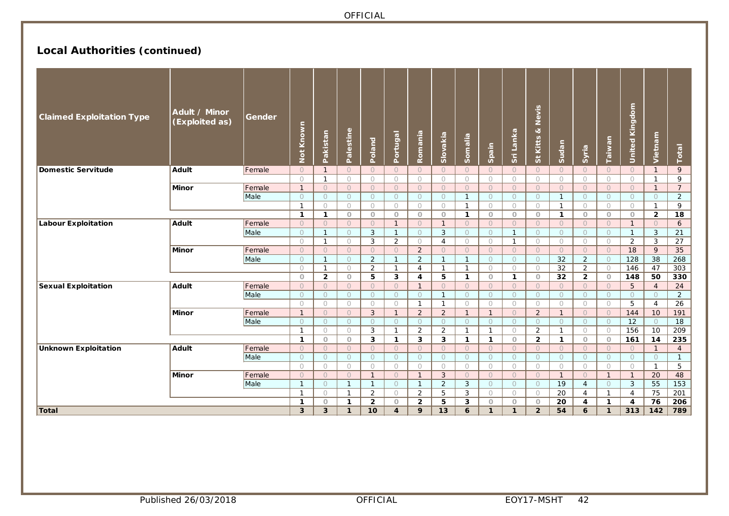# **Local Authorities (continued)**

| <b>Claimed Exploitation Type</b> | Adult / Minor<br>(Exploited as) | Gender | Known<br>Not | Pakistan       | Palestine           | Poland         | Portugal                | Romania                 | Slovakia       | Somalia        | Spain               | Sri Lanka    | Nevis<br>ಳ<br>St Kitts | Sudan               | Syria          | Taiwan         | United Kingdom          | Vietnam        | Total           |
|----------------------------------|---------------------------------|--------|--------------|----------------|---------------------|----------------|-------------------------|-------------------------|----------------|----------------|---------------------|--------------|------------------------|---------------------|----------------|----------------|-------------------------|----------------|-----------------|
| <b>Domestic Servitude</b>        | Adult                           | Female | $\circ$      | $\mathbf{1}$   | $\circ$             | $\circ$        | $\bigcirc$              | $\circ$                 | $\bigcirc$     | $\bigcirc$     | $\circ$             | $\circ$      | $\bigcirc$             | $\circ$             | $\circ$        | $\circ$        | $\circ$                 | $\mathbf{1}$   | 9               |
|                                  |                                 |        | $\circ$      | $\mathbf{1}$   | $\circ$             | $\bigcirc$     | $\bigcirc$              | $\circ$                 | $\bigcirc$     | $\bigcirc$     | $\circ$             | $\bigcirc$   | $\bigcirc$             | $\circ$             | $\bigcirc$     | $\bigcirc$     | $\circ$                 | $\mathbf{1}$   | 9               |
|                                  | Minor                           | Female | $\mathbf{1}$ | $\circ$        | $\circ$             | $\circ$        | $\circ$                 | $\circ$                 | $\circ$        | $\circ$        | $\circ$             | $\circ$      | $\circ$                | $\circ$             | $\circ$        | $\circ$        | $\circ$                 | $\mathbf{1}$   | $\overline{7}$  |
|                                  |                                 | Male   | $\circ$      | $\bigcirc$     | $\circ$             | $\circ$        | $\bigcirc$              | $\circ$                 | $\circ$        | $\overline{1}$ | $\circ$             | $\circ$      | $\circ$                | $\mathbf{1}$        | $\circ$        | $\circ$        | $\circ$                 | $\circ$        | $\overline{2}$  |
|                                  |                                 |        | $\mathbf{1}$ | $\bigcirc$     | $\bigcirc$          | $\circ$        | $\circ$                 | $\circ$                 | $\circ$        | $\overline{1}$ | $\circ$             | $\circ$      | $\circ$                | $\mathbf{1}$        | $\circ$        | $\circ$        | $\circ$                 | $\mathbf{1}$   | 9               |
|                                  |                                 |        | $\mathbf{1}$ | $\mathbf{1}$   | $\circ$             | $\circ$        | $\circ$                 | $\circ$                 | $\circ$        | $\mathbf{1}$   | $\circ$             | $\circ$      | $\circ$                | $\mathbf{1}$        | $\circ$        | $\circ$        | $\circ$                 | $\overline{2}$ | 18              |
| <b>Labour Exploitation</b>       | <b>Adult</b>                    | Female | $\circ$      | $\circ$        | $\circ$             | $\circ$        | $\mathbf{1}$            | $\circ$                 | $\mathbf{1}$   | $\circ$        | $\circ$             | $\circ$      | $\circ$                | $\circ$             | $\circ$        | $\circ$        | $\overline{1}$          | $\circ$        | 6               |
|                                  |                                 | Male   | $\circ$      | $\mathbf{1}$   | $\circ$             | 3              | $\overline{1}$          | $\circ$                 | 3              | $\bigcirc$     | $\circ$             | $\mathbf{1}$ | $\circ$                | $\circ$             | $\circ$        | $\overline{O}$ | $\mathbf{1}$            | 3              | 21              |
|                                  |                                 |        | $\circ$      | $\mathbf{1}$   | $\circ$             | 3              | $\overline{2}$          | $\circ$                 | $\overline{4}$ | $\bigcirc$     | $\circ$             | $\mathbf{1}$ | $\circ$                | $\circ$             | $\circ$        | $\bigcirc$     | $\overline{2}$          | 3              | 27              |
|                                  | Minor                           | Female | $\circ$      | $\circ$        | $\circ$             | $\circ$        | $\circ$                 | $\overline{2}$          | $\circ$        | $\circ$        | $\circ$             | $\circ$      | $\circ$                | $\circ$             | $\circ$        | $\circ$        | 18                      | 9              | $\overline{35}$ |
|                                  |                                 | Male   | $\circ$      | $\mathbf{1}$   | $\circ$             | 2              | $\mathbf{1}$            | $\overline{2}$          | $\mathbf{1}$   | $\overline{1}$ | $\circ$             | $\circ$      | $\circ$                | 32                  | $\overline{2}$ | $\circ$        | 128                     | 38             | 268             |
|                                  |                                 |        | $\bigcirc$   | $\mathbf{1}$   | $\circ$             | 2              | $\mathbf{1}$            | $\overline{4}$          | $\mathbf{1}$   | $\overline{1}$ | $\circ$             | $\bigcirc$   | $\circ$                | $\overline{32}$     | 2              | $\bigcirc$     | 146                     | 47             | 303             |
|                                  |                                 |        | $\circ$      | $\overline{2}$ | $\circ$             | 5              | 3                       | $\overline{\mathbf{4}}$ | 5              | $\mathbf{1}$   | $\circ$             | $\mathbf{1}$ | $\circ$                | 32                  | $\overline{2}$ | $\circ$        | 148                     | 50             | 330             |
| <b>Sexual Exploitation</b>       | <b>Adult</b>                    | Female | $\circ$      | $\circ$        | $\circ$             | $\circ$        | $\circ$                 | $\mathbf{1}$            | $\circ$        | $\circ$        | $\circ$             | $\circ$      | $\circ$                | $\circ$             | $\circ$        | $\circ$        | 5                       | $\overline{4}$ | 24              |
|                                  |                                 | Male   | $\circ$      | $\circ$        | $\circlearrowright$ | $\circ$        | $\circ$                 | $\circ$                 | $\mathbf{1}$   | $\circ$        | $\circlearrowright$ | $\circ$      | $\circ$                | $\circlearrowright$ | $\circ$        | $\circ$        | $\circlearrowright$     | $\circ$        | $\overline{2}$  |
|                                  |                                 |        | $\circ$      | $\circ$        | $\circ$             | $\bigcirc$     | $\bigcirc$              | $\mathbf{1}$            | $\mathbf{1}$   | $\circ$        | $\circ$             | $\circ$      | $\circ$                | $\bigcirc$          | $\circ$        | $\circ$        | 5                       | $\overline{4}$ | $\overline{26}$ |
|                                  | Minor                           | Female | $\mathbf{1}$ | $\circ$        | $\circ$             | 3              | $\mathbf{1}$            | $\overline{2}$          | 2              | $\mathbf{1}$   | $\mathbf{1}$        | $\circ$      | $\overline{2}$         | $\mathbf{1}$        | $\circ$        | $\circ$        | 144                     | 10             | 191             |
|                                  |                                 | Male   | $\circ$      | $\circ$        | $\circ$             | $\circ$        | $\circ$                 | $\circ$                 | $\circ$        | $\circ$        | $\circ$             | $\circ$      | $\circ$                | $\circ$             | $\circ$        | $\circ$        | $\overline{12}$         | $\circ$        | $\overline{18}$ |
|                                  |                                 |        | $\mathbf{1}$ | $\bigcirc$     | $\circ$             | 3              | $\mathbf{1}$            | 2                       | 2              | $\overline{1}$ | $\mathbf{1}$        | $\circ$      | $\overline{2}$         | $\mathbf{1}$        | $\circ$        | $\bigcirc$     | 156                     | 10             | 209             |
|                                  |                                 |        | $\mathbf{1}$ | $\circ$        | $\circ$             | $\mathbf{3}$   | $\mathbf{1}$            | 3                       | 3              | $\mathbf{1}$   | $\mathbf{1}$        | $\circ$      | $\overline{2}$         | $\mathbf{1}$        | $\circ$        | $\circ$        | 161                     | 14             | 235             |
| <b>Unknown Exploitation</b>      | Adult                           | Female | $\circ$      | $\circ$        | $\circ$             | $\circ$        | $\circ$                 | $\Omega$                | $\Omega$       | $\circ$        | $\bigcirc$          | $\Omega$     | $\circ$                | $\bigcirc$          | $\circ$        | $\overline{O}$ | $\circ$                 | $\mathbf{1}$   | $\overline{4}$  |
|                                  |                                 | Male   | $\circ$      | $\circ$        | $\circ$             | $\circ$        | $\circ$                 | $\circ$                 | $\circ$        | $\circ$        | $\circ$             | $\circ$      | $\circ$                | $\circ$             | $\circ$        | $\circ$        | $\circ$                 | $\circ$        | $\mathbf{1}$    |
|                                  |                                 |        | $\circ$      | $\bigcirc$     | $\circ$             | $\bigcirc$     | $\circ$                 | $\circ$                 | $\circ$        | $\circ$        | $\circ$             | $\circ$      | $\circ$                | $\bigcirc$          | $\circ$        | $\bigcirc$     | $\bigcirc$              | $\mathbf{1}$   | 5               |
|                                  | Minor                           | Female | $\circ$      | $\circ$        | $\circ$             | $\overline{1}$ | $\circ$                 | $\overline{1}$          | 3              | $\circ$        | $\circ$             | $\circ$      | $\circ$                | $\overline{1}$      | $\circ$        | $\mathbf{1}$   | $\overline{1}$          | 20             | 48              |
|                                  |                                 | Male   | $\mathbf{1}$ | $\circ$        | $\overline{1}$      | $\mathbf{1}$   | $\bigcirc$              | $\overline{1}$          | 2              | 3              | $\circ$             | $\bigcirc$   | $\bigcirc$             | 19                  | $\overline{4}$ | $\circ$        | $\mathbf{3}$            | 55             | 153             |
|                                  |                                 |        | $\mathbf{1}$ | $\bigcirc$     | $\mathbf{1}$        | 2              | $\circ$                 | $\overline{2}$          | 5              | 3              | $\circ$             | $\circ$      | $\circ$                | $\overline{20}$     | $\overline{4}$ | $\overline{1}$ | $\overline{4}$          | 75             | 201             |
|                                  |                                 |        |              | $\circ$        | $\mathbf{1}$        | $\overline{2}$ | $\circ$                 | $\overline{2}$          | 5              | 3              | $\circ$             | $\circ$      | $\circ$                | 20                  | 4              | $\mathbf{1}$   | $\overline{\mathbf{4}}$ | 76             | 206             |
| Total                            |                                 |        |              | $\overline{3}$ | 1                   | 10             | $\overline{\mathbf{4}}$ | 9                       | 13             | 6              | $\mathbf{1}$        | $\mathbf{1}$ | $\overline{2}$         | 54                  | 6              | $\mathbf{1}$   | 313                     | 142            | 789             |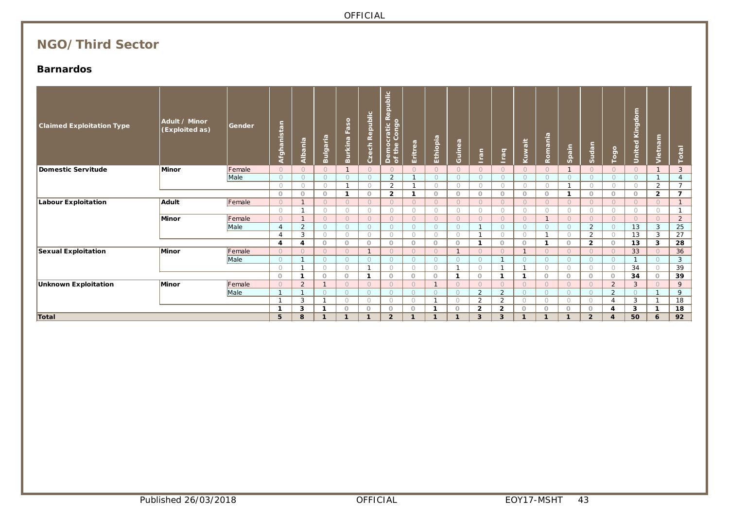# **NGO/Third Sector**

### **Barnardos**

| <b>Claimed Exploitation Type</b> | Adult / Minor<br>(Exploited as) | Gender | Afghanistan  | Albania        | Bulgaria   | Burkina Faso | Czech Republic | Democratic Republic<br>of the Congo | Eritrea      | Ethiopia       | Guinea      | Iran           | <b>Iraq</b>    | Kuwait         | Romania      | Spain      | Sudan          | Togo             | United Kingdom | Vietnam        | Total          |
|----------------------------------|---------------------------------|--------|--------------|----------------|------------|--------------|----------------|-------------------------------------|--------------|----------------|-------------|----------------|----------------|----------------|--------------|------------|----------------|------------------|----------------|----------------|----------------|
| Domestic Servitude               | Minor                           | Female | $\Omega$     | $\bigcirc$     | $\Omega$   |              | $\Omega$       | $\Omega$                            | $\bigcirc$   | $\Omega$       | $\bigcirc$  | $\bigcirc$     | $\bigcirc$     | $\Omega$       | $\Omega$     |            | $\Omega$       | $\bigcap$        | $\Omega$       | $\mathbf{1}$   | $\overline{3}$ |
|                                  |                                 | Male   | $\circ$      | $\circ$        | $\circ$    | $\circ$      | $\circ$        | 2                                   | $\mathbf{1}$ | $\circ$        | $\circ$     | $\circ$        | $\circ$        | $\circ$        | $\circ$      | $\circ$    | $\circ$        | $\circ$          | $\circ$        | $\mathbf{1}$   | $\overline{4}$ |
|                                  |                                 |        | $\bigcirc$   | $\bigcirc$     | $\bigcirc$ |              | $\bigcirc$     | 2                                   |              | $\bigcirc$     | $\circ$     | $\bigcirc$     | $\bigcirc$     | $\bigcirc$     | $\bigcirc$   | -1         | $\bigcirc$     | $\bigcirc$       | $\circ$        | 2              | $\overline{7}$ |
|                                  |                                 |        | $\circ$      | $\circ$        | $\circ$    | $\mathbf 1$  | $\circ$        | $\overline{2}$                      | $\mathbf{1}$ | $\circ$        | $\circ$     | $\circ$        | $\circ$        | $\circ$        | $\circ$      | -1         | $\circ$        | $\circ$          | $\circ$        | $\overline{2}$ | $\overline{7}$ |
| <b>Labour Exploitation</b>       | Adult                           | Female | $\bigcirc$   | $\mathbf{1}$   | $\Omega$   | $\Omega$     | $\Omega$       | $\Omega$                            | $\Omega$     | $\Omega$       | $\circ$     | $\Omega$       | $\bigcirc$     | $\Omega$       | $\Omega$     | $\bigcirc$ | $\bigcirc$     | $\Omega$         | $\bigcirc$     | $\cap$         | $\mathbf{1}$   |
|                                  |                                 |        | $\circ$      | $\mathbf{1}$   | $\bigcirc$ | $\circ$      | $\circ$        | $\circ$                             | $\circ$      | $\circ$        | $\circ$     | $\circ$        | $\circ$        | $\circ$        | $\circ$      | $\circ$    | $\bigcirc$     | $\bigcirc$       | $\circ$        | $\bigcirc$     | $\mathbf{1}$   |
|                                  | Minor                           | Female | $\bigcirc$   | $\mathbf{1}$   | $\circ$    | $\circ$      | $\circ$        | $\circ$                             | $\circ$      | $\circ$        | $\circ$     | $\circ$        | $\circ$        | $\circ$        | $\mathbf{1}$ | $\circ$    | $\circ$        | $\Omega$         | $\circ$        | $\Omega$       | $\overline{2}$ |
|                                  |                                 | Male   |              | 2              | $\Omega$   | $\circ$      | $\circ$        | $\circ$                             | $\circ$      | $\circ$        | $\circ$     | -1             | $\circ$        | $\circ$        | $\Omega$     | $\Omega$   | 2              | $\Omega$         | 13             | 3              | 25             |
|                                  |                                 |        |              | 3              | $\bigcap$  | $\bigcirc$   | $\bigcirc$     | $\bigcirc$                          | $\bigcirc$   | $\bigcirc$     | $\circ$     | $\overline{1}$ | $\bigcirc$     | $\bigcirc$     | $\mathbf{A}$ | $\bigcirc$ | 2              | $\bigcirc$       | 13             | 3              | 27             |
|                                  |                                 |        | 4            | 4              | $\Omega$   | $\circ$      | $\Omega$       | $\circ$                             | $\circ$      | $\circ$        | $\circ$     | $\mathbf{1}$   | $\circ$        | $\circ$        |              | $\circ$    | $\overline{2}$ | $\circ$          | 13             | 3              | 28             |
| <b>Sexual Exploitation</b>       | Minor                           | Female | $\bigcirc$   | $\Omega$       | $\Omega$   | $\Omega$     | $\mathbf{1}$   | $\bigcirc$                          | $\bigcirc$   | $\Omega$       |             | $\bigcirc$     | $\bigcirc$     | $\overline{1}$ | $\Omega$     | $\Omega$   | $\Omega$       | $\bigcirc$       | 33             | $\circ$        | 36             |
|                                  |                                 | Male   | $\bigcap$    |                | $\bigcap$  | $\Omega$     | $\Omega$       | $\Omega$                            | $\Omega$     | $\Omega$       | $\Omega$    | $\bigcirc$     |                | $\bigcirc$     | $\Omega$     | $\Omega$   | $\Omega$       | $\bigcirc$       | $\mathbf{1}$   | $\Omega$       | 3              |
|                                  |                                 |        | $\circ$      | $\mathbf{1}$   | $\bigcirc$ | $\circ$      |                | $\circ$                             | $\bigcirc$   | $\circ$        |             | $\circ$        |                | -1             | $\circ$      | $\circ$    | $\circ$        | $\circ$          | 34             | $\circ$        | 39             |
|                                  |                                 |        | $\circ$      | $\mathbf 1$    | $\circ$    | $\circ$      | -1             | $\circ$                             | $\circ$      | $\circ$        | $\mathbf 1$ | $\circ$        | $\mathbf 1$    | -1             | $\circ$      | $\circ$    | $\circ$        | $\circ$          | 34             | $\circ$        | 39             |
| <b>Unknown Exploitation</b>      | Minor                           | Female | $\circ$      | $\overline{2}$ |            | $\Omega$     | $\Omega$       | $\circ$                             | $\bigcirc$   | $\overline{1}$ | $\circ$     | $\circ$        | $\circ$        | $\circ$        | $\circ$      | $\circ$    | $\circ$        | $\overline{2}$   | 3              | $\Omega$       | 9              |
|                                  |                                 | Male   | $\mathbf{1}$ | $\mathbf{1}$   | $\Omega$   | $\circ$      | $\Omega$       | $\circ$                             | $\Omega$     | $\circ$        | $\circ$     | 2              | $\overline{2}$ | $\circ$        | $\circ$      | $\circ$    | $\circ$        | 2                | $\Omega$       | -1             | 9              |
|                                  |                                 |        | -1           | 3              |            | $\bigcirc$   | $\bigcap$      | $\circ$                             | $\bigcirc$   | $\mathbf{1}$   | $\bigcirc$  | $\overline{2}$ | 2              | $\bigcirc$     | $\circ$      | $\circ$    | $\bigcirc$     | $\overline{A}$   | 3              | $\overline{ }$ | 18             |
|                                  |                                 |        | 1            | 3              | 1          | $\Omega$     | $\Omega$       | $\circ$                             | $\Omega$     | -1             | $\circ$     | $\overline{2}$ | $\overline{2}$ | $\circ$        | $\circ$      | $\circ$    | $\circ$        | 4                | 3              | -1             | 18             |
| Total                            |                                 |        | 5            | 8              | 1          | $\mathbf{1}$ | -1             | $\overline{2}$                      | -1           | $\mathbf{1}$   |             | 3              | $\mathbf{3}$   |                |              |            | $\overline{2}$ | $\boldsymbol{A}$ | 50             | 6              | 92             |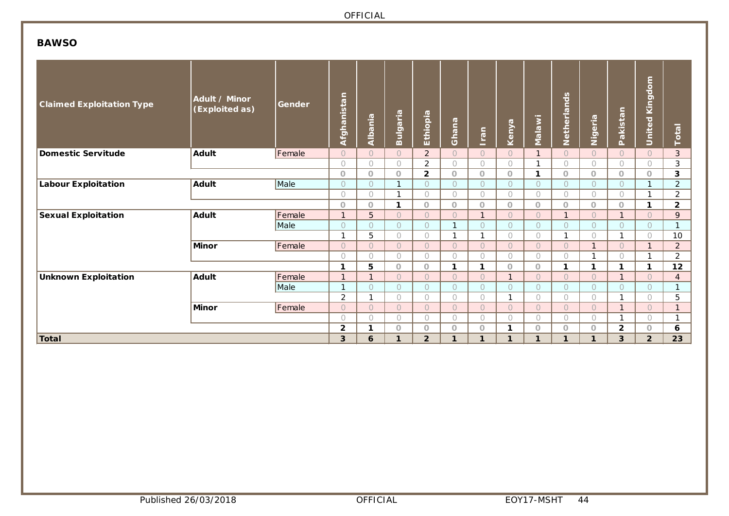### **BAWSO**

| <b>Claimed Exploitation Type</b> | Adult / Minor<br>(Exploited as) | Gender | Afghanistan    | Albania        | Bulgaria            | Ethiopia       | Ghana        | Iran         | Kenya        | Malawi         | Netherlands    | Nigeria             | akistan<br>$\mathbf{r}$ | <b>United Kingdom</b>    | Total          |
|----------------------------------|---------------------------------|--------|----------------|----------------|---------------------|----------------|--------------|--------------|--------------|----------------|----------------|---------------------|-------------------------|--------------------------|----------------|
| Domestic Servitude               | <b>Adult</b>                    | Female | $\overline{O}$ | $\overline{O}$ | $\bigcirc$          | $\overline{2}$ | $\circ$      | $\circ$      | $\bigcap$    | $\mathbf{1}$   | $\overline{O}$ | $\circ$             | $\circ$                 | $\circ$                  | 3              |
|                                  |                                 |        | $\bigcirc$     | $\bigcirc$     | $\bigcirc$          | $\overline{2}$ | $\bigcirc$   | $\bigcirc$   | $\bigcap$    | 1              | $\circ$        | $\bigcirc$          | $\bigcirc$              | $\bigcirc$               | 3              |
|                                  |                                 |        | $\circ$        | $\overline{O}$ | $\circ$             | $\mathbf{2}$   | $\circ$      | $\circ$      | $\circ$      | 1              | $\circ$        | $\circ$             | $\circ$                 | $\circ$                  | 3              |
| <b>Labour Exploitation</b>       | <b>Adult</b>                    | Male   | $\circ$        | $\circ$        | $\mathbf{1}$        | $\circ$        | $\bigcirc$   | $\circ$      | $\bigcap$    | $\overline{O}$ | $\circ$        | $\circ$             | $\circ$                 | 1                        | $\overline{2}$ |
|                                  |                                 |        | $\bigcap$      | $\bigcirc$     | $\mathbf{1}$        | $\bigcirc$     | $\bigcirc$   | $\bigcirc$   | $\bigcap$    | 0              | $\bigcirc$     | $\bigcirc$          | $\bigcirc$              | $\overline{\phantom{a}}$ | $\overline{2}$ |
|                                  |                                 |        | $\circ$        | $\overline{O}$ | $\mathbf{1}$        | $\circ$        | $\circ$      | $\circ$      | $\circ$      | $\circ$        | $\circ$        | $\circ$             | $\circ$                 | 1                        | $\mathbf{2}$   |
| <b>Sexual Exploitation</b>       | <b>Adult</b>                    | Female | $\mathbf{1}$   | 5              | $\bigcirc$          | $\circ$        | $\circ$      | $\mathbf{1}$ | $\bigcap$    | $\overline{O}$ | $\mathbf{1}$   | $\circ$             | $\mathbf{1}$            | $\bigcirc$               | 9              |
|                                  |                                 | Male   | $\circ$        | $\circ$        | $\circ$             | $\circ$        | $\mathbf 1$  | $\circ$      | $\bigcap$    | $\circ$        | $\circ$        | $\circ$             | $\circ$                 | $\bigcirc$               | $\mathbf{1}$   |
|                                  |                                 |        | $\mathbf{I}$   | 5              | $\bigcirc$          | $\bigcirc$     | $\mathbf{1}$ | $\mathbf{1}$ | $\bigcap$    | 0              | $\mathbf{1}$   | $\bigcirc$          | $\mathbf{1}$            | $\bigcirc$               | 10             |
|                                  | <b>Minor</b>                    | Female | $\bigcap$      | $\overline{O}$ | $\bigcirc$          | $\overline{O}$ | $\circ$      | $\circ$      | $\bigcap$    | $\overline{O}$ | $\overline{O}$ | $\mathbf{1}$        | $\circ$                 | 1                        | $\overline{2}$ |
|                                  |                                 |        | $\bigcirc$     | $\circ$        | $\bigcirc$          | $\bigcirc$     | $\bigcirc$   | $\bigcirc$   | $\bigcap$    | 0              | $\circ$        | 1                   | $\bigcirc$              | $\overline{\phantom{a}}$ | $\overline{2}$ |
|                                  |                                 |        | 1              | 5              | $\circ$             | $\circ$        | $\mathbf{1}$ | $\mathbf{1}$ | $\circ$      | $\circ$        | $\mathbf{1}$   | $\mathbf{1}$        | 1                       | 1                        | 12             |
| <b>Unknown Exploitation</b>      | <b>Adult</b>                    | Female | $\mathbf{I}$   | $\mathbf{1}$   | $\bigcirc$          | $\overline{O}$ | $\circ$      | $\circ$      | $\mathbf{I}$ | $\overline{O}$ | $\overline{O}$ | $\bigcirc$          | $\mathbf{1}$            | $\bigcirc$               | $\overline{4}$ |
|                                  |                                 | Male   |                | $\circ$        | $\circ$             | $\circ$        | $\circ$      | $\circ$      | $\bigcap$    | $\circ$        | $\circ$        | $\circ$             | $\circ$                 | $\bigcirc$               | $\mathbf{1}$   |
|                                  |                                 |        | $\overline{2}$ |                | $\bigcirc$          | $\bigcirc$     | $\bigcirc$   | $\bigcirc$   |              | 0              | $\bigcirc$     | $\bigcirc$          | $\mathbf{1}$            | $\bigcirc$               | 5              |
|                                  | <b>Minor</b>                    | Female | $\overline{O}$ | $\overline{O}$ | $\circlearrowright$ | $\circ$        | $\circ$      | $\circ$      | $\bigcap$    | $\overline{O}$ | $\circ$        | $\circlearrowright$ | $\mathbf{1}$            | $\bigcirc$               | $\mathbf{1}$   |
|                                  |                                 |        | $\bigcap$      | $\circ$        | $\bigcirc$          | $\bigcirc$     | $\bigcirc$   | $\bigcirc$   | $\bigcap$    | 0              | $\circ$        | $\bigcirc$          | $\mathbf{1}$            | $\bigcirc$               | -1             |
|                                  |                                 |        | $\overline{2}$ | 1              | $\circ$             | $\circ$        | $\circ$      | $\circ$      | 1            | O              | $\circ$        | $\circ$             | $\mathbf{2}$            | $\circ$                  | 6              |
| Total                            |                                 |        | 3              | 6              | $\mathbf{1}$        | $\overline{2}$ | 1            | $\mathbf{1}$ | $\mathbf{1}$ | 1              | $\mathbf{1}$   | $\mathbf{1}$        | 3                       | $\overline{2}$           | 23             |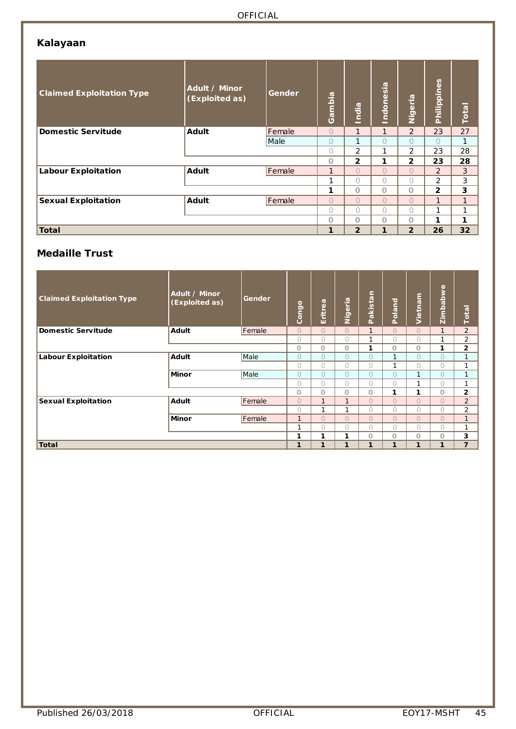## **Kalayaan**

| <b>Claimed Exploitation Type</b> | Adult / Minor<br>(Exploited as) | Gender | Gambia         | India          | Indonesia    | Nigeria        | Philippines    | <b>Total</b>    |
|----------------------------------|---------------------------------|--------|----------------|----------------|--------------|----------------|----------------|-----------------|
| <b>Domestic Servitude</b>        | <b>Adult</b>                    | Female | $\bigcirc$     | $\mathbf{1}$   | $\mathbf{1}$ | 2              | 23             | 27              |
|                                  |                                 | Male   | $\circ$        | 1              | $\bigcap$    | $\bigcap$      | $\bigcap$      | 1               |
|                                  |                                 |        | $\bigcirc$     | $\overline{2}$ | 1            | $\overline{2}$ | 23             | 28              |
|                                  |                                 |        | $\circ$        | $\overline{2}$ | 1            | $\overline{2}$ | 23             | 28              |
| <b>Labour Exploitation</b>       | Adult                           | Female | 1              | $\bigcap$      | $\bigcap$    | $\bigcap$      | $\overline{2}$ | 3               |
|                                  |                                 |        | 1              | 0              | 0            | 0              | $\overline{2}$ | 3               |
|                                  |                                 |        | 1              | $\Omega$       | O            | O              | $\overline{2}$ | 3               |
| <b>Sexual Exploitation</b>       | <b>Adult</b>                    | Female | $\overline{O}$ | $\bigcap$      | $\bigcap$    | $\bigcap$      | $\mathbf{1}$   | $\mathbf{1}$    |
|                                  |                                 |        | 0              | $\bigcap$      | $\bigcap$    | $\bigcap$      | 1              | 1               |
|                                  |                                 |        | O              | $\overline{O}$ | O            | O              | 1              | 1               |
| Total                            |                                 |        | 1              | $\overline{2}$ | 1            | $\overline{2}$ | 26             | 32 <sub>2</sub> |

## **Medaille Trust**

| <b>Claimed Exploitation Type</b> | Adult / Minor<br>(Exploited as) | Gender | Congo        | Eritrea      | Nigeria      | Pakistan     | Poland       | Vietnam        | Zimbabwe       | Total          |
|----------------------------------|---------------------------------|--------|--------------|--------------|--------------|--------------|--------------|----------------|----------------|----------------|
| <b>Domestic Servitude</b>        | Adult                           | Female | $\Omega$     | $\Omega$     | $\Omega$     | $\mathbf{1}$ | $\Omega$     | $\bigcirc$     | $\mathbf{1}$   | $\overline{2}$ |
|                                  |                                 |        | $\bigcirc$   | $\bigcirc$   | $\bigcirc$   | $\mathbf{1}$ | 0            | 0              | 1              | $\overline{2}$ |
|                                  |                                 |        | $\Omega$     | $\circ$      | $\Omega$     | 1            | $\circ$      | $\Omega$       | 1              | $\overline{2}$ |
| <b>Labour Exploitation</b>       | Adult                           | Male   | $\bigcirc$   | $\bigcirc$   | $\bigcirc$   | $\bigcirc$   | $\mathbf{1}$ | $\bigcirc$     | $\overline{O}$ | 1              |
|                                  |                                 |        | $\bigcirc$   | $\bigcirc$   | $\bigcirc$   | $\bigcirc$   | $\mathbf{1}$ | 0              | 0              | 1              |
|                                  | <b>Minor</b>                    | Male   | $\bigcirc$   | $\bigcirc$   | $\bigcirc$   | $\bigcirc$   | 0            | $\mathbf{1}$   | 0              | $\mathbf{1}$   |
|                                  |                                 |        | $\bigcirc$   | $\bigcirc$   | $\bigcirc$   | $\bigcirc$   | 0            | h              | $\bigcirc$     | 1              |
|                                  |                                 |        | $\Omega$     | $\circ$      | $\circ$      | $\Omega$     | 1            | 1              | $\Omega$       | $\overline{2}$ |
| <b>Sexual Exploitation</b>       | <b>Adult</b>                    | Female | $\Omega$     | $\mathbf{1}$ | $\mathbf{1}$ | $\Omega$     | $\Omega$     | $\overline{O}$ | $\Omega$       | $\overline{2}$ |
|                                  |                                 |        | $\bigcap$    | $\mathbf{1}$ | $\mathbf{I}$ | $\bigcap$    | $\bigcap$    | $\bigcap$      | 0              | $\overline{2}$ |
|                                  | <b>Minor</b>                    | Female | $\mathbf{1}$ | $\Omega$     | $\Omega$     | $\Omega$     | $\Omega$     | $\overline{O}$ | $\overline{O}$ | $\mathbf{1}$   |
|                                  |                                 |        | 1            | $\bigcirc$   | $\bigcirc$   | $\bigcirc$   | $\bigcirc$   | 0              | $\Omega$       | 1              |
|                                  |                                 |        | 1            | 1            | 1            | $\circ$      | $\circ$      | $\circ$        | $\circ$        | 3              |
| Total                            |                                 |        | $\mathbf{1}$ | 1            | 1            | 1            | $\mathbf{1}$ | 1              | $\mathbf{1}$   | $\overline{7}$ |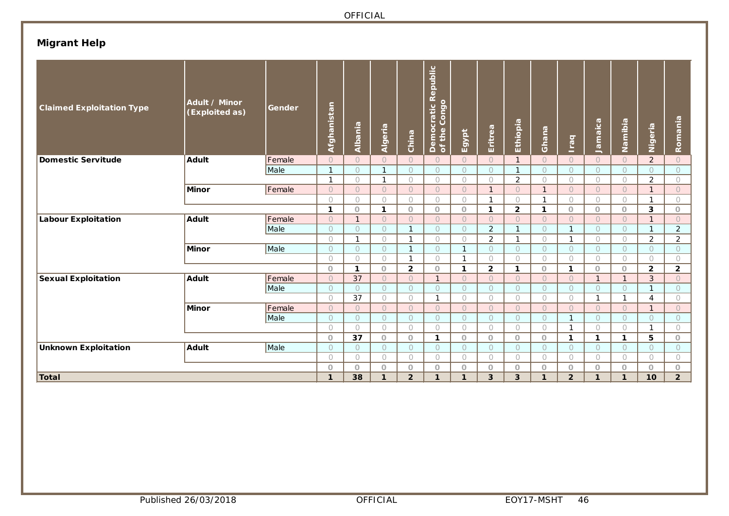# **Migrant Help**

| Democratic R<br>of the Congo<br>Afghanistan<br>Ethiopia<br>Jamaica<br>Namibia<br>Albania<br>Nigeria<br>Algeria<br>Eritrea<br>Ghana<br>Egypt<br>China<br><b>peal</b>                                                                                  | Romania        |
|------------------------------------------------------------------------------------------------------------------------------------------------------------------------------------------------------------------------------------------------------|----------------|
| <b>Domestic Servitude</b><br><b>Adult</b><br>Female<br>$\overline{2}$<br>$\overline{O}$<br>$\overline{O}$<br>$\bigcirc$<br>$\bigcirc$<br>$\overline{O}$<br>$\overline{O}$<br>$\Omega$<br>$\bigcirc$<br>$\Omega$<br>$\circ$<br>$\bigcap$              | $\circ$        |
| $\mathbf{1}$<br>Male<br>$\bigcirc$<br>$\mathbf{1}$<br>$\bigcirc$<br>$\circ$<br>$\circ$<br>$\bigcirc$<br>$\bigcirc$<br>$\bigcirc$<br>$\bigcirc$<br>$\bigcirc$<br>$\mathbf{1}$<br>$\cap$                                                               | $\circ$        |
| $\overline{2}$<br>$\overline{2}$<br>$\mathbf{1}$<br>$\bigcirc$<br>$\bigcirc$<br>$\mathbf{1}$<br>$\bigcirc$<br>$\bigcirc$<br>$\bigcirc$<br>$\bigcirc$<br>$\bigcirc$<br>$\bigcirc$<br>$\bigcirc$                                                       | $\bigcirc$     |
| Female<br>$\overline{O}$<br><b>Minor</b><br>$\overline{O}$<br>$\overline{O}$<br>$\overline{O}$<br>$\bigcirc$<br>$\bigcirc$<br>$\mathbf{1}$<br>$\bigcirc$<br>$\mathbf{1}$<br>$\bigcirc$<br>$\bigcirc$<br>$\bigcirc$<br>$\mathbf{1}$                   | $\overline{O}$ |
| $\bigcirc$<br>$\bigcirc$<br>$\bigcirc$<br>$\bigcirc$<br>$\bigcirc$<br>$\bigcirc$<br>$\bigcirc$<br>$\bigcirc$<br>$\mathbf{1}$<br>$\bigcirc$<br>$\bigcirc$<br>$\mathbf{1}$<br>$\mathbf{1}$                                                             | $\bigcirc$     |
| $\mathbf{1}$<br>$\mathbf{2}$<br>$\circ$<br>1<br>$\circ$<br>$\circ$<br>$\circ$<br>$\circ$<br>3<br>$\mathbf{1}$<br>$\mathbf{1}$<br>$\circ$<br>$\circ$                                                                                                  | $\circ$        |
| <b>Adult</b><br>Female<br><b>Labour Exploitation</b><br>$\bigcirc$<br>$\bigcirc$<br>$\bigcirc$<br>$\bigcirc$<br>$\bigcirc$<br>$\circ$<br>$\cup$<br>$\bigcirc$<br>$\bigcirc$<br>$\bigcirc$<br>$\bigcirc$<br>$\mathbf{1}$<br>1                         | $\overline{O}$ |
| $\overline{2}$<br>Male<br>$\bigcirc$<br>$\circ$<br>$\circ$<br>$\mathbf{1}$<br>$\bigcirc$<br>$\circ$<br>$\mathbf{1}$<br>$\mathbf{1}$<br>$\bigcirc$<br>$\bigcirc$<br>$\circ$<br>1                                                                      | $\overline{2}$ |
| $\overline{2}$<br>$\overline{2}$<br>$\bigcirc$<br>$\bigcirc$<br>$\mathbf{1}$<br>$\bigcirc$<br>$\bigcirc$<br>$\bigcirc$<br>1<br>$\bigcirc$<br>$\mathbf{1}$<br>$\bigcirc$<br>1                                                                         | $\overline{a}$ |
| Male<br>$\bigcirc$<br><b>Minor</b><br>$\bigcirc$<br>$\bigcirc$<br>$\mathbf{1}$<br>$\bigcirc$<br>$\mathbf{1}$<br>$\bigcirc$<br>$\bigcirc$<br>$\bigcirc$<br>$\circ$<br>$\circ$<br>$\circ$<br>$\bigcap$                                                 | $\circ$        |
| $\mathbf{1}$<br>$\mathbf{1}$<br>$\bigcirc$<br>$\bigcirc$<br>$\bigcirc$<br>$\bigcirc$<br>$\bigcirc$<br>$\bigcirc$<br>$\bigcirc$<br>$\bigcirc$<br>$\bigcirc$<br>$\bigcirc$<br>$\bigcirc$                                                               | $\bigcirc$     |
| $\overline{\mathbf{2}}$<br>$\overline{\mathbf{2}}$<br>$\overline{2}$<br>$\mathbf{1}$<br>$\circ$<br>$\mathbf{1}$<br>$\mathbf{1}$<br>$\circ$<br>$\circ$<br>$\mathbf{1}$<br>$\circ$<br>$\circ$<br>$\circ$                                               | $\overline{2}$ |
| <b>Sexual Exploitation</b><br><b>Adult</b><br>Female<br>37<br>3<br>$\Omega$<br>$\cup$<br>$\bigcirc$<br>$\circ$<br>$\bigcirc$<br>$\mathbf{1}$<br>$\circ$<br>$\mathbf{1}$<br>$\cup$<br>$\bigcirc$<br>$\overline{1}$                                    | $\overline{O}$ |
| Male<br>$\circ$<br>$\circ$<br>$\bigcirc$<br>$\circ$<br>$\circ$<br>$\circ$<br>$\circ$<br>$\circ$<br>$\circ$<br>$\circ$<br>$\circ$<br>$\circ$<br>1                                                                                                     | $\circ$        |
| 37<br>$\bigcirc$<br>$\bigcirc$<br>$\bigcirc$<br>$\mathbf{1}$<br>$\bigcirc$<br>$\bigcirc$<br>$\bigcirc$<br>$\bigcirc$<br>$\mathbf{1}$<br>$\mathbf{1}$<br>$\bigcirc$<br>4                                                                              | $\bigcirc$     |
| Female<br><b>Minor</b><br>$\circ$<br>$\overline{O}$<br>$\circ$<br>$\circ$<br>$\circ$<br>$\circ$<br>$\circ$<br>$\circ$<br>$\bigcirc$<br>$\circ$<br>$\circ$<br>$\circ$<br>$\mathbf{1}$                                                                 | $\circ$        |
| Male<br>$\circ$<br>$\bigcirc$<br>$\bigcirc$<br>$\bigcirc$<br>$\bigcirc$<br>$\bigcirc$<br>$\bigcirc$<br>$\circ$<br>$\bigcirc$<br>$\bigcirc$<br>$\bigcirc$<br>$\mathbf{1}$<br>$\bigcap$                                                                | $\circ$        |
| $\bigcirc$<br>$\bigcirc$<br>$\bigcirc$<br>$\bigcirc$<br>$\bigcirc$<br>$\bigcirc$<br>$\mathbf{1}$<br>$\bigcirc$<br>$\bigcirc$<br>1<br>$\circ$<br>$\circ$<br>$\circ$<br>37                                                                             | $\bigcirc$     |
| $\circ$<br>5<br>$\circ$<br>$\circ$<br>$\circ$<br>$\mathbf{1}$<br>$\circ$<br>$\circ$<br>$\circ$<br>$\mathbf{1}$<br>$\mathbf{1}$<br>$\mathbf{1}$                                                                                                       | $\circ$        |
| Male<br><b>Unknown Exploitation</b><br><b>Adult</b><br>$\circ$<br>$\circ$<br>$\circ$<br>$\circ$<br>$\circ$<br>$\circ$<br>$\circ$<br>$\circ$<br>$\circ$<br>$\circ$<br>$\circ$<br>$\circ$<br>$\bigcirc$                                                | $\circ$        |
| $\bigcirc$<br>$\bigcirc$<br>$\bigcirc$<br>$\bigcirc$<br>$\bigcirc$<br>$\bigcirc$<br>$\bigcirc$<br>$\bigcirc$<br>$\bigcirc$<br>$\bigcirc$<br>$\bigcirc$<br>$\bigcirc$<br>$\bigcirc$<br>$\circ$<br>$\circ$<br>$\circ$<br>$\circ$<br>$\circ$<br>$\circ$ | 0<br>$\circ$   |
| $\circ$<br>$\circ$<br>$\circ$<br>$\circ$<br>$\circ$<br>$\circ$<br>$\circ$<br><b>Total</b><br>38<br>$\overline{2}$<br>3<br>3<br>$\overline{2}$<br>$\mathbf{1}$<br>10<br>1<br>$\mathbf{1}$<br>$\mathbf{1}$<br>$\mathbf{1}$<br>$\mathbf{1}$<br>1        | $\overline{2}$ |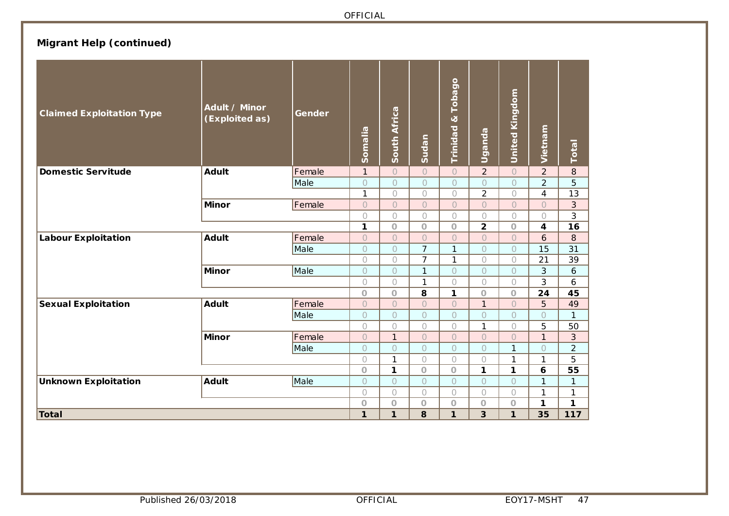# **Migrant Help (continued)**

| <b>Claimed Exploitation Type</b> | Adult / Minor<br>(Exploited as) | Gender | Somalia        | South Africa | Sudan          | Tobago<br>$\infty$<br>Trinidad | Uganda         | <b>United Kingdom</b> | Vietnam        | Total          |
|----------------------------------|---------------------------------|--------|----------------|--------------|----------------|--------------------------------|----------------|-----------------------|----------------|----------------|
| <b>Domestic Servitude</b>        | <b>Adult</b>                    | Female | $\mathbf{1}$   | $\circ$      | $\circ$        | $\overline{O}$                 | $\overline{2}$ | $\overline{O}$        | $\overline{2}$ | 8              |
|                                  |                                 | Male   | $\bigcirc$     | $\circ$      | $\circ$        | $\bigcirc$                     | $\circ$        | $\overline{O}$        | $\overline{2}$ | 5              |
|                                  |                                 |        | $\mathbf{1}$   | $\bigcirc$   | $\bigcirc$     | $\bigcirc$                     | $\overline{2}$ | $\bigcap$             | $\overline{4}$ | 13             |
|                                  | <b>Minor</b>                    | Female | $\bigcirc$     | $\circ$      | $\circ$        | $\circ$                        | $\overline{O}$ | $\overline{O}$        | $\overline{O}$ | 3              |
|                                  |                                 |        | $\bigcirc$     | $\bigcirc$   | $\bigcirc$     | $\bigcirc$                     | $\bigcirc$     | $\bigcirc$            | $\bigcirc$     | 3              |
|                                  |                                 |        | 1              | $\bigcirc$   | $\bigcirc$     | $\bigcirc$                     | $\overline{2}$ | $\circ$               | 4              | 16             |
| <b>Labour Exploitation</b>       | <b>Adult</b>                    | Female | $\overline{O}$ | $\bigcirc$   | $\overline{O}$ | $\bigcirc$                     | $\circ$        | $\overline{O}$        | 6              | 8              |
|                                  |                                 | Male   | $\circ$        | $\circ$      | $\overline{7}$ | 1                              | $\bigcap$      | $\bigcap$             | 15             | 31             |
|                                  |                                 |        | $\bigcirc$     | $\bigcirc$   | $\overline{7}$ | 1                              | $\bigcirc$     | $\bigcirc$            | 21             | 39             |
|                                  | <b>Minor</b>                    | Male   | $\bigcirc$     | $\bigcirc$   | $\mathbf{1}$   | $\bigcap$                      | $\bigcap$      | $\bigcap$             | 3              | 6              |
|                                  |                                 |        | $\bigcirc$     | $\bigcirc$   | $\mathbf{1}$   | $\bigcirc$                     | $\bigcirc$     | $\bigcirc$            | 3              | 6              |
|                                  |                                 |        | $\circ$        | $\bigcirc$   | 8              | 1                              | $\circ$        | $\bigcirc$            | 24             | 45             |
| <b>Sexual Exploitation</b>       | <b>Adult</b>                    | Female | $\circ$        | $\bigcirc$   | $\overline{O}$ | $\circ$                        | $\mathbf{1}$   | $\overline{O}$        | 5              | 49             |
|                                  |                                 | Male   | $\circ$        | $\circ$      | $\bigcirc$     | $\bigcirc$                     | $\bigcirc$     | $\circ$               | $\circ$        | $\mathbf{1}$   |
|                                  |                                 |        | $\bigcirc$     | $\bigcirc$   | $\bigcirc$     | $\bigcirc$                     | 1              | $\bigcirc$            | 5              | 50             |
|                                  | <b>Minor</b>                    | Female | $\overline{O}$ | $\mathbf{1}$ | $\overline{O}$ | $\bigcirc$                     | $\bigcirc$     | $\bigcap$             | $\mathbf{1}$   | 3              |
|                                  |                                 | Male   | $\bigcirc$     | $\bigcirc$   | $\circ$        | $\circ$                        | $\bigcirc$     | $\mathbf{1}$          | $\circ$        | $\overline{2}$ |
|                                  |                                 |        | $\bigcirc$     | 1            | $\bigcirc$     | $\bigcirc$                     | $\bigcirc$     | 1                     | 1              | 5              |
|                                  |                                 |        | $\circ$        | 1            | $\circ$        | $\circ$                        | $\mathbf{1}$   | 1                     | 6              | 55             |
| <b>Unknown Exploitation</b>      | Adult                           | Male   | $\circ$        | $\circ$      | $\circ$        | $\circ$                        | $\circ$        | $\circ$               | 1              | 1              |
|                                  |                                 |        | $\bigcirc$     | $\bigcirc$   | $\bigcirc$     | $\bigcirc$                     | $\bigcirc$     | $\bigcirc$            | 1              | 1              |
|                                  |                                 |        | $\circ$        | $\circ$      | $\circ$        | $\circ$                        | $\bigcirc$     | $\circ$               | $\mathbf{1}$   | 1              |
| Total                            |                                 |        | 1              | $\mathbf{1}$ | 8              | 1                              | 3              | $\mathbf{1}$          | 35             | 117            |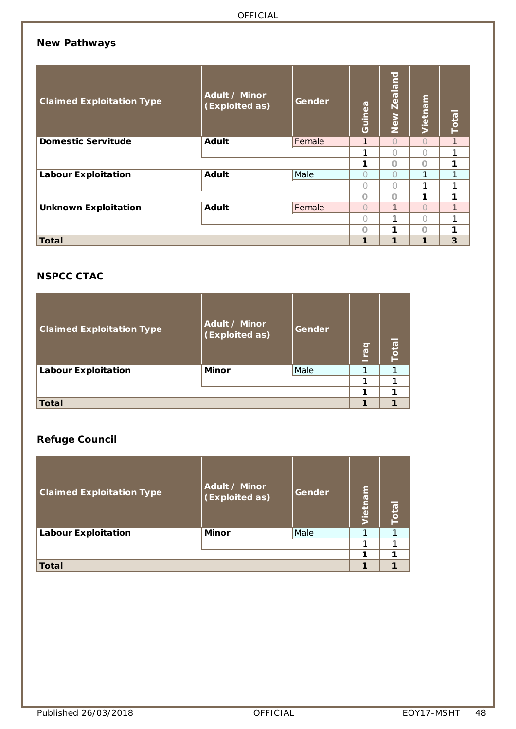## **New Pathways**

| <b>Claimed Exploitation Type</b> | Adult / Minor<br>(Exploited as) | Gender | Guinea    | <b>Zealand</b><br>New | Vietnam | <b>Total</b> |
|----------------------------------|---------------------------------|--------|-----------|-----------------------|---------|--------------|
| <b>Domestic Servitude</b>        | <b>Adult</b>                    | Female | 1         | $\bigcap$             | $\cap$  | 1            |
|                                  |                                 | 1      | $\bigcap$ |                       | 1       |              |
|                                  |                                 | 1      | $\Omega$  | $\Omega$              | 1       |              |
| <b>Labour Exploitation</b>       | <b>Adult</b>                    | Male   | Ω         | $\bigcap$             |         | 1            |
|                                  |                                 |        | ∩         | $\bigcap$             |         | 1            |
|                                  |                                 |        | $\Omega$  | $\bigcap$             | 1       | 1            |
| <b>Unknown Exploitation</b>      | <b>Adult</b>                    | Female | $\bigcap$ | $\mathbf{1}$          | ∩       | 1            |
|                                  |                                 |        | Ω         | 1                     | Ω       | 1            |
|                                  |                                 |        | O         | 1                     | $\cap$  | 1            |
| Total                            |                                 |        | 1         | 1                     |         | 3            |

# **NSPCC CTAC**

| <b>Claimed Exploitation Type</b> | Adult / Minor<br>(Exploited as) | Gender | raq | Total |
|----------------------------------|---------------------------------|--------|-----|-------|
| <b>Labour Exploitation</b>       | <b>Minor</b>                    | Male   |     |       |
|                                  |                                 |        |     |       |
|                                  |                                 |        | ٠   |       |
| <b>Total</b>                     |                                 |        |     |       |

### **Refuge Council**

| <b>Claimed Exploitation Type</b> | Adult / Minor<br>(Exploited as) | Gender | Vietnam | Total |
|----------------------------------|---------------------------------|--------|---------|-------|
| <b>Labour Exploitation</b>       | <b>Minor</b>                    | Male   |         |       |
|                                  |                                 |        |         |       |
|                                  |                                 |        |         |       |
| <b>Total</b>                     |                                 |        |         |       |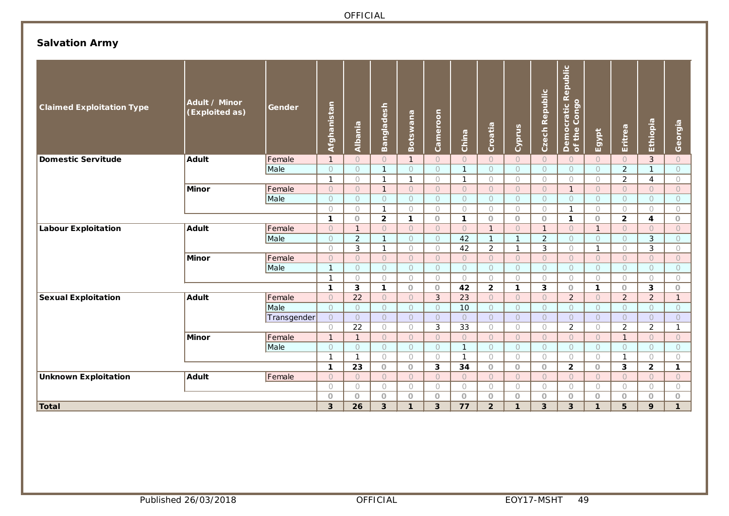# **Salvation Army**

| Democratic Republic<br>of the Congo<br>Czech Republic<br><u>Afghanistan</u><br><b>Bangladesh</b><br>Cameroon<br>Botswana<br>Ethiopia<br>Albania<br>Croatia<br>Cyprus<br>Eritrea<br>Egypt<br>China                                                                              | Georgia                                                  |
|--------------------------------------------------------------------------------------------------------------------------------------------------------------------------------------------------------------------------------------------------------------------------------|----------------------------------------------------------|
| Adult<br>Female<br><b>Domestic Servitude</b><br>$\overline{1}$<br>$\circ$<br>$\circ$<br>$\mathbf{1}$<br>$\bigcirc$<br>$\bigcirc$<br>$\circ$<br>$\circ$<br>$\circ$<br>$\circ$<br>$\bigcirc$<br>$\circ$                                                                          | $\mathbf{3}$<br>$\circ$                                  |
| $\overline{2}$<br>Male<br>$\mathbf{1}$<br>$\mathbf{1}$<br>$\circ$<br>$\circ$<br>$\circ$<br>$\circ$<br>$\circ$<br>$\circ$<br>$\circ$<br>$\circ$<br>$\circ$                                                                                                                      | $\mathbf{1}$<br>$\circ$                                  |
| $\mathbf{1}$<br>2<br>$\bigcirc$<br>1<br>$\mathbf{1}$<br>$\bigcirc$<br>$\mathbf{1}$<br>$\bigcirc$<br>$\bigcirc$<br>$\bigcirc$<br>$\circ$<br>$\circ$                                                                                                                             | 4<br>$\circ$                                             |
| Female<br>$\mathbf{1}$<br>$\circ$<br>$\circ$<br>$\mathbf{1}$<br>$\circ$<br>$\circ$<br>$\circ$<br>$\circ$<br>$\circ$<br>$\circ$<br>$\circ$<br>$\circ$<br><b>Minor</b>                                                                                                           | $\circ$<br>$\circ$                                       |
| Male<br>$\circ$<br>$\circ$<br>$\circ$<br>$\circ$<br>$\circ$<br>$\circ$<br>$\circ$<br>$\circ$<br>$\circ$<br>$\circ$<br>$\circ$<br>$\circ$                                                                                                                                       | $\circ$<br>$\circ$                                       |
| $\bigcirc$<br>$\bigcirc$<br>$\bigcirc$<br>$\mathbf{1}$<br>$\bigcirc$<br>$\bigcirc$<br>$\bigcirc$<br>$\bigcirc$<br>$\bigcirc$<br>$\mathbf{1}$<br>$\bigcirc$<br>$\bigcirc$                                                                                                       | $\bigcirc$<br>$\bigcirc$                                 |
| $\mathbf{1}$<br>$\overline{2}$<br>$\overline{2}$<br>$\circ$<br>$\mathbf{1}$<br>$\circ$<br>$\mathbf{1}$<br>$\circ$<br>$\circ$<br>$\circ$<br>$\mathbf{1}$<br>$\circ$                                                                                                             | $\overline{\mathbf{4}}$<br>$\circ$                       |
| Female<br><b>Labour Exploitation</b><br><b>Adult</b><br>$\circ$<br>$\mathbf{1}$<br>$\bigcirc$<br>$\overline{O}$<br>$\bigcirc$<br>$\bigcirc$<br>$\mathbf{1}$<br>$\circ$<br>$\mathbf{1}$<br>$\cup$<br>$\bigcirc$<br>$\mathbf{1}$                                                 | $\cup$<br>$\bigcirc$                                     |
| $\overline{2}$<br>$\overline{2}$<br>Male<br>42<br>$\circ$<br>$\mathbf{1}$<br>$\mathbf{1}$<br>$\mathbf{1}$<br>$\circ$<br>$\circ$<br>$\circ$<br>$\circ$<br>$\circ$                                                                                                               | 3<br>$\circ$                                             |
| 3<br>$\overline{2}$<br>$\mathbf{3}$<br>$\mathbf{1}$<br>42<br>$\bigcirc$<br>$\bigcirc$<br>$\mathbf{1}$<br>$\bigcirc$<br>$\bigcirc$<br>$\mathbf{1}$<br>$\bigcirc$                                                                                                                | 3<br>$\bigcirc$                                          |
| Female<br>$\bigcirc$<br>$\circlearrowright$<br><b>Minor</b><br>$\bigcirc$<br>$\overline{O}$<br>$\bigcirc$<br>$\circ$<br>$\circ$<br>$\circ$<br>$\circ$<br>$\cup$<br>$\bigcirc$<br>$\bigcirc$                                                                                    | $\circ$<br>$\bigcirc$                                    |
| $\mathbf{1}$<br>$\circ$<br>$\circ$<br>Male<br>$\bigcirc$<br>$\circ$<br>$\circ$<br>$\circ$<br>$\circ$<br>$\circ$<br>$\circ$<br>$\circ$<br>$\circ$                                                                                                                               | $\bigcirc$<br>$\circ$                                    |
| $\overline{1}$<br>$\bigcirc$<br>$\bigcirc$<br>$\bigcirc$<br>$\bigcirc$<br>$\bigcirc$<br>$\bigcirc$<br>$\bigcirc$<br>$\bigcirc$<br>$\bigcirc$<br>$\bigcirc$<br>$\bigcirc$                                                                                                       | $\bigcirc$<br>$\bigcirc$                                 |
| $\mathbf{3}$<br>$\overline{\mathbf{2}}$<br>$\overline{\mathbf{3}}$<br>$\mathbf{1}$<br>1<br>42<br>$\mathbf{1}$<br>$\circ$<br>$\circ$<br>$\circ$<br>$\mathbf{1}$<br>$\circ$                                                                                                      | 3<br>$\circ$                                             |
| Female<br>22<br>Adult<br>3<br>23<br>2<br>2<br><b>Sexual Exploitation</b><br>$\circ$<br>$\overline{O}$<br>$\circ$<br>$\circ$<br>$\bigcirc$<br>$\circ$<br>$\circ$                                                                                                                | $\overline{2}$<br>$\mathbf{1}$                           |
| Male<br>$\circ$<br>$\bigcirc$<br>10<br>$\circ$<br>$\circ$<br>$\bigcirc$<br>$\bigcirc$<br>$\bigcirc$<br>$\circ$<br>$\circ$<br>$\bigcirc$<br>$\bigcirc$                                                                                                                          | $\bigcirc$<br>$\circ$                                    |
| $\circlearrowright$<br>$\bigcirc$<br>$\overline{O}$<br>$\circ$<br>$\circ$<br>$\circ$<br>$\circ$<br>$\bigcirc$<br>$\circ$<br>$\circ$<br>$\circ$<br>Transgender<br>$\circ$                                                                                                       | $\circ$<br>$\circlearrowright$                           |
| 22<br>3<br>$\overline{2}$<br>$\overline{2}$<br>$\bigcirc$<br>33<br>$\bigcirc$<br>$\bigcirc$<br>$\bigcirc$<br>$\bigcirc$<br>$\bigcirc$<br>$\bigcirc$                                                                                                                            | $\overline{2}$<br>$\mathbf{1}$                           |
| Female<br>$\mathbf{1}$<br>$\mathbf{1}$<br>$\mathbf{1}$<br><b>Minor</b><br>$\circ$<br>$\circ$<br>$\circ$<br>$\circ$<br>$\circ$<br>$\circ$<br>$\circ$<br>$\circ$<br>$\circ$                                                                                                      | $\circ$<br>$\circ$                                       |
| Male<br>$\circ$<br>$\bigcirc$<br>$\bigcirc$<br>$\bigcirc$<br>$\circ$<br>$\mathbf{1}$<br>$\circ$<br>$\circ$<br>$\circ$<br>$\circ$<br>$\circ$<br>$\circ$                                                                                                                         | $\circ$<br>$\circ$                                       |
| $\mathbf{1}$<br>$\mathbf{1}$<br>$\bigcirc$<br>$\bigcirc$<br>$\bigcirc$<br>$\mathbf{1}$<br>$\bigcirc$<br>$\bigcirc$<br>$\mathbf{1}$<br>$\bigcirc$<br>$\bigcirc$<br>$\bigcirc$<br>3<br>$\mathbf{2}$<br>3<br>$\mathbf{1}$<br>23<br>$\circ$<br>34<br>$\circ$<br>$\circ$<br>$\circ$ | $\bigcirc$<br>$\bigcirc$<br>$\mathbf{2}$<br>$\mathbf{1}$ |
| $\circ$<br>$\circ$<br>Female<br>$\bigcirc$<br>$\bigcirc$<br>$\circ$<br>$\bigcirc$<br>$\circ$<br>$\circlearrowright$<br>$\bigcirc$<br>$\bigcirc$<br>$\circlearrowright$<br>$\bigcirc$<br>$\bigcirc$<br><b>Unknown Exploitation</b><br><b>Adult</b><br>$\circ$                   | $\circlearrowright$<br>$\circ$                           |
| $\bigcirc$<br>$\bigcirc$<br>$\bigcap$<br>$\bigcirc$<br>$\bigcirc$<br>$\bigcirc$<br>$\bigcirc$<br>$\bigcirc$<br>$\circ$<br>$\bigcirc$<br>$\bigcirc$<br>$\bigcirc$                                                                                                               | $\bigcirc$<br>$\bigcirc$                                 |
| $\circ$<br>$\circ$<br>$\circ$<br>$\circ$<br>$\circ$<br>$\circ$<br>$\circ$<br>$\circ$<br>$\circ$<br>$\circ$<br>$\circ$<br>$\circ$                                                                                                                                               | $\circ$<br>$\circ$                                       |
| Total<br>3<br>26<br>3<br>3<br>77<br>$\overline{2}$<br>3<br>3<br>5<br>$\mathbf{1}$<br>$\mathbf{1}$<br>$\mathbf{1}$                                                                                                                                                              | 9<br>$\mathbf{1}$                                        |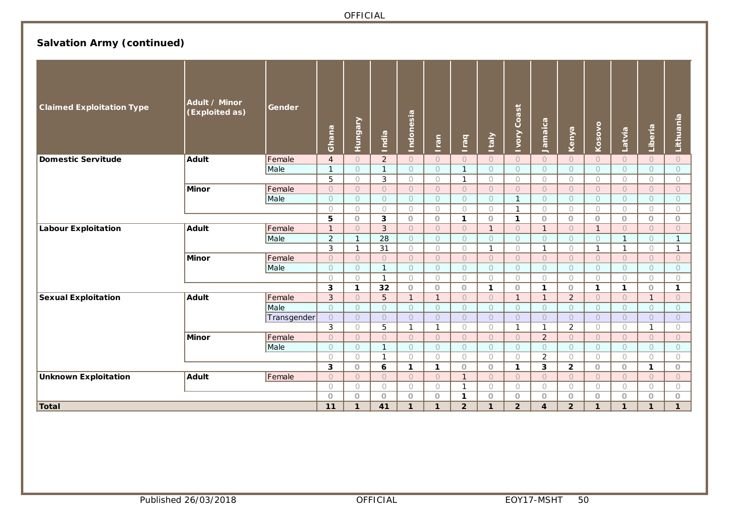# **Salvation Army (continued)**

| <b>Claimed Exploitation Type</b> | Adult / Minor<br>(Exploited as) | Gender      | Ghana             | Hungary                    | India                        | <u>Indonesia</u>         | Iran                    | <b>Iraq</b>         | <b>Italy</b>               | <b>Ivory Coast</b>      | Jamaica                    | Kenya                     | Kosovo                     | Latvia                   | Liberia                 | Lithuania               |
|----------------------------------|---------------------------------|-------------|-------------------|----------------------------|------------------------------|--------------------------|-------------------------|---------------------|----------------------------|-------------------------|----------------------------|---------------------------|----------------------------|--------------------------|-------------------------|-------------------------|
| <b>Domestic Servitude</b>        | <b>Adult</b>                    | Female      | $\overline{4}$    | $\bigcirc$                 | $\overline{2}$               | $\bigcirc$               | $\bigcirc$              | $\bigcirc$          | $\bigcirc$                 | $\bigcirc$              | $\bigcirc$                 | $\bigcirc$                | $\bigcirc$                 | $\bigcirc$               | $\circ$                 | $\bigcirc$              |
|                                  |                                 | Male        | $\overline{1}$    | $\bigcirc$                 | $\mathbf{1}$                 | $\circ$                  | $\circ$                 | $\mathbf{1}$        | $\circ$                    | $\bigcirc$              | $\bigcirc$                 | $\bigcirc$                | $\bigcirc$                 | $\bigcirc$               | $\bigcirc$              | $\bigcirc$              |
|                                  |                                 |             | $\overline{5}$    | $\bigcirc$                 | 3                            | $\bigcirc$               | $\bigcirc$              | $\mathbf{1}$        | $\bigcirc$                 | $\bigcirc$              | $\bigcirc$                 | $\bigcirc$                | $\bigcirc$                 | $\bigcirc$               | $\bigcirc$              | $\bigcirc$              |
|                                  | Minor                           | Female      | $\overline{O}$    | $\bigcirc$                 | $\bigcirc$                   | $\circ$                  | $\circ$                 | $\circ$             | $\cup$                     | $\bigcirc$              | $\bigcirc$                 | $\bigcirc$                | $\bigcirc$                 | $\bigcirc$               | $\bigcirc$              | $\circ$                 |
|                                  |                                 | Male        | $\circ$           | $\circ$                    | $\circ$                      | $\circ$                  | $\circ$                 | $\circ$             | $\circ$                    | $\mathbf{1}$            | $\circ$                    | $\circ$                   | $\circ$                    | $\circ$                  | $\circ$                 | $\circ$                 |
|                                  |                                 |             | $\bigcirc$        | $\bigcirc$                 | $\bigcirc$                   | $\bigcirc$               | $\bigcirc$              | $\bigcirc$          | $\bigcirc$                 | $\mathbf{1}$            | $\bigcirc$                 | $\bigcirc$                | $\bigcirc$                 | $\bigcirc$               | $\bigcirc$              | $\bigcirc$              |
|                                  |                                 |             | 5                 | $\circ$                    | 3                            | $\circ$                  | $\circ$                 | $\mathbf{1}$        | $\circ$                    | $\mathbf{1}$            | $\circ$                    | $\circ$                   | $\circ$                    | $\circ$                  | $\circ$                 | $\circ$                 |
| <b>Labour Exploitation</b>       | <b>Adult</b>                    | Female      | $\mathbf{1}$      | $\overline{O}$             | 3                            | $\circ$                  | $\circ$                 | $\bigcirc$          | $\mathbf{1}$               | $\bigcirc$              | $\mathbf{1}$               | $\bigcap$                 | $\mathbf{1}$               | $\bigcap$                | $\bigcap$               | $\circ$                 |
|                                  |                                 | Male        | $\overline{2}$    | $\mathbf{1}$               | 28                           | $\bigcirc$               | $\bigcirc$              | $\bigcirc$          | $\circ$                    | $\circ$                 | $\circ$                    | $\circ$                   | $\circ$                    | $\mathbf{1}$             | $\circ$                 | $\mathbf{1}$            |
|                                  |                                 |             | 3                 | $\mathbf{1}$               | 31                           | $\bigcirc$               | $\bigcirc$              | $\bigcirc$          | $\mathbf{1}$               | $\bigcirc$              | $\mathbf{1}$               | $\bigcirc$                | $\mathbf{1}$               | $\mathbf{1}$             | $\bigcirc$              | $\mathbf{1}$            |
|                                  | <b>Minor</b>                    | Female      | $\bigcirc$        | $\bigcirc$                 | $\bigcirc$                   | $\bigcirc$               | $\overline{O}$          | $\circlearrowright$ | $\cup$                     | $\bigcirc$              | $\bigcirc$                 | $\bigcirc$                | $\bigcirc$                 | $\bigcirc$               | $\bigcirc$              | $\circ$                 |
|                                  |                                 | Male        | $\bigcirc$        | $\bigcirc$                 | $\mathbf{1}$<br>$\mathbf{1}$ | $\bigcirc$<br>$\bigcirc$ | $\bigcirc$              | $\circ$             | $\bigcirc$                 | $\bigcirc$              | $\bigcirc$                 | $\circ$                   | $\bigcap$                  | $\bigcirc$<br>$\bigcirc$ | $\bigcap$               | $\bigcirc$              |
|                                  |                                 |             | $\bigcirc$        | $\bigcirc$<br>$\mathbf{1}$ | 32                           |                          | $\bigcirc$              | $\bigcirc$          | $\bigcirc$<br>$\mathbf{1}$ | $\bigcirc$              | $\bigcirc$<br>$\mathbf{1}$ | $\bigcirc$                | $\bigcirc$<br>$\mathbf{1}$ | $\mathbf{1}$             | $\bigcirc$              | $\bigcirc$              |
| <b>Sexual Exploitation</b>       | <b>Adult</b>                    | Female      | 3<br>$\mathbf{3}$ | $\circ$                    | 5                            | $\circ$<br>$\mathbf{1}$  | $\circ$<br>$\mathbf{1}$ | $\circ$<br>$\circ$  | $\circ$                    | $\circ$<br>$\mathbf{1}$ | $\mathbf{1}$               | $\circ$<br>$\overline{2}$ | $\circ$                    | $\circ$                  | $\circ$<br>$\mathbf{1}$ | $\mathbf{1}$<br>$\circ$ |
|                                  |                                 | Male        | $\bigcirc$        | $\circ$                    | $\bigcirc$                   | $\circ$                  | $\circ$                 | $\circ$             | $\bigcirc$                 | $\bigcirc$              | $\circ$                    | $\circ$                   | $\bigcirc$                 | $\bigcirc$               | $\bigcirc$              | $\circ$                 |
|                                  |                                 | Transgender | $\bigcirc$        | $\circlearrowright$        | $\circ$                      | $\bigcirc$               | $\bigcirc$              | $\bigcirc$          | $\circ$                    | $\circ$                 | $\circ$                    | $\circ$                   | $\circ$                    | $\circ$                  | $\circ$                 | $\circ$                 |
|                                  |                                 |             | $\mathfrak{Z}$    | $\bigcirc$                 | 5                            | $\mathbf{1}$             | $\mathbf{1}$            | $\bigcirc$          | $\bigcirc$                 | $\mathbf{1}$            | $\mathbf{1}$               | $\overline{2}$            | $\bigcirc$                 | $\bigcirc$               | $\mathbf{1}$            | $\bigcirc$              |
|                                  | <b>Minor</b>                    | Female      | $\circ$           | $\circ$                    | $\circ$                      | $\circ$                  | $\circ$                 | $\circ$             | $\circ$                    | $\circ$                 | $\overline{2}$             | $\circ$                   | $\circ$                    | $\circ$                  | $\circ$                 | $\circ$                 |
|                                  |                                 | Male        | $\bigcirc$        | $\bigcirc$                 | $\mathbf{1}$                 | $\bigcirc$               | $\bigcirc$              | $\bigcirc$          | $\bigcirc$                 | $\bigcirc$              | $\circ$                    | $\circlearrowright$       | $\circlearrowright$        | $\circlearrowright$      | $\circlearrowright$     | $\circlearrowright$     |
|                                  |                                 |             | $\bigcirc$        | $\bigcirc$                 | $\mathbf{1}$                 | $\bigcirc$               | $\bigcirc$              | $\bigcirc$          | $\bigcirc$                 | $\bigcirc$              | $\overline{2}$             | $\bigcirc$                | $\bigcirc$                 | $\bigcirc$               | $\bigcirc$              | $\bigcirc$              |
|                                  |                                 |             | 3                 | $\circ$                    | 6                            | $\mathbf{1}$             | $\mathbf{1}$            | $\circ$             | $\circ$                    | $\mathbf{1}$            | 3                          | $\overline{2}$            | $\circ$                    | $\circ$                  | $\mathbf{1}$            | $\circ$                 |
| <b>Unknown Exploitation</b>      | <b>Adult</b>                    | Female      | $\overline{O}$    | $\overline{O}$             | $\bigcirc$                   | $\bigcirc$               | $\circ$                 | $\mathbf{1}$        | $\cup$                     | $\bigcirc$              | $\bigcirc$                 | $\bigcap$                 | $\bigcirc$                 | $\bigcirc$               | $\bigcirc$              | $\circ$                 |
|                                  |                                 |             | $\bigcirc$        | $\bigcirc$                 | $\circ$                      | $\bigcirc$               | $\bigcirc$              | $\mathbf{1}$        | $\bigcirc$                 | $\bigcirc$              | $\circ$                    | $\circ$                   | $\bigcirc$                 | $\circ$                  | $\circ$                 | $\bigcirc$              |
|                                  |                                 |             | $\circ$           | $\circ$                    | $\circ$                      | $\circ$                  | $\circ$                 | $\mathbf{1}$        | $\circ$                    | $\circ$                 | $\circ$                    | $\circ$                   | $\circ$                    | $\circ$                  | $\circ$                 | $\circ$                 |
| <b>Total</b>                     |                                 |             | 11                | $\mathbf{1}$               | 41                           | $\mathbf{1}$             | $\mathbf{1}$            | $\overline{2}$      | $\mathbf{1}$               | $\overline{2}$          | $\boldsymbol{\Lambda}$     | $\overline{2}$            | $\mathbf{1}$               | $\mathbf{1}$             | 1                       | $\mathbf{1}$            |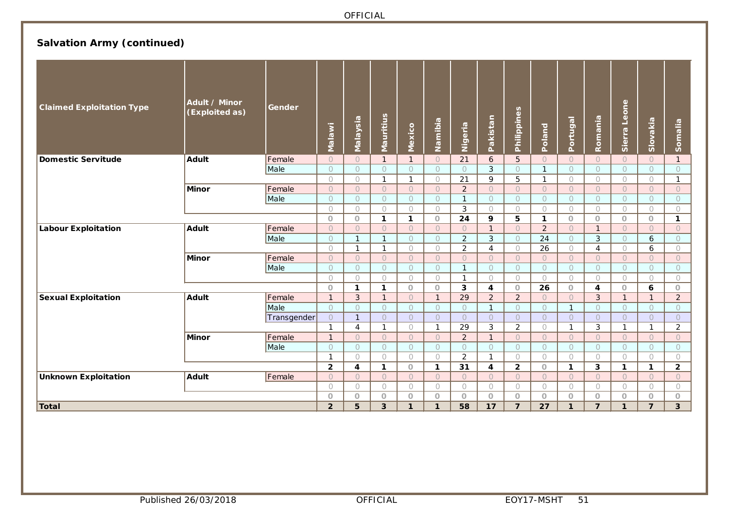# **Salvation Army (continued)**

| <b>Claimed Exploitation Type</b>           | Adult / Minor<br>(Exploited as) | Gender      | <b>Malawi</b>           | Malaysia              | Mauritius             | Mexico                | Namibia               | Nigeria                      | Pakistan              | Philippines           | Poland                | Portugal              | Romania               | Sierra Leone          | Slovakia              | Somalia               |
|--------------------------------------------|---------------------------------|-------------|-------------------------|-----------------------|-----------------------|-----------------------|-----------------------|------------------------------|-----------------------|-----------------------|-----------------------|-----------------------|-----------------------|-----------------------|-----------------------|-----------------------|
| <b>Domestic Servitude</b>                  | <b>Adult</b>                    | Female      | $\circ$                 | $\cup$                | $\mathbf{1}$          | $\mathbf{1}$          | $\circ$               | 21                           | 6                     | $5\overline{)}$       | $\circ$               | $\circ$               | $\bigcirc$            | $\circ$               | $\overline{O}$        | $\mathbf{1}$          |
|                                            |                                 | Male        | $\circ$                 | $\circ$               | $\circ$               | $\circ$               | $\circ$               | $\circ$                      | $\mathfrak{Z}$        | $\bigcirc$            | $\mathbf{1}$          | $\circ$               | $\circ$               | $\circ$               | $\circ$               | $\circ$               |
|                                            |                                 |             | $\bigcirc$              | $\bigcirc$            | $\mathbf{1}$          | $\mathbf{1}$          | $\bigcirc$            | 21                           | 9                     | 5                     | $\mathbf{1}$          | $\bigcirc$            | $\circ$               | $\circ$               | $\bigcirc$            | $\mathbf{1}$          |
|                                            | <b>Minor</b>                    | Female      | $\circlearrowright$     | $\circ$               | $\bigcirc$            | $\circ$               | $\circ$               | $\overline{2}$               | $\circ$               | $\circ$               | $\circ$               | $\circ$               | $\circ$               | $\circ$               | $\bigcirc$            | $\circ$               |
|                                            |                                 | Male        | $\bigcirc$              | $\bigcirc$            | $\bigcirc$            | $\bigcirc$            | $\circ$               | $\mathbf{1}$                 | $\bigcirc$            | $\bigcirc$            | $\bigcirc$            | $\circlearrowright$   | $\circlearrowright$   | $\circ$               | $\circ$               | $\circ$               |
|                                            |                                 |             | $\bigcirc$              | $\bigcirc$            | $\bigcap$             | $\bigcirc$            | $\bigcirc$            | 3                            | $\bigcirc$            | $\bigcirc$            | $\bigcirc$            | $\bigcirc$            | $\bigcirc$            | $\bigcirc$            | $\bigcirc$            | $\bigcirc$            |
|                                            |                                 |             | $\circ$                 | $\circ$               | $\mathbf{1}$          | $\mathbf{1}$          | $\circ$               | 24                           | 9                     | 5                     | $\mathbf 1$           | $\circ$               | $\circ$               | $\circ$               | $\circ$               | $\mathbf{1}$          |
| <b>Labour Exploitation</b><br><b>Adult</b> |                                 | Female      | $\circ$                 | $\Omega$              | $\Omega$              | $\Omega$              | $\Omega$              | $\circ$                      | $\mathbf{1}$          | $\circ$               | $\overline{2}$        | $\circ$               | $\mathbf{1}$          | $\circ$               | $\bigcirc$            | $\circ$               |
|                                            |                                 | Male        | $\circ$                 | $\mathbf{1}$          | $\mathbf{1}$          | $\bigcirc$            | $\Omega$              | $\overline{2}$               | 3                     | $\circ$               | 24                    | $\circ$               | 3                     | $\circ$               | 6                     | $\circ$               |
|                                            |                                 |             | $\bigcirc$              | $\mathbf{1}$          | $\mathbf{1}$          | $\bigcirc$            | $\bigcirc$            | $\overline{2}$               | 4                     | $\bigcirc$            | 26                    | $\bigcirc$            | $\overline{4}$        | $\bigcirc$            | 6                     | $\bigcirc$            |
|                                            | <b>Minor</b>                    | Female      | $\circ$                 | $\circ$               | $\circ$               | $\circ$               | $\overline{O}$        | $\circ$                      | $\circ$               | $\circ$               | $\circ$               | $\circ$               | $\circ$               | $\circ$               | $\bigcirc$            | $\circ$               |
|                                            |                                 | Male        | $\circ$<br>$\bigcirc$   | $\circ$<br>$\bigcirc$ | $\circ$<br>$\bigcirc$ | $\circ$<br>$\bigcirc$ | $\circ$<br>$\bigcirc$ | $\mathbf{1}$<br>$\mathbf{1}$ | $\circ$<br>$\bigcirc$ | $\circ$<br>$\bigcirc$ | $\circ$<br>$\bigcirc$ | $\circ$<br>$\bigcirc$ | $\circ$<br>$\bigcirc$ | $\circ$<br>$\bigcirc$ | $\circ$<br>$\bigcirc$ | $\circ$<br>$\bigcirc$ |
|                                            |                                 |             | $\circ$                 | $\mathbf{1}$          | 1                     | $\circ$               | $\circ$               | 3                            | 4                     | $\circ$               | 26                    | $\circ$               | 4                     | $\circ$               | 6                     | $\circ$               |
| <b>Sexual Exploitation</b>                 | <b>Adult</b>                    | Female      | $\mathbf{1}$            | $\mathfrak{S}$        | 1                     | $\bigcirc$            | $\mathbf{1}$          | 29                           | $\overline{2}$        | $\overline{2}$        | $\circ$               | $\circ$               | $\mathfrak{Z}$        | $\overline{1}$        | $\mathbf{1}$          | $\sqrt{2}$            |
|                                            |                                 | Male        | $\circ$                 | $\circ$               | $\circ$               | $\circ$               | $\circ$               | $\circ$                      | $\mathbf{1}$          | $\bigcirc$            | $\bigcirc$            | $\mathbf{1}$          | $\circ$               | $\circ$               | $\circ$               | $\circ$               |
|                                            |                                 | Transgender | $\circ$                 | $\mathbf{1}$          | $\bigcirc$            | $\overline{O}$        | $\bigcirc$            | $\overline{O}$               | $\circ$               | $\circ$               | $\circ$               | $\circ$               | $\circ$               | $\Omega$              | $\Omega$              | $\circ$               |
|                                            |                                 |             | $\mathbf{1}$            | $\overline{4}$        | $\mathbf{1}$          | $\bigcirc$            | $\mathbf{1}$          | 29                           | $\mathfrak{Z}$        | $\overline{2}$        | $\bigcirc$            | $\mathbf{1}$          | $\mathbf{3}$          | $\mathbf{1}$          | $\mathbf{1}$          | $\overline{2}$        |
|                                            | <b>Minor</b>                    | Female      | $\mathbf{1}$            | $\circ$               | $\bigcirc$            | $\circ$               | $\circ$               | $\overline{2}$               | $\mathbf{1}$          | $\circ$               | $\circ$               | $\circ$               | $\circ$               | $\circ$               | $\circ$               | $\circ$               |
|                                            |                                 | Male        | $\bigcirc$              | $\circ$               | $\bigcirc$            | $\bigcirc$            | $\bigcirc$            | $\bigcirc$                   | $\bigcirc$            | $\bigcirc$            | $\bigcirc$            | $\bigcirc$            | $\bigcirc$            | $\circ$               | $\circ$               | $\circ$               |
|                                            |                                 |             | $\mathbf{1}$            | $\bigcirc$            | $\bigcirc$            | $\bigcirc$            | $\bigcirc$            | $\overline{2}$               | $\mathbf{1}$          | $\bigcirc$            | $\bigcirc$            | $\bigcirc$            | $\bigcirc$            | $\bigcirc$            | $\bigcirc$            | $\bigcirc$            |
|                                            |                                 |             | $\overline{\mathbf{2}}$ | 4                     | $\mathbf{1}$          | $\circ$               | $\mathbf{1}$          | 31                           | 4                     | $\overline{2}$        | $\circ$               | $\mathbf{1}$          | $\mathbf{3}$          | $\mathbf{1}$          | $\mathbf{1}$          | $\overline{2}$        |
| <b>Unknown Exploitation</b>                | <b>Adult</b>                    | Female      | $\circ$                 | $\bigcirc$            | $\bigcirc$            | $\bigcirc$            | $\bigcirc$            | $\bigcirc$                   | $\cup$                | $\circ$               | $\circ$               | $\circ$               | $\overline{O}$        | $\overline{O}$        | $\overline{O}$        | $\bigcirc$            |
|                                            |                                 |             | $\bigcirc$              | $\bigcirc$            | $\circ$               | $\circ$               | $\circ$               | $\circ$                      | $\circ$               | $\circ$               | $\circ$               | $\circ$               | $\circ$               | $\circ$               | $\circ$               | $\circ$               |
|                                            |                                 |             | $\circ$                 | $\circ$               | $\circ$               | $\circ$               | $\circ$               | $\circ$                      | $\circ$               | $\circ$               | $\circ$               | $\circ$               | $\circ$               | $\circ$               | $\circ$               | $\circ$               |
| <b>Total</b>                               |                                 |             | $\overline{2}$          | 5                     | 3                     | $\mathbf{1}$          | $\mathbf{1}$          | 58                           | 17                    | $\overline{7}$        | 27                    | $\mathbf{1}$          | $\overline{7}$        | $\mathbf{1}$          | $\overline{7}$        | $\mathbf{3}$          |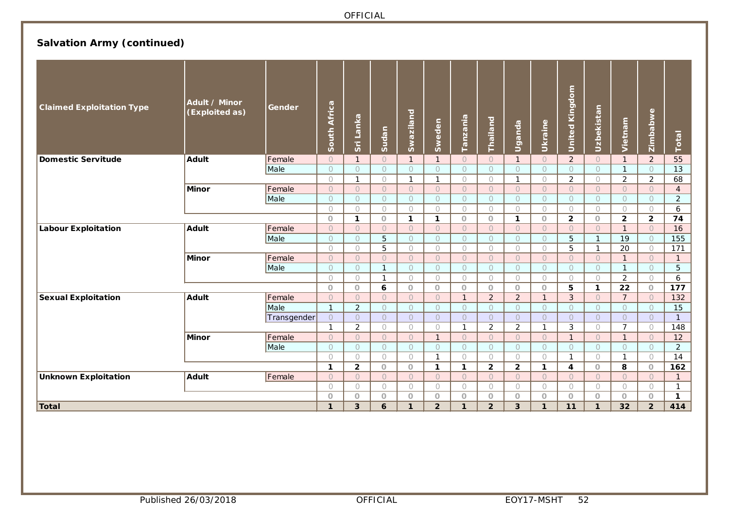# **Salvation Army (continued)**

| <b>Claimed Exploitation Type</b> | Adult / Minor<br>(Exploited as) | Gender      | South Africa        | Sri Lanka             | Sudan                     | Swaziland             | Sweden                | Tanzania              | Thailand              | Uganda                | Ukraine               | <b>United Kingdom</b> | Uzbekistan            | Vietnam                         | Zimbabwe              | Total                          |
|----------------------------------|---------------------------------|-------------|---------------------|-----------------------|---------------------------|-----------------------|-----------------------|-----------------------|-----------------------|-----------------------|-----------------------|-----------------------|-----------------------|---------------------------------|-----------------------|--------------------------------|
| <b>Domestic Servitude</b>        | <b>Adult</b>                    | Female      | $\circ$             | $\mathbf{1}$          | $\circ$                   | $\mathbf{1}$          | $\mathbf{1}$          | $\circ$               | $\circ$               | $\mathbf{1}$          | $\circ$               | $\overline{2}$        | $\circ$               | $\mathbf{1}$                    | $\overline{2}$        | 55                             |
|                                  |                                 | Male        | $\bigcirc$          | $\bigcirc$            | $\bigcirc$                | $\bigcirc$            | $\bigcirc$            | $\bigcirc$            | $\bigcirc$            | $\circ$               | $\circ$               | $\circ$               | $\circ$               | $\mathbf{1}$                    | $\Omega$              | 13                             |
|                                  |                                 |             | $\bigcirc$          | $\mathbf{1}$          | $\bigcirc$                | $\mathbf{1}$          | $\mathbf{1}$          | $\bigcirc$            | $\bigcirc$            | $\mathbf{1}$          | $\bigcirc$            | $\overline{2}$        | $\bigcirc$            | $\sqrt{2}$                      | $\sqrt{2}$            | 68                             |
|                                  | <b>Minor</b>                    | Female      | $\circ$             | $\circ$               | $\bigcirc$                | $\circ$               | $\circ$               | $\circ$               | $\circ$               | $\circ$               | $\circ$               | $\circ$               | $\circ$               | $\circ$                         | $\circ$               | $\overline{4}$                 |
|                                  |                                 | Male        | $\circ$             | $\bigcirc$            | $\bigcirc$                | $\circ$               | $\circ$               | $\circ$               | $\circ$               | $\circ$               | $\circ$               | $\circ$               | $\circ$               | $\circ$                         | $\circ$               | $\overline{2}$                 |
|                                  |                                 |             | $\bigcirc$          | $\bigcirc$            | $\bigcirc$                | $\bigcirc$            | $\bigcirc$            | $\bigcirc$            | $\bigcirc$            | $\bigcirc$            | $\bigcirc$            | $\bigcirc$            | $\bigcirc$            | $\bigcirc$                      | $\bigcirc$            | 6                              |
|                                  |                                 |             | $\circ$             | $\mathbf{1}$          | $\circ$                   | $\mathbf{1}$          | 1                     | $\circ$               | $\circ$               | $\mathbf{1}$          | $\circ$               | $\overline{2}$        | $\circ$               | $\overline{2}$                  | $\overline{2}$        | 74                             |
| <b>Labour Exploitation</b>       | <b>Adult</b>                    | Female      | $\circ$             | $\bigcirc$            | $\bigcirc$                | $\bigcirc$            | $\bigcirc$            | $\bigcirc$            | $\circ$               | $\circ$               | $\circ$               | $\circ$               | $\bigcirc$            | $\mathbf{1}$                    | $\bigcirc$            | 16                             |
|                                  | Male                            |             | $\circ$             | $\circ$               | 5                         | $\circ$               | $\circ$               | $\circ$               | $\circ$               | $\circ$               | $\circ$               | 5                     | $\mathbf{1}$          | 19                              | $\circ$               | 155                            |
|                                  |                                 |             | $\bigcirc$          | $\bigcirc$            | 5                         | $\bigcirc$            | $\bigcirc$            | $\bigcirc$            | $\bigcirc$            | $\bigcirc$            | $\bigcirc$            | 5                     | $\mathbf{1}$          | $\overline{20}$<br>$\mathbf{1}$ | $\bigcirc$            | 171                            |
|                                  | <b>Minor</b>                    | Female      | $\circ$<br>$\circ$  | $\bigcirc$            | $\bigcap$<br>$\mathbf{1}$ | $\circ$               | $\circ$               | $\circ$               | $\circ$               | $\circ$               | $\circ$               | $\circ$               | $\circ$               | $\mathbf{1}$                    | $\circ$               | $\mathbf{1}$<br>$\overline{5}$ |
|                                  |                                 | Male        | $\bigcirc$          | $\circ$<br>$\bigcirc$ | $\mathbf{1}$              | $\circ$<br>$\bigcirc$ | $\circ$<br>$\bigcirc$ | $\circ$<br>$\bigcirc$ | $\circ$<br>$\bigcirc$ | $\circ$<br>$\bigcirc$ | $\circ$<br>$\bigcirc$ | $\circ$<br>$\bigcirc$ | $\circ$<br>$\bigcirc$ | $\overline{2}$                  | $\circ$<br>$\bigcirc$ | 6                              |
|                                  |                                 |             | $\circ$             | $\circ$               | 6                         | $\circ$               | $\circ$               | $\circ$               | $\circ$               | $\bigcirc$            | $\circ$               | 5                     | 1                     | $\overline{22}$                 | $\circ$               | 177                            |
| <b>Sexual Exploitation</b>       | <b>Adult</b>                    | Female      | $\bigcirc$          | $\bigcirc$            | $\bigcap$                 | $\bigcirc$            | $\bigcirc$            | $\mathbf{1}$          | $\overline{2}$        | $\overline{2}$        | $\mathbf{1}$          | 3                     | $\overline{O}$        | $\overline{7}$                  | $\Omega$              | 132                            |
|                                  |                                 | Male        | $\mathbf{1}$        | $\overline{2}$        | $\circ$                   | $\circ$               | $\circ$               | $\circ$               | $\circ$               | $\circ$               | $\circ$               | $\circ$               | $\circ$               | $\circ$                         | $\circ$               | 15                             |
|                                  |                                 | Transgender | $\bigcirc$          | $\circ$               | $\circ$                   | $\circ$               | $\circ$               | $\circ$               | $\circ$               | $\bigcirc$            | $\circ$               | $\circ$               | $\circ$               | $\circ$                         | $\circ$               | $\overline{1}$                 |
|                                  |                                 |             | $\mathbf{1}$        | $\overline{c}$        | $\bigcirc$                | $\bigcirc$            | $\bigcirc$            | $\mathbf{1}$          | $\overline{2}$        | $\overline{2}$        | $\mathbf{1}$          | $\mathbf{3}$          | $\circ$               | $\overline{7}$                  | $\bigcirc$            | 148                            |
|                                  | <b>Minor</b>                    | Female      | $\overline{O}$      | $\overline{O}$        | $\bigcirc$                | $\overline{O}$        | $\mathbf{1}$          | $\circ$               | $\circ$               | $\circ$               | $\circ$               | $\mathbf{1}$          | $\circ$               | $\mathbf{1}$                    | $\Omega$              | 12                             |
|                                  |                                 | Male        | $\circlearrowright$ | $\circlearrowright$   | $\circ$                   | $\circ$               | $\circ$               | $\bigcirc$            | $\bigcirc$            | $\bigcirc$            | $\bigcirc$            | $\bigcirc$            | $\bigcirc$            | $\circ$                         | $\circ$               | $\overline{2}$                 |
|                                  |                                 |             | $\bigcirc$          | $\bigcirc$            | $\bigcirc$                | $\bigcirc$            | $\mathbf{1}$          | $\bigcirc$            | $\bigcirc$            | $\bigcirc$            | $\bigcirc$            | $\mathbf{1}$          | $\bigcirc$            | $\mathbf{1}$                    | $\bigcirc$            | 14                             |
|                                  |                                 |             | $\mathbf{1}$        | $\overline{2}$        | $\circ$                   | $\circ$               | $\mathbf{1}$          | $\mathbf{1}$          | $\mathbf{2}$          | $\overline{2}$        | $\mathbf 1$           | $\overline{4}$        | $\circ$               | 8                               | $\circ$               | 162                            |
| <b>Unknown Exploitation</b>      | <b>Adult</b>                    | Female      | $\bigcirc$          | $\bigcirc$            | $\bigcirc$                | $\bigcirc$            | $\bigcirc$            | $\cup$                | $\cup$                | $\circ$               | $\circ$               | $\bigcirc$            | $\bigcirc$            | $\overline{O}$                  | $\bigcirc$            | $\mathbf{1}$                   |
|                                  |                                 |             | $\bigcirc$          | $\bigcirc$            | $\bigcirc$                | $\circ$               | $\circ$               | $\circ$               | $\circ$               | $\circ$               | $\bigcirc$            | $\circ$               | $\circ$               | $\circ$                         | $\bigcirc$            | $\mathbf{1}$                   |
|                                  |                                 |             | $\circ$             | $\circ$               | $\circ$                   | $\circ$               | $\circ$               | $\circ$               | $\circ$               | $\circ$               | $\circ$               | $\circ$               | $\circ$               | $\circ$                         | $\circ$               | $\mathbf{1}$                   |
| <b>Total</b>                     |                                 |             | $\mathbf{1}$        | 3                     | 6                         | $\mathbf{1}$          | $\mathbf{2}$          | $\mathbf{1}$          | $\overline{2}$        | $\overline{3}$        | $\mathbf{1}$          | 11                    | $\mathbf{1}$          | 32                              | $\overline{2}$        | 414                            |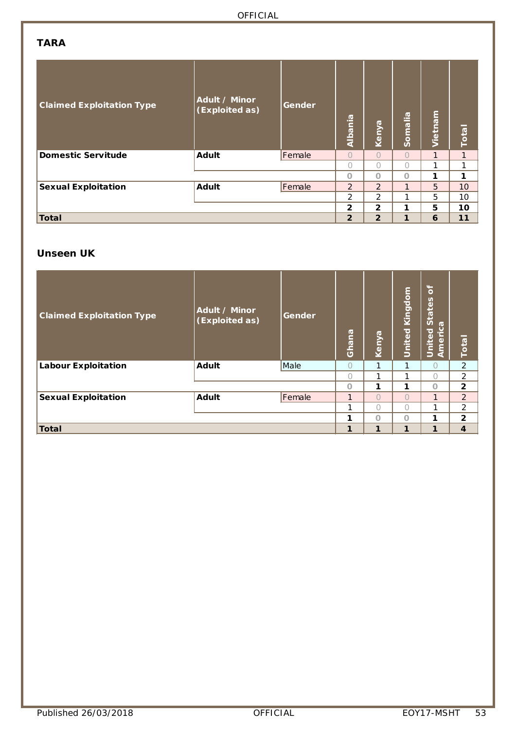### **TARA**

| <b>Claimed Exploitation Type</b> | Adult / Minor<br>(Exploited as) | Gender | Albania        | Kenya          | Somalia      | Vietnam | Total |
|----------------------------------|---------------------------------|--------|----------------|----------------|--------------|---------|-------|
| <b>Domestic Servitude</b>        | <b>Adult</b>                    | Female | $\bigcap$      | $\bigcirc$     | $\bigcap$    | 1       | 1     |
|                                  |                                 |        | $\bigcap$      | $\bigcap$      | $\bigcap$    | 1       | 1     |
|                                  |                                 |        | $\Omega$       | $\circ$        | $\Omega$     | 1       | 1     |
| <b>Sexual Exploitation</b>       | <b>Adult</b>                    | Female | 2              | 2              | $\mathbf{1}$ | 5       | 10    |
|                                  |                                 |        | 2              | 2              | 1            | 5       | 10    |
|                                  |                                 |        | $\overline{2}$ | $\overline{2}$ | 1            | 5       | 10    |
| Total                            |                                 |        | $\overline{2}$ | $\overline{2}$ | $\mathbf{1}$ | 6       | 11    |

## **Unseen UK**

| <b>Claimed Exploitation Type</b> | Adult / Minor<br>(Exploited as) | Gender | Ghana     | Kenya      | Kingdom<br>United | $\overline{\sigma}$<br>States<br>$\sigma$<br>United<br>Americ | <b>Total</b>   |
|----------------------------------|---------------------------------|--------|-----------|------------|-------------------|---------------------------------------------------------------|----------------|
| <b>Labour Exploitation</b>       | <b>Adult</b>                    | Male   | $\bigcap$ | 1          | 1                 | $\bigcap$                                                     | $\overline{2}$ |
|                                  |                                 |        | Ω         | 1          | 1                 | $\bigcap$                                                     | $\overline{2}$ |
|                                  |                                 |        | $\cap$    | 1          | 1                 | $\Omega$                                                      | $\overline{2}$ |
| <b>Sexual Exploitation</b>       | <b>Adult</b>                    | Female |           | $\bigcirc$ | $\bigcap$         | 1                                                             | 2              |
|                                  |                                 |        |           | $\bigcap$  | ∩                 | 1                                                             | $\overline{2}$ |
|                                  |                                 |        | 1         | $\Omega$   | $\Omega$          | 1                                                             | $\overline{2}$ |
| Total                            |                                 |        | 1         | 1          | 1                 | 1                                                             | $\overline{4}$ |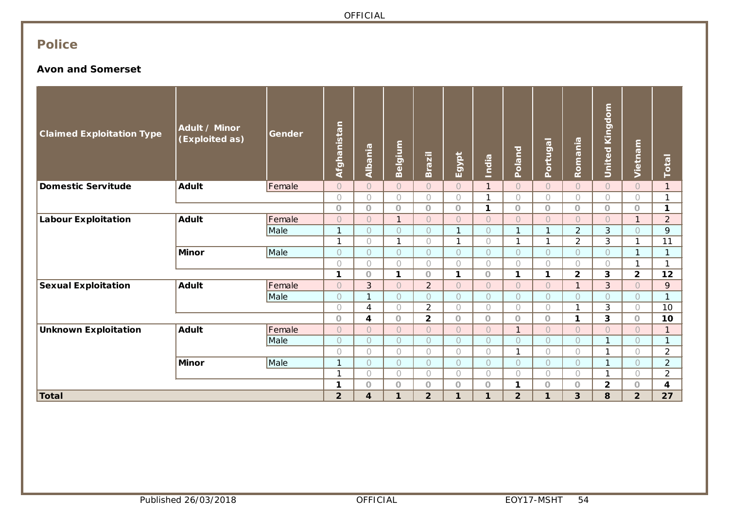# **Police**

### **Avon and Somerset**

| <b>Claimed Exploitation Type</b> | Adult / Minor<br>(Exploited as) | Gender | Afghanistan    | Albania        | Belgium        | <b>Brazil</b>  | Egypt        | India        | <b>Poland</b>  | Portugal       | Romania        | <b>United Kingdom</b> | Vietnam        | Total          |
|----------------------------------|---------------------------------|--------|----------------|----------------|----------------|----------------|--------------|--------------|----------------|----------------|----------------|-----------------------|----------------|----------------|
| <b>Domestic Servitude</b>        | <b>Adult</b>                    | Female | $\bigcirc$     | $\bigcirc$     | $\circ$        | $\overline{O}$ | $\bigcap$    | $\mathbf{1}$ | $\circ$        | $\bigcirc$     | $\bigcirc$     | $\circ$               | $\bigcirc$     | $\mathbf{1}$   |
|                                  |                                 |        | $\bigcirc$     | $\bigcirc$     | $\bigcap$      | $\bigcap$      | $\bigcap$    | 1            | $\bigcirc$     | $\bigcirc$     | $\bigcirc$     | $\bigcirc$            | $\bigcirc$     | $\mathbf{1}$   |
|                                  |                                 |        | $\circ$        | $\overline{O}$ | $\Omega$       | $\Omega$       | $\Omega$     | 1            | $\circ$        | $\circ$        | $\circ$        | $\overline{O}$        | $\Omega$       | 1              |
| <b>Labour Exploitation</b>       | <b>Adult</b>                    | Female | $\circ$        | $\overline{O}$ | $\mathbf{1}$   | $\bigcap$      | $\bigcap$    | $\bigcirc$   | $\bigcap$      | $\overline{O}$ | $\bigcirc$     | $\overline{O}$        | $\mathbf{1}$   | $\overline{2}$ |
|                                  |                                 | Male   | $\mathbf{1}$   | $\circ$        | 0              | $\bigcap$      | $\mathbf{1}$ | $\circ$      | $\mathbf{1}$   | $\mathbf{1}$   | $\overline{2}$ | 3                     | $\circ$        | 9              |
|                                  |                                 |        | $\mathbf{1}$   | $\bigcap$      | $\mathbf{1}$   | $\bigcap$      | 1            | $\circ$      | $\mathbf{1}$   | $\mathbf{1}$   | $\overline{2}$ | 3                     | $\mathbf{1}$   | 11             |
|                                  | <b>Minor</b>                    | Male   | $\circ$        | $\bigcirc$     | $\overline{O}$ | $\bigcap$      | $\bigcap$    | $\circ$      | $\bigcirc$     | $\circ$        | $\circ$        | $\circ$               | $\mathbf{1}$   | $\mathbf{1}$   |
|                                  |                                 |        | $\bigcirc$     | $\bigcirc$     | 0              | $\bigcap$      | $\bigcap$    | $\bigcirc$   | $\bigcirc$     | $\bigcirc$     | $\bigcirc$     | $\bigcirc$            | $\mathbf{1}$   | 1              |
|                                  |                                 |        | $\mathbf{1}$   | $\circ$        | 1              | $\Omega$       | $\mathbf{1}$ | $\circ$      | $\mathbf{1}$   | $\mathbf{1}$   | $\overline{2}$ | 3                     | $\overline{2}$ | 12             |
| <b>Sexual Exploitation</b>       | <b>Adult</b>                    | Female | $\bigcirc$     | 3              | $\overline{O}$ | $\overline{2}$ | $\bigcap$    | $\bigcirc$   | $\bigcap$      | $\overline{O}$ | $\mathbf{1}$   | 3                     | $\bigcap$      | 9              |
|                                  |                                 | Male   | $\circ$        | 1              | $\overline{O}$ | $\bigcirc$     | $\bigcap$    | $\bigcirc$   | $\bigcirc$     | $\circ$        | $\circ$        | $\circ$               | $\bigcirc$     | $\mathbf{1}$   |
|                                  |                                 |        | $\bigcirc$     | 4              | $\bigcap$      | 2              | $\bigcap$    | $\bigcirc$   | $\bigcap$      | $\bigcirc$     | $\mathbf{1}$   | 3                     | $\bigcap$      | 10             |
|                                  |                                 |        | $\circ$        | 4              | $\circ$        | $\overline{2}$ | $\circ$      | $\bigcirc$   | $\circ$        | $\circ$        | 1              | 3                     | $\circ$        | 10             |
| <b>Unknown Exploitation</b>      | <b>Adult</b>                    | Female | $\bigcirc$     | $\overline{O}$ | $\circ$        | $\bigcap$      | $\bigcap$    | $\circ$      | $\mathbf{1}$   | $\circ$        | $\bigcirc$     | $\overline{O}$        | $\bigcirc$     | $\mathbf{1}$   |
|                                  |                                 | Male   | $\circ$        | $\circ$        | $\overline{O}$ | $\bigcap$      | $\bigcap$    | $\bigcirc$   | $\circ$        | $\circ$        | $\circ$        | 1                     | $\circ$        | $\mathbf{1}$   |
|                                  |                                 |        | $\bigcirc$     | $\bigcirc$     | 0              | $\bigcirc$     | $\bigcap$    | $\bigcirc$   | $\mathbf{1}$   | $\bigcirc$     | $\bigcirc$     | 1                     | $\bigcirc$     | $\overline{2}$ |
|                                  | <b>Minor</b>                    | Male   | $\mathbf{1}$   | $\circ$        | $\overline{O}$ | $\bigcirc$     | $\bigcap$    | $\bigcirc$   | $\bigcirc$     | $\circ$        | $\circ$        | 1                     | $\bigcirc$     | $\overline{2}$ |
|                                  |                                 |        | $\mathbf{1}$   | $\bigcirc$     | 0              | $\bigcirc$     | $\bigcap$    | $\bigcirc$   | $\bigcirc$     | $\bigcirc$     | $\bigcirc$     | 1                     | $\bigcirc$     | $\overline{2}$ |
|                                  |                                 |        | 1              | $\circ$        | $\circ$        | $\circ$        | $\circ$      | $\bigcirc$   | $\mathbf{1}$   | $\circ$        | $\circ$        | $\overline{2}$        | $\circ$        | 4              |
| <b>Total</b>                     |                                 |        | $\overline{2}$ | 4              | 1              | $\overline{2}$ | 1            | 1            | $\overline{2}$ | $\mathbf{1}$   | 3              | 8                     | $\overline{2}$ | 27             |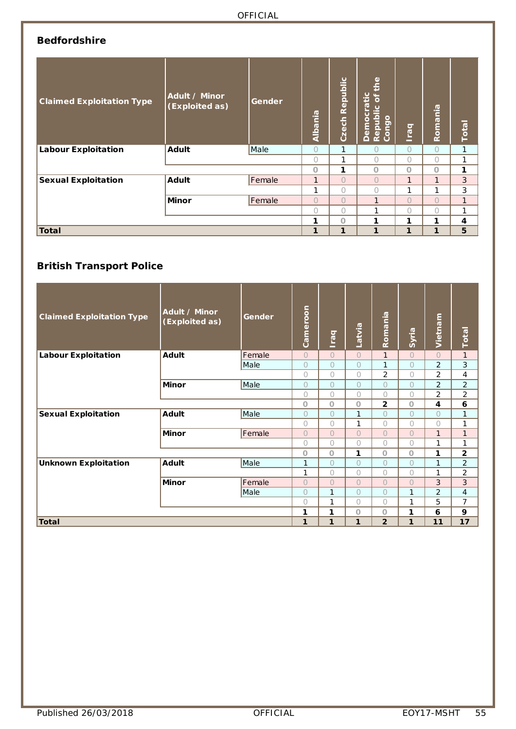# **Bedfordshire**

| <b>Claimed Exploitation Type</b> | Adult / Minor<br>(Exploited as) | Gender | Albania | Czech Republic | the<br>Democratic<br>$\mathbf{b}$<br>Republic<br>Congo | <b>Deal</b> | Romania    | Total        |
|----------------------------------|---------------------------------|--------|---------|----------------|--------------------------------------------------------|-------------|------------|--------------|
| <b>Labour Exploitation</b>       | <b>Adult</b>                    | Male   | 0       | 1              | Ω                                                      | $\circ$     | $\bigcirc$ | 1            |
|                                  |                                 |        | 0       | 1              | 0                                                      | $\bigcap$   | $\circ$    | 1            |
|                                  |                                 |        | O       | 1              | O                                                      | O           | $\circ$    | 1            |
| <b>Sexual Exploitation</b>       | <b>Adult</b>                    | Female | 1       | $\bigcirc$     | $\overline{O}$                                         | 1           | 1          | 3            |
|                                  |                                 |        | 1       | $\bigcap$      | 0                                                      | 1           | 1          | 3            |
|                                  | <b>Minor</b>                    | Female | Ö       | $\bigcirc$     | 1                                                      | $\bigcap$   | $\circ$    | $\mathbf{1}$ |
|                                  |                                 |        | 0       | $\bigcirc$     | 1                                                      | $\bigcap$   | $\bigcirc$ |              |
|                                  |                                 |        | 1       | $\circ$        | 1                                                      | 1           | 1          | 4            |
| Total                            |                                 |        | 1       | 1              | 1                                                      | 1           | 1          | 5            |

# **British Transport Police**

| <b>Claimed Exploitation Type</b> | Adult / Minor<br>(Exploited as) | Gender | Cameroon   | ligal          | Latvia         | Romania        | Syria          | Vietnam        | Total          |
|----------------------------------|---------------------------------|--------|------------|----------------|----------------|----------------|----------------|----------------|----------------|
| <b>Labour Exploitation</b>       | <b>Adult</b>                    | Female | $\bigcirc$ | $\bigcirc$     | $\bigcirc$     | $\mathbf{1}$   | $\overline{O}$ | $\overline{O}$ | $\mathbf{1}$   |
|                                  |                                 | Male   | $\Omega$   | $\bigcirc$     | $\circ$        | 1              | $\bigcirc$     | $\overline{c}$ | 3              |
|                                  |                                 |        | $\bigcirc$ | $\bigcirc$     | $\bigcirc$     | $\overline{2}$ | $\bigcirc$     | 2              | 4              |
|                                  | <b>Minor</b>                    | Male   | $\circ$    | $\bigcirc$     | $\bigcirc$     | $\bigcirc$     | $\bigcirc$     | $\overline{2}$ | $\overline{2}$ |
|                                  |                                 |        | $\bigcirc$ | $\bigcirc$     | $\circ$        | $\bigcirc$     | $\bigcirc$     | 2              | $\overline{2}$ |
|                                  |                                 |        | $\circ$    | $\circ$        | O              | $\overline{2}$ | $\Omega$       | 4              | 6              |
| <b>Sexual Exploitation</b>       | <b>Adult</b>                    | Male   | $\bigcirc$ | $\bigcirc$     | $\mathbf{1}$   | $\bigcirc$     | $\overline{O}$ | $\bigcirc$     | 1              |
|                                  |                                 |        | $\bigcirc$ | $\bigcirc$     | $\mathbf{1}$   | $\bigcirc$     | $\bigcap$      | 0              | 1              |
|                                  | <b>Minor</b>                    | Female | $\Omega$   | $\Omega$       | $\overline{O}$ | $\bigcirc$     | $\overline{O}$ | $\mathbf{1}$   | $\mathbf{1}$   |
|                                  |                                 |        | $\bigcirc$ | $\bigcirc$     | $\circ$        | $\bigcirc$     | $\bigcap$      | $\mathbf{1}$   | 1              |
|                                  |                                 |        | $\circ$    | $\circ$        | 1              | $\circ$        | $\Omega$       | 1              | $\mathbf 2$    |
| <b>Unknown Exploitation</b>      | <b>Adult</b>                    | Male   | 1          | $\circ$        | $\circ$        | $\bigcirc$     | $\bigcap$      | $\mathbf{1}$   | $\overline{2}$ |
|                                  |                                 |        | 1          | $\bigcirc$     | $\circ$        | $\bigcirc$     | 0              | 1              | $\overline{2}$ |
|                                  | <b>Minor</b>                    | Female | $\bigcap$  | $\overline{O}$ | $\overline{O}$ | $\bigcirc$     | $\bigcap$      | 3              | 3              |
|                                  |                                 | Male   | $\bigcirc$ | 1              | $\circ$        | $\bigcirc$     | 1              | $\overline{2}$ | 4              |
|                                  |                                 |        | $\bigcirc$ | 1              | $\circ$        | $\bigcirc$     | 1              | 5              | 7              |
|                                  |                                 |        | 1          | 1              | $\circ$        | $\circ$        | 1              | 6              | 9              |
| <b>Total</b>                     |                                 |        | 1          | 1              | 1              | $\overline{2}$ | 1              | 11             | 17             |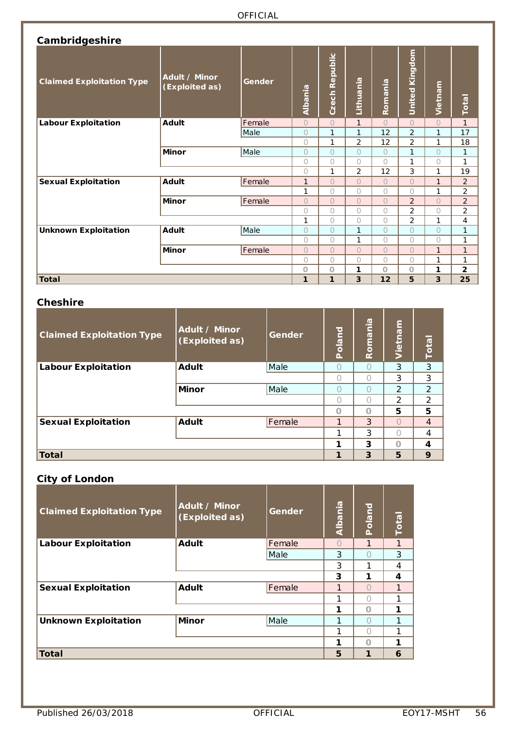| Cambridgeshire                   |                                 |        |            |                |                |                |                |            |                |
|----------------------------------|---------------------------------|--------|------------|----------------|----------------|----------------|----------------|------------|----------------|
| <b>Claimed Exploitation Type</b> | Adult / Minor<br>(Exploited as) | Gender | Albania    | Czech Republic | Lithuania      | Romania        | United Kingdom | Vietnam    | <b>Total</b>   |
| <b>Labour Exploitation</b>       | Adult                           | Female | $\circ$    | $\overline{O}$ | $\mathbf{1}$   | $\bigcap$      | $\bigcap$      | $\bigcap$  | $\mathbf{1}$   |
|                                  |                                 | Male   | $\circ$    | 1              | 1              | 12             | $\overline{2}$ | 1          | 17             |
|                                  |                                 |        | $\bigcirc$ | 1              | 2              | 12             | $\overline{2}$ | 1          | 18             |
|                                  | Minor                           | Male   | $\bigcirc$ | $\overline{O}$ | $\overline{O}$ | $\bigcirc$     | 1              | $\bigcap$  | $\mathbf{1}$   |
|                                  |                                 |        | $\bigcirc$ | 0              | 0              | $\bigcap$      | 1              | $\bigcirc$ | $\mathbf{1}$   |
|                                  |                                 |        | $\bigcap$  | 1              | 2              | 12             | 3              | 1          | 19             |
| <b>Sexual Exploitation</b>       | <b>Adult</b>                    | Female | 1          | $\bigcap$      | $\overline{O}$ | $\bigcap$      | $\bigcap$      | 1          | 2              |
|                                  |                                 |        | 1          | 0              | 0              | $\bigcirc$     | $\bigcap$      | 1          | $\overline{2}$ |
|                                  | Minor                           | Female | $\bigcirc$ | $\overline{O}$ | $\overline{O}$ | $\overline{O}$ | $\overline{2}$ | $\bigcap$  | $\overline{2}$ |
|                                  |                                 |        | $\bigcirc$ | 0              | 0              | $\bigcirc$     | $\overline{2}$ | $\bigcirc$ | 2              |
|                                  |                                 |        | 1          | $\bigcap$      | 0              | $\bigcirc$     | $\overline{2}$ | 1          | 4              |
| <b>Unknown Exploitation</b>      | <b>Adult</b>                    | Male   | $\circ$    | $\bigcap$      | 1              | $\bigcap$      | $\bigcap$      | $\bigcap$  | $\mathbf{1}$   |
|                                  |                                 |        | $\bigcirc$ | 0              | 1              | $\bigcap$      | $\bigcap$      | $\bigcap$  | $\mathbf{1}$   |
|                                  | <b>Minor</b>                    | Female | $\bigcirc$ | $\overline{O}$ | $\overline{O}$ | $\overline{O}$ | $\bigcap$      | 1          | $\mathbf{1}$   |
|                                  |                                 |        | $\bigcirc$ | 0              | 0              | 0              | $\cap$         | 1          | 1              |
|                                  |                                 |        | $\Omega$   | $\circ$        | 1              | $\circ$        | $\Omega$       | 1          | $\overline{2}$ |
| <b>Total</b>                     |                                 |        | 1          | 1              | 3              | 12             | 5              | 3          | 25             |

### **Cheshire**

| <b>Claimed Exploitation Type</b> | Adult / Minor<br>(Exploited as) | Gender | <b>Poland</b> | Roman <u>ia</u> | Vietnam       | <b>Total</b>   |
|----------------------------------|---------------------------------|--------|---------------|-----------------|---------------|----------------|
| <b>Labour Exploitation</b>       | <b>Adult</b>                    | Male   |               |                 | 3             | 3              |
|                                  |                                 |        |               |                 | 3             | 3              |
|                                  | <b>Minor</b>                    | Male   |               | €               | $\mathcal{P}$ | 2              |
|                                  |                                 |        |               |                 | $\mathcal{P}$ | $\overline{2}$ |
|                                  |                                 |        | $\Omega$      |                 | 5             | 5              |
| <b>Sexual Exploitation</b>       | <b>Adult</b>                    | Female | 1             | 3               |               | $\overline{4}$ |
|                                  |                                 |        |               | 3               |               | 4              |
|                                  |                                 |        |               | 3               | Ω             | 4              |
| Total                            |                                 |        | 1             | 3               | 5             | 9              |

### **City of London**

| ۔ ۔<br><b>Claimed Exploitation Type</b> | Adult / Minor<br>(Exploited as) | Gender | Albania          | Poland | <b>Total</b> |
|-----------------------------------------|---------------------------------|--------|------------------|--------|--------------|
| <b>Labour Exploitation</b>              | <b>Adult</b>                    | Female | $\left( \right)$ | 1      | 1            |
|                                         |                                 | Male   | 3                |        | 3            |
|                                         |                                 |        | 3                | 1      | 4            |
|                                         |                                 |        | 3                | 1      | 4            |
| <b>Sexual Exploitation</b>              | <b>Adult</b>                    | Female |                  |        |              |
|                                         |                                 |        |                  | $(\ )$ |              |
|                                         |                                 |        | 1                | $\cap$ | 1            |
| <b>Unknown Exploitation</b>             | <b>Minor</b>                    | Male   | 1                |        |              |
|                                         |                                 |        |                  |        |              |
|                                         |                                 |        | 1                | $\cap$ | 1            |
| <b>Total</b>                            |                                 |        | 5                | 1      | 6            |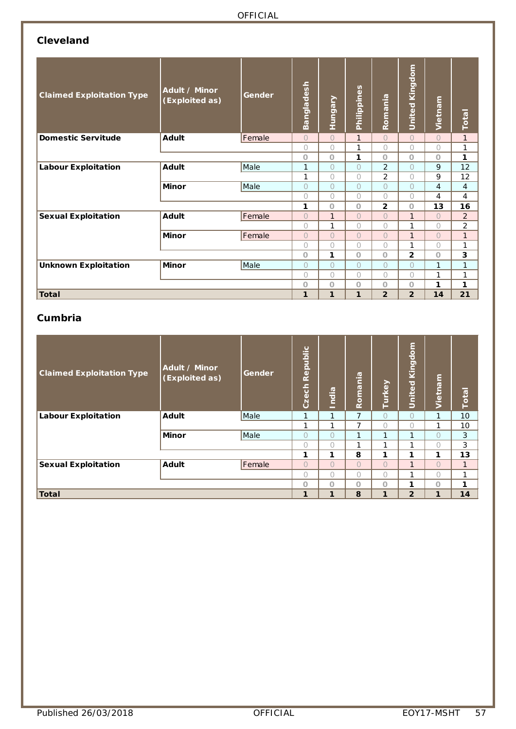# **Cleveland**

| <b>Claimed Exploitation Type</b> | Adult / Minor<br>(Exploited as) | Gender | angladesh<br>m | <b>Tungary</b> | Philippines    | Romania        | <b>United Kingdom</b> | Vietnam        | Total          |
|----------------------------------|---------------------------------|--------|----------------|----------------|----------------|----------------|-----------------------|----------------|----------------|
| <b>Domestic Servitude</b>        | Adult                           | Female | $\cap$         | $\bigcap$      | $\mathbf{1}$   | $\bigcap$      | $\bigcap$             | $\circ$        | $\mathbf{1}$   |
|                                  |                                 |        | $\bigcap$      | $\bigcap$      | 1              | $\bigcap$      | $\bigcap$             | $\bigcirc$     | 1              |
|                                  |                                 |        | $\Omega$       | $\Omega$       | 1              | $\Omega$       | $\Omega$              | $\Omega$       | 1              |
| <b>Labour Exploitation</b>       | Adult                           | Male   | 1              | $\bigcap$      | $\overline{O}$ | $\overline{2}$ | $\bigcap$             | 9              | 12             |
|                                  |                                 |        | 1              | $\bigcap$      | $\bigcirc$     | $\overline{2}$ | $\bigcirc$            | 9              | 12             |
|                                  | <b>Minor</b>                    | Male   | $\bigcap$      | $\bigcap$      | $\bigcirc$     | $\bigcirc$     | $\bigcap$             | $\overline{4}$ | $\overline{4}$ |
|                                  |                                 |        | $\bigcap$      | $\bigcap$      | $\circ$        | $\bigcap$      | $\bigcirc$            | 4              | 4              |
|                                  |                                 |        | 1              | $\circ$        | $\circ$        | $\overline{2}$ | $\Omega$              | 13             | 16             |
| <b>Sexual Exploitation</b>       | <b>Adult</b>                    | Female | $\bigcap$      | $\mathbf{1}$   | $\bigcirc$     | $\Omega$       | $\mathbf{1}$          | $\overline{O}$ | $\overline{2}$ |
|                                  |                                 |        | $\bigcap$      | 1              | $\bigcirc$     | $\bigcap$      | 1                     | $\bigcirc$     | $\overline{c}$ |
|                                  | <b>Minor</b>                    | Female | $\bigcap$      | $\bigcap$      | $\bigcirc$     | $\overline{O}$ | $\mathbf{1}$          | $\overline{O}$ | $\mathbf{1}$   |
|                                  |                                 |        | $\bigcap$      | $\bigcirc$     | $\bigcirc$     | $\bigcirc$     | 1                     | $\bigcirc$     | 1              |
|                                  |                                 |        | $\Omega$       | 1              | $\circ$        | $\circ$        | $\overline{2}$        | $\circ$        | 3              |
| <b>Unknown Exploitation</b>      | <b>Minor</b>                    | Male   | $\bigcap$      | $\bigcap$      | $\bigcirc$     | $\circ$        | $\bigcap$             | 1              | 1              |
|                                  |                                 |        | $\bigcap$      | $\bigcap$      | $\bigcirc$     | $\bigcirc$     | $\bigcirc$            | 1              | 1              |
|                                  |                                 |        | $\Omega$       | $\circ$        | $\circ$        | $\Omega$       | $\Omega$              | 1              | 1              |
| <b>Total</b>                     |                                 |        | 1              | 1              | 1              | $\overline{2}$ | $\overline{2}$        | 14             | 21             |

#### **Cumbria**

| <b>Claimed Exploitation Type</b> | Adult / Minor<br>(Exploited as) | Gender      | Republic<br>Czech | <b>India</b> | Romania   | Turkey    | Kingdom<br>United | Vietnam    | Total           |
|----------------------------------|---------------------------------|-------------|-------------------|--------------|-----------|-----------|-------------------|------------|-----------------|
| <b>Labour Exploitation</b>       | <b>Adult</b>                    | <i>Male</i> | 1                 | 1            | 7         | $\bigcap$ | $\bigcap$         | 1          | 10 <sup>°</sup> |
|                                  |                                 |             | ٠                 | 1            | 7         | $\bigcap$ | $\bigcap$         | 1          | 10              |
|                                  | <b>Minor</b>                    | Male        | $\bigcirc$        | $\bigcirc$   | 1         | 1         | 1                 | $\bigcirc$ | 3               |
|                                  |                                 |             | $\bigcap$         | $\bigcap$    | 1         | 1         |                   | $\bigcirc$ | 3               |
|                                  |                                 |             | 1                 | $\mathbf{1}$ | 8         | 1         | 1                 | 1          | 13              |
| <b>Sexual Exploitation</b>       | <b>Adult</b>                    | Female      | $\bigcap$         | $\bigcap$    | $\bigcap$ | $\bigcap$ | $\mathbf{1}$      | $\bigcap$  | $\mathbf{1}$    |
|                                  |                                 |             | $\bigcap$         | $\bigcap$    | $\bigcap$ | $\bigcap$ | и                 | $\bigcirc$ | 1               |
|                                  |                                 |             | $\circ$           | $\circ$      | $\circ$   | $\circ$   | 1                 | $\circ$    | 1               |
| <b>Total</b>                     |                                 |             | 1                 | $\mathbf{1}$ | 8         | 1         | $\overline{2}$    | 1          | 14              |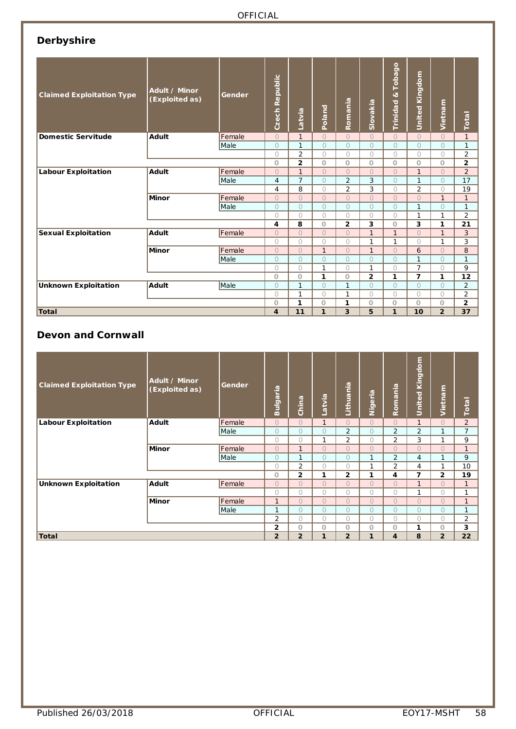# **Derbyshire**

| <b>Claimed Exploitation Type</b> | Adult / Minor<br>(Exploited as) |        | Czech Republic | Latvia         | Poland         | Romania        | Slovakia                | Tobago<br>$\propto$<br>Trinidad | United Kingdom | Vietnam        | Total          |
|----------------------------------|---------------------------------|--------|----------------|----------------|----------------|----------------|-------------------------|---------------------------------|----------------|----------------|----------------|
| <b>Domestic Servitude</b>        | <b>Adult</b>                    | Female | $\circ$        | $\mathbf{1}$   | $\circ$        | $\Omega$       | $\Omega$                | $\Omega$                        | $\Omega$       | $\Omega$       | $\mathbf{1}$   |
|                                  |                                 | Male   | $\Omega$       | $\mathbf{1}$   | $\bigcirc$     | $\bigcirc$     | $\bigcirc$              | $\bigcirc$                      | $\bigcirc$     | $\bigcirc$     | $\mathbf{1}$   |
|                                  |                                 |        | $\bigcirc$     | $\overline{2}$ | $\bigcirc$     | $\bigcirc$     | $\bigcirc$              | $\bigcirc$                      | $\bigcirc$     | $\bigcirc$     | $\overline{2}$ |
|                                  |                                 |        | $\circ$        | $\overline{2}$ | $\circ$        | $\circ$        | $\circ$                 | $\circ$                         | $\circ$        | $\circ$        | $\overline{2}$ |
| <b>Labour Exploitation</b>       | <b>Adult</b>                    | Female | $\bigcirc$     | $\mathbf{1}$   | $\Omega$       | $\bigcirc$     | $\bigcirc$              | $\bigcirc$                      | $\mathbf{1}$   | $\bigcirc$     | $\overline{2}$ |
|                                  |                                 | Male   | $\overline{4}$ | $\overline{7}$ | $\bigcirc$     | $\overline{2}$ | 3                       | $\overline{O}$                  | $\mathbf{1}$   | $\bigcirc$     | 17             |
|                                  |                                 |        | 4              | 8              | $\bigcirc$     | $\overline{2}$ | 3                       | $\bigcirc$                      | $\overline{2}$ | $\bigcirc$     | 19             |
|                                  | <b>Minor</b>                    | Female | $\circ$        | $\overline{O}$ | $\overline{O}$ | $\overline{O}$ | $\overline{O}$          | $\overline{O}$                  | $\Omega$       | $\mathbf{1}$   | $\mathbf{1}$   |
|                                  |                                 | Male   | $\Omega$       | $\bigcirc$     | $\bigcirc$     | $\overline{O}$ | $\overline{O}$          | $\overline{O}$                  | $\mathbf{1}$   | $\bigcirc$     | $\mathbf{1}$   |
|                                  |                                 |        | $\bigcirc$     | $\bigcirc$     | $\bigcirc$     | $\bigcirc$     | $\bigcirc$              | $\bigcirc$                      | $\mathbf{1}$   | $\mathbf{1}$   | $\overline{2}$ |
|                                  |                                 |        | 4              | 8              | $\circ$        | $\overline{2}$ | 3                       | $\circ$                         | 3              | 1              | 21             |
| <b>Sexual Exploitation</b>       | <b>Adult</b>                    | Female | $\Omega$       | $\Omega$       | $\Omega$       | $\Omega$       | $\mathbf{1}$            | $\mathbf{1}$                    | $\Omega$       | $\mathbf{1}$   | 3              |
|                                  |                                 |        | $\circ$        | $\circ$        | $\circ$        | $\circ$        | $\mathbf{1}$            | $\mathbf{1}$                    | $\bigcirc$     | $\mathbf{1}$   | 3              |
|                                  | <b>Minor</b>                    | Female | $\overline{O}$ | $\overline{O}$ | $\mathbf{1}$   | $\overline{O}$ | $\mathbf{1}$            | $\Omega$                        | 6              | $\Omega$       | 8              |
|                                  |                                 | Male   | $\Omega$       | $\Omega$       | $\Omega$       | $\Omega$       | $\bigcirc$              | $\bigcirc$                      | $\mathbf{1}$   | $\bigcirc$     | $\mathbf{1}$   |
|                                  |                                 |        | $\bigcirc$     | $\bigcirc$     | $\mathbf{1}$   | $\bigcirc$     | $\mathbf{1}$            | $\bigcirc$                      | $\overline{7}$ | $\bigcirc$     | 9              |
|                                  |                                 |        | $\circ$        | $\circ$        | 1              | $\circ$        | $\overline{\mathbf{c}}$ | 1                               | $\overline{7}$ | 1              | 12             |
| <b>Unknown Exploitation</b>      | <b>Adult</b>                    | Male   | $\Omega$       | $\mathbf{1}$   | $\bigcirc$     | $\mathbf{1}$   | $\bigcirc$              | $\bigcirc$                      | $\bigcirc$     | $\Omega$       | $\overline{2}$ |
|                                  |                                 |        | $\bigcirc$     | $\mathbf{1}$   | $\bigcirc$     | $\mathbf{1}$   | $\bigcirc$              | $\bigcirc$                      | $\bigcirc$     | $\bigcirc$     | $\overline{2}$ |
|                                  | $\circ$                         | 1      | $\circ$        | 1              | $\circ$        | $\circ$        | $\circ$                 | $\circ$                         | 2              |                |                |
| Total                            |                                 |        | 4              | 11             | 1              | 3              | 5                       | 1                               | 10             | $\overline{2}$ | 37             |

### **Devon and Cornwall**

| <b>Claimed Exploitation Type</b> | Adult / Minor<br>(Exploited as) | Gender | <b>Bulgaria</b> | China          | Latvia         | Lithuania      | Nigeria        | Romania        | United Kingdom | Vietnam        | Total          |
|----------------------------------|---------------------------------|--------|-----------------|----------------|----------------|----------------|----------------|----------------|----------------|----------------|----------------|
| <b>Labour Exploitation</b>       | Adult                           | Female | $\Omega$        | $\Omega$       | $\mathbf{1}$   | $\Omega$       | $\Omega$       | $\Omega$       | $\mathbf{1}$   | $\Omega$       | $\overline{2}$ |
|                                  |                                 | Male   | $\Omega$        | $\overline{O}$ | $\Omega$       | $\overline{2}$ | $\bigcirc$     | $\overline{2}$ | $\overline{2}$ | $\mathbf{1}$   | $\overline{7}$ |
|                                  |                                 |        | $\bigcirc$      | $\bigcirc$     | $\mathbf{1}$   | 2              | $\bigcirc$     | 2              | 3              | 1              | 9              |
|                                  | Minor                           | Female | $\Omega$        | $\mathbf{1}$   | $\Omega$       | $\Omega$       | $\Omega$       | $\Omega$       | $\Omega$       | $\Omega$       | $\mathbf{1}$   |
|                                  |                                 | Male   | $\Omega$        | $\mathbf{1}$   | $\Omega$       | $\Omega$       | 1              | $\overline{2}$ | $\overline{4}$ | $\mathbf{1}$   | 9              |
|                                  |                                 |        | $\bigcirc$      | $\overline{2}$ | $\bigcirc$     | $\bigcirc$     | $\mathbf{1}$   | $\overline{2}$ | 4              | 1              | 10             |
|                                  |                                 |        | $\circ$         | $\overline{2}$ | 1              | $\overline{2}$ | 1              | 4              | 7              | $\overline{2}$ | 19             |
| <b>Unknown Exploitation</b>      | Adult                           | Female | $\Omega$        | $\Omega$       | $\Omega$       | $\Omega$       | $\Omega$       | $\Omega$       | $\mathbf{1}$   | $\Omega$       | $\mathbf{1}$   |
|                                  |                                 |        | $\bigcirc$      | $\bigcirc$     | 0              | $\bigcirc$     | $\bigcirc$     | $\bigcirc$     | $\mathbf{1}$   | $\bigcirc$     | 1              |
|                                  | <b>Minor</b>                    | Female | $\mathbf{1}$    | $\overline{O}$ | $\overline{O}$ | $\overline{O}$ | $\Omega$       | $\Omega$       | $\Omega$       | $\Omega$       | $\mathbf{1}$   |
|                                  |                                 | Male   | $\mathbf{1}$    | $\Omega$       | $\bigcirc$     | $\bigcirc$     | $\overline{O}$ | $\bigcirc$     | $\bigcirc$     | $\bigcirc$     | 1              |
|                                  |                                 |        | $\overline{2}$  | $\bigcirc$     | $\bigcirc$     | $\bigcirc$     | $\bigcirc$     | $\bigcirc$     | $\bigcirc$     | $\bigcirc$     | 2              |
|                                  |                                 |        | $\overline{2}$  | $\circ$        | $\circ$        | $\circ$        | $\circ$        | $\circ$        | 1              | $\circ$        | 3              |
| <b>Total</b>                     |                                 |        | $\overline{2}$  | $\overline{2}$ | $\mathbf{1}$   | $\overline{2}$ | 1              | 4              | 8              | $\overline{2}$ | 22             |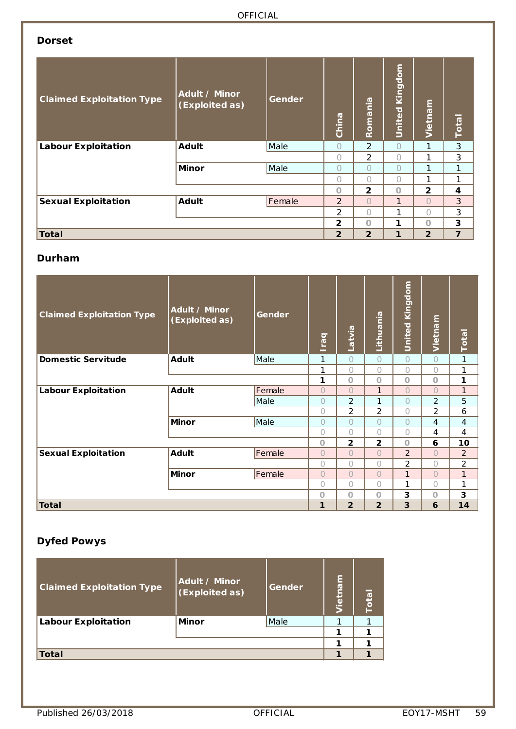### **Dorset**

| <b>Claimed Exploitation Type</b> | Adult / Minor<br>(Exploited as) | Gender | China          | Romania        | Kingdom<br>United | Vietnam        | <b>Total</b>   |
|----------------------------------|---------------------------------|--------|----------------|----------------|-------------------|----------------|----------------|
| <b>Labour Exploitation</b>       | <b>Adult</b>                    | Male   | $\bigcap$      | $\mathcal{P}$  | $\bigcap$         | 1              | 3              |
|                                  |                                 |        | 0              | 2              | $\bigcap$         |                | 3              |
|                                  | Minor                           | Male   | 0              | $\bigcap$      | $\bigcap$         |                | 1              |
|                                  |                                 |        | $\bigcap$      | $\bigcap$      | $\bigcap$         | 1              | 1              |
|                                  |                                 |        | $\Omega$       | $\overline{2}$ | $\Omega$          | $\overline{2}$ | 4              |
| <b>Sexual Exploitation</b>       | <b>Adult</b>                    | Female | $\overline{2}$ | $\bigcap$      | 1                 | $\cap$         | 3              |
|                                  |                                 |        | 2              | $\cap$         | 1                 | ∩              | 3              |
|                                  |                                 |        | $\mathbf{2}$   | $\Omega$       | 1                 | $\cap$         | 3              |
| Total                            |                                 |        | $\overline{2}$ | $\overline{2}$ | $\mathbf{1}$      | $\overline{2}$ | $\overline{7}$ |

#### **Durham**

| <b>Claimed Exploitation Type</b> | Adult / Minor<br>(Exploited as) | Gender     | <b>Iraq</b>    | Latvia         | Lithuania      | <b>United Kingdom</b> | Vietnam        | Total          |
|----------------------------------|---------------------------------|------------|----------------|----------------|----------------|-----------------------|----------------|----------------|
| <b>Domestic Servitude</b>        | <b>Adult</b>                    | Male       | 1              | $\circ$        | $\bigcirc$     | $\bigcirc$            | $\bigcirc$     | 1              |
|                                  |                                 |            | 1              | $\bigcap$      | $\bigcap$      | $\bigcirc$            | $\bigcap$      | 1              |
|                                  |                                 |            | 1              | $\Omega$       | $\circ$        | $\circ$               | $\circ$        | 1              |
| <b>Labour Exploitation</b>       | <b>Adult</b>                    | Female     | $\bigcirc$     | $\bigcap$      | $\mathbf{1}$   | $\bigcirc$            | $\bigcap$      | $\mathbf{1}$   |
|                                  |                                 | Male       | $\bigcirc$     | $\overline{2}$ | 1              | $\bigcirc$            | $\overline{2}$ | 5              |
|                                  |                                 | $\bigcirc$ | $\overline{2}$ | $\overline{2}$ | $\bigcap$      | 2                     | 6              |                |
|                                  | <b>Minor</b>                    | Male       | $\bigcirc$     | $\bigcap$      | $\bigcirc$     | $\bigcirc$            | 4              | 4              |
|                                  |                                 |            | $\bigcirc$     | 0              | $\bigcirc$     | $\bigcirc$            | 4              | 4              |
|                                  |                                 |            | $\circ$        | $\mathbf{2}$   | $\mathbf{2}$   | $\circ$               | 6              | 10             |
| <b>Sexual Exploitation</b>       | <b>Adult</b>                    | Female     | $\bigcirc$     | $\Omega$       | $\bigcap$      | 2                     | $\bigcap$      | 2              |
|                                  |                                 |            | $\bigcirc$     | $\bigcap$      | $\bigcirc$     | $\overline{2}$        | $\bigcap$      | $\overline{2}$ |
|                                  | <b>Minor</b>                    | Female     | $\bigcirc$     | $\bigcap$      | $\bigcap$      | $\mathbf{1}$          | $\bigcap$      | 1              |
|                                  |                                 |            | $\bigcirc$     | 0              | $\bigcap$      | 1                     | $\bigcap$      | 1              |
|                                  |                                 |            | $\circ$        | $\Omega$       | $\circ$        | 3                     | O              | 3              |
| <b>Total</b>                     |                                 |            | 1              | $\overline{2}$ | $\overline{2}$ | 3                     | 6              | 14             |

# **Dyfed Powys**

| <b>Claimed Exploitation Type</b> | Adult / Minor<br>(Exploited as) | Gender | lietnam | Total |
|----------------------------------|---------------------------------|--------|---------|-------|
| <b>Labour Exploitation</b>       | <b>Minor</b>                    | Male   |         |       |
|                                  |                                 |        |         |       |
|                                  |                                 |        |         |       |
| <b>Total</b>                     |                                 |        |         |       |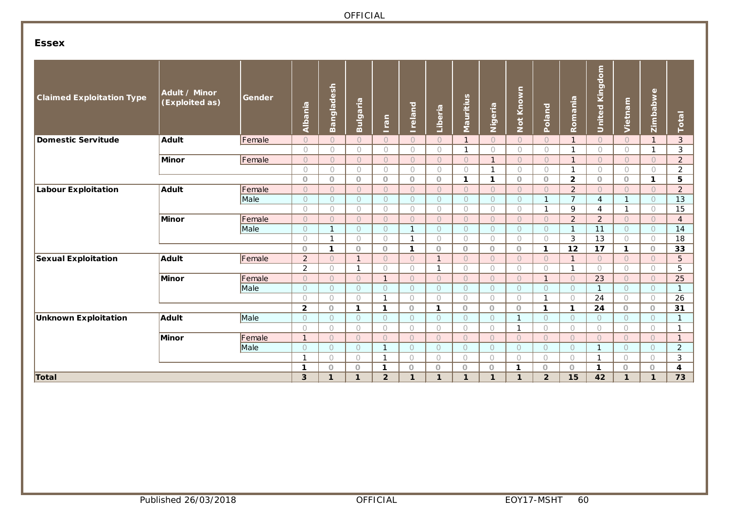### **Essex**

| <b>Claimed Exploitation Type</b> | Adult / Minor<br>(Exploited as) | Gender | Albania                          | Bangladesh               | Bulgaria                | Iran                     | <b>Ireland</b>           | Liberia                      | Mauritius            | Nigeria                | Not Known            | Poland                 | Romania                    | United Kingdom           | Vietnam                      | Zimbabwe                 | Total          |
|----------------------------------|---------------------------------|--------|----------------------------------|--------------------------|-------------------------|--------------------------|--------------------------|------------------------------|----------------------|------------------------|----------------------|------------------------|----------------------------|--------------------------|------------------------------|--------------------------|----------------|
| <b>Domestic Servitude</b>        | <b>Adult</b>                    | Female | $\circ$                          | $\bigcirc$               | $\circ$                 | $\bigcirc$               | $\circ$                  | $\bigcirc$                   | $\mathbf{1}$         | $\circ$                | $\circ$              | $\circ$                | $\mathbf{1}$               | $\circ$                  | $\circ$                      | $\mathbf{1}$             | 3              |
|                                  |                                 |        | $\bigcirc$                       | $\bigcirc$               | $\bigcirc$              | $\bigcirc$               | $\bigcirc$               | $\bigcirc$                   | $\mathbf{1}$         | $\bigcirc$             | $\bigcirc$           | $\bigcirc$             | $\mathbf{1}$               | $\bigcirc$               | $\bigcirc$                   | $\mathbf{1}$             | 3              |
|                                  | Minor                           | Female | $\circ$                          | $\bigcirc$               | $\circ$                 | $\circ$                  | $\circ$                  | $\circ$                      | $\circ$              | $\mathbf{1}$           | $\circ$              | $\circ$                | $\mathbf{1}$               | $\circ$                  | $\circ$                      | $\circ$                  | $\overline{2}$ |
|                                  |                                 |        | $\bigcirc$                       | $\bigcirc$               | $\bigcirc$              | $\bigcirc$               | $\circ$                  | $\bigcirc$                   | $\bigcirc$           | $\mathbf{1}$           | $\bigcirc$           | $\bigcirc$             | 1                          | $\bigcirc$               | $\bigcirc$                   | $\bigcirc$               | $\overline{2}$ |
|                                  |                                 |        | $\circ$                          | $\circ$                  | $\circ$                 | $\circ$                  | $\circ$                  | $\circ$                      | $\mathbf{1}$         | $\mathbf{1}$           | $\circ$              | $\circ$                | $\overline{2}$             | $\circ$                  | $\circ$                      | $\mathbf{1}$             | 5              |
| <b>Labour Exploitation</b>       | <b>Adult</b>                    | Female | $\cup$                           | $\bigcirc$               | $\bigcirc$              | $\bigcirc$               | $\bigcirc$               | $\bigcirc$                   | $\bigcirc$           | $\bigcirc$             | $\bigcirc$           | $\bigcirc$             | $\overline{2}$             | $\bigcirc$               | $\bigcirc$                   | $\bigcirc$               | $\overline{2}$ |
|                                  |                                 | Male   | $\circ$                          | $\bigcirc$               | $\bigcirc$              | $\bigcirc$               | $\circ$                  | $\circ$                      | $\circ$              | $\circ$                | $\bigcirc$           | $\mathbf{1}$           | $\overline{7}$             | $\overline{4}$           | $\mathbf{1}$                 | $\bigcirc$               | 13             |
|                                  |                                 |        | $\bigcirc$                       | $\bigcirc$               | $\circ$                 | $\circ$                  | $\bigcirc$               | $\circ$                      | $\circ$              | $\bigcirc$             | $\circ$              | $\mathbf{1}$           | 9                          | $\overline{4}$           | $\mathbf{1}$                 | $\bigcirc$               | 15             |
|                                  | Minor                           | Female | $\circ$                          | $\bigcirc$               | $\circ$                 | $\circ$                  | $\circ$                  | $\circ$                      | $\circ$              | $\circ$                | $\bigcirc$           | $\bigcirc$             | 2                          | $\overline{2}$           | $\Omega$                     | $\bigcirc$               | $\overline{4}$ |
|                                  |                                 | Male   | $\circ$                          | $\mathbf{1}$             | $\circ$                 | $\circ$                  | $\mathbf{1}$             | $\circ$                      | $\circ$              | $\circ$                | $\circ$              | $\circ$                | $\mathbf{1}$               | 11                       | $\circ$                      | $\circ$                  | 14             |
|                                  |                                 |        | $\bigcirc$                       | $\mathbf{1}$             | $\bigcirc$              | $\bigcirc$               | $\mathbf{1}$             | $\bigcirc$                   | $\bigcirc$           | $\bigcirc$             | $\bigcirc$           | $\bigcirc$             | 3                          | 13                       | $\bigcirc$                   | $\bigcirc$               | 18             |
|                                  |                                 |        | $\circ$                          | $\mathbf{1}$             | $\circ$<br>$\mathbf{1}$ | $\circ$                  | $\mathbf{1}$             | $\Omega$                     | $\circ$              | $\circ$                | $\circ$              | 1                      | 12                         | 17                       | 1                            | $\circ$                  | 33             |
| <b>Sexual Exploitation</b>       | Adult                           | Female | $\overline{2}$<br>$\overline{2}$ | $\bigcirc$<br>$\bigcirc$ | $\mathbf{1}$            | $\bigcirc$<br>$\bigcirc$ | $\cup$                   | $\mathbf{1}$<br>$\mathbf{1}$ | $\cup$<br>$\bigcirc$ | $\Omega$<br>$\bigcirc$ | $\cup$<br>$\bigcirc$ | $\Omega$<br>$\bigcirc$ | $\mathbf{1}$               | $\bigcirc$<br>$\bigcirc$ | $\overline{O}$<br>$\bigcirc$ | $\bigcirc$<br>$\bigcirc$ | 5<br>5         |
|                                  | Minor                           | Female | $\circ$                          | $\bigcirc$               | $\bigcirc$              | $\mathbf{1}$             | $\bigcirc$<br>$\bigcirc$ | $\Omega$                     | $\bigcirc$           | $\Omega$               | $\bigcirc$           | $\mathbf{1}$           | $\mathbf{1}$<br>$\bigcirc$ | 23                       | $\bigcirc$                   | $\bigcirc$               | 25             |
|                                  |                                 | Male   | $\circ$                          | $\bigcirc$               | $\circ$                 | $\bigcap$                | $\circ$                  | $\bigcirc$                   | $\circ$              | $\bigcirc$             | $\circ$              | $\Omega$               | $\circ$                    |                          | $\bigcirc$                   | $\bigcirc$               | $\mathbf{1}$   |
|                                  |                                 |        | $\bigcirc$                       | $\bigcirc$               | $\bigcirc$              | $\mathbf{1}$             | $\bigcirc$               | $\bigcap$                    | $\bigcirc$           | $\bigcirc$             | $\bigcirc$           | $\mathbf{1}$           | $\bigcirc$                 | 24                       | $\bigcirc$                   | $\bigcirc$               | 26             |
|                                  |                                 |        | $\overline{\mathbf{2}}$          | $\circ$                  | 1                       | $\mathbf{1}$             | $\circ$                  | $\mathbf{1}$                 | $\circ$              | $\circ$                | $\circ$              | $\mathbf{1}$           | $\mathbf{1}$               | 24                       | $\circ$                      | $\circ$                  | 31             |
| <b>Unknown Exploitation</b>      | <b>Adult</b>                    | Male   | $\bigcirc$                       | $\circ$                  | $\circ$                 | $\circ$                  | $\circ$                  | $\circ$                      | $\circ$              | $\bigcirc$             | -1                   | $\bigcirc$             | $\circ$                    | $\circ$                  | $\circ$                      | $\circ$                  | $\mathbf{1}$   |
|                                  |                                 |        | $\bigcirc$                       | $\bigcirc$               | $\bigcirc$              | $\bigcirc$               | $\bigcirc$               | $\bigcirc$                   | $\bigcirc$           | $\bigcirc$             | $\mathbf{1}$         | $\bigcirc$             | $\bigcirc$                 | $\bigcirc$               | $\bigcirc$                   | $\bigcirc$               | $\mathbf{1}$   |
|                                  | Minor                           | Female | $\mathbf{1}$                     | $\bigcirc$               | $\circ$                 | $\bigcirc$               | $\circ$                  | $\bigcirc$                   | $\bigcirc$           | $\bigcirc$             | $\circ$              | $\Omega$               | $\bigcirc$                 | $\bigcirc$               | $\Omega$                     | $\bigcirc$               | $\mathbf{1}$   |
|                                  |                                 | Male   | $\circ$                          | $\bigcirc$               | $\bigcirc$              | $\mathbf{1}$             | $\bigcirc$               | $\bigcirc$                   | $\bigcirc$           | $\bigcirc$             | $\bigcirc$           | $\circ$                | $\bigcirc$                 | $\mathbf{1}$             | $\circ$                      | $\circ$                  | $\overline{2}$ |
|                                  |                                 |        | $\mathbf{1}$                     | $\bigcirc$               | $\bigcirc$              | -1                       | $\bigcirc$               | $\bigcirc$                   | $\bigcirc$           | $\bigcirc$             | $\bigcirc$           | $\bigcirc$             | $\bigcirc$                 | $\mathbf{1}$             | $\bigcirc$                   | $\bigcirc$               | 3              |
|                                  |                                 | 1      | $\circ$                          | $\circ$                  | $\mathbf 1$             | $\circ$                  | $\circ$                  | $\circ$                      | $\circ$              | $\mathbf 1$            | $\circ$              | $\circ$                | $\mathbf 1$                | $\circ$                  | $\circ$                      | 4                        |                |
| Total                            |                                 |        | 3                                | $\mathbf{1}$             | 1                       | $\overline{2}$           | $\mathbf{1}$             | $\mathbf{1}$                 | $\mathbf{1}$         | $\mathbf{1}$           | $\mathbf{1}$         | $\overline{2}$         | 15                         | 42                       | $\mathbf{1}$                 | $\mathbf{1}$             | 73             |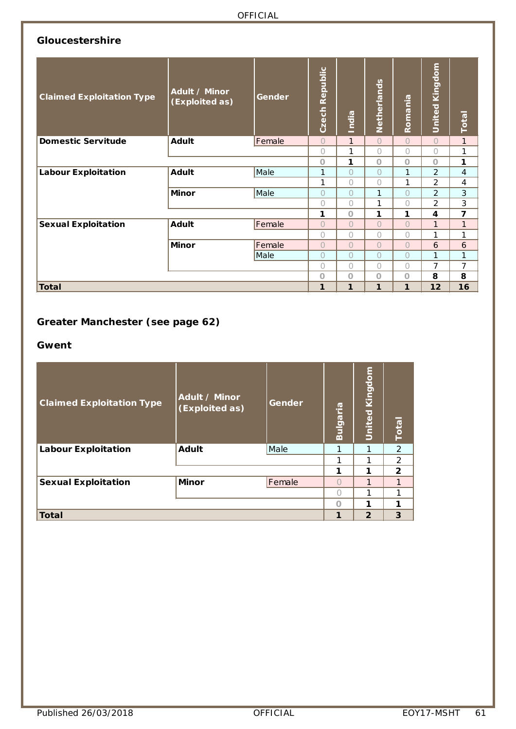### **Gloucestershire**

| <b>Claimed Exploitation Type</b> | <b>Adult / Minor</b><br>(Exploited as) | Gender | Czech Republic | India        | Netherlands    | Romania      | <b>United Kingdom</b> | <b>Total</b>   |
|----------------------------------|----------------------------------------|--------|----------------|--------------|----------------|--------------|-----------------------|----------------|
| <b>Domestic Servitude</b>        | <b>Adult</b>                           | Female | $\bigcirc$     | $\mathbf{1}$ | $\overline{O}$ | $\bigcirc$   | $\overline{O}$        | $\mathbf{1}$   |
|                                  |                                        |        | 0              | 1            | 0              | $\bigcap$    | 0                     | 1              |
|                                  |                                        |        | O              | 1            | $\circ$        | $\circ$      | $\circ$               | 1              |
| <b>Labour Exploitation</b>       | <b>Adult</b>                           | Male   | 1              | $\cap$       | $\bigcap$      | 1            | $\overline{2}$        | $\overline{4}$ |
|                                  |                                        |        | 1              | $\bigcap$    | 0              | 1            | $\overline{2}$        | 4              |
|                                  | <b>Minor</b>                           | Male   | 0              | $\bigcap$    | 1              | $\bigcap$    | $\overline{2}$        | 3              |
|                                  |                                        |        | 0              | $\bigcap$    | 1              | 0            | 2                     | 3              |
|                                  |                                        |        | 1              | $\Omega$     | 1              | 1            | 4                     | $\overline{ }$ |
| <b>Sexual Exploitation</b>       | <b>Adult</b>                           | Female | $\overline{O}$ | $\bigcap$    | $\overline{O}$ | $\bigcirc$   | $\mathbf{1}$          | $\mathbf{1}$   |
|                                  |                                        |        | 0              | $\bigcap$    | 0              | $\bigcirc$   | 1                     | 1              |
|                                  | <b>Minor</b>                           | Female | $\overline{O}$ | $\bigcirc$   | $\bigcirc$     | $\bigcirc$   | 6                     | 6              |
|                                  |                                        | Male   | $\overline{O}$ | $\bigcap$    | $\overline{O}$ | $\circ$      | $\mathbf{1}$          | 1              |
|                                  |                                        |        | 0              | $\bigcap$    | 0              | $\bigcirc$   | $\overline{7}$        | $\overline{7}$ |
|                                  |                                        |        | $\circ$        | $\circ$      | $\circ$        | $\circ$      | 8                     | 8              |
| <b>Total</b>                     |                                        |        | 1              | $\mathbf{1}$ | 1              | $\mathbf{1}$ | 12                    | 16             |

# **Greater Manchester (see page 62)**

#### **Gwent**

| <b>Claimed Exploitation Type</b> | Adult / Minor<br>(Exploited as) | Gender | Bulgaria | <b>United Kingdom</b> | <b>Total</b>   |
|----------------------------------|---------------------------------|--------|----------|-----------------------|----------------|
| <b>Labour Exploitation</b>       | <b>Adult</b>                    | Male   | 1        | 1                     | 2              |
|                                  |                                 |        | 1        | 1                     | 2              |
|                                  |                                 |        | 1        | 1                     | $\overline{2}$ |
| <b>Sexual Exploitation</b>       | <b>Minor</b>                    | Female |          | 1                     | 1              |
|                                  |                                 |        |          | 1                     | 1              |
|                                  |                                 |        | ∩        | 1                     | 1              |
| <b>Total</b>                     |                                 |        | 1        | $\overline{2}$        | 3              |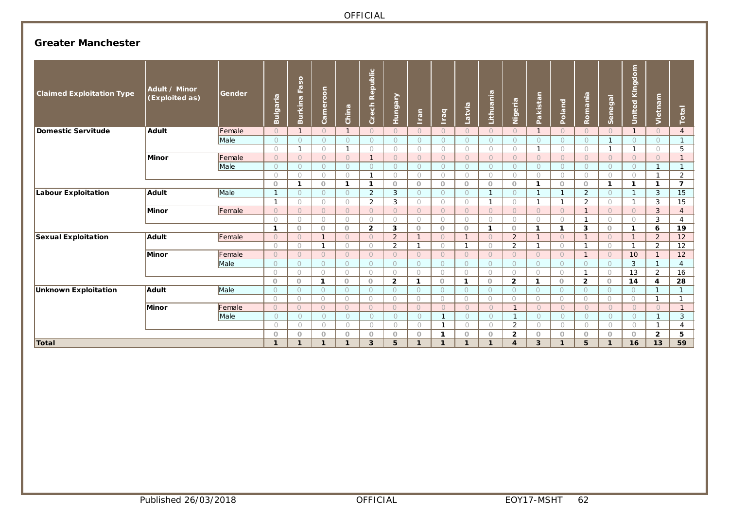### **Greater Manchester**

| <b>Claimed Exploitation Type</b> | <b>Adult / Minor</b><br>(Exploited as) | Gender | Bulgaria     | Burkina Faso   | Cameroon                 | China          | Czech Republic | ≧<br>Hungai    | Iran         | lraq         | Latvia       | Lithuania               | Nigeria        | Pakistan     | Poland         | Romania        | Senegal      | United Kingdom           | Vietnam        | Total          |
|----------------------------------|----------------------------------------|--------|--------------|----------------|--------------------------|----------------|----------------|----------------|--------------|--------------|--------------|-------------------------|----------------|--------------|----------------|----------------|--------------|--------------------------|----------------|----------------|
| Domestic Servitude               | <b>Adult</b>                           | Female | $\circ$      | $\mathbf{1}$   | $\Omega$                 | $\overline{1}$ | $\bigcirc$     | $\bigcirc$     | $\Omega$     | $\circ$      | $\bigcirc$   | $\Omega$                | $\circ$        |              | $\Omega$       | $\bigcirc$     | $\circ$      |                          | $\bigcirc$     | $\overline{4}$ |
|                                  |                                        | Male   | $\circ$      | $\circ$        | $\circ$                  | $\circ$        | $\circ$        | $\circ$        | $\circ$      | $\circ$      | $\circ$      | $\circ$                 | $\circ$        | $\bigcap$    | $\circ$        | $\circ$        |              | $\bigcirc$               | $\circ$        | $\mathbf{1}$   |
|                                  |                                        |        | $\bigcirc$   | $\mathbf{1}$   | $\bigcirc$               | - 1            | $\circ$        | $\bigcirc$     | $\circ$      | $\bigcirc$   | $\bigcirc$   | $\bigcirc$              | $\circ$        | -1           | $\bigcirc$     | $\circ$        |              | $\mathbf{1}$             | $\circ$        | 5              |
|                                  | <b>Minor</b>                           | Female | $\Omega$     | $\bigcirc$     | $\circ$                  | $\Omega$       | $\mathbf{1}$   | $\bigcirc$     | $\Omega$     | $\bigcirc$   | $\bigcirc$   | $\Omega$                | $\circ$        | $\bigcirc$   | $\Omega$       | $\circ$        | $\circ$      | $\Omega$                 | $\Omega$       | $\mathbf{1}$   |
|                                  |                                        | Male   | $\bigcirc$   | $\circ$        | $\circ$                  | $\circ$        | $\circ$        | $\circ$        | $\bigcirc$   | $\circ$      | $\bigcirc$   | $\bigcirc$              | $\circ$        | $\bigcirc$   | $\Omega$       | $\circ$        | $\bigcirc$   | $\bigcirc$               | $\mathbf{1}$   | $\mathbf{1}$   |
|                                  |                                        |        | $\bigcirc$   | $\circ$        | $\bigcirc$               | $\bigcirc$     | $\mathbf{1}$   | $\bigcirc$     | $\bigcirc$   | $\circ$      | $\bigcap$    | $\bigcirc$              | $\bigcirc$     | $\bigcap$    | $\bigcirc$     | $\circ$        | $\bigcirc$   | $\bigcirc$               | $\mathbf 1$    | 2              |
|                                  |                                        |        | $\Omega$     | $\mathbf{1}$   | $\circ$                  | $\mathbf{1}$   | $\mathbf{1}$   | $\circ$        | $\circ$      | $\circ$      | $\circ$      | $\circ$                 | $\circ$        | 1            | $\circ$        | $\circ$        | $\mathbf{1}$ | $\mathbf{1}$             | $\mathbf{1}$   | $\overline{7}$ |
| Labour Exploitation              | Adult                                  | Male   | $\mathbf{1}$ | $\circ$        | $\circ$                  | $\circ$        | $\overline{2}$ | 3              | $\circ$      | $\circ$      | $\Omega$     | $\overline{1}$          | $\circ$        |              | $\overline{1}$ | $\overline{2}$ | $\circ$      | $\mathbf{1}$             | 3              | 15             |
|                                  |                                        |        |              | $\circ$        | $\bigcirc$               | $\bigcirc$     | 2              | 3              | $\bigcirc$   | $\circ$      | $\bigcirc$   | $\overline{\mathbf{1}}$ | $\circ$        | 1            | $\overline{1}$ | 2              | $\bigcirc$   | $\overline{1}$           | 3              | 15             |
|                                  | Minor                                  | Female | $\Omega$     | $\bigcirc$     | $\circ$                  | $\Omega$       | $\circ$        | $\Omega$       | $\Omega$     | $\circ$      | $\bigcirc$   | $\Omega$                | $\circ$        | $\Omega$     | $\Omega$       | $\mathbf{1}$   | $\bigcap$    | $\circ$                  | 3              | $\overline{4}$ |
|                                  |                                        |        | $\bigcirc$   | $\bigcirc$     | $\bigcirc$               | $\circ$        | $\bigcirc$     | $\circ$        | $\bigcirc$   | $\circ$      | $\bigcirc$   | $\bigcirc$              | $\circ$        | $\bigcap$    | $\bigcirc$     | $\mathbf{1}$   | $\bigcap$    | $\bigcirc$               | 3              | 4              |
|                                  |                                        |        | $\mathbf{1}$ | $\circ$        | $\circ$                  | $\circ$        | $\overline{2}$ | 3              | $\circ$      | $\circ$      | $\circ$      | $\mathbf 1$             | $\circ$        | 1            | $\mathbf 1$    | 3              | $\circ$      | $\mathbf 1$              | 6              | 19             |
| <b>Sexual Exploitation</b>       | <b>Adult</b>                           | Female | $\bigcirc$   | $\overline{O}$ | $\overline{\phantom{a}}$ | $\bigcap$      | $\circ$        | 2              |              | $\circ$      | $\mathbf{1}$ | $\bigcap$               | 2              |              | $\bigcirc$     | $\mathbf{1}$   | $\Omega$     | $\overline{\phantom{0}}$ | $\overline{2}$ | 12             |
|                                  |                                        |        | $\bigcirc$   | $\bigcirc$     | $\overline{1}$           | $\bigcirc$     | $\bigcirc$     | $\overline{2}$ | $\mathbf{1}$ | $\bigcirc$   | $\mathbf{1}$ | $\bigcirc$              | $\overline{2}$ | $\mathbf{1}$ | $\bigcirc$     | $\mathbf{1}$   | $\bigcirc$   | $\overline{1}$           | 2              | 12             |
|                                  | <b>Minor</b>                           | Female | $\circ$      | $\circ$        | $\circ$                  | $\Omega$       | $\circ$        | $\circ$        | $\Omega$     | $\circ$      | $\Omega$     | $\Omega$                | $\circ$        | $\Omega$     | $\circ$        | $\mathbf{1}$   | $\Omega$     | 10                       | $\mathbf{1}$   | 12             |
|                                  |                                        | Male   | $\circ$      | $\circ$        | $\circ$                  | $\circ$        | $\circ$        | $\circ$        | $\circ$      | $\circ$      | $\circ$      | $\circ$                 | $\circ$        | $\Omega$     | $\circ$        | $\circ$        | $\Omega$     | 3                        | $\mathbf{1}$   | 4              |
|                                  |                                        |        | $\bigcirc$   | $\circ$        | $\circ$                  | $\circ$        | $\bigcirc$     | $\circ$        | $\bigcirc$   | $\bigcirc$   | $\circ$      | $\bigcirc$              | $\circ$        | $\bigcirc$   | $\bigcirc$     | $\mathbf{1}$   | $\bigcirc$   | 13                       | 2              | 16             |
|                                  |                                        |        | $\circ$      | $\circ$        | $\mathbf{1}$             | $\circ$        | $\circ$        | $\overline{2}$ | $\mathbf{1}$ | $\circ$      | $\mathbf 1$  | $\circ$                 | $\overline{2}$ | $\mathbf{1}$ | $\circ$        | $\overline{2}$ | $\circ$      | 14                       | 4              | 28             |
| Unknown Exploitation             | Adult                                  | Male   | $\circ$      | $\circ$        | $\circ$                  | $\circ$        | $\circ$        | $\Omega$       | $\Omega$     | $\circ$      | $\Omega$     | $\bigcirc$              | $\circ$        | $\circ$      | $\circ$        | $\circ$        | $\bigcirc$   | $\bigcirc$               | $\mathbf{1}$   |                |
|                                  |                                        |        | $\bigcirc$   | $\bigcirc$     | $\bigcirc$               | $\bigcirc$     | $\bigcirc$     | $\bigcirc$     | $\bigcirc$   | $\bigcirc$   | $\bigcirc$   | $\bigcirc$              | $\bigcirc$     | $\bigcirc$   | $\bigcirc$     | $\circ$        | $\bigcirc$   | $\bigcirc$               | $\mathbf{1}$   | 1              |
|                                  | <b>Minor</b>                           | Female | $\bigcirc$   | $\bigcirc$     | $\bigcirc$               | $\Omega$       | $\circ$        | $\circ$        | $\Omega$     | $\circ$      | $\bigcirc$   | $\Omega$                | $\mathbf{1}$   | $\bigcirc$   | $\bigcirc$     | $\circ$        | $\bigcirc$   | $\Omega$                 | $\bigcirc$     | $\mathbf{1}$   |
|                                  |                                        | Male   | $\circ$      | $\circ$        | $\circ$                  | $\circ$        | $\circ$        | $\circ$        | $\circ$      | $\mathbf{1}$ | $\bigcirc$   | $\bigcirc$              | $\mathbf{1}$   | $\circ$      | $\circ$        | $\circ$        | $\circ$      | $\bigcirc$               | $\mathbf{1}$   | 3              |
|                                  |                                        |        | $\bigcirc$   | $\circ$        | $\bigcirc$               | $\circ$        | $\circ$        | $\bigcirc$     | $\circ$      | $\mathbf{1}$ | $\bigcirc$   | $\bigcirc$              | 2              | $\bigcirc$   | $\bigcirc$     | $\bigcirc$     | $\bigcirc$   | $\circ$                  | $\mathbf{1}$   | 4              |
|                                  |                                        |        | $\circ$      | $\circ$        | $\circ$                  | $\circ$        | $\circ$        | $\circ$        | $\circ$      | $\mathbf{1}$ | $\circ$      | $\circ$                 | $\overline{2}$ | $\Omega$     | $\circ$        | $\circ$        | $\Omega$     | $\circ$                  | $\overline{2}$ | 5              |
| Total                            |                                        |        | $\mathbf{1}$ | $\mathbf{1}$   | 1                        | $\mathbf{1}$   | 3              | 5              | 1            | $\mathbf{1}$ | 1            | 1                       | $\overline{4}$ | 3            | 1              | 5              | $\mathbf{I}$ | 16                       | 13             | 59             |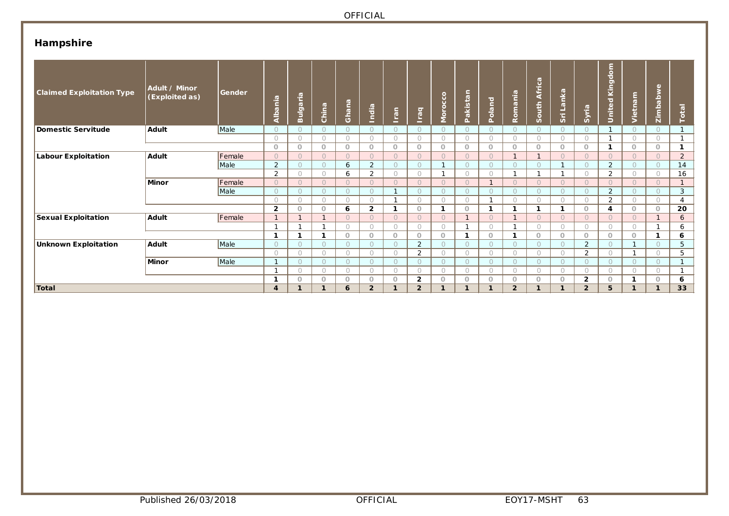# **Hampshire**

| <b>Claimed Exploitation Type</b> | Adult / Minor<br>(Exploited as) | Gender | Albania          | Bulgaria     | China          | Ghana      | India          | lran         | raq<br>-       | Morocco                        | Pakistan       | Poland     | Romania        | $\sigma$<br>South Afric | Sri Lanka  | Syria          | United Kingdom | Vietnam    | Zimbabwe       | Total          |
|----------------------------------|---------------------------------|--------|------------------|--------------|----------------|------------|----------------|--------------|----------------|--------------------------------|----------------|------------|----------------|-------------------------|------------|----------------|----------------|------------|----------------|----------------|
| Domestic Servitude               | <b>Adult</b>                    | Male   | $\bigcirc$       | $\Omega$     |                | $\bigcirc$ | $\circ$        | $\bigcirc$   | $\Omega$       | $\circ$                        | $\circ$        |            | $\circ$        | $\bigcirc$              |            | $\circ$        |                |            | $\circ$        |                |
|                                  |                                 |        | $\bigcap$        | $\bigcirc$   | 0              | $\bigcirc$ | $\bigcap$      | $\bigcirc$   | $\bigcirc$     | $\bigcirc$                     | $\bigcirc$     | $\bigcirc$ | $\bigcirc$     | $\bigcirc$              | $\bigcirc$ | $\bigcirc$     | $\mathbf{I}$   | $\bigcirc$ | 0              | $\mathbf{1}$   |
|                                  |                                 |        | $\circ$          | $\circ$      | $\circ$        | $\circ$    | $\circ$        | $\circ$      | $\circ$        | $\circ$                        | $\circ$        | $\circ$    | $\circ$        | $\circ$                 | 0          | $\circ$        | 1              | $\circ$    | $\circ$        | $\mathbf{1}$   |
| Labour Exploitation              | Adult                           | Female | $\bigcirc$       | $\circ$      | $\overline{O}$ | $\bigcirc$ | $\Omega$       | $\bigcirc$   | $\Omega$       | $\Omega$                       | $\Omega$       | $\Omega$   | $\mathbf{1}$   | $\mathbf{1}$            | $\bigcap$  | $\Omega$       | $\circ$        | $\cap$     | $\Omega$       | $\overline{2}$ |
|                                  |                                 | Male   | $\overline{2}$   | $\circ$      | 0              | 6          | $\overline{2}$ | $\circ$      | $\circ$        | $\overline{ }$<br>$\mathbf{I}$ | $\circ$        | $\circ$    | $\circ$        | $\bigcirc$              |            | $\circ$        | 2              | $\Omega$   | $\circ$        | 14             |
|                                  |                                 |        | 2                | $\bigcirc$   | 0              | 6          | $\overline{2}$ | $\bigcirc$   | $\bigcirc$     |                                | $\circ$        | $\bigcirc$ | $\mathbf{1}$   | $\mathbf{1}$            |            | $\bigcirc$     | 2              | $\bigcirc$ | $\bigcirc$     | 16             |
|                                  | Minor                           | Female | $\Omega$         | $\Omega$     | $\Omega$       | $\bigcirc$ | $\circ$        | $\circ$      | $\Omega$       | $\circ$                        | $\Omega$       |            | $\Omega$       | $\Omega$                | $\Omega$   | $\Omega$       | $\circ$        | $\Omega$   | $\bigcirc$     | $\mathbf{1}$   |
|                                  |                                 | Male   | $\bigcirc$       | $\circ$      | $\circ$        | $\bigcirc$ | $\circ$        | $\mathbf{1}$ | $\bigcirc$     | $\bigcirc$                     | $\bigcirc$     | $\bigcirc$ | $\circ$        | $\bigcirc$              | $\bigcirc$ | $\bigcirc$     | $\overline{2}$ | $\circ$    | $\bigcirc$     | $\mathbf{3}$   |
|                                  |                                 |        | $\bigcap$        | $\circ$      | $\bigcirc$     | $\circ$    | $\circ$        |              | $\circ$        | $\bigcirc$                     | $\bigcirc$     |            | $\bigcirc$     | $\bigcap$               | 0          | $\circ$        | 2              | $\bigcirc$ | $\bigcirc$     | $\overline{4}$ |
|                                  |                                 |        | $\overline{2}$   | $\circ$      | $\Omega$       | 6          | $\mathbf{2}$   |              | $\circ$        | $\mathbf{1}$                   | $\circ$        | -1         | $\mathbf 1$    | и                       |            | $\Omega$       | 4              | $\circ$    | $\circ$        | 20             |
| <b>Sexual Exploitation</b>       | Adult                           | Female | $\mathbf{1}$     | $\mathbf{1}$ |                | $\bigcirc$ | $\bigcirc$     | $\circ$      | $\Omega$       | $\circ$                        | $\mathbf{1}$   | $\Omega$   | $\mathbf{1}$   | $\bigcap$               | $\Omega$   | $\Omega$       | $\bigcirc$     | $\bigcap$  | $\overline{1}$ | 6              |
|                                  |                                 |        | -1               | -1           |                | $\bigcirc$ | $\bigcirc$     | $\bigcirc$   | $\bigcirc$     | $\bigcirc$                     |                | $\bigcap$  |                | $\bigcap$               | $\bigcirc$ | $\bigcirc$     | $\bigcap$      | $\circ$    |                | 6              |
|                                  |                                 |        | 1                | и            |                | $\Omega$   | $\circ$        | $\circ$      | $\circ$        | $\circ$                        |                | $\circ$    | $\mathbf{1}$   | $\circ$                 | $\circ$    | $\Omega$       | $\Omega$       | $\circ$    | $\mathbf{I}$   | 6              |
| Unknown Exploitation             | Adult                           | Male   | $\bigcirc$       | $\bigcirc$   |                | $\bigcirc$ | $\circ$        | $\circ$      | 2              | $\bigcirc$                     | $\overline{O}$ | $\Omega$   | $\circ$        | $\circ$                 | $\circ$    | 2              | $\circ$        |            | $\Omega$       | 5              |
|                                  |                                 |        | $\bigcirc$       | $\bigcirc$   | $\bigcirc$     | $\bigcirc$ | $\bigcirc$     | $\circ$      | 2              | $\bigcap$                      | $\bigcirc$     | $\bigcirc$ | $\bigcirc$     | $\bigcirc$              | $\bigcirc$ | 2              | $\bigcirc$     |            | $\bigcap$      | 5              |
|                                  | Minor                           | Male   | $\mathbf{1}$     | $\bigcirc$   | 0              | $\circ$    | $\bigcirc$     | $\circ$      | $\circ$        | $\circ$                        | $\circ$        | $\Omega$   | $\circ$        | $\circ$                 | $\circ$    | $\circ$        | $\bigcirc$     | $\Omega$   | $\bigcirc$     | $\mathbf{1}$   |
|                                  |                                 |        | -1               | $\bigcirc$   | $\bigcap$      | $\bigcirc$ | $\bigcirc$     | $\bigcirc$   | $\bigcirc$     | $\bigcirc$                     | $\bigcirc$     | $\bigcirc$ | $\bigcirc$     | $\bigcirc$              | $\bigcirc$ | $\bigcirc$     | $\bigcirc$     | $\circ$    | $\bigcirc$     | $\mathbf{1}$   |
|                                  |                                 |        | 1                | $\circ$      | O              | $\circ$    | $\circ$        | $\circ$      | $\overline{2}$ | $\circ$                        | 0              | $\circ$    | $\circ$        | $\circ$                 | 0          | $\overline{2}$ | $\Omega$       |            | $\circ$        | 6              |
| Total                            |                                 |        | $\boldsymbol{4}$ |              |                | 6          | $\overline{2}$ |              | $\overline{2}$ | 1                              |                |            | $\overline{2}$ |                         |            | $\overline{2}$ | 5              |            |                | 33             |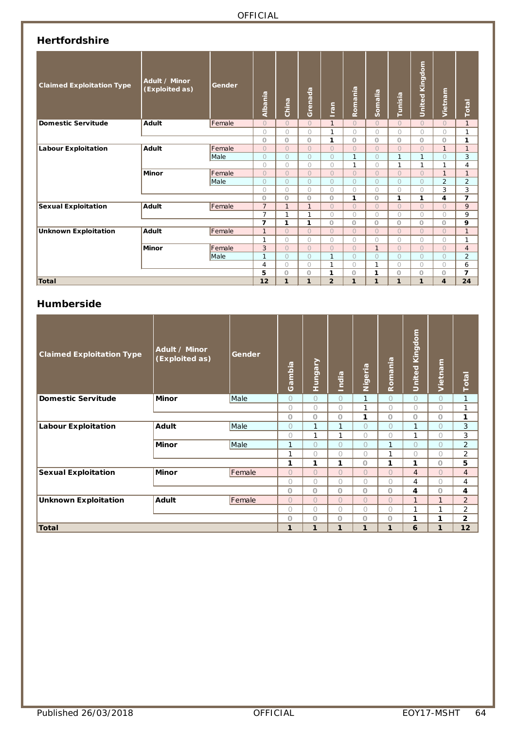| <b>Hertfordshire</b> |  |
|----------------------|--|
|----------------------|--|

| <b>Claimed Exploitation Type</b> | Adult / Minor<br>(Exploited as) | Gender | Albania        | China        | Grenada      | c.<br>$\overline{5}$ | Romania      | Somalia      | Tunisia        | United Kingdom | Vietnam                 | Total          |
|----------------------------------|---------------------------------|--------|----------------|--------------|--------------|----------------------|--------------|--------------|----------------|----------------|-------------------------|----------------|
| <b>Domestic Servitude</b>        | Adult                           | Female | $\Omega$       | $\Omega$     | $\Omega$     | $\mathbf{1}$         | $\Omega$     | $\bigcap$    | $\Omega$       | $\bigcap$      | $\Omega$                | $\mathbf{1}$   |
|                                  |                                 |        | $\bigcirc$     | $\circ$      | $\bigcirc$   | $\mathbf{1}$         | 0            | $\bigcirc$   | $\bigcirc$     | $\bigcirc$     | $\bigcirc$              | 1              |
|                                  |                                 |        | $\circ$        | O            | $\Omega$     | 1                    | $\Omega$     | $\circ$      | $\Omega$       | $\circ$        | $\circ$                 | 1              |
| <b>Labour Exploitation</b>       | Adult                           | Female | $\Omega$       | $\Omega$     | $\Omega$     | $\Omega$             | $\Omega$     | $\Omega$     | $\Omega$       | $\Omega$       | $\mathbf{1}$            | $\mathbf{1}$   |
|                                  |                                 | Male   | $\circ$        | $\circ$      | $\bigcirc$   | $\Omega$             | $\mathbf{1}$ | $\circ$      | $\mathbf{1}$   | 1              | $\bigcirc$              | 3              |
|                                  |                                 |        | $\bigcirc$     | $\circ$      | $\bigcirc$   | $\bigcirc$           | $\mathbf{1}$ | $\bigcirc$   | $\mathbf{1}$   | 1              | 1                       | 4              |
|                                  | Minor                           | Female | $\Omega$       | $\circ$      | $\Omega$     | $\Omega$             | $\Omega$     | $\Omega$     | $\Omega$       | $\bigcap$      | $\mathbf{1}$            | $\mathbf{1}$   |
|                                  |                                 | Male   | $\Omega$       | $\circ$      | $\Omega$     | $\bigcirc$           | $\Omega$     | $\bigcirc$   | $\Omega$       | $\Omega$       | $\overline{2}$          | $\overline{2}$ |
|                                  |                                 |        | $\bigcirc$     | $\bigcirc$   | $\bigcap$    | $\bigcirc$           | $\bigcirc$   | $\bigcirc$   | 0              | $\bigcap$      | 3                       | 3              |
|                                  |                                 |        | $\circ$        | $\circ$      | $\Omega$     | $\circ$              | 1            | $\circ$      | 1              | 1              | 4                       | $\overline{7}$ |
| <b>Sexual Exploitation</b>       | Adult                           | Female | $\overline{7}$ | $\mathbf{1}$ | $\mathbf{1}$ | $\Omega$             | $\Omega$     | $\Omega$     | $\Omega$       | $\Omega$       | $\overline{O}$          | 9              |
|                                  |                                 |        | $\overline{7}$ | 1            | 1            | $\bigcirc$           | $\bigcap$    | $\bigcirc$   | $\bigcap$      | $\bigcap$      | $\bigcirc$              | 9              |
|                                  |                                 |        | 7              | 1            | 1            | $\circ$              | $\circ$      | $\circ$      | $\circ$        | $\circ$        | $\circ$                 | 9              |
| <b>Unknown Exploitation</b>      | Adult                           | Female | $\overline{1}$ | $\circ$      | $\Omega$     | $\Omega$             | $\Omega$     | $\Omega$     | $\Omega$       | $\bigcap$      | $\overline{O}$          | $\mathbf{1}$   |
|                                  |                                 |        | $\mathbf{1}$   | $\bigcirc$   | $\bigcirc$   | $\bigcirc$           | $\bigcirc$   | $\bigcirc$   | $\bigcirc$     | $\bigcirc$     | $\overline{O}$          | 1              |
|                                  | Minor                           | Female | 3              | $\Omega$     | $\bigcap$    | $\Omega$             | $\Omega$     | $\mathbf{1}$ | $\Omega$       | $\bigcap$      | $\overline{O}$          | $\overline{4}$ |
|                                  |                                 | Male   | $\mathbf{1}$   | $\bigcirc$   | $\Omega$     | 1                    | $\Omega$     | $\bigcirc$   | $\overline{O}$ | $\bigcirc$     | $\bigcirc$              | $\overline{2}$ |
|                                  |                                 |        | 4              | $\circ$      | $\bigcirc$   | $\mathbf{1}$         | $\bigcirc$   | $\mathbf{1}$ | 0              | $\circ$        | $\circ$                 | 6              |
|                                  |                                 |        | 5              | O            | $\circ$      | 1                    | $\circ$      | 1            | $\circ$        | $\circ$        | O                       | $\overline{7}$ |
| Total                            |                                 |        | 12             | 1            | 1            | $\overline{2}$       | 1            | $\mathbf{1}$ | 1              | $\mathbf{1}$   | $\overline{\mathbf{4}}$ | 24             |

### **Humberside**

| <b>Claimed Exploitation Type</b> | <b>Adult / Minor</b><br>(Exploited as) | Gender | ambia<br>Ö | <b>Hungary</b> | India          | Nigeria    | Romania        | <b>United Kingdom</b> | Vietnam        | Total          |
|----------------------------------|----------------------------------------|--------|------------|----------------|----------------|------------|----------------|-----------------------|----------------|----------------|
| <b>Domestic Servitude</b>        | <b>Minor</b>                           | Male   | $\bigcirc$ | $\bigcap$      | $\Omega$       | 1          | $\bigcirc$     | $\bigcirc$            | $\bigcirc$     | 1              |
|                                  |                                        |        | $\bigcirc$ | $\bigcap$      | $\bigcirc$     | 1          | $\bigcirc$     | $\bigcap$             | $\bigcirc$     | 1              |
|                                  |                                        |        | $\circ$    | $\Omega$       | $\Omega$       | 1          | $\Omega$       | $\circ$               | $\circ$        | 1              |
| <b>Labour Exploitation</b>       | <b>Adult</b>                           | Male   | $\bigcirc$ | 1              | 1              | $\bigcap$  | $\bigcirc$     | 1                     | $\overline{O}$ | 3              |
|                                  |                                        |        | $\bigcirc$ | 1              | 1              | $\bigcap$  | $\bigcirc$     | 1                     | 0              | 3              |
|                                  | <b>Minor</b>                           | Male   | 1          | $\cup$         | $\bigcirc$     | $\bigcap$  | $\mathbf{1}$   | $\bigcap$             | 0              | $\overline{2}$ |
|                                  |                                        |        | 1          | Ω              | $\bigcirc$     | $\bigcirc$ | 1              | $\bigcirc$            | 0              | 2              |
|                                  |                                        |        | 1          | 1              | 1              | $\Omega$   | 1              | 1                     | $\circ$        | 5              |
| <b>Sexual Exploitation</b>       | <b>Minor</b>                           | Female | $\Omega$   | $\bigcap$      | $\overline{O}$ | $\bigcap$  | $\overline{O}$ | $\overline{4}$        | $\overline{O}$ | $\overline{4}$ |
|                                  |                                        |        | $\bigcirc$ | $\bigcap$      | $\bigcirc$     | $\bigcap$  | $\bigcirc$     | 4                     | 0              | 4              |
|                                  |                                        |        | $\circ$    | $\Omega$       | $\circ$        | $\circ$    | $\circ$        | 4                     | $\circ$        | 4              |
| <b>Unknown Exploitation</b>      | <b>Adult</b>                           | Female | $\bigcap$  | $\bigcap$      | $\bigcap$      | $\bigcap$  | $\overline{O}$ | $\mathbf{1}$          | $\mathbf{1}$   | $\overline{2}$ |
|                                  |                                        |        | $\bigcirc$ | $\cap$         | 0              | $\bigcap$  | $\bigcap$      | 1                     | 1              | $\overline{2}$ |
|                                  |                                        |        | O          | 0              | O              | $\circ$    | $\circ$        | 1                     | 1              | $\overline{2}$ |
| <b>Total</b>                     |                                        |        | 1          | 1              | 1              | 1          | 1              | 6                     | 1              | 12             |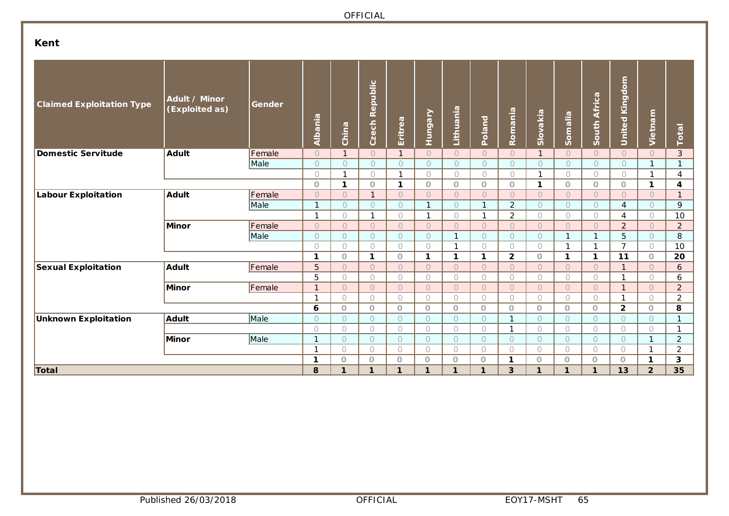# **Kent**

| <b>Claimed Exploitation Type</b> | Adult / Minor<br>(Exploited as) | Gender | Albania        | China                    | Czech Republic | Eritrea                 | Hungary      | Lithuania                | Poland       | Romania        | Slovakia                | Somalia                  | South Africa   | <b>United Kingdom</b> | Vietnam             | Total          |
|----------------------------------|---------------------------------|--------|----------------|--------------------------|----------------|-------------------------|--------------|--------------------------|--------------|----------------|-------------------------|--------------------------|----------------|-----------------------|---------------------|----------------|
| Domestic Servitude               | <b>Adult</b>                    | Female | $\overline{O}$ | $\mathbf{1}$             | $\bigcirc$     | $\mathbf{1}$            | $\circ$      | $\circ$                  | $\circ$      | $\overline{O}$ | $\mathbf{1}$            | $\circ$                  | $\circ$        | $\circ$               | $\overline{O}$      | 3              |
|                                  |                                 | Male   | $\circ$        | $\circ$                  | $\circ$        | $\bigcirc$              | $\circ$      | $\bigcirc$               | $\circ$      | $\bigcap$      | $\bigcap$               | $\overline{O}$           | $\circ$        | $\circ$               | $\mathbf{1}$        | $\mathbf{1}$   |
|                                  |                                 |        | $\circ$        | 1                        | 0              | $\mathbf{1}$            | $\circ$      | $\circ$                  | 0            | $\circ$        | 1                       | 0                        | 0              | $\circ$               | $\mathbf 1$         | 4              |
|                                  |                                 |        | $\Omega$       | $\mathbf{1}$             | $\circ$        | $\mathbf{1}$            | $\circ$      | $\circ$                  | $\circ$      | $\circ$        | 1                       | $\circ$                  | $\circ$        | $\circ$               | $\mathbf{1}$        | 4              |
| <b>Labour Exploitation</b>       | Adult                           | Female | $\overline{O}$ | $\overline{O}$           | $\mathbf{1}$   | $\circ$                 | $\circ$      | $\circ$                  | $\circ$      | $\circ$        | $\circ$                 | $\circ$                  | $\circ$        | $\circlearrowright$   | $\circ$             | $\mathbf{1}$   |
|                                  |                                 | Male   | $\mathbf{1}$   | $\overline{O}$           | $\circ$        | $\circlearrowright$     | $\mathbf{1}$ | $\bigcirc$               | $\mathbf{1}$ | $\overline{2}$ | $\overline{O}$          | $\circ$                  | $\circ$        | $\overline{4}$        | $\bigcirc$          | 9              |
|                                  |                                 |        | $\mathbf{1}$   | $\bigcirc$               | $\mathbf{1}$   | $\bigcirc$              | $\mathbf{1}$ | $\bigcirc$               | $\mathbf{1}$ | $\overline{2}$ | $\bigcirc$              | $\bigcirc$               | $\bigcirc$     | 4                     | $\bigcirc$          | 10             |
|                                  | Minor                           | Female | $\overline{O}$ | $\overline{O}$           | $\circ$        | $\bigcirc$              | $\circ$      | $\circ$                  | $\circ$      | $\bigcap$      | $\overline{O}$          | $\overline{O}$           | $\circ$        | $\overline{2}$        | $\circ$             | $\overline{2}$ |
|                                  |                                 | Male   | $\circ$        | $\overline{O}$           | $\circ$        | $\circ$                 | $\circ$      | $\overline{1}$           | $\circ$      | $\circ$        | $\circ$                 | $\mathbf{1}$             | $\mathbf{1}$   | 5                     | $\circ$             | 8              |
|                                  |                                 |        | $\bigcap$      | $\bigcirc$               | $\bigcirc$     | $\bigcirc$              | $\bigcirc$   | $\mathbf{1}$             | $\bigcirc$   | $\bigcirc$     | $\bigcap$               | $\mathbf{1}$             | 1              | $\overline{7}$        | $\bigcirc$          | 10             |
|                                  |                                 |        | $\mathbf{1}$   | $\circ$                  | $\mathbf{1}$   | $\circ$                 | $\mathbf{1}$ | 1                        | $\mathbf{1}$ | $\overline{2}$ | $\overline{O}$          | $\mathbf{1}$             | $\mathbf{1}$   | 11                    | $\circ$             | 20             |
| <b>Sexual Exploitation</b>       | Adult                           | Female | 5              | $\overline{O}$           | $\circ$        | $\bigcirc$              | $\circ$      | $\overline{O}$           | $\bigcirc$   | $\bigcap$      | $\bigcap$               | $\overline{O}$           | $\circ$        | $\mathbf{1}$          | $\overline{O}$      | 6              |
|                                  |                                 |        | 5              | 0                        | 0              | $\bigcirc$              | $\bigcirc$   | $\bigcirc$               | $\bigcirc$   | $\bigcirc$     | $\bigcap$               | 0                        | 0              | $\mathbf{1}$          | $\bigcirc$          | 6              |
|                                  | Minor                           | Female | $\mathbf{1}$   | $\circ$                  | $\circ$        | $\circ$                 | $\bigcirc$   | $\bigcirc$               | $\circ$      | $\circ$        | $\bigcap$               | $\circ$                  | $\circ$        | $\overline{1}$        | $\bigcirc$          | $\overline{2}$ |
|                                  |                                 |        | $\mathbf{1}$   | 0                        | $\circ$        | $\circ$                 | $\circ$      | $\bigcirc$               | $\bigcirc$   | $\bigcirc$     | $\bigcirc$              | 0                        | $\circ$        | $\mathbf{1}$          | $\bigcirc$          | $\overline{c}$ |
|                                  |                                 |        | 6              | $\circ$                  | $\overline{O}$ | $\circ$                 | $\circ$      | $\circ$                  | $\circ$      | $\circ$        | $\circ$                 | $\circ$                  | $\overline{O}$ | $\overline{2}$        | $\circ$             | 8              |
| <b>Unknown Exploitation</b>      | Adult                           | Male   | $\bigcap$      | $\overline{O}$           | $\circ$        | $\circ$                 | $\circ$      | $\circ$                  | $\bigcirc$   | $\mathbf{1}$   | $\bigcap$               | $\circ$                  | $\overline{O}$ | $\circ$               | $\bigcirc$          | $\vert$ 1      |
|                                  |                                 |        | $\bigcap$      | $\bigcirc$               | $\bigcirc$     | $\bigcirc$              | $\bigcirc$   | $\bigcirc$               | $\bigcirc$   |                | $\bigcap$               | $\bigcirc$               | $\bigcirc$     | $\bigcirc$            | $\bigcirc$          | $\mathbf{1}$   |
|                                  | Minor                           | Male   | 1              | $\overline{O}$           | $\overline{O}$ | $\circ$                 | $\circ$      | $\circ$                  | $\bigcirc$   | $\circ$        | $\bigcap$               | $\circ$                  | $\overline{O}$ | $\circ$               | $\mathbf{1}$        | $\overline{2}$ |
|                                  |                                 |        | $\overline{1}$ | $\bigcap$                | $\bigcirc$     | $\bigcirc$              | $\bigcirc$   | $\bigcirc$               | $\bigcirc$   | $\bigcirc$     | $\bigcirc$              | 0                        | 0              | $\bigcirc$            | $\mathbf{1}$        | $\overline{2}$ |
| Total                            |                                 |        | 1<br>8         | $\Omega$<br>$\mathbf{1}$ | $\circ$<br>1   | $\circ$<br>$\mathbf{1}$ | $\circ$<br>1 | $\Omega$<br>$\mathbf{1}$ | $\circ$<br>1 | 1<br>3         | $\circ$<br>$\mathbf{1}$ | $\Omega$<br>$\mathbf{1}$ | $\circ$<br>1   | $\circ$<br>13         | 1<br>$\overline{2}$ | 3<br>35        |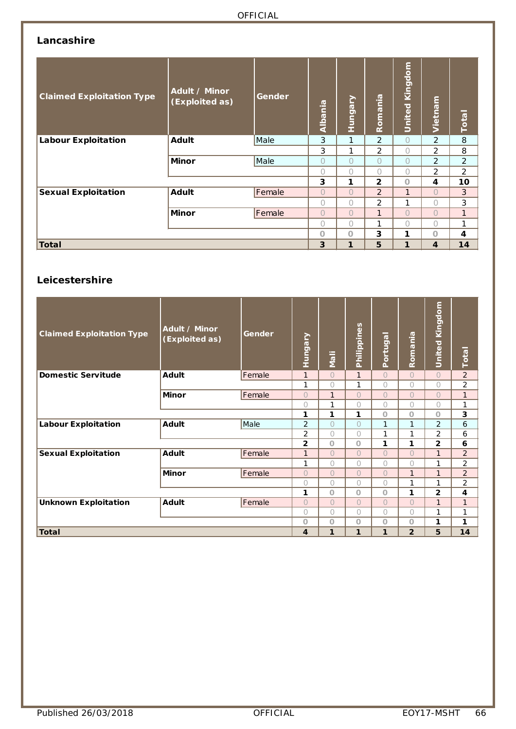## **Lancashire**

| <b>Claimed Exploitation Type</b> | Adult / Minor<br>(Exploited as) | Gender | Albania        | Hungary      | Romania        | Kingdom<br>United | Vietnam        | Total          |
|----------------------------------|---------------------------------|--------|----------------|--------------|----------------|-------------------|----------------|----------------|
| <b>Labour Exploitation</b>       | <b>Adult</b>                    | Male   | 3              | 1            | $\overline{2}$ | $\overline{O}$    | 2              | 8              |
|                                  |                                 |        | 3              | 1            | 2              | 0                 | 2              | 8              |
|                                  | <b>Minor</b>                    | Male   | $\overline{O}$ | Ω            | $\bigcap$      | $\bigcap$         | $\overline{2}$ | 2              |
|                                  |                                 |        | 0              | Ω            | $\bigcap$      | 0                 | 2              | $\overline{2}$ |
|                                  |                                 |        | 3              | 1            | $\overline{2}$ | $\circ$           | 4              | 10             |
| <b>Sexual Exploitation</b>       | <b>Adult</b>                    | Female | $\overline{O}$ | $\bigcap$    | 2              | 1                 | $\bigcap$      | 3              |
|                                  |                                 |        | 0              | $\bigcap$    | $\overline{2}$ | 1                 | $\bigcap$      | 3              |
|                                  | <b>Minor</b>                    | Female | $\overline{O}$ | $\bigcap$    | $\mathbf{1}$   | $\bigcap$         | $\bigcap$      | $\mathbf{1}$   |
|                                  |                                 |        | $\bigcirc$     | $\bigcap$    | 1              | $\bigcap$         | $\bigcap$      | $\mathbf{1}$   |
|                                  |                                 |        | $\Omega$       | $\Omega$     | 3              | 1                 | $\Omega$       | 4              |
| <b>Total</b>                     |                                 |        | 3              | $\mathbf{1}$ | 5              | 1                 | 4              | 14             |

### **Leicestershire**

| <b>Claimed Exploitation Type</b> | Adult / Minor<br>(Exploited as) | Gender | Hungary        | <b>Mali</b>  | Philippines  | Portugal     | Romania        | United Kingdom | <b>Total</b>   |
|----------------------------------|---------------------------------|--------|----------------|--------------|--------------|--------------|----------------|----------------|----------------|
| <b>Domestic Servitude</b>        | <b>Adult</b>                    | Female | $\mathbf{1}$   | $\bigcap$    | $\mathbf{1}$ | $\bigcap$    | $\bigcap$      | $\overline{O}$ | $\overline{2}$ |
|                                  |                                 |        | 1              | $\bigcirc$   | 1            | $\bigcirc$   | 0              | $\bigcirc$     | 2              |
|                                  | <b>Minor</b>                    | Female | $\bigcap$      | $\mathbf{1}$ | $\bigcirc$   | $\bigcap$    | $\bigcap$      | $\bigcirc$     | $\mathbf{1}$   |
|                                  |                                 |        | $\bigcap$      | 1            | $\bigcirc$   | $\bigcap$    | 0              | $\bigcirc$     | 1              |
|                                  |                                 |        | 1              | 1            | 1            | $\circ$      | $\circ$        | O              | 3              |
| <b>Labour Exploitation</b>       | <b>Adult</b>                    | Male   | $\overline{2}$ | $\bigcirc$   | $\bigcirc$   | $\mathbf{1}$ | 1              | 2              | 6              |
|                                  |                                 |        | 2              | $\bigcap$    | $\bigcirc$   | 1            | 1              | 2              | 6              |
|                                  |                                 |        | 2              | $\circ$      | $\circ$      | 1            | 1              | $\overline{2}$ | 6              |
| <b>Sexual Exploitation</b>       | <b>Adult</b>                    | Female | $\mathbf{1}$   | $\bigcap$    | $\Omega$     | $\Omega$     | $\bigcap$      | $\mathbf{1}$   | $\overline{2}$ |
|                                  |                                 |        | 1              | $\bigcirc$   | $\bigcirc$   | $\bigcirc$   | 0              | 1              | 2              |
|                                  | <b>Minor</b>                    | Female | $\bigcap$      | $\bigcap$    | $\Omega$     | $\bigcap$    | $\mathbf{1}$   | $\mathbf{1}$   | $\overline{2}$ |
|                                  |                                 |        | $\bigcap$      | $\bigcap$    | $\bigcirc$   | $\bigcap$    | 1              | 1              | 2              |
|                                  |                                 |        | 1              | $\circ$      | $\circ$      | $\circ$      | 1              | $\overline{2}$ | 4              |
| <b>Unknown Exploitation</b>      | <b>Adult</b>                    | Female | $\bigcap$      | $\bigcap$    | $\Omega$     | $\bigcap$    | $\bigcap$      | $\mathbf{1}$   | $\mathbf{1}$   |
|                                  |                                 |        | $\bigcirc$     | $\bigcap$    | $\bigcirc$   | $\bigcap$    | $\bigcap$      | 1              | 1              |
|                                  |                                 |        | $\circ$        | $\circ$      | $\circ$      | $\circ$      | $\circ$        | 1              | 1              |
| <b>Total</b>                     |                                 |        | 4              | 1            | 1            | 1            | $\overline{2}$ | 5              | 14             |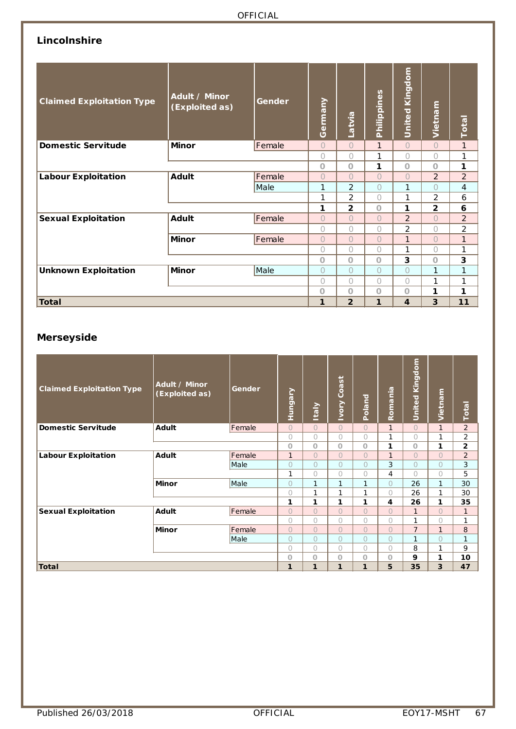# **Lincolnshire**

| <b>Claimed Exploitation Type</b> | Adult / Minor<br>(Exploited as) | Gender | Germany    | Latvia         | Philippines  | United Kingdom | Vietnam        | Total          |
|----------------------------------|---------------------------------|--------|------------|----------------|--------------|----------------|----------------|----------------|
| <b>Domestic Servitude</b>        | <b>Minor</b>                    | Female | $\bigcirc$ | $\bigcap$      | $\mathbf{1}$ | $\overline{O}$ | $\bigcap$      | $\mathbf{1}$   |
|                                  |                                 |        | $\bigcirc$ | $\bigcap$      | 1            | 0              | $\bigcap$      | 1              |
|                                  |                                 |        | $\circ$    | $\Omega$       | 1            | $\circ$        | $\Omega$       | 1              |
| <b>Labour Exploitation</b>       | <b>Adult</b>                    | Female | $\bigcirc$ | $\bigcap$      | $\bigcap$    | $\overline{O}$ | $\overline{2}$ | $\overline{2}$ |
|                                  |                                 | Male   | 1          | $\overline{2}$ | $\bigcap$    | 1              | $\bigcap$      | $\overline{4}$ |
|                                  |                                 |        | 1          | 2              | $\bigcap$    | 1              | 2              | 6              |
|                                  |                                 |        | 1          | $\overline{2}$ | $\Omega$     | 1              | $\overline{2}$ | 6              |
| <b>Sexual Exploitation</b>       | <b>Adult</b>                    | Female | $\bigcirc$ | $\Omega$       | $\bigcap$    | $\overline{2}$ | $\bigcap$      | $\overline{2}$ |
|                                  |                                 |        | $\bigcirc$ | 0              | $\bigcap$    | 2              | $\bigcap$      | 2              |
|                                  | <b>Minor</b>                    | Female | $\bigcirc$ | $\overline{O}$ | $\bigcap$    | $\mathbf{1}$   | $\bigcap$      | $\mathbf{1}$   |
|                                  |                                 |        | $\bigcirc$ | 0              | $\bigcap$    | 1              | $\bigcap$      | 1              |
|                                  |                                 |        | $\circ$    | $\Omega$       | $\circ$      | 3              | $\Omega$       | 3              |
| <b>Unknown Exploitation</b>      | <b>Minor</b>                    | Male   | $\bigcirc$ | 0              | $\bigcirc$   | $\bigcirc$     | 1              | 1              |
|                                  |                                 |        | $\bigcirc$ | $\bigcap$      | $\bigcap$    | 0              | 1              | 1              |
|                                  |                                 |        | $\circ$    | $\Omega$       | $\circ$      | $\circ$        | 1              | 1              |
| <b>Total</b>                     |                                 |        | 1          | $\overline{2}$ | 1            | $\overline{4}$ | 3              | 11             |

### **Merseyside**

| <b>Claimed Exploitation Type</b> | Adult / Minor<br>(Exploited as) | Gender | <b>Hungary</b> | <b>Italy</b>   | <b>Ivory Coast</b> | Poland     | Romania        | <b>United Kingdom</b> | Vietnam        | Total          |
|----------------------------------|---------------------------------|--------|----------------|----------------|--------------------|------------|----------------|-----------------------|----------------|----------------|
| <b>Domestic Servitude</b>        | Adult                           | Female | $\bigcap$      | $\bigcap$      | $\Omega$           | $\bigcap$  | $\mathbf{1}$   | $\bigcap$             | $\mathbf{1}$   | $\overline{2}$ |
|                                  |                                 |        | $\bigcap$      | 0              | $\bigcirc$         | $\bigcirc$ | 1              | $\bigcirc$            | 1              | $\overline{2}$ |
|                                  |                                 |        | $\circ$        | $\Omega$       | $\circ$            | $\Omega$   | 1              | $\circ$               | 1              | $\mathbf{2}$   |
| <b>Labour Exploitation</b>       | Adult                           | Female | $\mathbf{1}$   | $\overline{O}$ | $\bigcirc$         | $\Omega$   | $\mathbf{1}$   | $\overline{O}$        | $\overline{O}$ | 2              |
|                                  |                                 | Male   | $\bigcirc$     | 0              | $\Omega$           | $\bigcirc$ | 3              | $\Omega$              | 0              | 3              |
|                                  |                                 |        | 1              | 0              | $\bigcirc$         | $\bigcirc$ | 4              | $\bigcap$             | 0              | 5              |
|                                  | <b>Minor</b>                    | Male   | $\bigcap$      | 1              | $\mathbf{1}$       | 1          | $\bigcirc$     | 26                    | 1              | 30             |
|                                  |                                 |        | $\bigcap$      | 1              | 1                  | 1          | $\bigcirc$     | 26                    | 1              | 30             |
|                                  |                                 |        | 1              | 1              | 1                  | 1          | 4              | 26                    | 1              | 35             |
| <b>Sexual Exploitation</b>       | <b>Adult</b>                    | Female | $\bigcap$      | $\Omega$       | $\Omega$           | $\bigcap$  | $\overline{O}$ | $\mathbf{1}$          | $\overline{O}$ | $\mathbf{1}$   |
|                                  |                                 |        | $\bigcap$      | 0              | $\bigcirc$         | $\bigcap$  | $\bigcirc$     | 1                     | 0              | 1              |
|                                  | <b>Minor</b>                    | Female | $\Omega$       | $\overline{O}$ | $\bigcirc$         | $\bigcirc$ | $\overline{O}$ | $\overline{7}$        | $\mathbf{1}$   | 8              |
|                                  |                                 | Male   | $\bigcirc$     | $\cup$         | $\bigcirc$         | $\bigcap$  | $\bigcirc$     | 1                     | 0              | $\mathbf{1}$   |
|                                  |                                 |        | $\bigcirc$     | 0              | $\bigcirc$         | $\bigcap$  | $\bigcirc$     | 8                     | 1              | 9              |
|                                  |                                 |        | $\circ$        | $\Omega$       | $\circ$            | $\Omega$   | $\circ$        | 9                     | 1              | 10             |
| Total                            |                                 |        | $\mathbf{1}$   | $\mathbf{1}$   | 1                  | 1          | 5              | 35                    | 3              | 47             |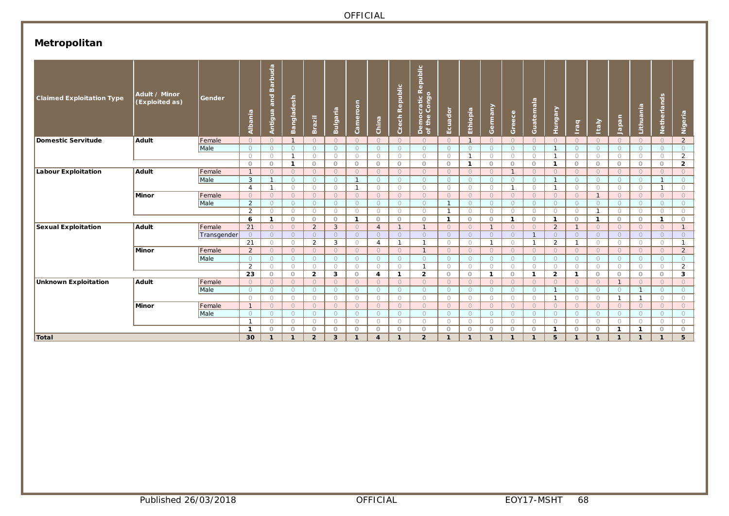# **Metropolitan**

| <b>Claimed Exploitation Type</b> | Adult / Minor<br>(Exploited as) | Gender      | Albania        | <b>Barbuda</b><br>and<br>Antigua | Bangladesh              | Brazil         | Bulgaria     | Cameroon                | China          | Czech Republic | <b>Democratic Republic<br/>of the Congo</b> | Ecuador      | Ethiopia     | Germany      | Greece       | Guatemala      | Hungary        | Iraq                    | <b>Italy</b>            | lapan          | Lithuania                    | Netherlands         | Nigeria        |
|----------------------------------|---------------------------------|-------------|----------------|----------------------------------|-------------------------|----------------|--------------|-------------------------|----------------|----------------|---------------------------------------------|--------------|--------------|--------------|--------------|----------------|----------------|-------------------------|-------------------------|----------------|------------------------------|---------------------|----------------|
| Domestic Servitude               | <b>Adult</b>                    | Female      | $\circ$        | $\circ$                          | $\overline{1}$          | $\Omega$       | $\circ$      | $\Omega$                | $\circ$        | $\circ$        | $\circ$                                     | $\Omega$     | $\mathbf{1}$ | $\Omega$     | $\circ$      | $\circ$        | $\Omega$       | $\circ$                 | $\Omega$                | $\circ$        | $\bigcirc$                   | $\Omega$            | $\overline{2}$ |
|                                  |                                 | Male        | $\circ$        | $\circ$                          | $\circ$                 | $\Omega$       | $\circ$      | $\circ$                 | $\circ$        | $\circ$        | $\circ$                                     | $\Omega$     | $\circ$      | $\bigcirc$   | $\circ$      | $\circ$        |                | $\circ$                 | $\circ$                 | $\circ$        | $\circ$                      | $\Omega$            | $\circ$        |
|                                  |                                 |             | $\bigcirc$     | $\circ$                          | $\mathbf{1}$            | $\bigcirc$     | $\circ$      | $\bigcirc$              | $\circ$        | $\circ$        | $\circ$                                     | $\bigcirc$   | $\mathbf{1}$ | $\bigcirc$   | $\circ$      | $\circ$        | -1             | $\circ$                 | $\Omega$                | $\circ$        | $\circ$                      | $\circ$             | $\overline{2}$ |
|                                  |                                 |             | $\circ$        | $\circ$                          | $\mathbf{1}$            | $\circ$        | $\circ$      | $\circ$                 | $\circ$        | $\circ$        | $\circ$                                     | $\circ$      | $\mathbf{1}$ | $\circ$      | $\circ$      | $\circ$        | -1             | $\circ$                 | $\circ$                 | $\circ$        | $\circ$                      | $\circ$             | $\overline{2}$ |
| Labour Exploitation              | Adult                           | Female      | $\overline{1}$ | $\circ$                          | $\circ$                 | $\Omega$       | $\circ$      | $\bigcirc$              | $\circ$        | $\circ$        | $\circ$                                     | $\Omega$     | $\circ$      | $\Omega$     | $\mathbf{1}$ | $\circ$        | $\Omega$       | $\circ$                 | $\bigcirc$              | $\circ$        | $\circ$                      | $\circ$             | $\circ$        |
|                                  |                                 | Male        | 3              | $\overline{1}$                   | $\Omega$                | $\bigcap$      | $\bigcirc$   | $\overline{1}$          | $\Omega$       | $\Omega$       | $\circ$                                     | $\Omega$     | $\bigcirc$   | $\bigcirc$   | $\Omega$     | $\Omega$       | $\mathbf{1}$   | $\Omega$                | $\Omega$                | $\circ$        | $\bigcirc$                   |                     | $\bigcirc$     |
|                                  |                                 |             | $\overline{4}$ | $\mathbf{1}$                     | $\bigcirc$              | $\bigcirc$     | $\circ$      | $\mathbf{1}$            | $\bigcirc$     | $\bigcirc$     | $\bigcirc$                                  | $\bigcirc$   | $\circ$      | $\bigcirc$   | $\mathbf{1}$ | $\bigcirc$     | $\mathbf{1}$   | $\circ$                 | $\bigcirc$              | $\circ$        | $\bigcirc$                   | -1                  | $\circ$        |
|                                  | Minor                           | Female      | $\Omega$       | $\circ$                          | $\Omega$                | $\Omega$       | $\circ$      | $\bigcirc$              | $\Omega$       | $\Omega$       | $\circ$                                     | $\Omega$     | $\circ$      | $\Omega$     | $\circ$      | $\Omega$       | $\Omega$       | $\circ$                 | $\mathbf{1}$            | $\circ$        | $\bigcirc$                   | $\Omega$            | $\circ$        |
|                                  |                                 | Male        | $\overline{2}$ | $\Omega$                         | $\bigcirc$              | $\Omega$       | $\circ$      | $\bigcirc$              | $\Omega$       | $\Omega$       | $\bigcirc$                                  | -1           | $\circ$      | $\bigcirc$   | $\circ$      | $\Omega$       | $\Omega$       | $\circ$                 | $\bigcirc$              | $\circ$        | $\bigcirc$                   | $\circ$             | $\circ$        |
|                                  |                                 |             | 2              | $\bigcirc$                       | $\bigcirc$              | $\bigcirc$     | $\circ$      | $\bigcirc$              | $\Omega$       | $\bigcirc$     | $\bigcirc$                                  | -1           | $\circ$      | $\bigcirc$   | $\bigcirc$   | $\bigcirc$     | $\bigcirc$     | $\circ$                 | $\mathbf{1}$            | $\circ$        | $\bigcirc$                   | $\circ$             | $\bigcirc$     |
|                                  |                                 |             | 6              | $\mathbf{1}$                     | $\circ$                 | $\circ$        | $\circ$      | $\mathbf{1}$            | $\circ$        | $\circ$        | $\circ$                                     | $\mathbf{1}$ | $\circ$      | $\circ$      | $\mathbf{1}$ | $\circ$        | $\mathbf{1}$   | $\circ$                 | $\mathbf{1}$            | $\circ$        | $\circ$                      | $\mathbf{1}$        | $\circ$        |
| <b>Sexual Exploitation</b>       | <b>Adult</b>                    | Female      | 21             | $\bigcirc$                       | $\Omega$                | $\overline{2}$ | $\mathbf{3}$ | $\bigcirc$              | $\overline{4}$ | $\mathbf{1}$   |                                             | $\Omega$     | $\circ$      | $\mathbf{1}$ | $\Omega$     | $\Omega$       | $\overline{2}$ | $\mathbf{1}$            | $\Omega$                | $\Omega$       | $\Omega$                     | $\Omega$            | $\mathbf{1}$   |
|                                  |                                 | Transgender | $\Omega$       | $\Omega$                         | $\Omega$                | $\Omega$       | $\Omega$     | $\bigcirc$              | $\Omega$       | $\Omega$       | $\Omega$                                    | $\Omega$     | $\Omega$     | $\Omega$     | $\Omega$     | $\overline{1}$ | $\Omega$       | $\Omega$                | $\Omega$                | $\Omega$       | $\Omega$                     | $\Omega$            | $\Omega$       |
|                                  |                                 |             | 21             | $\circ$                          | $\circ$                 | $\overline{2}$ | 3            | $\circ$                 | 4              | $\mathbf{1}$   | $\mathbf{1}$                                | $\circ$      | $\circ$      | $\mathbf{1}$ | $\circ$      | $\overline{1}$ | $\overline{2}$ | $\mathbf{1}$            | $\circ$                 | $\circ$        | $\circ$                      | $\circ$             | $\mathbf{1}$   |
|                                  | <b>Minor</b>                    | Female      | 2              | $\circ$                          | $\circ$                 | $\circ$        | $\circ$      | $\circ$                 | $\circ$        | $\circ$        | $\mathbf{1}$                                | $\circ$      | $\circ$      | $\circ$      | $\circ$      | $\circ$        | $\circ$        | $\circ$                 | $\circ$                 | $\circ$        | $\circ$                      | $\circ$             | $\overline{2}$ |
|                                  |                                 | Male        | $\Omega$       | $\bigcirc$                       | $\bigcirc$              | $\bigcirc$     | $\bigcirc$   | $\bigcirc$              | $\bigcirc$     | $\Omega$       | $\bigcirc$                                  | $\Omega$     | $\bigcirc$   | $\bigcirc$   | $\Omega$     | $\Omega$       | $\bigcirc$     | $\bigcirc$              | $\bigcirc$              | $\Omega$       | $\bigcirc$                   | $\Omega$            | $\bigcirc$     |
|                                  |                                 |             | 2              | $\circ$                          | $\circ$                 | $\bigcirc$     | $\circ$      | $\bigcirc$              | $\bigcirc$     | $\circ$        | $\mathbf{1}$                                | $\bigcirc$   | $\circ$      | $\bigcirc$   | $\circ$      | $\circ$        | $\bigcirc$     | $\circ$                 | $\Omega$                | $\circ$        | $\circ$                      | $\circ$             | $\overline{2}$ |
|                                  |                                 |             | 23             | $\circ$                          | $\circ$                 | $\overline{2}$ | 3            | $\circ$                 | 4              | 1              | $\overline{2}$                              | $\circ$      | $\circ$      | 1            | $\circ$      | $\mathbf{1}$   | $\overline{2}$ | $\mathbf{1}$            | $\circ$                 | $\circ$        | $\circ$                      | $\circ$             | 3              |
| Unknown Exploitation             | <b>Adult</b>                    | Female      | $\Omega$       | $\circ$                          | $\circ$                 | $\Omega$       | $\circ$      | $\Omega$                | $\circ$        | $\Omega$       | $\circ$                                     | $\Omega$     | $\circ$      | $\Omega$     | $\circ$      | $\circ$        | $\Omega$       | $\circ$                 | $\Omega$                | $\mathbf{1}$   | $\bigcirc$                   | $\circ$             | $\circ$        |
|                                  |                                 | Male        | $\Omega$       | $\Omega$                         | $\Omega$                | $\bigcap$      | $\circ$      | $\Omega$                | $\Omega$       | $\Omega$       | $\circ$                                     | $\Omega$     | $\circ$      | $\bigcirc$   | $\circ$      | $\Omega$       | $\mathbf{1}$   | $\circ$                 | $\bigcirc$              | $\Omega$       | -1                           | $\Omega$            | $\circ$        |
|                                  |                                 |             | $\circ$        | $\circ$                          | $\circ$                 | $\circ$        | $\bigcirc$   | $\circ$                 | $\circ$        | $\circ$        | $\circ$                                     | $\circ$      | $\circ$      | $\circ$      | $\circ$      | $\circ$        | $\mathbf{1}$   | $\bigcirc$              | $\circ$                 | $\overline{1}$ | $\mathbf{1}$                 | $\circlearrowright$ | $\bigcirc$     |
|                                  | Minor                           | Female      | $\overline{1}$ | $\circ$                          | $\circ$                 | $\Omega$       | $\circ$      | $\bigcirc$              | $\circ$        | $\Omega$       | $\circ$                                     | $\Omega$     | $\circ$      | $\Omega$     | $\circ$      | $\circ$        | $\Omega$       | $\circ$                 | $\bigcirc$              | $\circ$        | $\Omega$                     | $\circ$             | $\circ$        |
|                                  |                                 | Male        | $\bigcirc$     | $\Omega$                         | $\bigcirc$              | $\Omega$       | $\circ$      | $\bigcirc$              | $\bigcirc$     | $\bigcirc$     | $\Omega$                                    | $\bigcap$    | $\circ$      | $\bigcirc$   | $\Omega$     | $\Omega$       | $\Omega$       | $\circ$                 | $\bigcirc$              | $\Omega$       | $\bigcirc$                   | $\circ$             | $\circ$        |
|                                  |                                 |             | $\mathbf{1}$   | $\bigcirc$                       | $\circ$                 | $\circ$        | $\circ$      | $\circ$                 | $\bigcirc$     | $\circ$        | $\circ$                                     | $\bigcirc$   | $\circ$      | $\circ$      | $\circ$      | $\circ$        | $\circ$        | $\circ$                 | $\circ$                 | $\circ$        | $\circ$                      | $\circ$             | $\bigcirc$     |
|                                  |                                 |             | $\mathbf{1}$   | 0                                | $\circ$<br>$\mathbf{1}$ | $\circ$        | $\circ$      | $\circ$<br>$\mathbf{1}$ | $\circ$        | $\circ$<br>1   | $\circ$                                     | $\circ$      | $\circ$      | $\circ$      | $\circ$      | $\circ$        | -1             | $\circ$<br>$\mathbf{1}$ | $\circ$<br>$\mathbf{I}$ | $\mathbf{1}$   | $\mathbf{1}$<br>$\mathbf{1}$ | $\circ$             | $\circ$        |
| <b>Total</b>                     |                                 |             | 30             | $\mathbf{1}$                     |                         | $\overline{2}$ | 3            |                         | 4              |                | $\overline{2}$                              | 1            | $\mathbf{1}$ | 1            | 1            | $\mathbf{1}$   | 5              |                         |                         | 1              |                              |                     | 5              |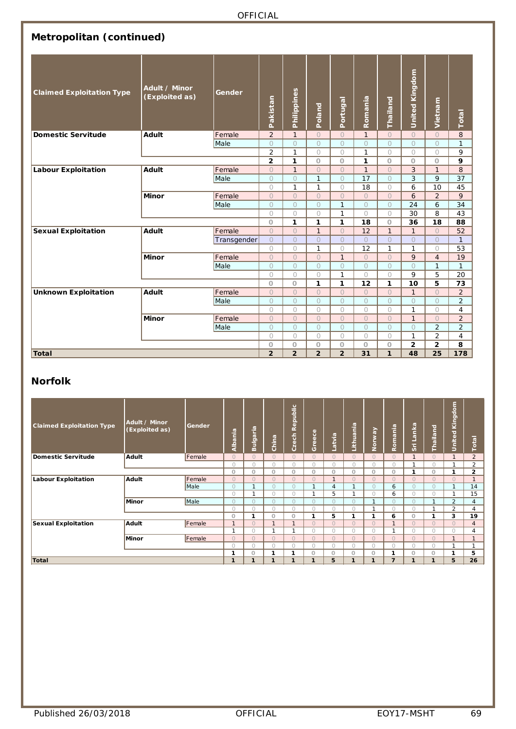| Metropolitan (continued)         |                                 |             |                       |                       |                    |                         |               |                    |                       |                              |                |
|----------------------------------|---------------------------------|-------------|-----------------------|-----------------------|--------------------|-------------------------|---------------|--------------------|-----------------------|------------------------------|----------------|
| <b>Claimed Exploitation Type</b> | Adult / Minor<br>(Exploited as) | Gender      | Pakistan              | Philippines           | Poland             | Portugal                | Romania       | Thailand           | <b>United Kingdom</b> | Vietnam                      | Total          |
| <b>Domestic Servitude</b>        | <b>Adult</b>                    | Female      | 2                     | $\mathbf{1}$          | $\circ$            | $\circ$                 | $\mathbf{1}$  | $\circ$            | $\circ$               | $\circ$                      | 8              |
|                                  |                                 | Male        | $\circ$               | $\circ$               | $\circ$            | $\circ$                 | $\circ$       | $\circ$            | $\circ$               | $\circ$                      | $\mathbf{1}$   |
|                                  |                                 |             | $\overline{2}$        | $\mathbf{1}$          | $\bigcirc$         | $\bigcirc$              | $\mathbf{1}$  | $\bigcirc$         | $\circ$               | $\circ$                      | 9              |
|                                  |                                 |             | $\mathbf{2}$          | 1                     | $\circ$            | $\circ$                 | 1             | $\circ$            | $\circ$               | O                            | 9              |
| <b>Labour Exploitation</b>       | Adult                           | Female      | $\circ$               | $\mathbf{1}$          | $\circ$            | $\circ$                 | $\mathbf{1}$  | $\circ$            | $\overline{3}$        | $\mathbf{1}$                 | 8              |
|                                  |                                 | Male        | $\circ$               | $\circ$               | $\mathbf{1}$       | $\circ$                 | 17            | $\bigcirc$         | 3                     | 9                            | 37             |
|                                  |                                 |             | $\circ$               | $\mathbf{1}$          | $\mathbf{1}$       | $\circ$                 | 18            | $\bigcirc$         | 6                     | 10                           | 45             |
|                                  | <b>Minor</b>                    | Female      | $\circ$               | $\circ$               | $\circ$            | $\circ$                 | $\circ$       | $\circ$            | 6                     | $\overline{2}$               | 9              |
|                                  |                                 | Male        | $\circ$               | $\circ$               | $\circ$            | $\mathbf{1}$            | $\circ$       | $\circ$            | 24                    | 6                            | 34             |
|                                  |                                 |             | $\circ$               | $\circ$               | $\bigcirc$         | $\mathbf{1}$            | $\circ$       | $\circ$            | 30                    | 8                            | 43             |
|                                  |                                 |             | $\circ$               | 1                     | 1                  | 1                       | 18            | $\circ$            | 36                    | 18                           | 88             |
| <b>Sexual Exploitation</b>       | <b>Adult</b>                    | Female      | $\circ$               | $\circ$               | $\mathbf{1}$       | $\circ$                 | 12            | $\mathbf{1}$       | $\mathbf{1}$          | $\circ$                      | 52             |
|                                  |                                 | Transgender | $\circ$               | $\circ$               | $\circ$            | $\circ$                 | $\circ$       | $\circ$            | $\circlearrowright$   | $\circ$                      | $\mathbf{1}$   |
|                                  | <b>Minor</b>                    | Female      | $\bigcirc$<br>$\circ$ | $\bigcirc$<br>$\circ$ | $\mathbf{1}$       | $\circ$<br>$\mathbf{1}$ | 12<br>$\circ$ | $\mathbf{1}$       | $\mathbf{1}$<br>9     | $\bigcirc$<br>$\overline{4}$ | 53<br>19       |
|                                  |                                 | Male        | $\circ$               | $\circ$               | $\circ$<br>$\circ$ | $\circ$                 | $\circ$       | $\circ$<br>$\circ$ | $\circ$               | $\mathbf{1}$                 | $\mathbf{1}$   |
|                                  |                                 |             | $\circ$               | $\circ$               | $\circ$            | $\mathbf{1}$            | $\circ$       | $\bigcirc$         | 9                     | 5                            | 20             |
|                                  |                                 |             | $\circ$               | $\circ$               | 1                  | 1                       | 12            | 1                  | 10                    | 5                            | 73             |
| <b>Unknown Exploitation</b>      | Adult                           | Female      | $\circ$               | $\circ$               | $\circ$            | $\circ$                 | $\circ$       | $\circ$            | $\mathbf{1}$          | $\circlearrowright$          | $\overline{a}$ |
|                                  |                                 | Male        | $\circ$               | $\circ$               | $\circ$            | $\circ$                 | $\circ$       | $\circ$            | $\circ$               | $\circ$                      | $\overline{2}$ |
|                                  |                                 |             | $\bigcirc$            | $\bigcirc$            | $\bigcirc$         | $\bigcirc$              | $\bigcirc$    | $\bigcirc$         | $\mathbf{1}$          | $\bigcirc$                   | $\overline{4}$ |
|                                  | <b>Minor</b>                    | Female      | $\circ$               | $\circ$               | $\circ$            | $\circ$                 | $\circ$       | $\circ$            | $\mathbf{1}$          | $\circ$                      | $\overline{2}$ |
|                                  |                                 | Male        | $\circ$               | $\circ$               | $\circ$            | $\circ$                 | $\circ$       | $\circ$            | $\circ$               | $\overline{2}$               | $\overline{2}$ |
|                                  |                                 |             | $\circ$               | $\circ$               | $\circ$            | $\circ$                 | $\circ$       | $\bigcirc$         | $\mathbf{1}$          | $\overline{2}$               | 4              |
|                                  |                                 |             | $\circ$               | $\circ$               | $\circ$            | $\circ$                 | $\circ$       | $\circ$            | $\mathbf{2}$          | 2                            | 8              |
| <b>Total</b>                     |                                 |             | $\overline{2}$        | $\overline{2}$        | $\overline{2}$     | $\overline{2}$          | 31            | $\mathbf{1}$       | 48                    | 25                           | 178            |

#### **Norfolk**

| <b>Claimed Exploitation Type</b> | Adult / Minor<br>(Exploited as) | Gender | Albania      | Bulgaria   | China        | Republic<br>Czech | Greece       | Latvia       | Lithuania    | Norway       | Romania        | Sri Lanka    | Thailand     | <b>United Kingdom</b> | Total          |
|----------------------------------|---------------------------------|--------|--------------|------------|--------------|-------------------|--------------|--------------|--------------|--------------|----------------|--------------|--------------|-----------------------|----------------|
| Domestic Servitude               | Adult                           | Female | $\Omega$     | $\Omega$   | $\Omega$     | $\Omega$          | $\Omega$     | $\Omega$     | $\Omega$     | $\Omega$     | $\Omega$       | $\mathbf{1}$ | $\Omega$     | $\mathbf{1}$          | $\overline{2}$ |
|                                  |                                 |        | $\bigcap$    | $\cap$     | $\bigcirc$   | $\bigcap$         | $\bigcirc$   | n            | $\bigcirc$   | $\bigcap$    | $\bigcap$      | $\mathbf{A}$ | $\bigcap$    |                       | 2              |
|                                  |                                 |        | $\circ$      | $\circ$    | O            | $\bigcap$         | $\circ$      | 0            | $\circ$      | $\circ$      | 0              | 1            | $\circ$      | 1                     | $\overline{2}$ |
| Labour Exploitation              | Adult                           | Female | $\Omega$     | $\cap$     | $\bigcirc$   | $\Omega$          | $\bigcirc$   | $\mathbf{1}$ | $\bigcirc$   | $\Omega$     | $\bigcap$      | $\Omega$     | $\Omega$     | $\bigcirc$            | $\overline{1}$ |
|                                  |                                 | Male   | $\Omega$     |            | $\Omega$     | $\bigcap$         | $\mathbf{I}$ | 4            |              | $\Omega$     | 6              | $\Omega$     | $\bigcirc$   |                       | 14             |
|                                  |                                 |        | $\bigcirc$   |            | $\bigcirc$   | $\bigcap$         | $\mathbf{A}$ | 5            | $\mathbf{A}$ | $\bigcirc$   | 6              | $\bigcirc$   | $\bigcirc$   |                       | 15             |
|                                  | Minor                           | Male   | $\bigcirc$   | $\cap$     | $\Omega$     | $\bigcap$         | $\bigcirc$   | $\cap$       | $\bigcirc$   | 1            | $\cap$         | $\Omega$     | $\mathbf{1}$ | 2                     | $\overline{4}$ |
|                                  |                                 |        | $\bigcirc$   | $\cap$     | 0            | $\bigcap$         | $\circ$      | O.           | $\circ$      | 1            | $\cap$         | $\bigcirc$   | $\mathbf{I}$ | $\overline{2}$        | 4              |
|                                  |                                 |        | $\circ$      | и          | $\circ$      | $\circ$           | 1            | 5            | 1            | 1            | 6              | O            | 1            | 3                     | 19             |
| Sexual Exploitation              | Adult                           | Female | 1            | $\Omega$   | $\mathbf{I}$ |                   | $\Omega$     | $\Omega$     | $\Omega$     | $\Omega$     | 1              | $\Omega$     | $\Omega$     | $\Omega$              | $\overline{4}$ |
|                                  |                                 |        | и,           | $\bigcap$  | и            |                   | $\bigcirc$   | O            | $\bigcirc$   | $\bigcirc$   | h              | $\bigcap$    | $\bigcirc$   | $\bigcirc$            | 4              |
|                                  | Minor                           | Female | $\Omega$     | $\bigcap$  | $\Omega$     | $\bigcap$         | $\bigcirc$   | $\Omega$     | $\bigcirc$   | $\Omega$     | $\Omega$       | $\Omega$     | $\Omega$     | $\mathbf{1}$          |                |
|                                  |                                 |        | $\bigcirc$   | $\bigcirc$ | $\bigcirc$   | $\bigcap$         | $\bigcirc$   | O            | $\bigcirc$   | $\bigcirc$   | $\bigcirc$     | $\cap$       | $\bigcirc$   | $\mathbf{A}$          | $\mathbf{I}$   |
|                                  |                                 |        |              | O          | 1            | ٠                 | $\Omega$     | $\cap$       | $\circ$      | $\circ$      | ٠              | $\cap$       | $\circ$      | 1                     | 5              |
| Total                            |                                 |        | $\mathbf{1}$ | ٠          | 1            | $\mathbf{I}$      | $\mathbf{1}$ | 5            | $\mathbf{1}$ | $\mathbf{1}$ | $\overline{7}$ | 1            | $\mathbf{1}$ | 5                     | 26             |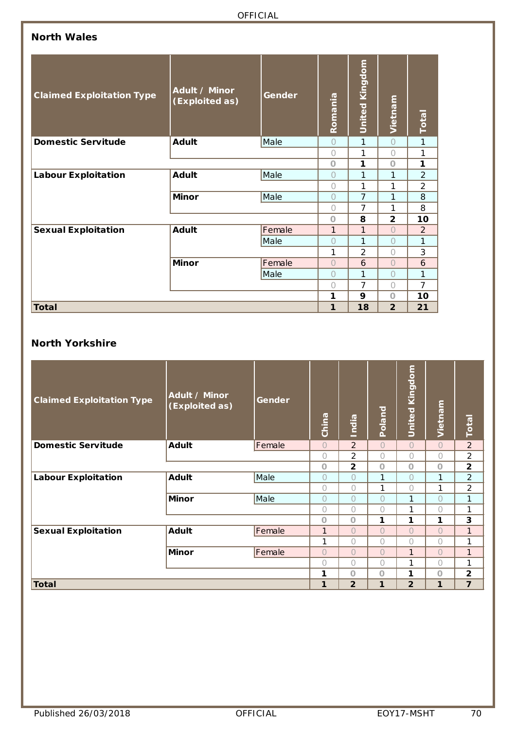### **North Wales**

| <b>Claimed Exploitation Type</b> | Adult / Minor<br>(Exploited as) | Gender | Romania        | <b>United Kingdom</b> | Vietnam                 | <b>Total</b>   |
|----------------------------------|---------------------------------|--------|----------------|-----------------------|-------------------------|----------------|
| Domestic Servitude               | <b>Adult</b>                    | Male   | $\overline{O}$ | 1                     | $\bigcap$               | $\mathbf{1}$   |
|                                  |                                 |        | $\bigcap$      | 1                     | Ω                       | 1              |
|                                  |                                 |        | $\Omega$       | 1                     | $\Omega$                | 1              |
| <b>Labour Exploitation</b>       | <b>Adult</b>                    | Male   | 0              | 1                     | 1                       | $\overline{2}$ |
|                                  |                                 |        | $\bigcirc$     | 1                     | 1                       | $\overline{2}$ |
|                                  | <b>Minor</b>                    | Male   | $\bigcirc$     | $\overline{7}$        | 1                       | 8              |
|                                  |                                 |        | 0              | $\overline{7}$        | 1                       | 8              |
|                                  |                                 |        | $\Omega$       | 8                     | $\overline{\mathbf{2}}$ | 10             |
| <b>Sexual Exploitation</b>       | <b>Adult</b>                    | Female | 1              | 1                     | $\bigcap$               | 2              |
|                                  |                                 | Male   | $\bigcap$      | 1                     | $\bigcap$               | $\mathbf{1}$   |
|                                  |                                 |        | 1              | $\overline{2}$        | 0                       | 3              |
|                                  | <b>Minor</b>                    | Female | $\bigcap$      | 6                     | $\bigcap$               | 6              |
|                                  |                                 | Male   | Ω              | 1                     | Ω                       | 1              |
|                                  |                                 |        | $\bigcap$      | $\overline{7}$        | $\bigcap$               | $\overline{7}$ |
|                                  |                                 |        | 1              | 9                     | $\Omega$                | 10             |
| <b>Total</b>                     |                                 |        | 1              | 18                    | $\overline{2}$          | 21             |

#### **North Yorkshire**

| <b>Claimed Exploitation Type</b> | Adult / Minor<br>(Exploited as) | Gender | China      | <b>India</b>   | Poland       | <b>United Kingdom</b> | Vietnam    | Total          |
|----------------------------------|---------------------------------|--------|------------|----------------|--------------|-----------------------|------------|----------------|
| <b>Domestic Servitude</b>        | <b>Adult</b>                    | Female | $\bigcirc$ | $\overline{2}$ | $\bigcap$    | $\bigcirc$            | $\bigcirc$ | $\overline{2}$ |
|                                  |                                 |        | $\bigcap$  | 2              | $\bigcap$    | 0                     | $\bigcap$  | $\overline{2}$ |
|                                  |                                 |        | $\circ$    | $\overline{2}$ | $\circ$      | $\circ$               | $\circ$    | $\overline{2}$ |
| <b>Labour Exploitation</b>       | <b>Adult</b>                    | Male   | $\bigcap$  | $\overline{O}$ | 1            | $\circ$               | 1          | $\overline{2}$ |
|                                  |                                 |        | $\bigcap$  | $\bigcap$      | 1            | 0                     | 1          | $\overline{2}$ |
|                                  | <b>Minor</b>                    | Male   | $\bigcirc$ | $\bigcirc$     | $\bigcap$    | 1                     | $\bigcap$  | 1              |
|                                  |                                 |        | $\bigcirc$ | 0              | $\bigcirc$   | 1                     | $\bigcirc$ | 1              |
|                                  |                                 |        | $\circ$    | $\Omega$       | 1            | 1                     | 1          | 3              |
| <b>Sexual Exploitation</b>       | <b>Adult</b>                    | Female | 1          | $\bigcap$      | $\bigcap$    | $\overline{O}$        | $\bigcap$  | $\mathbf{1}$   |
|                                  |                                 |        | 1          | 0              | $\bigcap$    | $\bigcap$             | $\bigcap$  | 1              |
|                                  | <b>Minor</b>                    | Female | $\bigcirc$ | $\overline{O}$ | $\bigcirc$   | 1                     | $\bigcirc$ | 1              |
|                                  |                                 |        | $\bigcirc$ | $\bigcirc$     | $\bigcap$    | 1                     | $\bigcirc$ | 1              |
|                                  |                                 |        | 1          | $\Omega$       | $\circ$      | 1                     | $\circ$    | $\overline{2}$ |
| <b>Total</b>                     |                                 |        | 1          | $\overline{2}$ | $\mathbf{1}$ | $\overline{2}$        | 1          | $\overline{7}$ |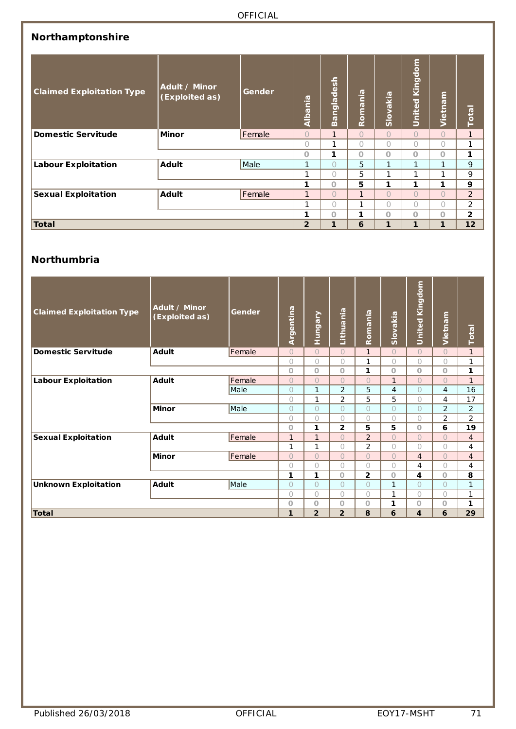| Northamptonshire                 |                                 |              |              |                   |              |                |                   |                |                         |
|----------------------------------|---------------------------------|--------------|--------------|-------------------|--------------|----------------|-------------------|----------------|-------------------------|
| <b>Claimed Exploitation Type</b> | Adult / Minor<br>(Exploited as) | Gender       | Albania      | <b>Bangladesh</b> | Romania      | Slovakia       | Kingdom<br>United | Vietnam        | <b>Total</b>            |
| <b>Domestic Servitude</b>        | <b>Minor</b>                    | Female       | $\bigcirc$   | $\mathbf{1}$      | $\bigcirc$   | $\bigcap$      | $\bigcirc$        | $\bigcap$      | $\mathbf{1}$            |
|                                  |                                 | $\bigcap$    | 1            | $\bigcap$         | 0            | $\bigcap$      | $\bigcap$         | 1              |                         |
|                                  |                                 |              | O            | 1                 | $\circ$      | $\Omega$       | $\Omega$          | $\Omega$       | 1                       |
| <b>Labour Exploitation</b>       | <b>Adult</b>                    | Male         | $\mathbf{1}$ | $\overline{O}$    | 5            | 1              | $\mathbf{1}$      | 1              | 9                       |
|                                  |                                 |              | 1            | $\bigcap$         | 5            | 1              | 1                 | 1              | 9                       |
|                                  |                                 |              | 1            | $\circ$           | 5            | 1              | 1                 | $\mathbf{1}$   | 9                       |
| <b>Sexual Exploitation</b>       | <b>Adult</b>                    | Female       | $\mathbf{1}$ | $\overline{O}$    | $\mathbf{1}$ | $\overline{O}$ | $\overline{O}$    | $\overline{O}$ | 2                       |
|                                  |                                 | $\mathbf{1}$ | $\bigcap$    | 1                 | 0            | $\bigcap$      | $\bigcap$         | 2              |                         |
|                                  |                                 |              | 1            | O                 | 1            | Ο              | $\circ$           | $\Omega$       | $\overline{\mathbf{2}}$ |
| <b>Total</b>                     | $\overline{2}$                  | 1            | 6            | 1                 | 1            | 1              | 12                |                |                         |

#### **Northumbria**

| <b>Claimed Exploitation Type</b> | Adult / Minor<br>(Exploited as) | Gender | Argentina    | Hungary        | Lithuania      | Romania        | Slovakia   | <b>United Kingdom</b> | Vietnam        | Total          |
|----------------------------------|---------------------------------|--------|--------------|----------------|----------------|----------------|------------|-----------------------|----------------|----------------|
| <b>Domestic Servitude</b>        | <b>Adult</b>                    | Female | $\bigcap$    | $\bigcap$      | $\bigcap$      | $\mathbf{1}$   | $\Omega$   | $\bigcirc$            | $\bigcirc$     | $\mathbf{1}$   |
|                                  |                                 |        | $\bigcap$    | $\bigcirc$     | $\bigcap$      | 1              | $\bigcap$  | 0                     | $\bigcirc$     | $\mathbf{1}$   |
|                                  |                                 |        | $\Omega$     | $\circ$        | $\circ$        | 1              | $\circ$    | $\circ$               | $\circ$        | 1              |
| <b>Labour Exploitation</b>       | <b>Adult</b>                    | Female | $\bigcap$    | $\overline{O}$ | $\bigcap$      | $\bigcirc$     | 1          | $\overline{O}$        | $\circ$        | $\mathbf{1}$   |
|                                  |                                 | Male   | 0            | $\mathbf{1}$   | $\overline{2}$ | 5              | 4          | 0                     | 4              | 16             |
|                                  |                                 |        | $\bigcap$    | $\mathbf{1}$   | $\overline{2}$ | 5              | 5          | 0                     | 4              | 17             |
|                                  | <b>Minor</b>                    | Male   | $\bigcap$    | $\Omega$       | $\bigcap$      | $\bigcap$      | $\bigcap$  | $\circ$               | 2              | 2              |
|                                  |                                 |        | ∩            | $\bigcirc$     | $\bigcap$      | $\bigcirc$     | $\bigcirc$ | $\bigcirc$            | $\overline{2}$ | $\overline{2}$ |
|                                  |                                 |        | $\Omega$     | 1              | 2              | 5              | 5          | $\circ$               | 6              | 19             |
| <b>Sexual Exploitation</b>       | <b>Adult</b>                    | Female | $\mathbf{1}$ | $\mathbf{1}$   | $\bigcap$      | $\overline{2}$ | $\Omega$   | $\bigcirc$            | $\bigcirc$     | $\overline{4}$ |
|                                  |                                 |        | 1            | 1              | $\bigcap$      | $\overline{2}$ | $\bigcirc$ | 0                     | $\bigcirc$     | 4              |
|                                  | <b>Minor</b>                    | Female | $\bigcirc$   | $\overline{O}$ | $\bigcirc$     | $\bigcirc$     | $\bigcirc$ | $\overline{4}$        | $\circ$        | $\overline{4}$ |
|                                  |                                 |        | $\bigcap$    | $\circ$        | $\bigcap$      | $\bigcirc$     | $\bigcirc$ | $\overline{4}$        | $\circ$        | 4              |
|                                  |                                 |        | 1            | 1              | $\circ$        | $\overline{2}$ | $\circ$    | 4                     | $\circ$        | 8              |
| <b>Unknown Exploitation</b>      | <b>Adult</b>                    | Male   | $\circ$      | $\circ$        | $\bigcap$      | $\circ$        | 1          | 0                     | $\circ$        | 1              |
|                                  |                                 |        | $\bigcap$    | 0              | $\bigcap$      | $\bigcirc$     | 1          | 0                     | $\circ$        | 1              |
|                                  |                                 |        | $\Omega$     | $\Omega$       | $\circ$        | $\circ$        | 1          | $\circ$               | $\circ$        | 1              |
| Total                            |                                 |        | 1            | $\overline{2}$ | $\overline{2}$ | 8              | 6          | 4                     | 6              | 29             |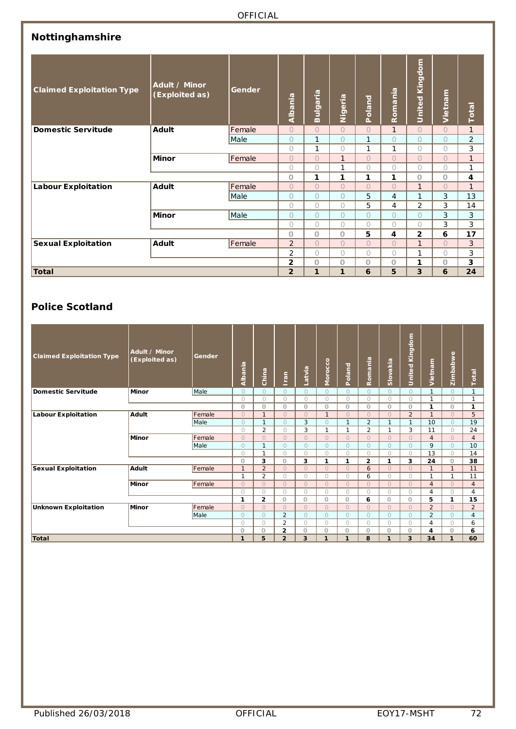| Nottinghamshire                  |                                 |        |                |              |              |                |                         |                       |            |                |
|----------------------------------|---------------------------------|--------|----------------|--------------|--------------|----------------|-------------------------|-----------------------|------------|----------------|
| <b>Claimed Exploitation Type</b> | Adult / Minor<br>(Exploited as) | Gender | Albania        | Bulgaria     | Nigeria      | Poland         | Romania                 | <b>United Kingdom</b> | Vietnam    | Total          |
| <b>Domestic Servitude</b>        | <b>Adult</b>                    | Female | $\circ$        | $\bigcirc$   | $\bigcirc$   | $\Omega$       | $\mathbf{1}$            | $\bigcirc$            | $\circ$    | $\mathbf{1}$   |
|                                  |                                 | Male   | $\circ$        | $\mathbf{1}$ | $\bigcirc$   | $\mathbf{1}$   | $\circ$                 | $\circ$               | $\circ$    | $\overline{2}$ |
|                                  |                                 |        | $\bigcirc$     | $\mathbf{1}$ | $\bigcirc$   | 1              | $\mathbf{1}$            | $\bigcirc$            | $\bigcirc$ | 3              |
|                                  | <b>Minor</b>                    | Female | $\bigcap$      | $\bigcirc$   | $\mathbf{1}$ | $\Omega$       | $\bigcap$               | $\bigcirc$            | $\bigcirc$ | $\mathbf{1}$   |
|                                  |                                 |        | $\bigcap$      | $\bigcirc$   | 1            | $\bigcirc$     | $\bigcap$               | $\bigcirc$            | $\circ$    | 1              |
|                                  |                                 |        | $\Omega$       | 1            | 1            | 1              | 1                       | $\Omega$              | O          | 4              |
| <b>Labour Exploitation</b>       | <b>Adult</b>                    | Female | $\bigcirc$     | $\bigcirc$   | $\bigcirc$   | $\overline{O}$ | $\overline{O}$          | $\mathbf{1}$          | $\circ$    | $\mathbf{1}$   |
|                                  |                                 | Male   | $\circ$        | $\circ$      | $\bigcirc$   | 5              | $\overline{4}$          | $\mathbf{1}$          | $\sqrt{3}$ | 13             |
|                                  |                                 |        | $\bigcap$      | $\bigcap$    | $\bigcap$    | 5              | 4                       | $\overline{2}$        | 3          | 14             |
|                                  | <b>Minor</b>                    | Male   | $\bigcap$      | $\circ$      | $\circ$      | $\circ$        | $\bigcirc$              | $\overline{O}$        | 3          | 3              |
|                                  |                                 |        | $\bigcap$      | $\bigcirc$   | $\bigcirc$   | $\bigcirc$     | $\bigcirc$              | $\bigcap$             | 3          | 3              |
|                                  |                                 |        | $\Omega$       | $\Omega$     | $\Omega$     | 5              | $\overline{\mathbf{4}}$ | 2                     | 6          | 17             |
| <b>Sexual Exploitation</b>       | <b>Adult</b>                    | Female | 2              | $\bigcap$    | $\bigcap$    | $\bigcirc$     | $\bigcap$               | $\mathbf{1}$          | $\Omega$   | 3              |
|                                  |                                 |        | $\overline{2}$ | $\bigcirc$   | $\bigcirc$   | $\bigcirc$     | $\bigcirc$              | 1                     | $\bigcirc$ | 3              |
|                                  |                                 |        | 2              | O            | $\circ$      | $\circ$        | $\circ$                 | 1                     | $\circ$    | 3              |
| <b>Total</b>                     |                                 |        | $\overline{2}$ | 1            | 1            | 6              | 5                       | 3                     | 6          | 24             |

## **Police Scotland**

| <b>Claimed Exploitation Type</b> | Adult / Minor<br>(Exploited as) | Gender | Albania      | China          | Iran           | Latvia         | $\mathbf{S}$<br>Moroca | Poland       | Romania        | Slovakia     | <b>United Kingdom</b> | Vietnam        | Zimbabwe     | Total          |
|----------------------------------|---------------------------------|--------|--------------|----------------|----------------|----------------|------------------------|--------------|----------------|--------------|-----------------------|----------------|--------------|----------------|
| Domestic Servitude               | <b>Minor</b>                    | Male   | $\Omega$     | $\Omega$       | $\bigcap$      | $\Omega$       | $\Omega$               | $\Omega$     | $\bigcirc$     | $\Omega$     | $\Omega$              | $\mathbf{1}$   | $\Omega$     | $\mathbf{1}$   |
|                                  |                                 |        | $\bigcirc$   | $\bigcirc$     | $\bigcap$      | $\bigcirc$     | $\circ$                | $\circ$      | $\bigcirc$     | $\bigcirc$   | $\bigcirc$            | $\mathbf{1}$   | $\bigcirc$   | 1              |
|                                  |                                 |        | $\circ$      | $\circ$        | $\Omega$       | $\circ$        | $\circ$                | 0            | $\Omega$       | $\Omega$     | $\circ$               | 1              | $\circ$      | $\mathbf{1}$   |
| Labour Exploitation              | <b>Adult</b>                    | Female | $\Omega$     | $\mathbf{1}$   | $\cap$         | $\bigcap$      | $\mathbf{1}$           | $\Omega$     | $\Omega$       | $\Omega$     | $\overline{2}$        |                | $\Omega$     | 5              |
|                                  |                                 | Male   | $\Omega$     | $\mathbf{1}$   | $\bigcap$      | 3              | $\bigcirc$             | $\mathbf{1}$ | $\overline{2}$ | $\mathbf{1}$ | $\mathbf{1}$          | 10             | $\bigcirc$   | 19             |
|                                  |                                 |        | $\bigcirc$   | 2              | $\bigcap$      | 3              | $\mathbf{1}$           | $\mathbf{1}$ | 2              | 1            | 3                     | 11             | $\bigcirc$   | 24             |
|                                  | Minor                           | Female | $\Omega$     | $\Omega$       | $\bigcap$      | $\Omega$       | $\Omega$               | $\circ$      | $\Omega$       | $\Omega$     | $\Omega$              | $\overline{4}$ | $\Omega$     | $\overline{4}$ |
|                                  |                                 | Male   | $\Omega$     | $\mathbf{1}$   | $\bigcap$      | $\bigcirc$     | $\bigcirc$             | $\circ$      | $\Omega$       | $\Omega$     | $\bigcirc$            | 9              | $\bigcirc$   | 10             |
|                                  |                                 |        | $\bigcirc$   | 1              | $\bigcap$      | $\bigcirc$     | $\bigcirc$             | $\circ$      | $\bigcirc$     | $\bigcirc$   | $\bigcirc$            | 13             | $\bigcirc$   | 14             |
|                                  |                                 |        | $\circ$      | 3              | $\Omega$       | 3              | 1                      | 1            | $\mathbf{2}$   | 1            | 3                     | 24             | $\circ$      | 38             |
| <b>Sexual Exploitation</b>       | Adult                           | Female | $\mathbf{1}$ | $\overline{2}$ | $\Omega$       | $\Omega$       | $\Omega$               | $\circ$      | 6              | $\Omega$     | $\Omega$              | $\mathbf{1}$   | $\mathbf{1}$ | 11             |
|                                  |                                 |        | и            | $\overline{2}$ | $\cap$         | $\bigcirc$     | $\bigcirc$             | $\circ$      | 6              | 0            | $\bigcirc$            | <b>1</b>       | 1            | 11             |
|                                  | Minor                           | Female | $\Omega$     | $\Omega$       | $\cap$         | $\Omega$       | $\Omega$               | $\circ$      | $\bigcap$      | $\bigcap$    | $\Omega$              | $\overline{4}$ | $\Omega$     | $\overline{4}$ |
|                                  |                                 |        | $\bigcirc$   | $\bigcirc$     | $\bigcap$      | $\bigcirc$     | $\bigcirc$             | $\bigcirc$   | $\bigcirc$     | $\bigcirc$   | $\bigcirc$            | 4              | $\bigcirc$   | $\overline{4}$ |
|                                  |                                 |        | 1            | $\overline{2}$ | $\Omega$       | $\circ$        | $\circ$                | $\circ$      | 6              | $\Omega$     | $\circ$               | 5              | 1            | 15             |
| <b>Unknown Exploitation</b>      | Minor                           | Female | $\Omega$     | $\Omega$       | $\bigcap$      | $\bigcirc$     | $\circ$                | $\circ$      | $\Omega$       | $\Omega$     | $\Omega$              | $\overline{2}$ | $\Omega$     | $\overline{2}$ |
|                                  |                                 | Male   | $\Omega$     | $\bigcirc$     | $\overline{2}$ | $\bigcirc$     | $\Omega$               | $\circ$      | $\Omega$       | $\Omega$     | $\bigcirc$            | $\overline{2}$ | $\bigcirc$   | $\overline{4}$ |
|                                  |                                 |        | O            | $\bigcirc$     | $\overline{2}$ | $\circ$        | $\circ$                | $\circ$      | $\bigcirc$     | $\bigcap$    | $\bigcirc$            | 4              | $\circ$      | 6              |
|                                  |                                 |        | $\circ$      | $\circ$        | 2              | $\circ$        | $\circ$                | O            | $\circ$        | $\circ$      | $\circ$               | 4              | $\circ$      | 6              |
| <b>Total</b>                     |                                 |        | $\mathbf{1}$ | 5              | $\overline{2}$ | $\overline{3}$ | $\mathbf{1}$           | $\mathbf{1}$ | 8              | 1            | 3                     | 34             | $\mathbf{1}$ | 60             |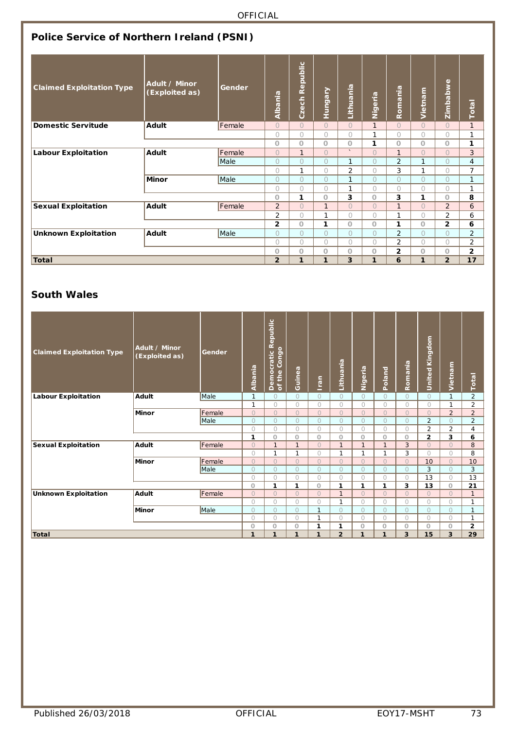|                                  | Police Service of Northern Ireland (PSNI) |        |                |                |                |                |                |                |            |                |                |  |  |  |  |
|----------------------------------|-------------------------------------------|--------|----------------|----------------|----------------|----------------|----------------|----------------|------------|----------------|----------------|--|--|--|--|
| <b>Claimed Exploitation Type</b> | Adult / Minor<br>(Exploited as)           | Gender | Albania        | Czech Republic | <b>Hungary</b> | Lithuania      | Nigeria        | Romania        | Vietnam    | Zimbabwe       | Total          |  |  |  |  |
| <b>Domestic Servitude</b>        | Adult                                     | Female | $\bigcirc$     | $\Omega$       | $\bigcirc$     | $\bigcirc$     | $\mathbf{1}$   | $\Omega$       | $\bigcirc$ | $\Omega$       | $\mathbf{1}$   |  |  |  |  |
|                                  |                                           |        | $\bigcirc$     | $\bigcirc$     | $\bigcirc$     | $\bigcirc$     | $\mathbf{1}$   | $\bigcirc$     | $\bigcirc$ | $\bigcirc$     | 1              |  |  |  |  |
|                                  |                                           |        | $\Omega$       | $\Omega$       | $\Omega$       | $\circ$        | 1              | $\circ$        | $\circ$    | $\circ$        | 1              |  |  |  |  |
| <b>Labour Exploitation</b>       | Adult                                     | Female | $\overline{O}$ | $\mathbf{1}$   | $\overline{O}$ | $\sim$         | $\overline{O}$ | $\mathbf{1}$   | $\bigcirc$ | $\Omega$       | 3              |  |  |  |  |
|                                  |                                           | Male   | $\overline{O}$ | $\overline{O}$ | $\bigcirc$     | $\mathbf{1}$   | $\bigcirc$     | $\overline{2}$ | 1          | $\overline{O}$ | 4              |  |  |  |  |
|                                  |                                           |        | 0              | 1              | $\bigcap$      | $\overline{2}$ | $\bigcap$      | 3              | 1          | $\bigcap$      | 7              |  |  |  |  |
|                                  | <b>Minor</b>                              | Male   | $\bigcirc$     | $\overline{O}$ | $\bigcirc$     | $\mathbf{1}$   | $\overline{O}$ | $\bigcirc$     | $\bigcirc$ | $\Omega$       | $\mathbf{1}$   |  |  |  |  |
|                                  |                                           |        | $\bigcirc$     | $\bigcirc$     | $\bigcirc$     | $\mathbf{1}$   | $\bigcirc$     | $\bigcirc$     | $\bigcirc$ | $\bigcirc$     | 1              |  |  |  |  |
|                                  |                                           |        | $\circ$        | 1              | $\Omega$       | 3              | $\Omega$       | 3              | 1          | $\circ$        | 8              |  |  |  |  |
| <b>Sexual Exploitation</b>       | Adult                                     | Female | $\overline{2}$ | $\bigcap$      | $\mathbf{1}$   | $\bigcap$      | $\bigcap$      | $\mathbf{1}$   | $\bigcap$  | $\overline{2}$ | 6              |  |  |  |  |
|                                  |                                           |        | $\overline{2}$ | $\bigcirc$     | $\mathbf{1}$   | $\bigcap$      | $\bigcirc$     | 1              | $\bigcirc$ | 2              | 6              |  |  |  |  |
|                                  |                                           |        | $\overline{2}$ | $\Omega$       | 1              | $\circ$        | $\circ$        | 1              | $\circ$    | $\overline{2}$ | 6              |  |  |  |  |
| <b>Unknown Exploitation</b>      | Adult                                     | Male   | $\overline{O}$ | $\Omega$       | $\bigcirc$     | $\bigcirc$     | $\bigcirc$     | $\overline{2}$ | $\bigcap$  | $\bigcirc$     | $\overline{2}$ |  |  |  |  |
|                                  |                                           |        | $\bigcap$      | $\bigcap$      | $\bigcap$      | $\bigcap$      | $\bigcap$      | $\overline{2}$ | $\bigcap$  | $\bigcap$      | 2              |  |  |  |  |
|                                  |                                           |        | O              | $\circ$        | $\circ$        | $\circ$        | $\circ$        | $\overline{2}$ | $\circ$    | $\circ$        | $\mathbf{2}$   |  |  |  |  |
| <b>Total</b>                     |                                           |        | $\overline{2}$ | 1              | 1              | 3              | 1              | 6              | 1          | $\overline{2}$ | 17             |  |  |  |  |

#### **South Wales**

| <b>Claimed Exploitation Type</b> | Adult / Minor<br>(Exploited as) | Gender | Albania      | Democratic Republic<br>of the Congo | Guinea         | <u>Iran</u>  | Lithuania      | Nigeria      | Poland       | Romania    | United Kingdom | Vietnam        | Total          |
|----------------------------------|---------------------------------|--------|--------------|-------------------------------------|----------------|--------------|----------------|--------------|--------------|------------|----------------|----------------|----------------|
| <b>Labour Exploitation</b>       | Adult                           | Male   | $\mathbf{1}$ | $\circ$                             | $\overline{O}$ | $\bigcap$    | $\circ$        | $\circ$      | $\circ$      | $\bigcap$  | $\bigcap$      | 1              | $\overline{2}$ |
|                                  |                                 |        | $\mathbf{1}$ | $\circ$                             | $\bigcirc$     | $\bigcirc$   | $\circ$        | $\circ$      | $\circ$      | $\bigcirc$ | $\bigcirc$     | 1              | $\overline{2}$ |
|                                  | <b>Minor</b>                    | Female | $\Omega$     | $\Omega$                            | $\Omega$       | $\Omega$     | $\Omega$       | $\Omega$     | $\Omega$     | $\Omega$   | $\Omega$       | $\overline{2}$ | $\overline{2}$ |
|                                  |                                 | Male   | $\circ$      | $\bigcirc$                          | $\Omega$       | $\bigcirc$   | $\bigcirc$     | $\circ$      | $\circ$      | $\Omega$   | $\overline{2}$ | $\Omega$       | $\overline{2}$ |
|                                  |                                 |        | $\bigcirc$   | $\bigcirc$                          | $\bigcap$      | $\bigcirc$   | $\bigcirc$     | $\bigcirc$   | $\bigcirc$   | $\bigcap$  | $\overline{2}$ | $\overline{2}$ | $\overline{4}$ |
|                                  |                                 |        | 1            | $\circ$                             | $\circ$        | $\circ$      | 0              | $\circ$      | $\circ$      | 0          | $\mathbf{2}$   | 3              | 6              |
| <b>Sexual Exploitation</b>       | Adult                           | Female | $\circ$      | $\mathbf{1}$                        | $\mathbf{1}$   | $\Omega$     | $\mathbf{1}$   | $\mathbf{1}$ | $\mathbf{1}$ | 3          | $\Omega$       | $\Omega$       | 8              |
|                                  |                                 |        | $\circ$      | $\mathbf{1}$                        | $\mathbf{1}$   | $\bigcirc$   | $\mathbf{1}$   | $\mathbf{1}$ | 1            | 3          | $\bigcap$      | $\bigcirc$     | 8              |
|                                  | <b>Minor</b>                    | Female | $\Omega$     | $\Omega$                            | $\Omega$       | $\Omega$     | $\Omega$       | $\Omega$     | $\Omega$     | $\Omega$   | 10             | $\Omega$       | 10             |
|                                  |                                 | Male   | $\circ$      | $\circ$                             | $\bigcirc$     | $\bigcirc$   | $\bigcirc$     | $\circ$      | $\circ$      | $\Omega$   | 3              | $\Omega$       | 3              |
|                                  |                                 |        | $\circ$      | $\circ$                             | $\bigcirc$     | $\bigcap$    | $\bigcap$      | $\circ$      | $\circ$      | $\bigcirc$ | 13             | $\bigcirc$     | 13             |
|                                  |                                 |        | $\circ$      | 1                                   | 1              | $\Omega$     | 1              | 1            | $\mathbf{1}$ | 3          | 13             | 0              | 21             |
| <b>Unknown Exploitation</b>      | Adult                           | Female | $\Omega$     | $\Omega$                            | $\bigcap$      | $\bigcap$    | $\mathbf{1}$   | $\Omega$     | $\bigcirc$   | $\bigcap$  | $\Omega$       | $\Omega$       | $\mathbf{1}$   |
|                                  |                                 |        | $\bigcirc$   | $\bigcirc$                          | $\bigcap$      | $\bigcap$    | 1              | $\bigcirc$   | $\circ$      | $\bigcap$  | $\bigcap$      | 0              | 1              |
|                                  | Minor                           | Male   | $\circ$      | $\circ$                             | $\Omega$       | $\mathbf{1}$ | $\overline{O}$ | $\circ$      | $\circ$      | $\bigcirc$ | $\bigcirc$     | $\Omega$       | $\mathbf{1}$   |
|                                  |                                 |        | $\bigcirc$   | $\bigcirc$                          | $\bigcap$      | $\mathbf{1}$ | $\bigcirc$     | $\bigcirc$   | $\bigcirc$   | $\bigcap$  | $\bigcap$      | $\bigcirc$     | $\mathbf{1}$   |
|                                  |                                 |        | $\circ$      | $\circ$                             | $\circ$        | 1            | 1              | $\circ$      | $\circ$      | $\circ$    | $\circ$        | 0              | $\overline{2}$ |
| Total                            |                                 |        | 1            | 1                                   | 1              | 1            | $\overline{2}$ | $\mathbf{1}$ | $\mathbf{1}$ | 3          | 15             | 3              | 29             |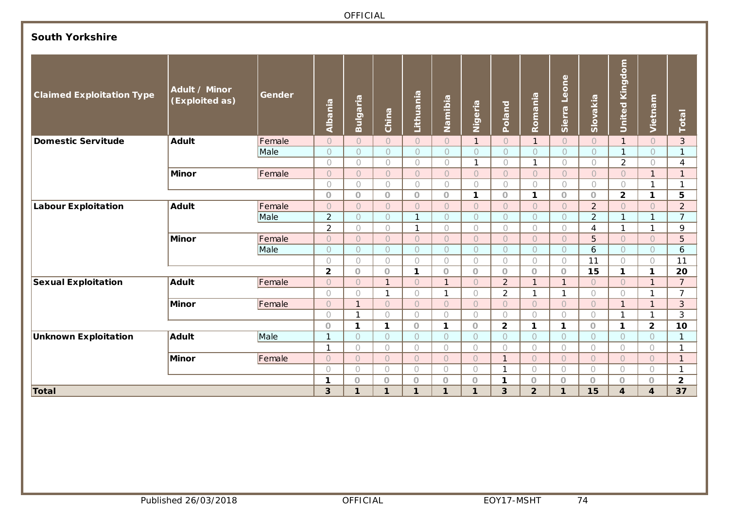### **South Yorkshire**

| <b>Claimed Exploitation Type</b> | Adult / Minor<br>(Exploited as) | <b>Gender</b> | Albania        | Bulgaria            | China          | Lithuania    | Namibia        | Nigeria        | Poland         | Romania        | Sierra Leone | Slovakia       | <b>United Kingdom</b>   | Vietnam        | Total                   |
|----------------------------------|---------------------------------|---------------|----------------|---------------------|----------------|--------------|----------------|----------------|----------------|----------------|--------------|----------------|-------------------------|----------------|-------------------------|
| <b>Domestic Servitude</b>        | <b>Adult</b>                    | Female        | $\bigcirc$     | $\circ$             | $\circ$        | $\circ$      | $\circ$        | $\mathbf{1}$   | $\circ$        | $\mathbf{1}$   | $\bigcirc$   | $\overline{O}$ | $\mathbf{1}$            | $\bigcirc$     | 3                       |
|                                  |                                 | Male          | $\circ$        | $\circ$             | $\overline{O}$ | $\circ$      | $\circ$        | $\circ$        | $\circ$        | $\circ$        | $\circ$      | $\bigcirc$     | $\mathbf{1}$            | $\circ$        | $\overline{1}$          |
|                                  |                                 |               | $\bigcirc$     | $\bigcirc$          | 0              | $\bigcap$    | $\bigcirc$     | $\mathbf{1}$   | $\bigcirc$     | $\mathbf{1}$   | $\bigcirc$   | $\bigcap$      | 2                       | $\bigcap$      | $\overline{4}$          |
|                                  | <b>Minor</b>                    | Female        | $\bigcirc$     | $\overline{O}$      | $\overline{O}$ | $\bigcirc$   | $\circ$        | $\bigcirc$     | $\overline{O}$ | $\circ$        | $\bigcirc$   | $\bigcap$      | $\circ$                 | $\mathbf{1}$   | $\mathbf{1}$            |
|                                  |                                 |               | $\bigcirc$     | $\bigcirc$          | $\bigcirc$     | $\bigcirc$   | $\bigcirc$     | $\bigcirc$     | $\bigcirc$     | $\bigcirc$     | $\bigcirc$   | $\bigcap$      | $\bigcirc$              | $\mathbf{1}$   | $\mathbf{1}$            |
|                                  |                                 |               | $\circ$        | $\circ$             | $\circ$        | $\circ$      | $\circ$        | 1              | $\overline{O}$ | $\mathbf{1}$   | $\circ$      | $\circ$        | $\overline{2}$          | $\mathbf{1}$   | 5                       |
| <b>Labour Exploitation</b>       | <b>Adult</b>                    | Female        | $\bigcirc$     | $\circlearrowright$ | $\circ$        | $\bigcirc$   | $\circ$        | $\bigcap$      | $\circ$        | $\bigcirc$     | $\circ$      | $\overline{2}$ | $\circ$                 | $\bigcirc$     | $\overline{2}$          |
|                                  |                                 | Male          | $\overline{2}$ | $\circ$             | $\circ$        | $\mathbf{1}$ | $\circ$        | $\bigcap$      | $\circ$        | $\circ$        | $\circ$      | $\overline{2}$ | $\mathbf{1}$            | 1              | $\overline{7}$          |
|                                  |                                 |               | $\overline{2}$ | $\bigcirc$          | $\bigcirc$     | $\mathbf{1}$ | $\bigcirc$     | $\bigcirc$     | $\bigcirc$     | $\bigcirc$     | $\bigcirc$   | $\overline{4}$ | $\mathbf{1}$            | 1              | 9                       |
|                                  | <b>Minor</b>                    | Female        | $\overline{O}$ | $\circ$             | $\circ$        | $\circ$      | $\circ$        | $\bigcap$      | $\overline{O}$ | $\overline{O}$ | $\bigcirc$   | 5              | $\circ$                 | $\overline{O}$ | 5                       |
|                                  |                                 | Male          | $\bigcirc$     | $\circ$             | $\circ$        | $\circ$      | $\circ$        | $\bigcap$      | $\circ$        | $\circ$        | $\circ$      | 6              | $\bigcirc$              | $\circ$        | 6                       |
|                                  |                                 |               | $\bigcirc$     | $\bigcirc$          | $\bigcirc$     | $\bigcirc$   | $\bigcirc$     | $\bigcirc$     | $\bigcirc$     | $\bigcirc$     | $\bigcirc$   | 11             | $\bigcirc$              | $\bigcirc$     | 11                      |
|                                  |                                 |               | $\overline{2}$ | $\bigcirc$          | $\Omega$       | $\mathbf{1}$ | $\circ$        | $\circ$        | $\circ$        | $\circ$        | $\circ$      | 15             | $\mathbf{1}$            | 1              | 20                      |
| <b>Sexual Exploitation</b>       | <b>Adult</b>                    | Female        | $\bigcirc$     | $\circ$             | 1              | $\bigcirc$   | $\overline{1}$ | $\bigcap$      | $\overline{2}$ | $\mathbf{1}$   | $\mathbf{1}$ | $\bigcap$      | $\bigcirc$              | $\mathbf{1}$   | $\overline{7}$          |
|                                  |                                 |               | $\bigcap$      | $\bigcirc$          | $\mathbf{1}$   | $\bigcirc$   | $\mathbf{1}$   | $\bigcirc$     | $\overline{2}$ | $\mathbf{1}$   | $\mathbf{1}$ | $\bigcirc$     | $\bigcirc$              | $\mathbf{1}$   | $\overline{7}$          |
|                                  | <b>Minor</b>                    | Female        | $\circ$        | $\mathbf{1}$        | $\circ$        | $\circ$      | $\circ$        | $\circ$        | $\overline{O}$ | $\circ$        | $\bigcirc$   | $\bigcap$      | $\mathbf{1}$            | $\mathbf{1}$   | $\mathbf{3}$            |
|                                  |                                 |               | $\bigcap$      | $\mathbf{1}$        | $\bigcap$      | $\bigcirc$   | $\bigcirc$     | $\bigcap$      | $\bigcirc$     | $\bigcirc$     | $\bigcap$    | $\bigcap$      | $\mathbf{1}$            | $\mathbf{1}$   | 3                       |
|                                  |                                 |               | $\Omega$       | $\mathbf{1}$        | $\mathbf{1}$   | $\circ$      | $\mathbf{1}$   | $\circ$        | $\overline{2}$ | $\mathbf{1}$   | 1            | $\Omega$       | $\mathbf{1}$            | $\overline{2}$ | 10                      |
| <b>Unknown Exploitation</b>      | <b>Adult</b>                    | Male          | $\mathbf{1}$   | $\circ$             | $\circ$        | $\circ$      | $\circ$        | $\bigcirc$     | $\overline{O}$ | $\circ$        | $\bigcirc$   | $\circ$        | $\circ$                 | $\circ$        | $\mathbf{1}$            |
|                                  |                                 |               | $\mathbf{1}$   | $\bigcirc$          | $\circ$        | $\bigcirc$   | $\bigcirc$     | $\bigcirc$     | $\bigcirc$     | $\bigcirc$     | $\bigcirc$   | $\bigcirc$     | 0                       | $\bigcirc$     | $\mathbf{1}$            |
|                                  | <b>Minor</b>                    | Female        | $\overline{O}$ | $\circ$             | $\overline{O}$ | $\circ$      | $\circ$        | $\overline{O}$ | $\mathbf{1}$   | $\circ$        | $\cup$       | $\overline{O}$ | $\circ$                 | $\overline{O}$ | $\mathbf{1}$            |
|                                  |                                 |               | $\bigcap$      | $\bigcirc$          | $\bigcap$      | $\bigcirc$   | $\bigcirc$     | $\bigcirc$     | $\mathbf{1}$   | $\bigcirc$     | $\bigcirc$   | $\bigcirc$     | 0                       | $\bigcirc$     | $\mathbf{1}$            |
|                                  |                                 |               | 1              | $\circ$             | $\circ$        | $\circ$      | $\circ$        | $\circ$        | 1              | $\bigcirc$     | $\circ$      | $\circ$        | $\circ$                 | $\circ$        | $\overline{\mathbf{2}}$ |
| Total                            |                                 |               | 3              | 1                   | $\mathbf{1}$   | $\mathbf{1}$ | 1              | $\mathbf{1}$   | 3              | $\overline{2}$ | $\mathbf{1}$ | 15             | $\overline{\mathbf{4}}$ | 4              | 37                      |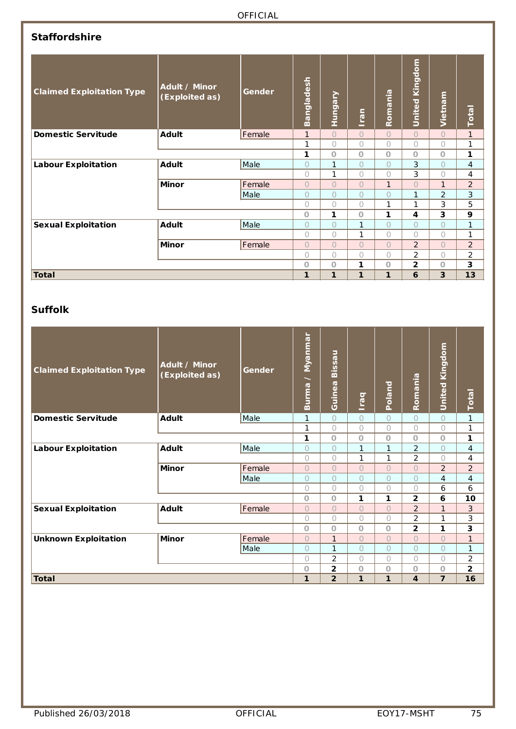### **Staffordshire**

| <b>Claimed Exploitation Type</b> | Adult / Minor<br>(Exploited as) | Gender | Bangladesh     | Hungary      | <b>Iran</b>  | Romania      | <b>United Kingdom</b> | Vietnam      | Total          |
|----------------------------------|---------------------------------|--------|----------------|--------------|--------------|--------------|-----------------------|--------------|----------------|
| <b>Domestic Servitude</b>        | Adult                           | Female | $\mathbf{1}$   | $\bigcap$    | $\bigcap$    | $\bigcap$    | $\cap$                | $\bigcap$    | $\mathbf{1}$   |
|                                  |                                 |        | 1              | $\bigcirc$   | $\bigcirc$   | $\bigcap$    | $\bigcap$             | $\bigcirc$   | 1              |
|                                  |                                 |        | 1              | $\Omega$     | $\circ$      | $\Omega$     | $\Omega$              | $\circ$      | 1              |
| <b>Labour Exploitation</b>       | <b>Adult</b>                    | Male   | $\bigcap$      | $\mathbf{1}$ | $\bigcap$    | $\bigcap$    | 3                     | $\bigcap$    | $\overline{4}$ |
|                                  |                                 |        | $\bigcap$      | 1            | $\bigcap$    | $\bigcap$    | 3                     | $\bigcap$    | 4              |
|                                  | <b>Minor</b>                    | Female | $\bigcap$      | $\bigcap$    | $\bigcap$    | $\mathbf{1}$ | $\bigcap$             | $\mathbf{1}$ | $\overline{2}$ |
|                                  |                                 | Male   | 0              | $\circ$      | $\circ$      | $\bigcap$    | 1                     | 2            | 3              |
|                                  |                                 |        | $\bigcap$      | $\bigcap$    | $\bigcap$    | 1            | 1                     | 3            | 5              |
|                                  |                                 |        | $\Omega$       | 1            | $\Omega$     | 1            | 4                     | 3            | 9              |
| <b>Sexual Exploitation</b>       | Adult                           | Male   | $\bigcap$      | $\bigcap$    | 1            | $\cap$       | $\bigcap$             | $\bigcap$    | $\mathbf{1}$   |
|                                  |                                 |        | $\bigcap$      | $\bigcirc$   | 1            | $\bigcap$    | $\bigcap$             | $\bigcirc$   | 1              |
|                                  | <b>Minor</b>                    | Female | $\overline{O}$ | $\bigcap$    | $\bigcap$    | $\bigcap$    | $\overline{2}$        | $\bigcap$    | $\overline{2}$ |
|                                  |                                 |        | $\bigcap$      | $\bigcap$    | $\bigcirc$   | $\bigcap$    | $\overline{2}$        | $\bigcap$    | $\overline{a}$ |
|                                  |                                 |        | $\Omega$       | $\Omega$     | 1            | $\Omega$     | $\mathbf{2}$          | $\circ$      | 3              |
| <b>Total</b>                     |                                 |        | 1              | 1            | $\mathbf{1}$ | 1            | 6                     | 3            | 13             |

### **Suffolk**

| <b>Claimed Exploitation Type</b> | Adult / Minor<br>(Exploited as) | Gender | <u>/ Myanmar</u><br>Burma | Bissau<br>Guinea | <b>Deal</b> | Poland       | Romania                 | United Kingdom | Total                    |
|----------------------------------|---------------------------------|--------|---------------------------|------------------|-------------|--------------|-------------------------|----------------|--------------------------|
| <b>Domestic Servitude</b>        | Adult                           | Male   | 1                         | $\bigcap$        | $\bigcirc$  | $\bigcap$    | $\bigcirc$              | $\circ$        | 1                        |
|                                  |                                 |        | 1                         | $\bigcap$        | $\bigcirc$  | $\bigcap$    | $\bigcirc$              | $\bigcirc$     | 1                        |
|                                  |                                 |        | 1                         | $\Omega$         | $\circ$     | $\circ$      | $\Omega$                | $\circ$        | 1                        |
| <b>Labour Exploitation</b>       | <b>Adult</b>                    | Male   | $\bigcap$                 | $\bigcap$        | 1           | $\mathbf{1}$ | $\overline{2}$          | $\overline{O}$ | $\overline{\mathcal{A}}$ |
|                                  |                                 |        | $\bigcap$                 | $\bigcap$        | 1           | 1            | $\overline{2}$          | $\bigcirc$     | 4                        |
|                                  | <b>Minor</b>                    | Female | $\bigcap$                 | $\bigcap$        | $\bigcirc$  | $\bigcap$    | $\bigcap$               | 2              | $\overline{2}$           |
|                                  |                                 | Male   | $\bigcap$                 | $\bigcap$        | $\bigcirc$  | $\bigcap$    | $\bigcap$               | $\overline{4}$ | $\overline{4}$           |
|                                  |                                 |        | $\bigcap$                 | $\bigcap$        | $\bigcirc$  | $\bigcap$    | $\bigcap$               | 6              | 6                        |
|                                  |                                 |        | $\circ$                   | $\circ$          | 1           | 1            | $\mathbf{2}$            | 6              | 10                       |
| <b>Sexual Exploitation</b>       | Adult                           | Female | $\overline{O}$            | $\circ$          | $\bigcirc$  | $\bigcirc$   | $\overline{2}$          | $\mathbf{1}$   | 3                        |
|                                  |                                 |        | $\bigcap$                 | $\bigcap$        | $\bigcirc$  | $\bigcap$    | $\overline{2}$          | $\mathbf{1}$   | 3                        |
|                                  |                                 |        | $\Omega$                  | $\circ$          | $\circ$     | $\circ$      | $\overline{2}$          | 1              | 3                        |
| <b>Unknown Exploitation</b>      | <b>Minor</b>                    | Female | $\bigcap$                 | $\mathbf{1}$     | $\bigcirc$  | $\bigcap$    | $\bigcap$               | $\bigcap$      | $\mathbf{1}$             |
|                                  |                                 | Male   | $\bigcap$                 | 1                | $\bigcirc$  | $\bigcap$    | $\bigcap$               | $\circ$        | 1                        |
|                                  |                                 |        | $\bigcap$                 | $\overline{2}$   | $\bigcirc$  | $\bigcap$    | $\bigcap$               | $\bigcap$      | $\overline{2}$           |
|                                  |                                 |        | $\circ$                   | 2                | $\circ$     | $\circ$      | $\circ$                 | $\circ$        | $\overline{\mathbf{2}}$  |
| <b>Total</b>                     |                                 |        | 1                         | $\overline{2}$   | 1           | $\mathbf{1}$ | $\overline{\mathbf{4}}$ | $\overline{7}$ | 16                       |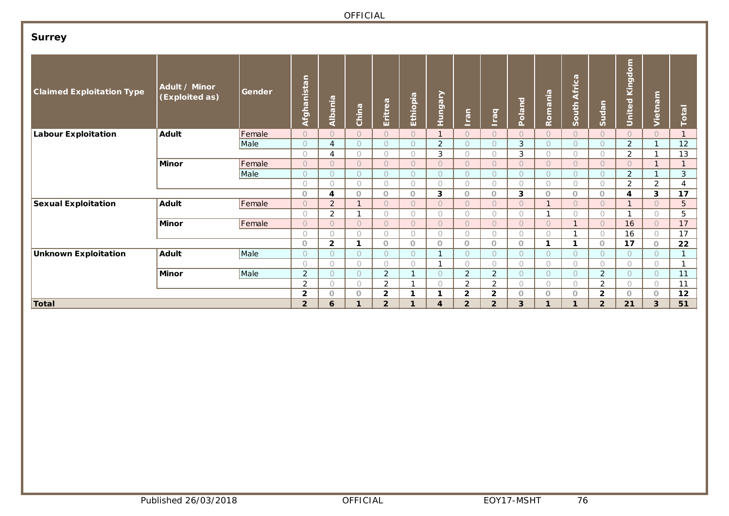# **Surrey**

| <b>Claimed Exploitation Type</b> | Adult / Minor<br>(Exploited as) | Gender | c<br>$\overline{c}$<br>Afghanis | Albania        | China      | Eritrea        | Ethiopia       | <b>Hungary</b> | <b>Iran</b>    | $\overline{\sigma}$<br>$\mathbb{E}$ | Poland     | Romania        | $\boldsymbol{\sigma}$<br>Africa<br>South | Sudan          | $\frac{1}{2}$<br>$\overline{\mathbf{o}}$<br>King<br>$\overline{\sigma}$<br>United | Vietnam    | Total        |
|----------------------------------|---------------------------------|--------|---------------------------------|----------------|------------|----------------|----------------|----------------|----------------|-------------------------------------|------------|----------------|------------------------------------------|----------------|-----------------------------------------------------------------------------------|------------|--------------|
| <b>Labour Exploitation</b>       | Adult                           | Female | $\circ$                         | $\bigcap$      | $\bigcap$  | $\circ$        | $\bigcap$      | $\mathbf{1}$   | $\bigcap$      | $\overline{O}$                      | $\circ$    | $\overline{O}$ | $\overline{O}$                           | $\circ$        | $\bigcap$                                                                         | $\circ$    | $\mathbf{1}$ |
|                                  |                                 | Male   | $\circ$                         | 4              | $\circ$    | $\circ$        | $\circ$        | 2              | $\circ$        | $\circ$                             | 3          | $\circ$        | $\circ$                                  | $\circ$        | 2                                                                                 |            | 12           |
|                                  |                                 |        | $\circ$                         | $\overline{4}$ | $\bigcirc$ | $\bigcirc$     | $\bigcirc$     | 3              | $\bigcirc$     | $\bigcirc$                          | 3          | $\bigcirc$     | $\bigcirc$                               | $\bigcirc$     | $\overline{2}$                                                                    |            | 13           |
|                                  | <b>Minor</b>                    | Female | $\circ$                         | $\bigcap$      | $\circ$    | $\circ$        | $\bigcap$      | $\overline{O}$ | $\bigcap$      | $\bigcirc$                          | $\bigcirc$ | $\overline{O}$ | $\circ$                                  | $\circ$        | $\bigcap$                                                                         |            | $\mathbf{1}$ |
|                                  |                                 | Male   | $\circ$                         | $\circ$        | $\circ$    | $\circ$        | $\circ$        | $\circ$        | $\circ$        | $\circ$                             | $\circ$    | $\circ$        | $\circ$                                  | $\circ$        | $\overline{2}$                                                                    | <b>1</b>   | 3            |
|                                  |                                 |        | $\bigcirc$                      | $\bigcirc$     | $\bigcirc$ | $\bigcirc$     | $\bigcirc$     | $\bigcirc$     | $\bigcirc$     | $\bigcirc$                          | $\bigcirc$ | $\bigcirc$     | $\bigcirc$                               | $\bigcirc$     | $\overline{2}$                                                                    | 2          | 4            |
|                                  |                                 |        | $\circ$                         | 4              | $\circ$    | $\circ$        | $\circ$        | 3              | $\circ$        | $\circ$                             | 3          | $\circ$        | $\circ$                                  | $\circ$        | 4                                                                                 | 3          | 17           |
| <b>Sexual Exploitation</b>       | Adult                           | Female | $\circ$                         | 2              | 1          | $\circ$        | $\overline{O}$ | $\overline{O}$ | $\circ$        | $\bigcirc$                          | $\circ$    | $\overline{ }$ | $\bigcirc$                               | $\circ$        | 1                                                                                 | $\Omega$   | 5            |
|                                  |                                 |        | $\circ$                         | $\overline{2}$ |            | $\bigcirc$     | $\bigcirc$     | $\bigcirc$     | $\bigcirc$     | $\bigcirc$                          | $\bigcirc$ | ٠              | $\bigcirc$                               | $\bigcirc$     | $\mathbf{A}$                                                                      | $\bigcirc$ | 5            |
|                                  | <b>Minor</b>                    | Female | $\circ$                         | $\bigcap$      | $\circ$    | $\circ$        | $\overline{O}$ | $\bigcap$      | $\circ$        | $\overline{O}$                      | $\bigcirc$ | $\overline{O}$ | $\overline{ }$                           | $\circ$        | 16                                                                                | $\circ$    | 17           |
|                                  |                                 |        | $\circ$                         | 0              | $\bigcirc$ | $\circ$        | $\circ$        | $\bigcirc$     | $\circ$        | $\circ$                             | $\bigcirc$ | $\circ$        | $\mathbf{A}$                             | $\bigcirc$     | 16                                                                                | $\circ$    | 17           |
|                                  |                                 |        | $\circ$                         | $\overline{2}$ | 1          | $\circ$        | $\circ$        | $\circ$        | $\circ$        | $\circ$                             | $\circ$    | 1              | 1                                        | $\circ$        | 17                                                                                | $\circ$    | 22           |
| <b>Unknown Exploitation</b>      | Adult                           | Male   | $\circ$                         | $\bigcap$      | $\bigcirc$ | $\circ$        | $\bigcap$      | 1              | $\bigcap$      | $\circ$                             | $\bigcirc$ | $\circ$        | $\circ$                                  | $\bigcirc$     | $\bigcirc$                                                                        | $\bigcirc$ | 1            |
|                                  |                                 |        | $\circ$                         | $\bigcirc$     | $\bigcirc$ | $\circ$        | $\circ$        |                | $\bigcirc$     | $\bigcirc$                          | $\bigcirc$ | $\circ$        | $\circ$                                  | $\bigcirc$     | $\bigcirc$                                                                        | $\bigcirc$ | 1            |
|                                  | <b>Minor</b>                    | Male   | 2                               | $\bigcap$      | $\circ$    | 2              | -1             | $\circ$        | 2              | 2                                   | $\circ$    | $\circ$        | $\circ$                                  | 2              | $\circ$                                                                           | $\circ$    | 11           |
|                                  |                                 |        | 2                               | $\bigcirc$     | $\bigcirc$ | $\overline{2}$ | -1             | $\bigcirc$     | $\overline{2}$ | $\overline{2}$                      | $\bigcirc$ | $\bigcirc$     | $\bigcirc$                               | 2              | $\bigcirc$                                                                        | $\bigcirc$ | 11           |
|                                  |                                 |        | $\overline{2}$                  | $\circ$        | $\circ$    | $\overline{2}$ | 1              | 1              | $\overline{2}$ | $\overline{2}$                      | $\circ$    | $\circ$        | $\circ$                                  | $\overline{2}$ | $\circ$                                                                           | $\circ$    | 12           |
| Total                            |                                 |        | $\overline{2}$                  | 6              |            | $\overline{2}$ | 1              | 4              | $\overline{2}$ | $\overline{2}$                      | 3          |                |                                          | $\overline{2}$ | 21                                                                                | 3          | 51           |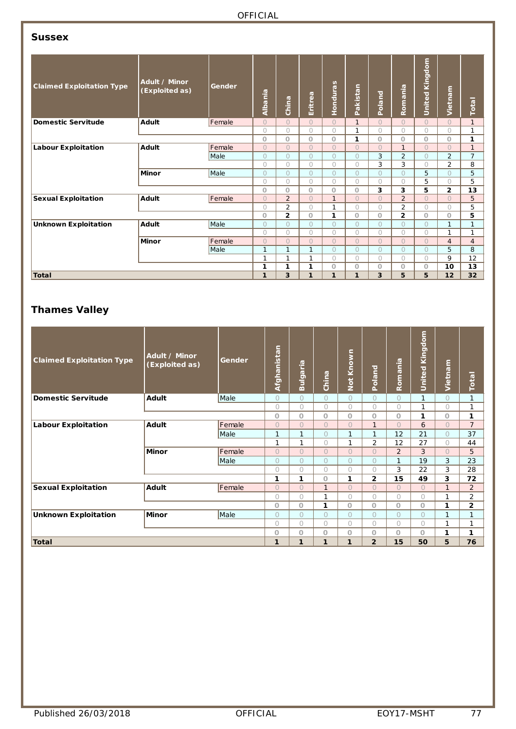### **Sussex**

| <b>Claimed Exploitation Type</b> | Adult / Minor<br>(Exploited as) | Gender | Albania      | China          | Eritrea        | Honduras     | Pakistan       | Poland     | Romania        | Kingdom<br>United | Vietnam        | Total          |
|----------------------------------|---------------------------------|--------|--------------|----------------|----------------|--------------|----------------|------------|----------------|-------------------|----------------|----------------|
| <b>Domestic Servitude</b>        | Adult                           | Female | $\Omega$     | $\Omega$       | $\overline{O}$ | $\bigcap$    | $\mathbf{1}$   | $\Omega$   | $\overline{O}$ | $\bigcap$         | $\Omega$       | $\mathbf{1}$   |
|                                  |                                 |        | $\bigcap$    | $\circ$        | $\bigcirc$     | $\bigcirc$   | 1              | $\bigcap$  | $\bigcap$      | $\bigcap$         | $\bigcirc$     | 1              |
|                                  |                                 |        | $\Omega$     | $\circ$        | $\Omega$       | $\circ$      | 1              | $\circ$    | 0              | $\Omega$          | $\circ$        | 1              |
| <b>Labour Exploitation</b>       | <b>Adult</b>                    | Female | $\Omega$     | $\Omega$       | $\Omega$       | $\bigcap$    | $\bigcap$      | $\bigcap$  | $\mathbf{1}$   | $\bigcap$         | $\Omega$       | $\mathbf{1}$   |
|                                  |                                 | Male   | $\Omega$     | $\circ$        | $\overline{O}$ | $\Omega$     | $\bigcap$      | 3          | $\overline{2}$ | $\bigcap$         | $\overline{2}$ | $\overline{7}$ |
|                                  |                                 |        | $\bigcap$    | $\circ$        | $\bigcap$      | $\bigcap$    | $\bigcap$      | 3          | 3              | $\cap$            | $\overline{2}$ | 8              |
|                                  | <b>Minor</b>                    | Male   | $\Omega$     | $\bigcirc$     | $\overline{O}$ | $\bigcap$    | $\Omega$       | $\bigcap$  | $\Omega$       | 5                 | $\Omega$       | 5              |
|                                  |                                 |        | $\bigcirc$   | $\bigcirc$     | $\bigcirc$     | $\bigcirc$   | $\bigcirc$     | $\bigcirc$ | $\bigcirc$     | 5                 | $\bigcirc$     | 5              |
|                                  |                                 |        | $\circ$      | $\circ$        | $\Omega$       | $\circ$      | $\Omega$       | 3          | 3              | 5                 | $\mathbf{2}$   | 13             |
| <b>Sexual Exploitation</b>       | Adult                           | Female | $\Omega$     | $\overline{2}$ | $\Omega$       | $\mathbf{1}$ | $\bigcap$      | $\bigcap$  | $\overline{2}$ | $\Omega$          | $\Omega$       | 5              |
|                                  |                                 |        | $\bigcirc$   | $\overline{2}$ | 0              | 1            | $\bigcirc$     | $\bigcirc$ | $\overline{2}$ | $\bigcap$         | $\bigcirc$     | 5              |
|                                  |                                 |        | $\circ$      | $\overline{2}$ | $\Omega$       | 1            | $\Omega$       | $\circ$    | $\overline{2}$ | $\circ$           | O              | 5              |
| <b>Unknown Exploitation</b>      | <b>Adult</b>                    | Male   | $\Omega$     | $\Omega$       | $\bigcap$      | $\bigcap$    | $\bigcap$      | $\bigcap$  | $\bigcap$      | $\bigcap$         | $\mathbf{1}$   | 1              |
|                                  |                                 |        | $\bigcirc$   | $\circ$        | 0              | $\bigcirc$   | $\bigcirc$     | $\bigcirc$ | $\bigcirc$     | $\bigcap$         | 1              | 1              |
|                                  | <b>Minor</b>                    | Female | $\Omega$     | $\circ$        | $\overline{O}$ | $\bigcap$    | $\overline{O}$ | $\bigcap$  | $\Omega$       | $\Omega$          | $\overline{4}$ | $\overline{4}$ |
|                                  |                                 | Male   | $\mathbf{1}$ | $\mathbf{1}$   | 1              | $\bigcap$    | $\Omega$       | $\bigcirc$ | $\Omega$       | $\bigcap$         | 5              | 8              |
|                                  |                                 |        | $\mathbf 1$  | $\mathbf{1}$   | 1              | $\bigcap$    | $\bigcirc$     | $\bigcirc$ | $\bigcirc$     | $\bigcirc$        | 9              | 12             |
|                                  |                                 |        | 1            | 1              | 1              | $\circ$      | $\circ$        | $\circ$    | O              | $\circ$           | 10             | 13             |
| Total                            |                                 |        | $\mathbf{1}$ | 3              | 1              | $\mathbf{1}$ | 1              | 3          | 5              | 5                 | 12             | 32             |

# **Thames Valley**

| <b>Claimed Exploitation Type</b> | Adult / Minor<br>(Exploited as) | Gender      | Afghanistan    | Bulgaria       | China          | Not Known      | Poland         | Romania        | <b>United Kingdom</b> | Vietnam        | Total          |
|----------------------------------|---------------------------------|-------------|----------------|----------------|----------------|----------------|----------------|----------------|-----------------------|----------------|----------------|
| <b>Domestic Servitude</b>        | Adult                           | <b>Male</b> | $\circ$        | $\circ$        | $\circ$        | $\bigcirc$     | $\bigcirc$     | $\bigcirc$     | $\mathbf{1}$          | $\bigcirc$     | $\mathbf{1}$   |
|                                  |                                 |             | $\bigcirc$     | $\bigcirc$     | $\bigcirc$     | $\bigcirc$     | $\bigcirc$     | $\bigcirc$     | 1                     | $\overline{O}$ | 1              |
|                                  |                                 |             | O              | O              | O              | O              | O              | O              | 1                     | O              | 1              |
| <b>Labour Exploitation</b>       | Adult                           | Female      | $\Omega$       | $\Omega$       | $\Omega$       | $\Omega$       | $\mathbf{1}$   | $\overline{O}$ | 6                     | $\overline{O}$ | $\overline{7}$ |
|                                  |                                 | Male        | 1              | 1              | $\overline{O}$ | 1              | $\mathbf{1}$   | 12             | 21                    | $\overline{O}$ | 37             |
|                                  |                                 |             | 1              | 1              | $\bigcirc$     | 1              | $\overline{2}$ | 12             | 27                    | 0              | 44             |
|                                  | <b>Minor</b>                    | Female      | $\Omega$       | $\bigcirc$     | $\overline{O}$ | $\overline{O}$ | $\overline{O}$ | $\overline{2}$ | 3                     | $\overline{O}$ | 5              |
|                                  |                                 | Male        | $\circ$        | $\overline{O}$ | $\overline{O}$ | $\overline{O}$ | $\overline{O}$ | 1              | 19                    | 3              | 23             |
|                                  |                                 |             | $\bigcirc$     | $\bigcirc$     | $\bigcirc$     | $\bigcirc$     | $\bigcirc$     | 3              | 22                    | 3              | 28             |
|                                  |                                 |             | 1              | 1              | $\circ$        | 1              | $\mathbf{2}$   | 15             | 49                    | 3              | 72             |
| <b>Sexual Exploitation</b>       | Adult                           | Female      | $\overline{O}$ | $\overline{O}$ | $\mathbf{1}$   | $\overline{O}$ | $\overline{O}$ | $\overline{O}$ | $\Omega$              | $\mathbf{1}$   | 2              |
|                                  |                                 |             | $\bigcirc$     | $\bigcirc$     | 1              | 0              | $\bigcirc$     | $\bigcirc$     | $\bigcirc$            | 1              | $\overline{2}$ |
|                                  |                                 |             | $\circ$        | $\circ$        | 1              | $\overline{O}$ | $\overline{O}$ | $\overline{O}$ | $\overline{O}$        | 1              | $\mathbf{2}$   |
| <b>Unknown Exploitation</b>      | <b>Minor</b>                    | Male        | $\overline{O}$ | $\overline{O}$ | $\bigcirc$     | $\overline{O}$ | $\overline{O}$ | $\overline{O}$ | $\overline{O}$        | 1              | $\mathbf{1}$   |
|                                  |                                 |             | $\bigcap$      | $\bigcap$      | $\bigcap$      | $\overline{O}$ | $\bigcirc$     | $\bigcirc$     | $\bigcap$             | 1              | $\mathbf{1}$   |
|                                  |                                 |             | $\overline{O}$ | Ö              | O              | O              | O              | O              | $\overline{O}$        | 1              | 1              |
| <b>Total</b>                     |                                 |             | 1              | 1              | 1              | 1              | $\overline{2}$ | 15             | 50                    | 5              | 76             |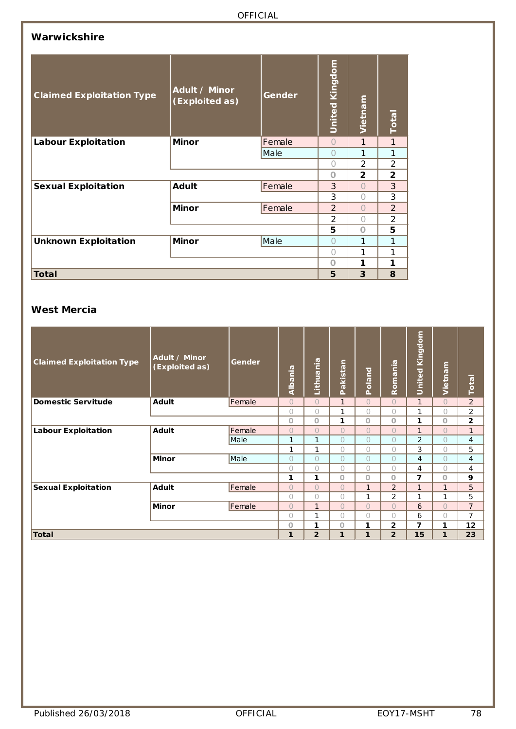#### **Warwickshire**

| <b>Claimed Exploitation Type</b> | Adult / Minor<br>(Exploited as) | Gender | United Kingdom | Vietnam        | Total          |
|----------------------------------|---------------------------------|--------|----------------|----------------|----------------|
| <b>Labour Exploitation</b>       | <b>Minor</b>                    | Female | $\bigcap$      | 1              | $\mathbf{1}$   |
|                                  |                                 | Male   | ∩              | 1              | 1              |
|                                  |                                 |        | $\bigcap$      | 2              | $\overline{2}$ |
|                                  |                                 |        | $\Omega$       | $\overline{2}$ | $\overline{2}$ |
| <b>Sexual Exploitation</b>       | <b>Adult</b>                    | Female | 3              | $\bigcap$      | 3              |
|                                  |                                 |        | 3              | $\bigcap$      | 3              |
|                                  | <b>Minor</b>                    | Female | $\overline{2}$ | $\bigcap$      | $\overline{2}$ |
|                                  |                                 |        | $\overline{2}$ | $\bigcap$      | $\overline{2}$ |
|                                  |                                 |        | 5              | $\Omega$       | 5              |
| <b>Unknown Exploitation</b>      | <b>Minor</b>                    | Male   | Ω              | 1              | 1              |
|                                  |                                 |        | ∩              | 1              | 1              |
|                                  |                                 |        | $\Omega$       | 1              | 1              |
| <b>Total</b>                     |                                 |        | 5              | 3              | 8              |

#### **West Mercia**

| <b>Claimed Exploitation Type</b> | Adult / Minor<br>(Exploited as) | Gender | Albania    | Lithuania      | Pakistan     | <b>Poland</b>  | Romania        | <b>United Kingdom</b> | Vietnam      | Total          |
|----------------------------------|---------------------------------|--------|------------|----------------|--------------|----------------|----------------|-----------------------|--------------|----------------|
| <b>Domestic Servitude</b>        | <b>Adult</b>                    | Female | $\bigcap$  | $\bigcap$      | $\mathbf{1}$ | $\bigcirc$     | $\bigcap$      | $\mathbf{1}$          | $\bigcirc$   | $\overline{2}$ |
|                                  |                                 |        | $\bigcirc$ | $\bigcirc$     | 1            | $\bigcirc$     | $\bigcirc$     | 1                     | $\circ$      | $\overline{c}$ |
|                                  |                                 |        | $\Omega$   | $\Omega$       | 1            | $\overline{O}$ | $\circ$        | 1                     | $\circ$      | 2              |
| <b>Labour Exploitation</b>       | Adult                           | Female | $\bigcap$  | $\bigcap$      | $\bigcap$    | $\Omega$       | $\bigcap$      | 1                     | $\bigcirc$   | $\mathbf{1}$   |
|                                  |                                 | Male   | 1          | $\mathbf{1}$   | $\bigcirc$   | $\overline{O}$ | $\bigcirc$     | 2                     | $\bigcirc$   | 4              |
|                                  |                                 |        | 1          | 1              | $\bigcap$    | $\bigcirc$     | $\bigcap$      | 3                     | $\bigcirc$   | 5              |
|                                  | <b>Minor</b>                    | Male   | $\bigcap$  | $\bigcap$      | $\bigcap$    | $\Omega$       | $\bigcirc$     | $\overline{4}$        | $\bigcirc$   | 4              |
|                                  |                                 |        | $\bigcap$  | 0              | $\bigcap$    | $\bigcirc$     | $\bigcap$      | 4                     | $\bigcirc$   | 4              |
|                                  |                                 |        | 1          | 1              | $\circ$      | $\circ$        | $\circ$        | 7                     | $\circ$      | 9              |
| <b>Sexual Exploitation</b>       | <b>Adult</b>                    | Female | $\bigcap$  | $\bigcap$      | $\bigcap$    | $\mathbf{1}$   | $\overline{2}$ | $\mathbf{1}$          | $\mathbf{1}$ | 5              |
|                                  |                                 |        | $\bigcap$  | 0              | $\bigcap$    | 1              | 2              | 1                     | 1            | 5              |
|                                  | <b>Minor</b>                    | Female | $\bigcap$  | $\mathbf{1}$   | $\bigcap$    | $\bigcap$      | $\bigcap$      | 6                     | $\bigcirc$   | $\overline{7}$ |
|                                  |                                 |        | 0          | 1              | $\bigcirc$   | 0              | $\bigcirc$     | 6                     | 0            | 7              |
|                                  |                                 |        | $\Omega$   | 1              | $\circ$      | 1              | 2              | 7                     | 1            | 12             |
| <b>Total</b>                     |                                 |        | 1          | $\overline{2}$ | 1            | 1              | $\overline{2}$ | 15                    | $\mathbf{1}$ | 23             |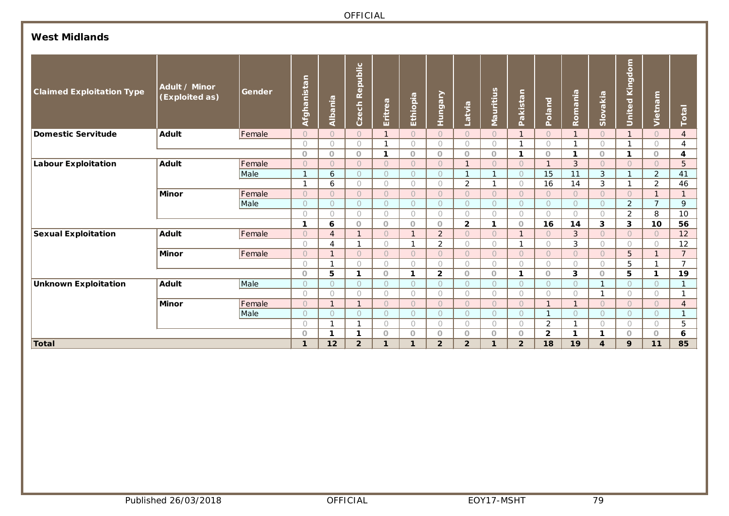# **West Midlands**

| <b>Claimed Exploitation Type</b> | Adult / Minor<br>(Exploited as) | Gender | Ξ.<br>nistal<br>Afghai | Albania           | Republic<br>Czech       | Eritrea              | Ethiopia                           | Hungary                     | Latvia                  | <b>Mauritius</b>        | akistan<br>Δ.            | <b>Poland</b>           | Romania        | Slovakia                | dom<br>King<br>United | Vietnam        | Total                |
|----------------------------------|---------------------------------|--------|------------------------|-------------------|-------------------------|----------------------|------------------------------------|-----------------------------|-------------------------|-------------------------|--------------------------|-------------------------|----------------|-------------------------|-----------------------|----------------|----------------------|
| Domestic Servitude               | <b>Adult</b>                    | Female | $\overline{O}$         | $\Omega$          | $\bigcap$               | $\mathbf{1}$         | $\bigcap$                          | $\bigcap$                   | $\bigcap$               | $\bigcap$               | $\mathbf{1}$             | $\bigcap$               | $\mathbf{1}$   | $\overline{O}$          |                       | $\bigcap$      | $\overline{4}$       |
|                                  |                                 |        | $\bigcirc$             | $\bigcap$         | $\bigcirc$              | $\mathbf{1}$         | $\bigcap$                          | $\bigcirc$                  | $\bigcirc$              | 0                       | 1                        | 0                       | 1              | $\bigcirc$              | 1                     | $\bigcirc$     | 4                    |
|                                  |                                 |        | $\circ$                | $\circ$           | $\circ$                 | 1                    | $\circ$                            | $\circ$                     | $\circ$                 | $\circ$                 | 1                        | $\circ$                 | 1              | $\circ$                 | 1                     | $\circ$        | 4                    |
| Labour Exploitation              | <b>Adult</b>                    | Female | $\circ$                | $\bigcap$         | $\bigcap$               | $\bigcap$            | $\bigcap$                          | $\bigcap$                   |                         | $\bigcap$               | $\bigcap$                | $\mathbf{1}$            | 3              | $\bigcap$               | $\bigcap$             | $\overline{O}$ | 5                    |
|                                  |                                 | Male   | $\mathbf{1}$           | 6                 | $\bigcirc$              | $\circ$              | $\circ$                            | $\circ$                     |                         |                         | $\overline{O}$           | 15                      | 11             | 3                       | $\mathbf{I}$          | $\overline{2}$ | 41                   |
|                                  |                                 |        | 1                      | 6                 | $\bigcirc$              | $\bigcirc$           | $\bigcap$                          | $\bigcap$                   | $\overline{a}$          |                         | $\bigcap$                | 16                      | 14             | 3                       |                       | $\overline{2}$ | 46                   |
|                                  | <b>Minor</b>                    | Female | $\circ$                | $\bigcap$         | $\bigcirc$              | $\bigcap$            | $\bigcap$                          | $\bigcap$                   | $\bigcap$               | $\bigcap$               | $\bigcap$                | $\bigcap$               | $\bigcap$      | $\overline{O}$          | $\circ$               |                |                      |
|                                  |                                 | Male   | $\bigcirc$             | $\bigcap$         | $\bigcirc$              | $\bigcap$            | $\bigcap$                          | $\bigcap$                   | $\bigcap$               | $\bigcap$               | $\bigcap$                | $\bigcap$               | $\bigcap$      | $\circ$                 | $\overline{2}$        | $\overline{7}$ | 9                    |
|                                  |                                 |        | $\bigcirc$             | $\bigcap$         | $\bigcirc$              | $\bigcirc$           | $\bigcap$                          | $\bigcap$                   | $\bigcap$               | $\bigcirc$              | $\bigcap$                | $\bigcap$               | $\bigcap$      | $\bigcap$               | 2                     | 8              | 10                   |
|                                  |                                 |        | $\mathbf{1}$           | 6                 | $\circ$<br>$\mathbf{1}$ | $\circ$              | $\circ$<br>$\mathbf{\overline{1}}$ | $\circ$                     | $\overline{2}$          | 1                       | $\Omega$<br>$\mathbf{1}$ | 16                      | 14             | 3                       | 3                     | 10             | 56                   |
| <b>Sexual Exploitation</b>       | <b>Adult</b>                    | Female | $\circ$                | $\overline{4}$    | $\mathbf{1}$            | $\bigcap$            | $\mathbf{1}$                       | $\overline{2}$              | $\bigcap$               | $\bigcap$               | 1                        | $\bigcap$               | 3              | $\bigcap$               | $\circ$               | $\circ$        | 12                   |
|                                  |                                 |        | $\bigcirc$             | 4<br>$\mathbf{I}$ | $\bigcap$               | $\circ$<br>$\bigcap$ | $\bigcap$                          | $\overline{2}$<br>$\bigcap$ | $\bigcirc$<br>$\bigcap$ | $\bigcirc$<br>$\bigcap$ | $\Omega$                 | $\bigcirc$<br>$\bigcap$ | 3<br>$\bigcap$ | $\bigcirc$<br>$\bigcap$ | $\bigcirc$            | $\bigcirc$     | 12<br>$\overline{7}$ |
|                                  | <b>Minor</b>                    | Female | $\bigcirc$<br>$\circ$  | 1                 | $\circ$                 | $\circ$              | $\bigcirc$                         | $\bigcirc$                  | $\bigcirc$              | $\bigcirc$              | $\bigcap$                | $\bigcirc$              | $\bigcap$      | $\bigcirc$              | 5<br>5                |                | $\overline{7}$       |
|                                  |                                 |        | $\circ$                | 5                 | -1                      | $\circ$              | 1                                  | $\overline{2}$              | $\circ$                 | $\circ$                 | 1                        | $\circ$                 | 3              | $\circ$                 | 5                     | 1              | 19                   |
| Unknown Exploitation             | <b>Adult</b>                    | Male   | $\circlearrowright$    | $\bigcirc$        | $\circ$                 | $\circ$              | $\bigcirc$                         | $\bigcap$                   | $\circ$                 | $\bigcap$               | $\bigcap$                | $\bigcap$               | $\bigcap$      | $\mathbf 1$             | $\circ$               | $\circ$        | $\mathbf{A}$         |
|                                  |                                 |        | $\bigcirc$             | $\bigcirc$        | $\bigcirc$              | $\bigcirc$           | $\bigcap$                          | $\bigcirc$                  | $\bigcirc$              | $\bigcirc$              | $\bigcap$                | $\bigcap$               | $\bigcap$      | 1                       | $\bigcirc$            | $\bigcirc$     |                      |
|                                  | <b>Minor</b>                    | Female | $\circ$                | $\overline{1}$    | $\mathbf{1}$            | $\bigcirc$           | $\overline{O}$                     | $\bigcap$                   | $\bigcap$               | $\overline{O}$          | $\bigcap$                | $\mathbf{1}$            | $\mathbf{1}$   | $\overline{O}$          | $\overline{O}$        | $\circ$        | $\overline{4}$       |
|                                  |                                 | Male   | $\circ$                | $\bigcap$         | $\bigcirc$              | $\circ$              | $\circ$                            | $\bigcap$                   | $\circ$                 | $\circ$                 | $\circ$                  | 1                       | $\bigcap$      | $\circ$                 | $\circ$               | $\circ$        | $\mathbf{1}$         |
|                                  |                                 |        | $\bigcirc$             | $\mathbf{1}$      | $\mathbf{1}$            | $\bigcirc$           | $\bigcirc$                         | $\bigcirc$                  | $\bigcirc$              | $\bigcirc$              | $\bigcirc$               | $\overline{2}$          | $\mathbf{1}$   | $\bigcirc$              | $\bigcirc$            | $\bigcirc$     | 5                    |
|                                  |                                 |        | $\circ$                | 1                 | 1                       | $\circ$              | $\circ$                            | $\circ$                     | $\circ$                 | $\circ$                 | $\circ$                  | $\overline{2}$          | 1              | 1                       | $\Omega$              | $\Omega$       | 6                    |
| Total                            |                                 |        | 1                      | 12                | $\overline{2}$          | 1                    | 1                                  | $\overline{2}$              | $\overline{2}$          | 1                       | $\overline{2}$           | 18                      | 19             | 4                       | 9                     | 11             | 85                   |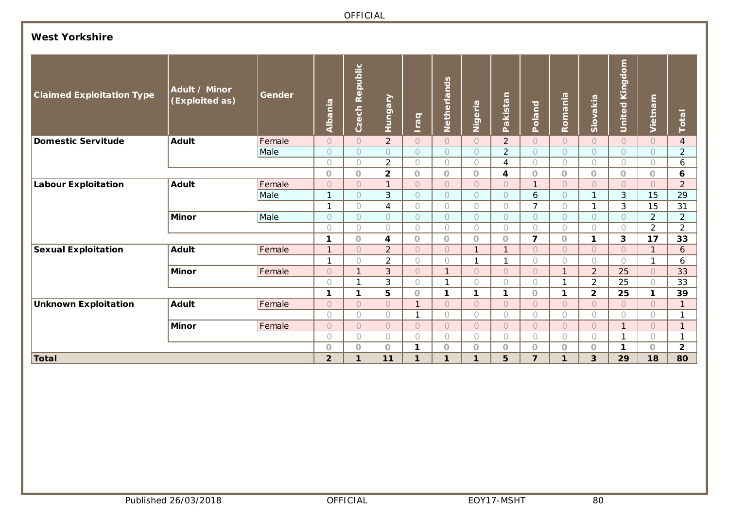# **West Yorkshire**

| <b>Claimed Exploitation Type</b> | Adult / Minor<br>(Exploited as) | Gender | Albania        | Republic<br>Czech     | Hungary        | <b>Iraq</b>  | Netherlands  | Nigeria        | Pakistan       | Poland         | Romania        | Slovakia       | <b>S</b><br><b>United Kingd</b> | Vietnam        | Total          |
|----------------------------------|---------------------------------|--------|----------------|-----------------------|----------------|--------------|--------------|----------------|----------------|----------------|----------------|----------------|---------------------------------|----------------|----------------|
| <b>Domestic Servitude</b>        | <b>Adult</b>                    | Female | $\bigcirc$     | $\circ$               | $\overline{2}$ | $\circ$      | $\circ$      | $\overline{O}$ | $\overline{2}$ | $\overline{O}$ | $\overline{O}$ | $\overline{O}$ | $\circ$                         | $\circ$        | $\overline{4}$ |
|                                  |                                 | Male   | $\circ$        | $\circ$               | $\bigcap$      | $\bigcap$    | $\bigcirc$   | $\bigcap$      | $\overline{2}$ | $\bigcap$      | $\circ$        | 0              | $\circ$                         | $\circ$        | $\overline{2}$ |
|                                  |                                 |        | $\bigcirc$     | $\bigcirc$            | $\overline{2}$ | $\bigcirc$   | $\bigcirc$   | $\bigcap$      | $\overline{4}$ | $\bigcirc$     | $\bigcirc$     | $\bigcirc$     | $\bigcirc$                      | $\bigcirc$     | 6              |
|                                  |                                 |        | $\circ$        | $\circ$               | $\overline{2}$ | $\circ$      | $\circ$      | $\overline{O}$ | 4              | $\circ$        | $\circ$        | $\circ$        | $\circ$                         | $\circ$        | 6              |
| <b>Labour Exploitation</b>       | <b>Adult</b>                    | Female | $\circ$        | $\overline{O}$        | 1              | $\bigcirc$   | $\bigcirc$   | $\overline{O}$ | $\circ$        | $\mathbf{1}$   | $\circ$        | $\overline{O}$ | $\circ$                         | $\circ$        | $\overline{2}$ |
|                                  |                                 | Male   | $\mathbf{1}$   | $\circ$               | 3              | $\bigcap$    | $\bigcirc$   | $\bigcap$      | $\overline{O}$ | 6              | $\circ$        | 1              | $\mathfrak{S}$                  | 15             | 29             |
|                                  |                                 |        | 1              | $\bigcirc$            | $\overline{4}$ | $\bigcap$    | $\bigcirc$   | $\bigcap$      | $\bigcirc$     | $\overline{7}$ | $\bigcirc$     |                | 3                               | 15             | 31             |
|                                  | <b>Minor</b>                    | Male   | $\circ$        | $\circ$               | $\circ$        | $\bigcirc$   | $\bigcirc$   | $\bigcap$      | $\circ$        | $\circ$        | $\circ$        | $\bigcap$      | $\circ$                         | $\overline{2}$ | $\overline{2}$ |
|                                  |                                 |        | $\bigcirc$     | $\bigcap$             | $\bigcirc$     | $\bigcap$    | $\bigcirc$   | $\bigcap$      | $\bigcirc$     | $\bigcirc$     | $\bigcirc$     | 0              | $\bigcirc$                      | 2              | $\overline{a}$ |
|                                  |                                 |        | $\mathbf{1}$   | $\bigcirc$            | 4              | $\circ$      | $\circ$      | $\circ$        | $\bigcirc$     | 7              | $\circ$        | $\mathbf{1}$   | 3                               | 17             | 33             |
| <b>Sexual Exploitation</b>       | <b>Adult</b>                    | Female | $\overline{1}$ | $\circ$               | $\overline{2}$ | $\bigcap$    | $\bigcirc$   |                | $\mathbf{1}$   | $\circ$        | $\circ$        | $\overline{O}$ | $\circ$                         | $\mathbf{1}$   | 6              |
|                                  |                                 |        | $\mathbf{1}$   | $\bigcap$             | $\overline{2}$ | $\bigcap$    | $\bigcirc$   |                | $\mathbf{1}$   | $\bigcap$      | $\bigcap$      | $\bigcap$      | $\bigcirc$                      | $\mathbf{1}$   | 6              |
|                                  | <b>Minor</b>                    | Female | $\bigcirc$     | $\mathbf{1}$          | 3              | $\bigcap$    | $\mathbf{1}$ | $\bigcap$      | $\circ$        | $\circ$        | $\mathbf{1}$   | $\overline{2}$ | 25                              | $\circ$        | 33             |
|                                  |                                 |        | $\bigcap$      | 1                     | 3              | $\bigcap$    | 1            | $\bigcap$      | $\bigcirc$     | $\bigcirc$     |                | $\overline{2}$ | 25                              | $\bigcirc$     | 33             |
|                                  |                                 |        | $\mathbf 1$    | 1                     | 5              | $\circ$      | 1            | 1              | 1              | $\circ$        | 1              | $\overline{2}$ | 25                              | 1              | 39             |
| <b>Unknown Exploitation</b>      | <b>Adult</b>                    | Female | $\bigcirc$     | $\bigcirc$            | $\overline{O}$ | $\mathbf{1}$ | $\circ$      | $\bigcap$      | $\overline{O}$ | $\circ$        | $\circ$        | $\overline{O}$ | $\circ$                         | $\circ$        | $\mathbf{1}$   |
|                                  |                                 |        | $\bigcirc$     | $\bigcirc$            | $\bigcap$      | 1            | $\bigcirc$   | $\bigcap$      | $\bigcirc$     | $\bigcap$      | $\bigcirc$     | $\bigcap$      | $\bigcirc$                      | $\bigcap$      | 1              |
|                                  | <b>Minor</b>                    | Female | $\circ$        | $\circ$               | $\overline{O}$ | $\bigcap$    | $\bigcirc$   | $\bigcap$      | $\circ$        | $\circ$        | $\circ$        | $\overline{O}$ | $\mathbf{1}$                    | $\overline{O}$ | $\mathbf{1}$   |
|                                  |                                 |        | $\circ$        | $\bigcirc$<br>$\circ$ | 0              | $\bigcap$    | $\bigcirc$   | $\bigcap$      | $\circ$        | $\bigcirc$     | $\bigcirc$     | 0              | $\mathbf{1}$                    | 0              | 1              |
|                                  |                                 |        |                |                       | $\overline{O}$ | 1            | $\circ$      | $\circ$        | $\circ$        | $\circ$        | $\circ$        | $\circ$        | 1                               | $\circ$        | $\overline{2}$ |
| <b>Total</b>                     |                                 |        | $\overline{2}$ | 1                     | 11             | 1            | 1            | 1              | 5              | $\overline{7}$ | $\mathbf 1$    | 3              | 29                              | 18             | 80             |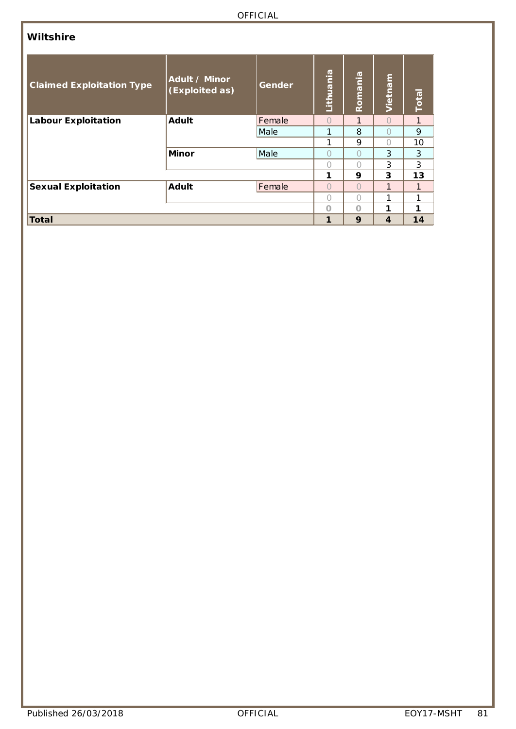### **Wiltshire**

| <b>Claimed Exploitation Type</b> | Adult / Minor<br>(Exploited as) | Gender | Lithuania        | Romania          | Vietnam          | Total |
|----------------------------------|---------------------------------|--------|------------------|------------------|------------------|-------|
| <b>Labour Exploitation</b>       | <b>Adult</b>                    | Female | $\bigcap$        | $\mathbf{1}$     | $\bigcap$        | 1     |
|                                  |                                 | Male   | 1                | 8                | $\left( \right)$ | 9     |
|                                  |                                 |        | 1                | 9                | $\left( \right)$ | 10    |
|                                  | <b>Minor</b>                    | Male   | $\left( \right)$ | $^{(+)}$         | 3                | 3     |
|                                  |                                 |        | Ω                | 0                | 3                | 3     |
|                                  |                                 |        | 1                | 9                | 3                | 13    |
| <b>Sexual Exploitation</b>       | <b>Adult</b>                    | Female | $\bigcap$        | $\cap$           | 1                | 1     |
|                                  |                                 |        | $\left( \right)$ | $\left( \right)$ | 1                |       |
|                                  |                                 |        | $\Omega$         | $\cap$           | 1                | 1     |
| <b>Total</b>                     |                                 |        | 1                | 9                | 4                | 14    |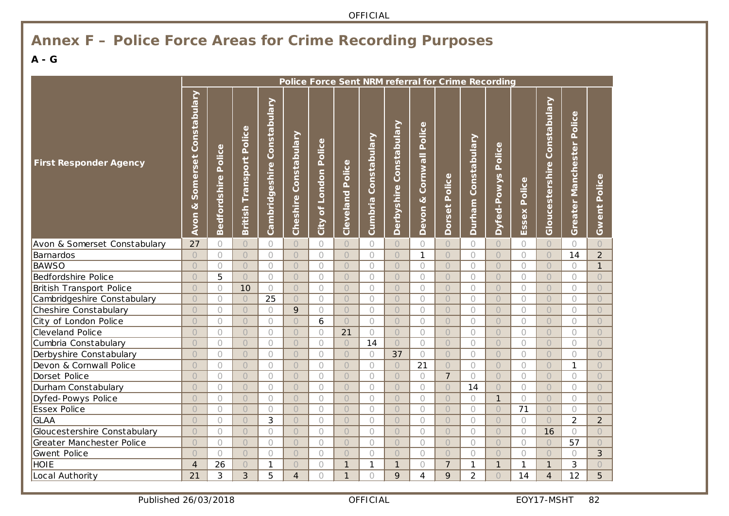# **Annex F – Police Force Areas for Crime Recording Purposes**

### **A - G**

|                                 | Police Force Sent NRM referral for Crime Recording |                               |                                       |                                |                       |                                                       |                     |                         |                            |                                  |                  |                        |                       |                 |                                 |                           |                     |
|---------------------------------|----------------------------------------------------|-------------------------------|---------------------------------------|--------------------------------|-----------------------|-------------------------------------------------------|---------------------|-------------------------|----------------------------|----------------------------------|------------------|------------------------|-----------------------|-----------------|---------------------------------|---------------------------|---------------------|
| <b>First Responder Agency</b>   | Somerset Constabulary<br>ಳ<br>Avon                 | Police<br><b>Bedfordshire</b> | Police<br>Transport<br><b>British</b> | Constabulary<br>Cambridgeshire | Cheshire Constabulary | Police<br>London<br>$\overline{\mathfrak{b}}$<br>City | Police<br>Cleveland | Constabulary<br>Cumbria | Constabulary<br>Derbyshire | Police<br>Cornwall<br>ಷ<br>Devon | Police<br>Dorset | Constabulary<br>Durham | Police<br>Dyfed-Powys | Police<br>Essex | Constabulary<br>Gloucestershire | Greater Manchester Police | <b>Gwent Police</b> |
| Avon & Somerset Constabulary    | 27                                                 | $\bigcirc$                    | $\bigcirc$                            | 0                              | $\circ$               | $\bigcirc$                                            | $\bigcirc$          | $\bigcirc$              | $\bigcirc$                 | $\bigcirc$                       | $\bigcirc$       | $\bigcirc$             | $\bigcirc$            | $\bigcirc$      | $\bigcirc$                      | $\bigcirc$                | $\bigcirc$          |
| Barnardos                       | $\bigcirc$                                         | $\bigcirc$                    | $\bigcirc$                            | $\bigcirc$                     | $\bigcirc$            | $\bigcirc$                                            | $\bigcirc$          | $\bigcirc$              | $\bigcirc$                 | $\mathbf{1}$                     | $\bigcirc$       | $\bigcirc$             | $\bigcirc$            | $\bigcirc$      | $\bigcirc$                      | 14                        | $\overline{2}$      |
| <b>BAWSO</b>                    | $\bigcirc$                                         | $\bigcirc$                    | $\bigcirc$                            | $\bigcirc$                     | $\bigcirc$            | $\bigcirc$                                            | $\bigcirc$          | $\bigcirc$              | $\overline{O}$             | $\bigcirc$                       | $\bigcirc$       | $\bigcirc$             | $\overline{O}$        | $\bigcirc$      | $\bigcirc$                      | $\bigcirc$                | $\mathbf{1}$        |
| Bedfordshire Police             | $\bigcirc$                                         | 5                             | $\bigcirc$                            | $\bigcirc$                     | $\bigcirc$            | $\bigcirc$                                            | $\bigcirc$          | $\bigcirc$              | $\bigcirc$                 | $\circ$                          | $\bigcirc$       | $\bigcirc$             | $\bigcirc$            | $\bigcirc$      | $\bigcirc$                      | $\bigcirc$                | $\bigcirc$          |
| <b>British Transport Police</b> | $\bigcirc$                                         | $\bigcirc$                    | 10                                    | $\bigcap$                      | $\bigcirc$            | $\bigcap$                                             | $\bigcirc$          | $\bigcirc$              | $\overline{O}$             | $\bigcirc$                       | $\bigcirc$       | $\bigcap$              | $\bigcirc$            | $\bigcap$       | $\bigcirc$                      | $\bigcap$                 | $\bigcirc$          |
| Cambridgeshire Constabulary     | $\bigcirc$                                         | $\bigcirc$                    | $\bigcirc$                            | 25                             | $\bigcirc$            | $\bigcirc$                                            | $\bigcirc$          | $\bigcirc$              | $\overline{O}$             | $\bigcirc$                       | $\bigcirc$       | $\bigcirc$             | $\bigcirc$            | $\bigcirc$      | $\bigcirc$                      | $\bigcirc$                | $\bigcirc$          |
| Cheshire Constabulary           | $\bigcirc$                                         | $\bigcirc$                    | $\bigcirc$                            | $\bigcap$                      | 9                     | $\bigcap$                                             | $\bigcirc$          | $\bigcirc$              | $\overline{O}$             | $\bigcirc$                       | $\bigcirc$       | $\bigcap$              | $\overline{O}$        | $\bigcap$       | $\bigcirc$                      | $\bigcirc$                | $\overline{O}$      |
| City of London Police           | $\bigcirc$                                         | $\bigcirc$                    | $\bigcirc$                            | $\bigcirc$                     | $\bigcirc$            | 6                                                     | $\bigcirc$          | $\bigcirc$              | $\bigcirc$                 | $\bigcirc$                       | $\bigcirc$       | $\bigcirc$             | $\bigcirc$            | $\bigcirc$      | $\bigcirc$                      | $\bigcirc$                | $\bigcirc$          |
| Cleveland Police                | $\bigcirc$                                         | $\bigcirc$                    | $\bigcirc$                            | $\bigcirc$                     | $\bigcirc$            | $\bigcirc$                                            | 21                  | $\bigcirc$              | $\bigcirc$                 | $\bigcirc$                       | $\bigcirc$       | $\bigcirc$             | $\bigcirc$            | $\bigcirc$      | $\bigcirc$                      | $\bigcirc$                | $\bigcirc$          |
| Cumbria Constabulary            | $\bigcirc$                                         | $\bigcirc$                    | $\bigcirc$                            | $\bigcirc$                     | $\bigcirc$            | $\bigcirc$                                            | $\bigcirc$          | 14                      | $\bigcirc$                 | $\bigcirc$                       | $\bigcirc$       | $\bigcirc$             | $\bigcirc$            | $\bigcirc$      | $\bigcirc$                      | $\bigcirc$                | $\bigcirc$          |
| Derbyshire Constabulary         | $\bigcirc$                                         | $\bigcirc$                    | $\bigcirc$                            | $\bigcap$                      | $\bigcirc$            | $\bigcap$                                             | $\bigcirc$          | $\bigcirc$              | 37                         | $\bigcirc$                       | $\bigcirc$       | $\bigcap$              | $\bigcirc$            | $\bigcirc$      | $\bigcirc$                      | $\bigcirc$                | $\bigcirc$          |
| Devon & Cornwall Police         | $\bigcirc$                                         | $\bigcirc$                    | $\bigcirc$                            | $\bigcirc$                     | $\bigcirc$            | $\bigcirc$                                            | $\bigcirc$          | $\bigcirc$              | $\bigcirc$                 | 21                               | $\bigcirc$       | $\bigcirc$             | $\bigcirc$            | $\bigcirc$      | $\bigcirc$                      | $\mathbf{1}$              | $\bigcirc$          |
| Dorset Police                   | $\bigcirc$                                         | $\bigcap$                     | $\bigcirc$                            | $\bigcap$                      | $\bigcirc$            | $\bigcap$                                             | $\bigcirc$          | $\bigcap$               | $\bigcirc$                 | $\bigcirc$                       | $\overline{7}$   | $\bigcap$              | $\bigcirc$            | $\bigcap$       | $\bigcirc$                      | $\bigcap$                 | $\bigcirc$          |
| Durham Constabulary             | $\overline{O}$                                     | $\bigcirc$                    | $\bigcirc$                            | $\bigcirc$                     | $\bigcirc$            | $\bigcirc$                                            | $\bigcirc$          | $\bigcirc$              | $\bigcirc$                 | $\bigcirc$                       | $\bigcirc$       | 14                     | $\bigcirc$            | $\bigcirc$      | $\bigcirc$                      | $\bigcirc$                | $\bigcirc$          |
| Dyfed-Powys Police              | $\overline{O}$                                     | $\bigcirc$                    | $\bigcirc$                            | $\bigcap$                      | $\bigcirc$            | $\bigcap$                                             | $\overline{O}$      | $\bigcirc$              | $\overline{O}$             | $\bigcirc$                       | $\bigcirc$       | $\bigcirc$             | $\mathbf{1}$          | $\bigcirc$      | $\bigcirc$                      | $\bigcirc$                | $\bigcirc$          |
| Essex Police                    | $\overline{O}$                                     | $\bigcirc$                    | $\bigcirc$                            | $\bigcirc$                     | $\bigcirc$            | $\bigcirc$                                            | $\overline{O}$      | $\bigcirc$              | $\bigcirc$                 | $\bigcirc$                       | $\bigcirc$       | $\bigcirc$             | $\bigcirc$            | 71              | $\bigcirc$                      | $\bigcirc$                | $\bigcirc$          |
| <b>GLAA</b>                     | $\overline{O}$                                     | $\bigcap$                     | $\bigcirc$                            | 3                              | $\bigcirc$            | $\bigcap$                                             | $\overline{O}$      | $\bigcirc$              | $\overline{O}$             | $\bigcirc$                       | $\bigcirc$       | $\bigcap$              | $\overline{O}$        | $\bigcirc$      | $\overline{O}$                  | $\overline{2}$            | $\overline{2}$      |
| Gloucestershire Constabulary    | $\bigcirc$                                         | $\bigcirc$                    | $\bigcirc$                            | $\bigcirc$                     | $\bigcirc$            | $\bigcirc$                                            | $\overline{O}$      | $\bigcirc$              | $\bigcirc$                 | $\bigcirc$                       | $\bigcirc$       | $\bigcirc$             | $\bigcirc$            | $\bigcirc$      | 16                              | $\bigcirc$                | $\bigcirc$          |
| Greater Manchester Police       | $\bigcirc$                                         | $\bigcap$                     | $\bigcirc$                            | $\bigcap$                      | $\bigcirc$            | $\bigcap$                                             | $\overline{O}$      | $\bigcap$               | $\overline{O}$             | $\bigcirc$                       | $\bigcirc$       | $\bigcap$              | $\bigcirc$            | $\bigcirc$      | $\bigcirc$                      | 57                        | $\bigcirc$          |
| Gwent Police                    | $\bigcirc$                                         | $\bigcirc$                    | $\bigcirc$                            | $\bigcirc$                     | $\bigcirc$            | $\bigcirc$                                            | $\bigcirc$          | $\bigcirc$              | $\bigcirc$                 | $\bigcirc$                       | $\bigcirc$       | $\bigcirc$             | $\bigcirc$            | $\bigcirc$      | $\bigcirc$                      | $\bigcirc$                | 3                   |
| <b>HOIE</b>                     | $\overline{4}$                                     | 26                            | $\bigcirc$                            | 1                              | $\bigcirc$            | $\bigcap$                                             | $\mathbf{1}$        | 1                       | $\mathbf{1}$               | $\bigcirc$                       | $\overline{7}$   | 1                      | $\mathbf{1}$          | $\mathbf{1}$    | $\mathbf{1}$                    | 3                         | $\overline{O}$      |
| Local Authority                 | 21                                                 | 3                             | 3                                     | 5                              | $\overline{4}$        | $\bigcap$                                             | $\mathbf{1}$        | $\bigcap$               | 9                          | 4                                | 9                | $\overline{2}$         | $\overline{O}$        | 14              | $\overline{4}$                  | 12                        | 5                   |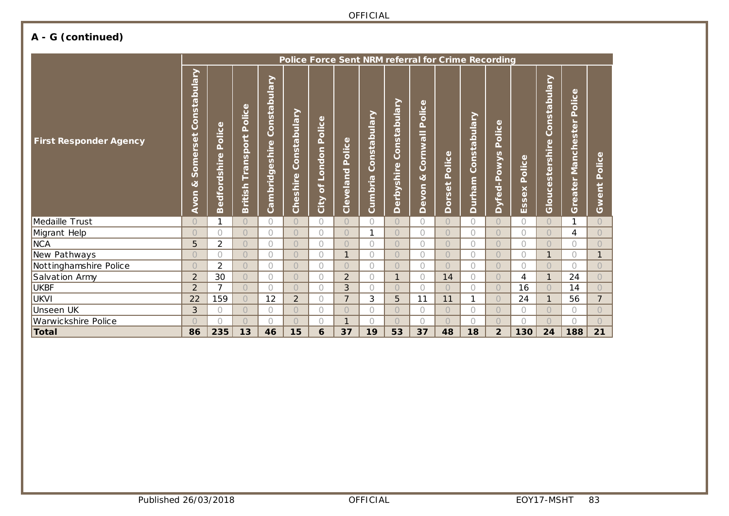# **A - G (continued)**

|                               | Police Force Sent NRM referral for Crime Recording                             |                                    |                                     |                                                                                                                               |                          |                                                           |                     |                            |                                                                             |                                  |                                             |                           |                                                |                      |                                 |                                                           |                                          |
|-------------------------------|--------------------------------------------------------------------------------|------------------------------------|-------------------------------------|-------------------------------------------------------------------------------------------------------------------------------|--------------------------|-----------------------------------------------------------|---------------------|----------------------------|-----------------------------------------------------------------------------|----------------------------------|---------------------------------------------|---------------------------|------------------------------------------------|----------------------|---------------------------------|-----------------------------------------------------------|------------------------------------------|
| <b>First Responder Agency</b> | ≧<br>Constabula<br>$\ddot{\rm e}$<br>$\tilde{\mathbf{S}}$<br>Some<br>ಷ<br>Avon | olice<br>Ä.<br><b>Bedfordshire</b> | olice<br>Δ.<br>Transport<br>British | <u>ح</u><br><b>I</b><br>Pular<br>nstal<br>$\circ$<br>Õ<br>hire<br>$\overline{v}$<br>$\omega$<br>$\sigma$<br>brid<br>Ξ<br>င္ပြ | Constabulary<br>Cheshire | Φ<br>olice<br>Ä.<br>London<br>$\overline{\sigma}$<br>City | Police<br>Cleveland | ≧<br>Constabula<br>Cumbria | <b><u>Arejnq</u></b><br>nsta<br>ō<br>O<br>hire<br>S<br>rby<br>$\omega$<br>≏ | Police<br>Cornwall<br>୪<br>Devon | olice<br>$\Delta$<br>$\ddot{\rm e}$<br>Dors | ≧<br>Constabula<br>Durham | Φ<br>olic<br>Ä.<br>owys<br>$rac{a}{b}$<br>Dyfe | olice<br>Δ.<br>Essex | Constabulary<br>Gloucestershire | Φ<br>Police<br>$\blacksquare$<br>ste<br>Manche<br>Greater | $\Phi$<br>olic<br>Δ.<br>Ë<br>$\Phi$<br>Š |
| Medaille Trust                | $\bigcirc$                                                                     | 1                                  | $\bigcirc$                          | $\bigcap$                                                                                                                     | $\overline{O}$           | $\bigcirc$                                                | $\bigcirc$          | $\bigcirc$                 | $\bigcap$                                                                   | 0                                | $\bigcap$                                   | $\bigcap$                 | $\bigcap$                                      | O                    | $\circ$                         | 1                                                         | $\bigcirc$                               |
| Migrant Help                  | $\bigcirc$                                                                     | $\bigcirc$                         | $\bigcirc$                          | $\bigcirc$                                                                                                                    | $\overline{O}$           | $\bigcirc$                                                | $\bigcirc$          | 1                          | $\bigcap$                                                                   | 0                                | $\bigcirc$                                  | 0                         | $\bigcirc$                                     |                      | $\bigcirc$                      | 4                                                         | $\bigcirc$                               |
| <b>NCA</b>                    | 5                                                                              | $\overline{2}$                     | $\bigcap$                           | $\bigcap$                                                                                                                     | $\bigcap$                | $\bigcirc$                                                | $\bigcirc$          | $\bigcap$                  | $\bigcap$                                                                   | 0                                | $\bigcap$                                   | $\bigcap$                 | $\bigcap$                                      | 0                    | $\bigcirc$                      | 0                                                         | $\bigcap$                                |
| New Pathways                  | $\bigcirc$                                                                     | $\bigcirc$                         | $\bigcirc$                          | $\bigcap$                                                                                                                     | $\overline{O}$           | $\bigcirc$                                                | 1                   | $\bigcirc$                 | $\bigcap$                                                                   | 0                                | $\bigcap$                                   | 0                         | $\bigcap$                                      | 0                    | $\mathbf{1}$                    | $\bigcap$                                                 | $\mathbf{1}$                             |
| Nottinghamshire Police        | $\bigcirc$                                                                     | $\overline{2}$                     | $\bigcirc$                          | $\bigcirc$                                                                                                                    | $\overline{O}$           | $\bigcirc$                                                | $\bigcirc$          | 0                          | $\bigcirc$                                                                  | 0                                | $\bigcirc$                                  | $\bigcirc$                | $\bigcirc$                                     | n                    | $\bigcirc$                      | $\bigcap$                                                 | $\bigcirc$                               |
| Salvation Army                | $\overline{2}$                                                                 | 30                                 | $\overline{O}$                      | $\bigcirc$                                                                                                                    | $\overline{O}$           | $\bigcirc$                                                | $\overline{2}$      | $\bigcirc$                 | 1                                                                           | 0                                | 14                                          | $\bigcirc$                | $\bigcirc$                                     | 4                    | $\mathbf{1}$                    | 24                                                        | $\bigcirc$                               |
| <b>UKBF</b>                   | $\overline{2}$                                                                 | $\overline{7}$                     | $\bigcirc$                          | $\bigcirc$                                                                                                                    | $\circ$                  | $\bigcirc$                                                | 3                   | $\bigcirc$                 | $\bigcirc$                                                                  | 0                                | $\bigcirc$                                  | $\bigcirc$                | $\bigcirc$                                     | 16                   | $\bigcirc$                      | 14                                                        | $\bigcirc$                               |
| <b>UKVI</b>                   | 22                                                                             | 159                                | $\bigcirc$                          | 12                                                                                                                            | $\overline{2}$           | $\bigcirc$                                                | $\overline{7}$      | 3                          | 5                                                                           | 11                               | 11                                          | 1                         | $\bigcirc$                                     | 24                   | $\mathbf{1}$                    | 56                                                        | $\overline{7}$                           |
| Unseen UK                     | 3                                                                              | $\circ$                            | $\bigcirc$                          | $\bigcap$                                                                                                                     | $\circ$                  | $\bigcirc$                                                | $\bigcirc$          | $\bigcirc$                 | $\bigcirc$                                                                  | 0                                | $\bigcirc$                                  | 0                         | $\bigcirc$                                     | 0                    | $\bigcirc$                      | $\bigcap$                                                 | $\bigcirc$                               |
| Warwickshire Police           | $\bigcirc$                                                                     | $\bigcap$                          | $\bigcirc$                          | $\bigcap$                                                                                                                     | $\overline{O}$           | $\bigcirc$                                                | $\mathbf{1}$        | 0                          | $\bigcap$                                                                   | $\bigcirc$                       | $\bigcirc$                                  | 0                         | $\bigcirc$                                     | ∩                    | $\bigcirc$                      | 0                                                         | $\bigcirc$                               |
| <b>Total</b>                  | 86                                                                             | 235                                | 13                                  | 46                                                                                                                            | 15                       | 6                                                         | 37                  | 19                         | 53                                                                          | 37                               | 48                                          | 18                        | $\overline{\mathbf{2}}$                        | 130                  | 24                              | 188                                                       | 21                                       |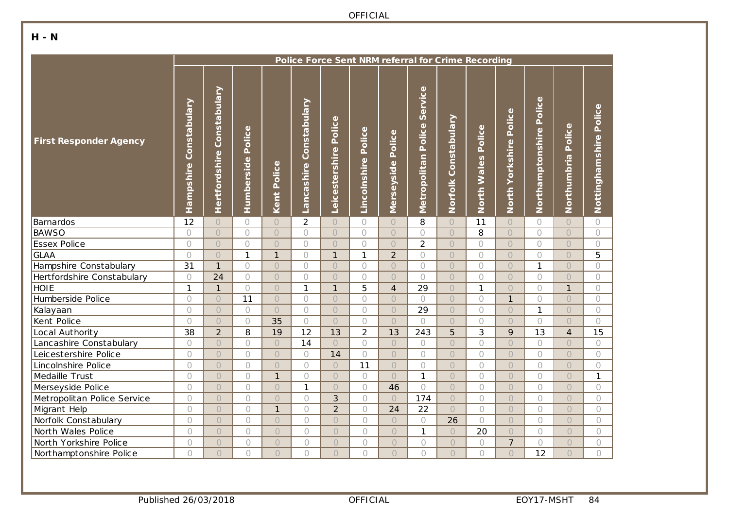### **H - N**

|                               | Police Force Sent NRM referral for Crime Recording |                               |                      |              |                            |                          |                        |                      |                                   |                      |                       |                           |                            |                       |                           |
|-------------------------------|----------------------------------------------------|-------------------------------|----------------------|--------------|----------------------------|--------------------------|------------------------|----------------------|-----------------------------------|----------------------|-----------------------|---------------------------|----------------------------|-----------------------|---------------------------|
| <b>First Responder Agency</b> | Constabulary<br>Hampshire                          | Constabulary<br>Hertfordshire | Police<br>Humberside | Kent Police  | Constabulary<br>Lancashire | Police<br>Leicestershire | Police<br>Lincolnshire | Police<br>Merseyside | Service<br>Police<br>Metropolitan | Norfolk Constabulary | Police<br>North Wales | Police<br>North Yorkshire | Police<br>Northamptonshire | Police<br>Northumbria | Police<br>Nottinghamshire |
| Barnardos                     | 12                                                 | $\bigcirc$                    | $\bigcirc$           | $\bigcirc$   | $\overline{2}$             | $\bigcirc$               | $\bigcirc$             | $\bigcirc$           | 8                                 | $\bigcirc$           | 11                    | $\bigcirc$                | 0                          | $\bigcirc$            | $\bigcirc$                |
| <b>BAWSO</b>                  | $\bigcirc$                                         | $\bigcirc$                    | $\bigcirc$           | $\bigcirc$   | $\bigcirc$                 | $\bigcirc$               | $\bigcirc$             | $\bigcirc$           | $\bigcirc$                        | $\bigcirc$           | 8                     | $\bigcirc$                | $\bigcirc$                 | $\bigcirc$            | $\circ$                   |
| <b>Essex Police</b>           | $\circ$                                            | $\overline{O}$                | $\bigcirc$           | $\bigcirc$   | $\bigcirc$                 | $\overline{O}$           | $\bigcirc$             | $\bigcirc$           | $\overline{2}$                    | $\bigcirc$           | $\bigcirc$            | $\bigcirc$                | $\bigcirc$                 | $\bigcirc$            | $\bigcirc$                |
| <b>GLAA</b>                   | $\circ$                                            | $\overline{O}$                | $\mathbf{1}$         | $\mathbf{1}$ | $\bigcirc$                 | $\mathbf{1}$             | $\mathbf{1}$           | $\overline{2}$       | $\circlearrowright$               | $\bigcirc$           | $\bigcirc$            | $\bigcirc$                | $\bigcirc$                 | $\bigcirc$            | 5                         |
| Hampshire Constabulary        | 31                                                 | $\mathbf{1}$                  | $\bigcirc$           | $\bigcirc$   | $\bigcirc$                 | $\overline{O}$           | $\bigcirc$             | $\bigcirc$           | $\bigcirc$                        | $\bigcirc$           | $\bigcirc$            | $\bigcirc$                | $\mathbf{1}$               | $\bigcirc$            | $\bigcirc$                |
| Hertfordshire Constabulary    | $\bigcirc$                                         | 24                            | $\bigcirc$           | $\bigcirc$   | $\bigcirc$                 | $\overline{O}$           | $\bigcirc$             | $\bigcirc$           | $\bigcirc$                        | $\circ$              | $\bigcirc$            | $\bigcirc$                | $\bigcirc$                 | $\bigcirc$            | $\bigcirc$                |
| <b>HOIE</b>                   | $\mathbf{1}$                                       | $\mathbf{1}$                  | $\bigcirc$           | $\bigcirc$   | $\mathbf{1}$               | $\mathbf{1}$             | 5                      | $\overline{4}$       | 29                                | $\bigcirc$           | $\mathbf{1}$          | $\bigcirc$                | $\bigcirc$                 | $\mathbf{1}$          | 0                         |
| Humberside Police             | $\circ$                                            | $\overline{O}$                | 11                   | $\bigcirc$   | $\bigcap$                  | $\overline{O}$           | $\bigcirc$             | $\circ$              | $\bigcirc$                        | $\circ$              | $\bigcirc$            | $\mathbf{1}$              | $\bigcirc$                 | $\bigcirc$            | $\bigcirc$                |
| Kalayaan                      | $\bigcirc$                                         | $\overline{O}$                | $\bigcirc$           | $\bigcirc$   | $\bigcap$                  | $\bigcirc$               | $\bigcirc$             | $\circ$              | 29                                | $\bigcirc$           | $\bigcirc$            | $\bigcirc$                | $\mathbf{1}$               | $\bigcirc$            | $\bigcirc$                |
| Kent Police                   | $\bigcirc$                                         | $\bigcirc$                    | $\bigcirc$           | 35           | $\bigcirc$                 | $\bigcirc$               | $\bigcirc$             | $\bigcirc$           | $\bigcirc$                        | $\bigcirc$           | $\bigcirc$            | $\bigcirc$                | $\bigcirc$                 | $\bigcirc$            | $\bigcirc$                |
| Local Authority               | 38                                                 | $\overline{2}$                | 8                    | 19           | 12                         | 13                       | $\overline{2}$         | 13                   | 243                               | 5                    | 3                     | 9                         | 13                         | $\overline{4}$        | 15                        |
| Lancashire Constabulary       | $\bigcirc$                                         | $\bigcirc$                    | $\bigcirc$           | $\circ$      | 14                         | $\bigcirc$               | $\bigcirc$             | $\bigcirc$           | $\bigcirc$                        | $\bigcirc$           | $\bigcirc$            | $\bigcirc$                | $\bigcirc$                 | $\bigcirc$            | 0                         |
| Leicestershire Police         | $\bigcirc$                                         | $\bigcirc$                    | $\bigcirc$           | $\bigcirc$   | $\bigcap$                  | 14                       | $\bigcap$              | $\bigcirc$           | $\bigcirc$                        | $\bigcirc$           | $\bigcirc$            | $\bigcirc$                | $\bigcirc$                 | $\bigcirc$            | $\bigcirc$                |
| Lincolnshire Police           | $\bigcirc$                                         | $\bigcirc$                    | $\bigcirc$           | $\bigcirc$   | $\bigcap$                  | $\bigcirc$               | 11                     | $\bigcirc$           | $\bigcirc$                        | $\bigcirc$           | $\bigcirc$            | $\bigcirc$                | $\bigcirc$                 | $\bigcirc$            | $\bigcirc$                |
| Medaille Trust                | $\bigcirc$                                         | $\bigcirc$                    | $\bigcirc$           | $\mathbf{1}$ | $\bigcirc$                 | $\circ$                  | $\bigcirc$             | $\bigcirc$           | $\mathbf{1}$                      | $\circ$              | $\bigcirc$            | $\bigcirc$                | $\bigcirc$                 | $\bigcirc$            | $\mathbf{1}$              |
| Merseyside Police             | $\bigcirc$                                         | $\bigcirc$                    | $\bigcirc$           | $\bigcirc$   | $\mathbf{1}$               | $\bigcirc$               | $\bigcirc$             | 46                   | $\bigcirc$                        | $\circ$              | $\bigcirc$            | $\bigcirc$                | $\bigcirc$                 | $\bigcirc$            | $\circ$                   |
| Metropolitan Police Service   | $\bigcirc$                                         | $\bigcirc$                    | 0                    | $\circ$      | $\bigcirc$                 | 3                        | $\bigcirc$             | $\bigcirc$           | 174                               | $\bigcirc$           | $\bigcirc$            | $\bigcirc$                | $\circ$                    | $\circ$               | $\bigcirc$                |
| Migrant Help                  | $\bigcirc$                                         | $\circ$                       | $\bigcirc$           | $\mathbf{1}$ | $\bigcap$                  | $\overline{2}$           | $\bigcap$              | 24                   | 22                                | $\overline{O}$       | $\bigcirc$            | $\bigcirc$                | $\bigcap$                  | $\circ$               | $\bigcirc$                |
| Norfolk Constabulary          | $\bigcirc$                                         | $\circ$                       | $\bigcirc$           | $\bigcirc$   | $\bigcap$                  | $\bigcirc$               | $\bigcap$              | $\bigcirc$           | $\bigcirc$                        | 26                   | $\bigcirc$            | $\bigcirc$                | $\bigcirc$                 | $\bigcirc$            | $\bigcirc$                |
| North Wales Police            | $\bigcirc$                                         | $\bigcirc$                    | $\bigcirc$           | $\bigcirc$   | $\bigcirc$                 | $\circ$                  | $\bigcirc$             | $\bigcirc$           | $\mathbf{1}$                      | $\bigcirc$           | 20                    | $\bigcirc$                | $\bigcirc$                 | $\bigcirc$            | $\bigcirc$                |
| North Yorkshire Police        | $\bigcirc$                                         | $\bigcirc$                    | $\bigcirc$           | $\bigcirc$   | $\bigcirc$                 | $\bigcirc$               | $\bigcirc$             | $\bigcirc$           | $\bigcirc$                        | $\bigcirc$           | $\bigcirc$            | $\overline{7}$            | $\bigcirc$                 | $\bigcirc$            | $\bigcirc$                |
| Northamptonshire Police       | $\bigcap$                                          | $\bigcirc$                    | $\bigcap$            | $\bigcap$    | $\bigcap$                  | $\bigcap$                | $\bigcap$              | $\bigcap$            | $\bigcirc$                        | $\overline{O}$       | $\bigcap$             | $\bigcap$                 | 12                         | $\bigcap$             | $\bigcirc$                |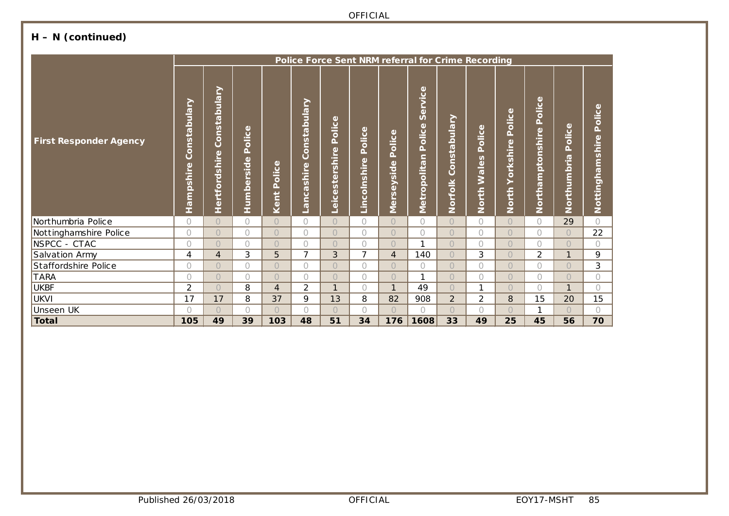# **H – N (continued)**

|                               | Police Force Sent NRM referral for Crime Recording |                               |                               |                         |                                                    |                                                                                                      |                                                                     |                                  |                                   |                         |                                          |                                   |                                                                     |                                             |                           |
|-------------------------------|----------------------------------------------------|-------------------------------|-------------------------------|-------------------------|----------------------------------------------------|------------------------------------------------------------------------------------------------------|---------------------------------------------------------------------|----------------------------------|-----------------------------------|-------------------------|------------------------------------------|-----------------------------------|---------------------------------------------------------------------|---------------------------------------------|---------------------------|
| <b>First Responder Agency</b> | Constabulary<br>Hampshire                          | Constabulary<br>Hertfordshire | olice<br>Δ.<br>rside<br>Humbe | Φ<br>Police<br>Ë,<br>Ke | Constabulary<br>ashire<br>ق<br>$\overline{\sigma}$ | Φ<br>olic<br>Δ.<br>Φ<br>rshire<br>$\overline{\mathbf{v}}$<br>$\frac{1}{3}$<br>$\omega$<br><u>ici</u> | $\omega$<br>olic<br>$\Delta$<br>Φ<br>$\frac{1}{2}$<br>olnsl<br>Linc | Police<br>eyside<br><b>Merse</b> | Service<br>Police<br>Metropolitan | Constabulary<br>Norfolk | Φ<br>olic<br>Δ.<br>Wales<br><b>North</b> | Φ<br>Police<br>Yorkshire<br>North | Φ<br><b>Dice</b><br>Δ.<br>$\omega$<br>ptonshir<br>$\sigma$<br>North | $\bullet$<br>olice<br>Δ.<br>bria<br>Northum | Police<br>Nottinghamshire |
| Northumbria Police            | $\bigcirc$                                         | $\bigcap$                     | $\bigcap$                     | $\bigcap$               | $\bigcap$                                          | $\bigcap$                                                                                            | $\bigcap$                                                           | $\bigcap$                        | $\bigcirc$                        | $\bigcap$               | $\bigcap$                                | $\bigcap$                         | $\bigcap$                                                           | 29                                          | $\bigcap$                 |
| Nottinghamshire Police        | $\bigcirc$                                         | $\bigcirc$                    | $\bigcap$                     | $\bigcap$               | $\bigcap$                                          | $\bigcap$                                                                                            | $\bigcap$                                                           | $\bigcirc$                       | $\bigcirc$                        | $\bigcap$               | $\bigcap$                                | $\bigcap$                         | $\bigcap$                                                           | $\bigcap$                                   | 22                        |
| NSPCC - CTAC                  | $\bigcirc$                                         | $\bigcirc$                    | $\bigcap$                     | $\bigcap$               | $\bigcap$                                          | $\overline{O}$                                                                                       | $\bigcirc$                                                          | $\bigcirc$                       | 1                                 | $\bigcirc$              | $\bigcirc$                               | $\bigcirc$                        | $\bigcap$                                                           | $\bigcap$                                   | $\bigcirc$                |
| Salvation Army                | 4                                                  | $\overline{4}$                | 3                             | 5                       | 7                                                  | 3                                                                                                    | $\overline{7}$                                                      | $\overline{4}$                   | 140                               | $\overline{O}$          | 3                                        | $\bigcirc$                        | 2                                                                   | 1                                           | 9                         |
| Staffordshire Police          | 0                                                  | $\bigcirc$                    | $\bigcap$                     | $\bigcap$               | $\bigcap$                                          | $\bigcirc$                                                                                           | $\bigcirc$                                                          | $\bigcirc$                       | $\bigcirc$                        | $\overline{O}$          | $\bigcirc$                               | $\bigcirc$                        | $\bigcirc$                                                          | $\bigcap$                                   | 3                         |
| <b>TARA</b>                   | 0                                                  | $\bigcirc$                    | $\bigcap$                     | $\bigcap$               | $\bigcap$                                          | $\bigcap$                                                                                            | $\bigcap$                                                           | $\bigcirc$                       | 1                                 | $\overline{O}$          | $\bigcirc$                               | $\bigcap$                         | $\bigcap$                                                           | $\bigcap$                                   | $\bigcirc$                |
| <b>UKBF</b>                   | $\overline{2}$                                     | $\bigcirc$                    | 8                             | $\overline{4}$          | $\overline{2}$                                     | $\mathbf{1}$                                                                                         | $\bigcap$                                                           | $\mathbf{1}$                     | 49                                | $\overline{O}$          | $\mathbf{1}$                             | $\bigcap$                         | $\bigcap$                                                           | 1                                           | $\bigcirc$                |
| <b>UKVI</b>                   | 17                                                 | 17                            | 8                             | 37                      | 9                                                  | 13                                                                                                   | 8                                                                   | 82                               | 908                               | $\overline{2}$          | $\overline{2}$                           | 8                                 | 15                                                                  | 20                                          | 15                        |
| Unseen UK                     | ∩                                                  | $\bigcirc$                    | $\bigcirc$                    | $\bigcap$               | $\bigcap$                                          | $\bigcap$                                                                                            | $\bigcap$                                                           | $\bigcirc$                       | $\bigcap$                         | $\overline{O}$          | $\bigcirc$                               | $\bigcirc$                        | 1                                                                   | $\bigcap$                                   | $\bigcirc$                |
| <b>Total</b>                  | 105                                                | 49                            | 39                            | 103                     | 48                                                 | 51                                                                                                   | 34                                                                  | 176                              | 1608                              | 33                      | 49                                       | 25                                | 45                                                                  | 56                                          | 70                        |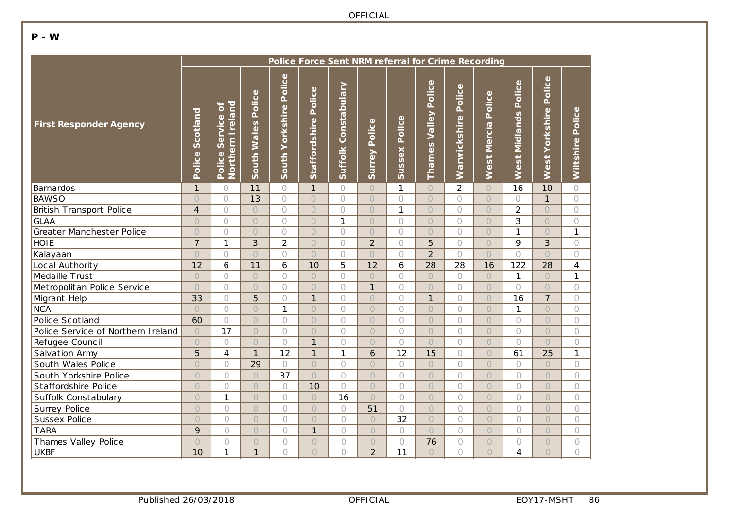### **P - W**

|                                    | Police Force Sent NRM referral for Crime Recording |                                             |                       |                           |                      |                             |                  |                  |                                   |                        |                       |                         |                             |                     |
|------------------------------------|----------------------------------------------------|---------------------------------------------|-----------------------|---------------------------|----------------------|-----------------------------|------------------|------------------|-----------------------------------|------------------------|-----------------------|-------------------------|-----------------------------|---------------------|
| <b>First Responder Agency</b>      | Scotland<br>Police                                 | Northern Ireland<br>្ភ<br>Service<br>Police | Police<br>South Wales | Police<br>South Yorkshire | Staffordshire Police | <b>Suffolk Constabulary</b> | Police<br>Surrey | Police<br>Sussex | Police<br><b>Valley</b><br>Thames | Police<br>Warwickshire | Police<br>West Mercia | Police<br>West Midlands | Police<br>Yorkshire<br>West | Police<br>Wiltshire |
| Barnardos                          | $\mathbf{1}$                                       | $\bigcirc$                                  | 11                    | $\bigcirc$                | $\mathbf{1}$         | $\bigcirc$                  | $\circ$          | $\mathbf{1}$     | $\bigcirc$                        | $\overline{2}$         | $\bigcirc$            | 16                      | 10                          | $\circ$             |
| <b>BAWSO</b>                       | $\bigcirc$                                         | $\bigcirc$                                  | 13                    | $\bigcirc$                | $\circ$              | $\circ$                     | $\bigcirc$       | $\bigcirc$       | $\overline{O}$                    | $\circ$                | $\bigcirc$            | $\bigcirc$              | $\mathbf{1}$                | $\bigcirc$          |
| <b>British Transport Police</b>    | $\overline{4}$                                     | $\circ$                                     | $\bigcirc$            | $\bigcirc$                | $\circ$              | $\bigcirc$                  | $\overline{O}$   | $\overline{1}$   | $\overline{O}$                    | $\circ$                | $\bigcirc$            | $\overline{2}$          | $\circ$                     | $\bigcirc$          |
| <b>GLAA</b>                        | $\bigcirc$                                         | $\circ$                                     | $\bigcirc$            | $\bigcirc$                | $\bigcirc$           | $\mathbf{1}$                | $\overline{O}$   | $\bigcirc$       | $\bigcirc$                        | $\overline{O}$         | $\bigcirc$            | 3                       | $\bigcirc$                  | $\bigcirc$          |
| Greater Manchester Police          | $\bigcirc$                                         | $\circ$                                     | $\bigcirc$            | $\circ$                   | $\bigcirc$           | $\bigcirc$                  | $\overline{O}$   | $\bigcirc$       | $\overline{O}$                    | $\circ$                | $\bigcirc$            | $\mathbf{1}$            | $\bigcirc$                  | 1                   |
| <b>HOIE</b>                        | $\overline{7}$                                     | $\mathbf{1}$                                | 3                     | $\overline{2}$            | $\bigcirc$           | $\bigcirc$                  | $\overline{2}$   | $\bigcirc$       | 5                                 | $\bigcirc$             | $\bigcirc$            | 9                       | 3                           | $\bigcirc$          |
| Kalayaan                           | $\bigcirc$                                         | $\bigcirc$                                  | $\circ$               | $\bigcirc$                | $\bigcirc$           | $\bigcirc$                  | $\bigcirc$       | $\bigcirc$       | $\overline{2}$                    | $\bigcap$              | $\bigcirc$            | $\bigcirc$              | $\bigcap$                   | $\bigcirc$          |
| Local Authority                    | 12                                                 | 6                                           | 11                    | 6                         | 10                   | 5                           | 12               | 6                | 28                                | 28                     | 16                    | 122                     | 28                          | $\overline{4}$      |
| Medaille Trust                     | $\bigcirc$                                         | $\bigcirc$                                  | $\circ$               | $\bigcirc$                | $\overline{O}$       | $\bigcirc$                  | $\bigcirc$       | $\circ$          | $\bigcirc$                        | $\circ$                | $\bigcirc$            | $\mathbf{1}$            | $\circ$                     | 1                   |
| Metropolitan Police Service        | $\bigcirc$                                         | $\bigcirc$                                  | $\circ$               | $\bigcirc$                | $\bigcirc$           | $\bigcirc$                  | $\mathbf{1}$     | $\bigcirc$       | $\bigcirc$                        | $\bigcirc$             | $\bigcirc$            | $\bigcirc$              | $\bigcirc$                  | $\bigcirc$          |
| Migrant Help                       | 33                                                 | $\bigcirc$                                  | 5                     | $\bigcirc$                | $\mathbf{1}$         | $\bigcirc$                  | $\bigcirc$       | $\bigcirc$       | $\mathbf{1}$                      | $\bigcirc$             | $\bigcirc$            | 16                      | $\overline{7}$              | $\bigcirc$          |
| <b>NCA</b>                         | $\bigcirc$                                         | $\bigcirc$                                  | $\circ$               | $\mathbf{1}$              | $\overline{O}$       | $\bigcirc$                  | $\bigcirc$       | $\bigcirc$       | $\bigcirc$                        | $\bigcirc$             | $\bigcirc$            | $\mathbf{1}$            | $\circ$                     | $\bigcirc$          |
| Police Scotland                    | 60                                                 | $\circ$                                     | $\circ$               | $\bigcirc$                | $\overline{O}$       | $\bigcirc$                  | $\overline{O}$   | $\circ$          | $\overline{O}$                    | $\bigcirc$             | $\overline{O}$        | $\bigcap$               | $\circ$                     | $\bigcirc$          |
| Police Service of Northern Ireland | $\bigcirc$                                         | 17                                          | $\circ$               | $\bigcirc$                | $\overline{O}$       | $\bigcirc$                  | $\bigcirc$       | $\bigcirc$       | $\bigcirc$                        | $\bigcirc$             | $\bigcirc$            | $\bigcirc$              | $\circ$                     | $\bigcirc$          |
| Refugee Council                    | $\circ$                                            | $\bigcirc$                                  | $\bigcirc$            | $\circ$                   | $\mathbf{1}$         | $\bigcirc$                  | $\bigcirc$       | $\bigcirc$       | $\bigcirc$                        | $\bigcirc$             | $\bigcirc$            | $\bigcap$               | $\bigcirc$                  | 0                   |
| Salvation Army                     | 5                                                  | $\overline{4}$                              | $\mathbf{1}$          | 12                        | $\mathbf{1}$         | $\mathbf{1}$                | 6                | 12               | 15                                | $\bigcirc$             | $\bigcirc$            | 61                      | 25                          | 1                   |
| South Wales Police                 | $\bigcirc$                                         | $\bigcirc$                                  | 29                    | $\bigcirc$                | $\bigcirc$           | $\bigcirc$                  | $\circ$          | $\bigcirc$       | $\bigcirc$                        | 0                      | $\bigcirc$            | $\bigcap$               | $\bigcirc$                  | 0                   |
| South Yorkshire Police             | $\circ$                                            | $\bigcirc$                                  | $\bigcirc$            | 37                        | $\overline{O}$       | $\circ$                     | $\overline{O}$   | $\bigcirc$       | $\bigcirc$                        | $\bigcirc$             | $\bigcirc$            | $\bigcirc$              | $\bigcirc$                  | $\bigcirc$          |
| Staffordshire Police               | $\bigcirc$                                         | $\bigcirc$                                  | $\bigcirc$            | $\bigcirc$                | 10                   | $\bigcirc$                  | $\overline{O}$   | $\bigcirc$       | $\bigcirc$                        | $\bigcirc$             | $\bigcirc$            | $\bigcirc$              | $\bigcirc$                  | $\bigcirc$          |
| Suffolk Constabulary               | $\bigcirc$                                         | $\mathbf{1}$                                | $\bigcirc$            | $\bigcirc$                | $\bigcirc$           | 16                          | $\overline{O}$   | $\bigcirc$       | $\bigcirc$                        | $\bigcirc$             | $\bigcirc$            | $\bigcap$               | $\bigcirc$                  | $\bigcirc$          |
| Surrey Police                      | $\bigcirc$                                         | $\bigcirc$                                  | $\bigcirc$            | $\bigcirc$                | $\bigcirc$           | $\bigcirc$                  | 51               | $\bigcirc$       | $\bigcirc$                        | $\bigcirc$             | $\bigcirc$            | $\bigcirc$              | $\bigcirc$                  | $\bigcirc$          |
| Sussex Police                      | $\bigcirc$                                         | $\circ$                                     | $\overline{O}$        | $\bigcirc$                | $\overline{O}$       | $\overline{O}$              | $\circ$          | 32               | $\bigcirc$                        | $\bigcirc$             | $\bigcirc$            | $\bigcap$               | $\bigcirc$                  | $\bigcirc$          |
| <b>TARA</b>                        | 9                                                  | $\bigcirc$                                  | $\bigcirc$            | $\bigcirc$                | $\mathbf{1}$         | $\bigcirc$                  | $\bigcirc$       | $\bigcirc$       | $\bigcirc$                        | $\bigcirc$             | $\bigcirc$            | $\bigcirc$              | $\bigcirc$                  | $\bigcirc$          |
| Thames Valley Police               | $\overline{O}$                                     | $\circ$                                     | $\bigcirc$            | $\bigcirc$                | $\overline{O}$       | $\circ$                     | $\circ$          | $\bigcirc$       | 76                                | $\bigcirc$             | $\bigcirc$            | $\bigcap$               | $\bigcirc$                  | $\bigcirc$          |
| <b>UKBF</b>                        | 10                                                 | 1                                           | $\mathbf{1}$          | $\bigcirc$                | $\overline{O}$       | 0                           | $\overline{2}$   | 11               | $\bigcap$                         | $\circ$                | $\bigcap$             | 4                       | $\bigcap$                   | $\bigcirc$          |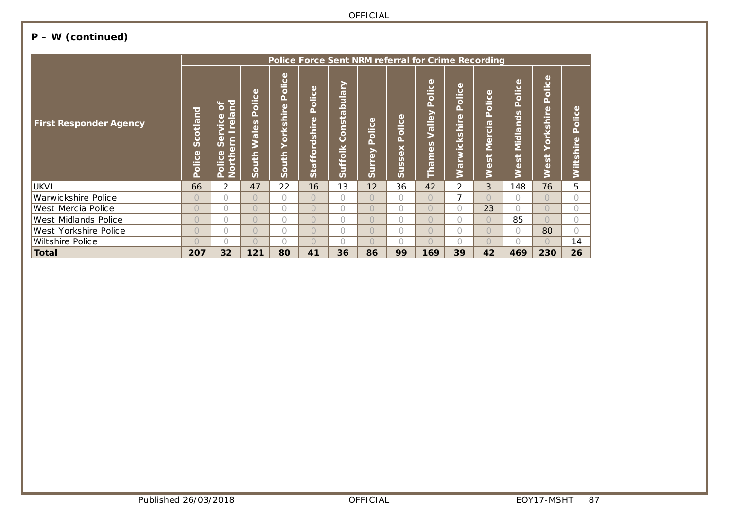# **P – W (continued)**

|                               | Police Force Sent NRM referral for Crime Recording |                                                                                                                                          |                                       |                                        |                                    |                                                             |                                                                       |                                                                         |                                                                    |                                 |                                                                                                                      |                                                                                                             |                                                                         |                                   |
|-------------------------------|----------------------------------------------------|------------------------------------------------------------------------------------------------------------------------------------------|---------------------------------------|----------------------------------------|------------------------------------|-------------------------------------------------------------|-----------------------------------------------------------------------|-------------------------------------------------------------------------|--------------------------------------------------------------------|---------------------------------|----------------------------------------------------------------------------------------------------------------------|-------------------------------------------------------------------------------------------------------------|-------------------------------------------------------------------------|-----------------------------------|
| <b>First Responder Agency</b> | <b>Scotland</b><br>Police                          | $\overline{\mathsf{E}}$<br>ð<br><b>Irela</b><br>Φ<br><b>Sic</b><br>Northern<br>$\omega$<br>$\overline{S}$<br>$\mathbf{\Omega}$<br>Police | Φ<br>olic<br>Ñ.<br>Wales<br>outh<br>Ŭ | Police<br>$\omega$<br>orkshir<br>South | olice<br>$\Delta$<br>Staffordshire | <b>Vielng</b><br>$\overline{a}$<br>پ<br>Suo<br>Ŏ<br>Suffolk | Φ<br>$\mathbf{C}$<br>$\frac{1}{\overline{0}}$<br>௳<br>↗<br>(h<br>Surr | olice<br>۵Ï.<br>×<br>$\omega$<br>$\mathsf{v}$<br>$\mathsf{v}$<br>Б<br>ഗ | olice<br>n.<br>Valley<br>n<br>$\omega$<br>٤<br>$\overline{v}$<br>É | ω<br>Police<br>ω<br>Warwickshir | Φ<br>olic<br>۵Ï.<br>$\overline{\sigma}$<br>−<br>ω<br>$\overset{\mathsf{e}}{\mathsf{\Sigma}}$<br>$\omega$<br>$\omega$ | Φ<br>$\mathbf C$<br>$\frac{1}{\overline{0}}$<br>Δ.<br>S<br>Õ<br>Č<br>Midla<br>پ<br>$\mathbf{v}$<br>$\omega$ | Φ<br>olic<br>Δ.<br>O)<br>Ē<br>$\boldsymbol{\omega}$<br>⊻<br>O<br>n<br>ω | ω<br>olic<br>Φ<br><b>Wiltshir</b> |
| <b>UKVI</b>                   | 66                                                 | $\overline{2}$                                                                                                                           | 47                                    | 22                                     | 16                                 | 13                                                          | 12                                                                    | 36                                                                      | 42                                                                 | 2                               | 3                                                                                                                    | 148                                                                                                         | 76                                                                      | 5                                 |
| Warwickshire Police           | $\bigcirc$                                         | $\bigcap$                                                                                                                                | $\bigcap$                             | 0                                      | $\bigcap$                          | $\bigcap$                                                   | $\bigcap$                                                             | $\bigcap$                                                               | $\bigcap$                                                          | $\overline{\phantom{a}}$        | $\bigcap$                                                                                                            | $\bigcap$                                                                                                   | $\bigcap$                                                               |                                   |
| West Mercia Police            | $\bigcirc$                                         | $\bigcap$                                                                                                                                | $\bigcap$                             | 0                                      | $\bigcap$                          | $\bigcap$                                                   | $\bigcap$                                                             | $\bigcap$                                                               | $\bigcap$                                                          | $\bigcap$                       | 23                                                                                                                   | $\bigcap$                                                                                                   | $\bigcap$                                                               |                                   |
| West Midlands Police          | $\bigcirc$                                         | $\bigcap$                                                                                                                                | $\bigcap$                             | 0                                      | $\bigcap$                          | $\bigcap$                                                   | $\bigcap$                                                             | $\bigcap$                                                               | $\bigcap$                                                          | $\bigcap$                       | $\bigcap$                                                                                                            | 85                                                                                                          | $\bigcap$                                                               |                                   |
| West Yorkshire Police         | $\bigcirc$                                         | $\bigcirc$                                                                                                                               | $\bigcirc$                            | 0                                      | $\overline{O}$                     | $\bigcap$                                                   | $\bigcap$                                                             | $\bigcap$                                                               | $\bigcap$                                                          | $\cap$                          | $\bigcap$                                                                                                            | $\bigcap$                                                                                                   | 80                                                                      |                                   |
| <b>Wiltshire Police</b>       | $\bigcap$                                          | $\bigcap$                                                                                                                                | $\bigcap$                             | O                                      | $\bigcap$                          | 0                                                           | $\bigcap$                                                             | $\bigcap$                                                               | $\bigcap$                                                          | ∩                               | $\bigcap$                                                                                                            |                                                                                                             |                                                                         | 14                                |
| Total                         | 207                                                | 32                                                                                                                                       | 121                                   | 80                                     | 41                                 | 36                                                          | 86                                                                    | 99                                                                      | 169                                                                | 39                              | 42                                                                                                                   | 469                                                                                                         | 230                                                                     | 26                                |